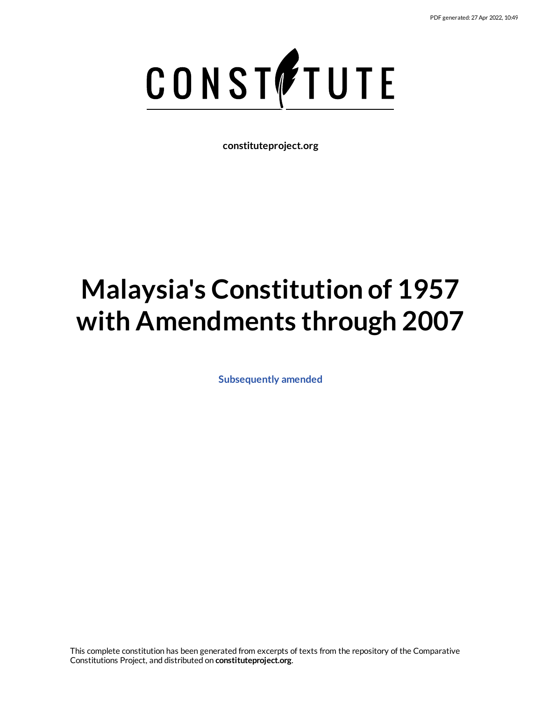

**constituteproject.org**

# **Malaysia's Constitution of 1957 with Amendments through 2007**

**[Subsequently](https://www.constituteproject.org/Asia/Malaysia_2007?lang=en) amended**

This complete constitution has been generated from excerpts of texts from the repository of the Comparative Constitutions Project, and distributed on **constituteproject.org**.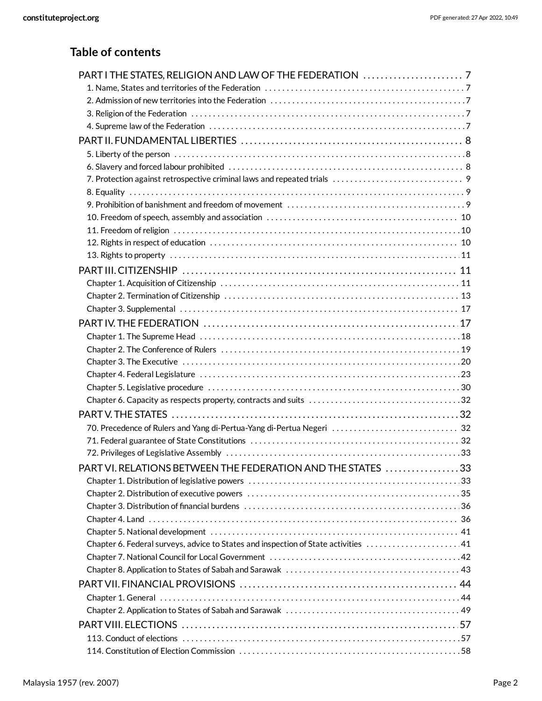# **Table of contents**

| PART VI. RELATIONS BETWEEN THE FEDERATION AND THE STATES 33                         |  |
|-------------------------------------------------------------------------------------|--|
|                                                                                     |  |
|                                                                                     |  |
|                                                                                     |  |
|                                                                                     |  |
|                                                                                     |  |
| Chapter 6. Federal surveys, advice to States and inspection of State activities  41 |  |
|                                                                                     |  |
|                                                                                     |  |
|                                                                                     |  |
|                                                                                     |  |
|                                                                                     |  |
|                                                                                     |  |
|                                                                                     |  |
|                                                                                     |  |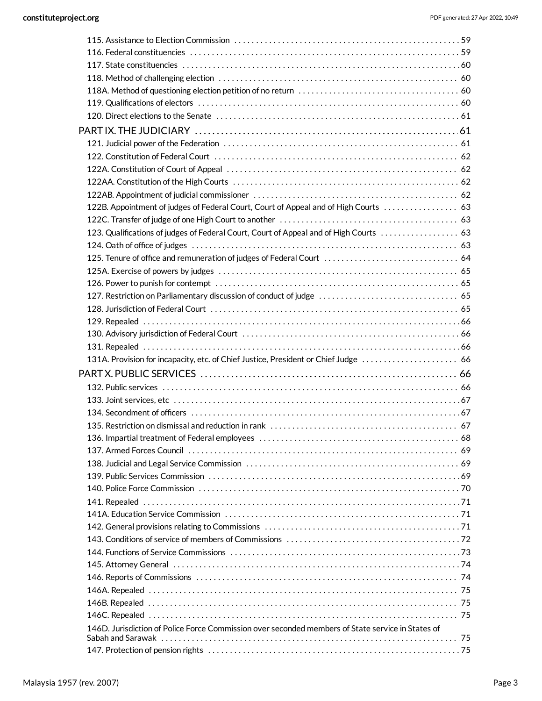| 131A. Provision for incapacity, etc. of Chief Justice, President or Chief Judge  66               |  |
|---------------------------------------------------------------------------------------------------|--|
|                                                                                                   |  |
|                                                                                                   |  |
|                                                                                                   |  |
|                                                                                                   |  |
|                                                                                                   |  |
|                                                                                                   |  |
|                                                                                                   |  |
|                                                                                                   |  |
|                                                                                                   |  |
|                                                                                                   |  |
|                                                                                                   |  |
|                                                                                                   |  |
|                                                                                                   |  |
|                                                                                                   |  |
|                                                                                                   |  |
|                                                                                                   |  |
|                                                                                                   |  |
|                                                                                                   |  |
|                                                                                                   |  |
|                                                                                                   |  |
| 146D. Jurisdiction of Police Force Commission over seconded members of State service in States of |  |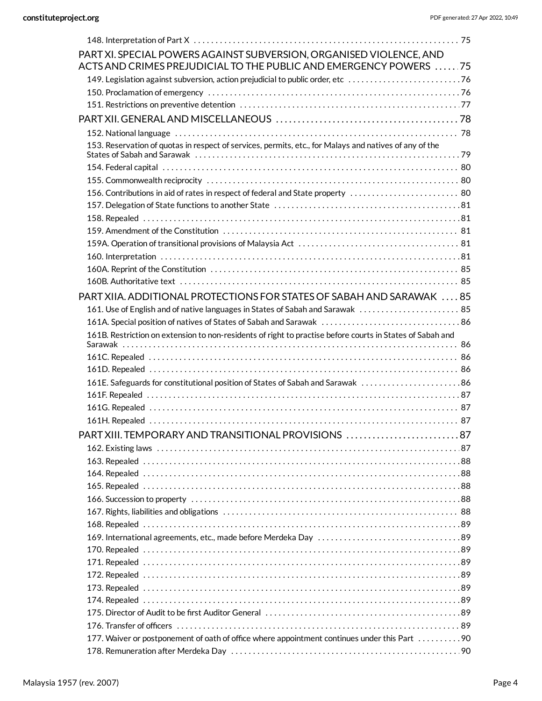| PART XI. SPECIAL POWERS AGAINST SUBVERSION, ORGANISED VIOLENCE, AND                                       |  |
|-----------------------------------------------------------------------------------------------------------|--|
| ACTS AND CRIMES PREJUDICIAL TO THE PUBLIC AND EMERGENCY POWERS 75                                         |  |
|                                                                                                           |  |
|                                                                                                           |  |
|                                                                                                           |  |
|                                                                                                           |  |
|                                                                                                           |  |
| 153. Reservation of quotas in respect of services, permits, etc., for Malays and natives of any of the    |  |
|                                                                                                           |  |
|                                                                                                           |  |
|                                                                                                           |  |
|                                                                                                           |  |
|                                                                                                           |  |
|                                                                                                           |  |
|                                                                                                           |  |
|                                                                                                           |  |
|                                                                                                           |  |
|                                                                                                           |  |
|                                                                                                           |  |
| PART XIIA. ADDITIONAL PROTECTIONS FOR STATES OF SABAH AND SARAWAK  85                                     |  |
| 161. Use of English and of native languages in States of Sabah and Sarawak  85                            |  |
|                                                                                                           |  |
| 161B. Restriction on extension to non-residents of right to practise before courts in States of Sabah and |  |
|                                                                                                           |  |
|                                                                                                           |  |
|                                                                                                           |  |
| 161E. Safeguards for constitutional position of States of Sabah and Sarawak                               |  |
|                                                                                                           |  |
|                                                                                                           |  |
|                                                                                                           |  |
| PART XIII. TEMPORARY AND TRANSITIONAL PROVISIONS 87                                                       |  |
|                                                                                                           |  |
|                                                                                                           |  |
|                                                                                                           |  |
|                                                                                                           |  |
|                                                                                                           |  |
|                                                                                                           |  |
|                                                                                                           |  |
|                                                                                                           |  |
|                                                                                                           |  |
|                                                                                                           |  |
|                                                                                                           |  |
|                                                                                                           |  |
|                                                                                                           |  |
|                                                                                                           |  |
|                                                                                                           |  |
| 177. Waiver or postponement of oath of office where appointment continues under this Part  90             |  |
|                                                                                                           |  |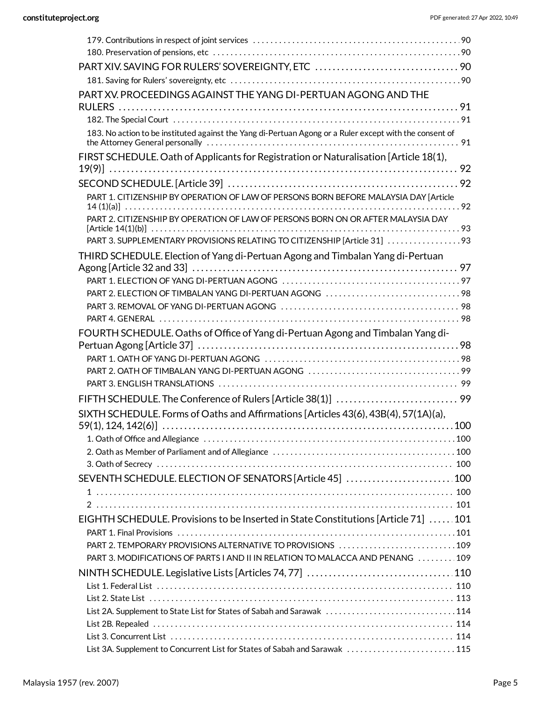| PART XV. PROCEEDINGS AGAINST THE YANG DI-PERTUAN AGONG AND THE                                          |  |
|---------------------------------------------------------------------------------------------------------|--|
|                                                                                                         |  |
|                                                                                                         |  |
| 183. No action to be instituted against the Yang di-Pertuan Agong or a Ruler except with the consent of |  |
| FIRST SCHEDULE. Oath of Applicants for Registration or Naturalisation [Article 18(1),                   |  |
|                                                                                                         |  |
|                                                                                                         |  |
| PART 1. CITIZENSHIP BY OPERATION OF LAW OF PERSONS BORN BEFORE MALAYSIA DAY [Article                    |  |
| PART 2. CITIZENSHIP BY OPERATION OF LAW OF PERSONS BORN ON OR AFTER MALAYSIA DAY                        |  |
| PART 3. SUPPLEMENTARY PROVISIONS RELATING TO CITIZENSHIP [Article 31]  93                               |  |
| THIRD SCHEDULE. Election of Yang di-Pertuan Agong and Timbalan Yang di-Pertuan                          |  |
|                                                                                                         |  |
|                                                                                                         |  |
|                                                                                                         |  |
|                                                                                                         |  |
| FOURTH SCHEDULE. Oaths of Office of Yang di-Pertuan Agong and Timbalan Yang di-                         |  |
|                                                                                                         |  |
|                                                                                                         |  |
|                                                                                                         |  |
|                                                                                                         |  |
| FIFTH SCHEDULE. The Conference of Rulers [Article 38(1)]  99                                            |  |
| SIXTH SCHEDULE. Forms of Oaths and Affirmations [Articles 43(6), 43B(4), 57(1A)(a),                     |  |
|                                                                                                         |  |
|                                                                                                         |  |
|                                                                                                         |  |
|                                                                                                         |  |
| SEVENTH SCHEDULE. ELECTION OF SENATORS [Article 45] 100                                                 |  |
|                                                                                                         |  |
|                                                                                                         |  |
| EIGHTH SCHEDULE. Provisions to be Inserted in State Constitutions [Article 71]  101                     |  |
|                                                                                                         |  |
|                                                                                                         |  |
| PART 3. MODIFICATIONS OF PARTS I AND II IN RELATION TO MALACCA AND PENANG 109                           |  |
|                                                                                                         |  |
|                                                                                                         |  |
|                                                                                                         |  |
| List 2A. Supplement to State List for States of Sabah and Sarawak 114                                   |  |
|                                                                                                         |  |
|                                                                                                         |  |
| List 3A. Supplement to Concurrent List for States of Sabah and Sarawak  115                             |  |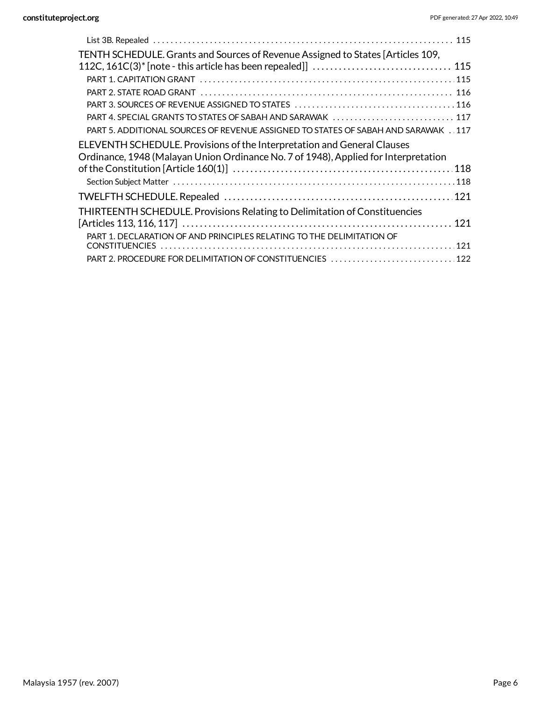| TENTH SCHEDULE. Grants and Sources of Revenue Assigned to States [Articles 109,                                                                                |
|----------------------------------------------------------------------------------------------------------------------------------------------------------------|
|                                                                                                                                                                |
|                                                                                                                                                                |
|                                                                                                                                                                |
|                                                                                                                                                                |
| PART 4. SPECIAL GRANTS TO STATES OF SABAH AND SARAWAK  117                                                                                                     |
| PART 5. ADDITIONAL SOURCES OF REVENUE ASSIGNED TO STATES OF SABAH AND SARAWAK 117                                                                              |
| ELEVENTH SCHEDULE. Provisions of the Interpretation and General Clauses<br>Ordinance, 1948 (Malayan Union Ordinance No. 7 of 1948), Applied for Interpretation |
|                                                                                                                                                                |
|                                                                                                                                                                |
|                                                                                                                                                                |
|                                                                                                                                                                |
| THIRTEENTH SCHEDULE. Provisions Relating to Delimitation of Constituencies                                                                                     |
|                                                                                                                                                                |
| PART 1. DECLARATION OF AND PRINCIPLES RELATING TO THE DELIMITATION OF<br><b>CONSTITUENCIES</b>                                                                 |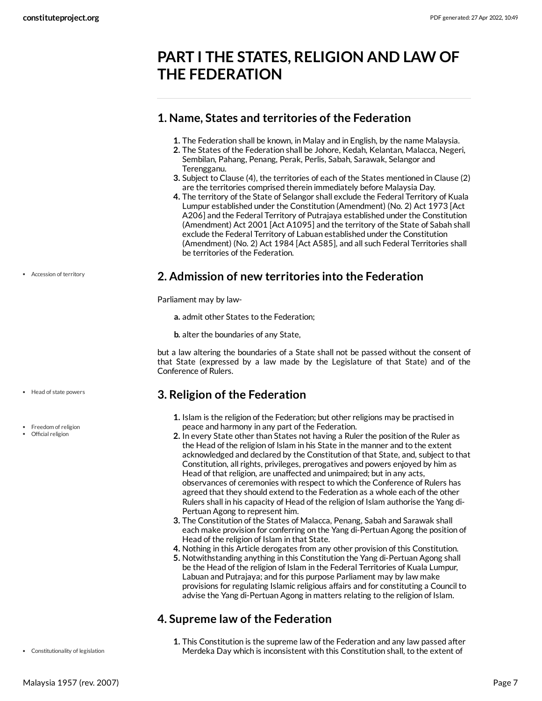# <span id="page-6-0"></span>**PART I THE STATES, RELIGION AND LAW OF THE FEDERATION**

## <span id="page-6-1"></span>**1. Name, States and territories of the Federation**

- **1.** The Federation shall be known, in Malay and in English, by the name Malaysia.
- **2.** The States of the Federation shall be Johore, Kedah, Kelantan, Malacca, Negeri, Sembilan, Pahang, Penang, Perak, Perlis, Sabah, Sarawak, Selangor and Terengganu.
- **3.** Subject to Clause (4), the territories of each of the States mentioned in Clause (2) are the territories comprised therein immediately before Malaysia Day.
- **4.** The territory of the State of Selangor shall exclude the Federal Territory of Kuala Lumpur established under the Constitution (Amendment) (No. 2) Act 1973 [Act A206] and the Federal Territory of Putrajaya established under the Constitution (Amendment) Act 2001 [Act A1095] and the territory of the State of Sabah shall exclude the Federal Territory of Labuan established under the Constitution (Amendment) (No. 2) Act 1984 [Act A585], and all such Federal Territories shall be territories of the Federation.

# <span id="page-6-2"></span>**2. Admission of new territories into the Federation**

Parliament may by law-

- **a.** admit other States to the Federation;
- **b.** alter the boundaries of any State,

but a law altering the boundaries of a State shall not be passed without the consent of that State (expressed by a law made by the Legislature of that State) and of the Conference of Rulers.

# <span id="page-6-3"></span>**3. Religion of the Federation**

- **1.** Islam is the religion of the Federation; but other religions may be practised in peace and harmony in any part of the Federation.
- **2.** In every State other than States not having a Ruler the position of the Ruler as the Head of the religion of Islam in his State in the manner and to the extent acknowledged and declared by the Constitution of that State, and, subject to that Constitution, all rights, privileges, prerogatives and powers enjoyed by him as Head of that religion, are unaffected and unimpaired; but in any acts, observances of ceremonies with respect to which the Conference of Rulers has agreed that they should extend to the Federation as a whole each of the other Rulers shall in his capacity of Head of the religion of Islam authorise the Yang di-Pertuan Agong to represent him.
- **3.** The Constitution of the States of Malacca, Penang, Sabah and Sarawak shall each make provision for conferring on the Yang di-Pertuan Agong the position of Head of the religion of Islam in that State.
- **4.** Nothing in this Article derogates from any other provision of this Constitution.
- **5.** Notwithstanding anything in this Constitution the Yang di-Pertuan Agong shall be the Head of the religion of Islam in the Federal Territories of Kuala Lumpur, Labuan and Putrajaya; and for this purpose Parliament may by law make provisions for regulating Islamic religious affairs and for constituting a Council to advise the Yang di-Pertuan Agong in matters relating to the religion of Islam.

# <span id="page-6-4"></span>**4. Supreme law of the Federation**

**1.** This Constitution is the supreme law of the Federation and any law passed after Merdeka Day which is inconsistent with this Constitution shall, to the extent of

Accession of territory

• Freedom of religion

• Head of state powers

Official religion

Constitutionality of legislation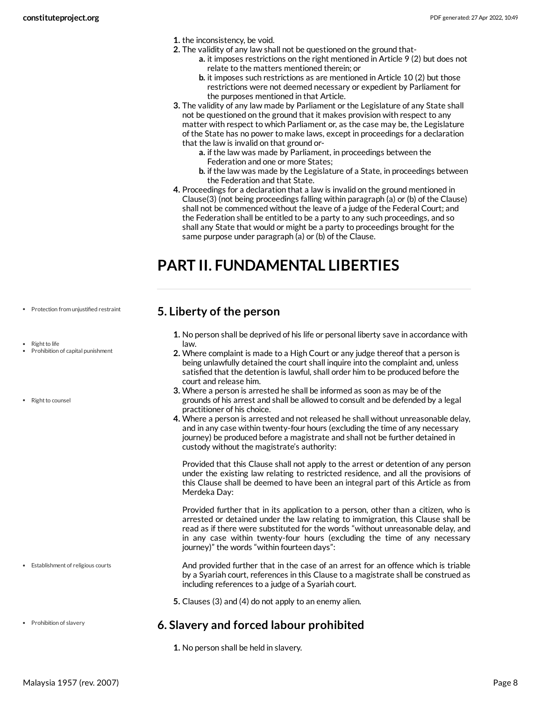- **1.** the inconsistency, be void.
- **2.** The validity of any law shall not be questioned on the ground that
	- **a.** it imposes restrictions on the right mentioned in Article 9 (2) but does not relate to the matters mentioned therein; or
	- **b.** it imposes such restrictions as are mentioned in Article 10 (2) but those restrictions were not deemed necessary or expedient by Parliament for the purposes mentioned in that Article.
- **3.** The validity of any law made by Parliament or the Legislature of any State shall not be questioned on the ground that it makes provision with respect to any matter with respect to which Parliament or, as the case may be, the Legislature of the State has no power to make laws, except in proceedings for a declaration that the law is invalid on that ground or
	- **a.** if the law was made by Parliament, in proceedings between the Federation and one or more States;
	- **b.** if the law was made by the Legislature of a State, in proceedings between the Federation and that State.
- **4.** Proceedings for a declaration that a law is invalid on the ground mentioned in Clause(3) (not being proceedings falling within paragraph (a) or (b) of the Clause) shall not be commenced without the leave of a judge of the Federal Court; and the Federation shall be entitled to be a party to any such proceedings, and so shall any State that would or might be a party to proceedings brought for the same purpose under paragraph (a) or (b) of the Clause.

# <span id="page-7-0"></span>**PART II. FUNDAMENTAL LIBERTIES**

- Protection from uniustified restraint
- Right to life
- Prohibition of capital punishment
- Right to counsel

- Establishment of religious courts
- Prohibition of slavery

### <span id="page-7-1"></span>**5. Liberty of the person**

- **1.** No person shall be deprived of his life or personal liberty save in accordance with law.
- **2.** Where complaint is made to a High Court or any judge thereof that a person is being unlawfully detained the court shall inquire into the complaint and, unless satisfied that the detention is lawful, shall order him to be produced before the court and release him.
- **3.** Where a person is arrested he shall be informed as soon as may be of the grounds of his arrest and shall be allowed to consult and be defended by a legal practitioner of his choice.
- **4.** Where a person is arrested and not released he shall without unreasonable delay, and in any case within twenty-four hours (excluding the time of any necessary journey) be produced before a magistrate and shall not be further detained in custody without the magistrate's authority:

Provided that this Clause shall not apply to the arrest or detention of any person under the existing law relating to restricted residence, and all the provisions of this Clause shall be deemed to have been an integral part of this Article as from Merdeka Day:

Provided further that in its application to a person, other than a citizen, who is arrested or detained under the law relating to immigration, this Clause shall be read as if there were substituted for the words "without unreasonable delay, and in any case within twenty-four hours (excluding the time of any necessary journey)" the words "within fourteen days":

And provided further that in the case of an arrest for an offence which is triable by a Syariah court, references in this Clause to a magistrate shall be construed as including references to a judge of a Syariah court.

**5.** Clauses (3) and (4) do not apply to an enemy alien.

# <span id="page-7-2"></span>**6. Slavery and forced labour prohibited**

**1.** No person shall be held in slavery.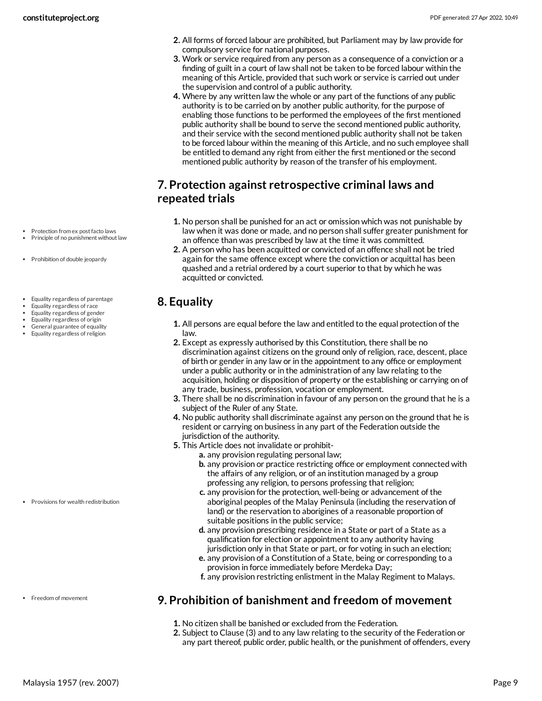- **2.** All forms of forced labour are prohibited, but Parliament may by law provide for compulsory service for national purposes.
- **3.** Work or service required from any person as a consequence of a conviction or a finding of guilt in a court of law shall not be taken to be forced labour within the meaning of this Article, provided that such work or service is carried out under the supervision and control of a public authority.
- **4.** Where by any written law the whole or any part of the functions of any public authority is to be carried on by another public authority, for the purpose of enabling those functions to be performed the employees of the first mentioned public authority shall be bound to serve the second mentioned public authority, and their service with the second mentioned public authority shall not be taken to be forced labour within the meaning of this Article, and no such employee shall be entitled to demand any right from either the first mentioned or the second mentioned public authority by reason of the transfer of his employment.

# <span id="page-8-0"></span>**7. Protection against retrospective criminal laws and repeated trials**

- **1.** No person shall be punished for an act or omission which was not punishable by law when it was done or made, and no person shall suffer greater punishment for an offence than was prescribed by law at the time it was committed.
- **2.** A person who has been acquitted or convicted of an offence shall not be tried again for the same offence except where the conviction or acquittal has been quashed and a retrial ordered by a court superior to that by which he was acquitted or convicted.

# <span id="page-8-1"></span>**8. Equality**

- **1.** All persons are equal before the law and entitled to the equal protection of the law.
- **2.** Except as expressly authorised by this Constitution, there shall be no discrimination against citizens on the ground only of religion, race, descent, place of birth or gender in any law or in the appointment to any office or employment under a public authority or in the administration of any law relating to the acquisition, holding or disposition of property or the establishing or carrying on of any trade, business, profession, vocation or employment.
- **3.** There shall be no discrimination in favour of any person on the ground that he is a subject of the Ruler of any State.
- **4.** No public authority shall discriminate against any person on the ground that he is resident or carrying on business in any part of the Federation outside the jurisdiction of the authority.
- **5.** This Article does not invalidate or prohibit
	- **a.** any provision regulating personal law;
	- **b.** any provision or practice restricting office or employment connected with the affairs of any religion, or of an institution managed by a group professing any religion, to persons professing that religion;
	- **c.** any provision for the protection, well-being or advancement of the aboriginal peoples of the Malay Peninsula (including the reservation of land) or the reservation to aborigines of a reasonable proportion of suitable positions in the public service;
	- **d.** any provision prescribing residence in a State or part of a State as a qualification for election or appointment to any authority having jurisdiction only in that State or part, or for voting in such an election;
	- **e.** any provision of a Constitution of a State, being or corresponding to a provision in force immediately before Merdeka Day;
	- **f.** any provision restricting enlistment in the Malay Regiment to Malays.

# <span id="page-8-2"></span>**9. Prohibition of banishment and freedom of movement**

- **1.** No citizen shall be banished or excluded from the Federation.
- **2.** Subject to Clause (3) and to any law relating to the security of the Federation or any part thereof, public order, public health, or the punishment of offenders, every
- Protection from ex post facto laws
- Principle of no punishment without law
- Prohibition of double jeopardy
- Equality regardless of parentage
- Equality regardless of race
- Equality regardless of gender Equality regardless of origin
- General guarantee of equality
- Equality regardless of religion

• Provisions for wealth redistribution

• Freedom of movement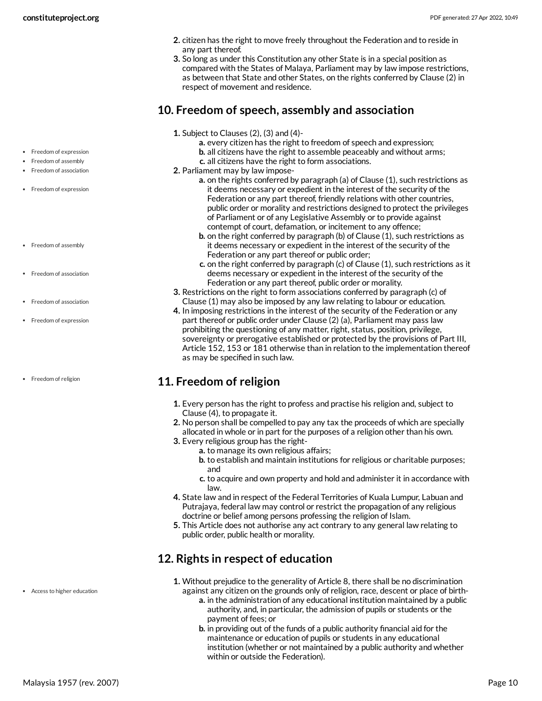- **2.** citizen has the right to move freely throughout the Federation and to reside in any part thereof.
- **3.** So long as under this Constitution any other State is in a special position as compared with the States of Malaya, Parliament may by law impose restrictions, as between that State and other States, on the rights conferred by Clause (2) in respect of movement and residence.

## <span id="page-9-0"></span>**10. Freedom of speech, assembly and association**

- **1.** Subject to Clauses (2), (3) and (4)
	- **a.** every citizen has the right to freedom of speech and expression;
	- **b.** all citizens have the right to assemble peaceably and without arms;
	- **c.** all citizens have the right to form associations.
- **2.** Parliament may by law impose
	- **a.** on the rights conferred by paragraph (a) of Clause (1), such restrictions as it deems necessary or expedient in the interest of the security of the Federation or any part thereof, friendly relations with other countries, public order or morality and restrictions designed to protect the privileges of Parliament or of any Legislative Assembly or to provide against contempt of court, defamation, or incitement to any offence;
	- **b.** on the right conferred by paragraph (b) of Clause (1), such restrictions as it deems necessary or expedient in the interest of the security of the Federation or any part thereof or public order;
	- **c.** on the right conferred by paragraph (c) of Clause (1), such restrictions as it deems necessary or expedient in the interest of the security of the Federation or any part thereof, public order or morality.
- **3.** Restrictions on the right to form associations conferred by paragraph (c) of Clause (1) may also be imposed by any law relating to labour or education.
- **4.** In imposing restrictions in the interest of the security of the Federation or any part thereof or public order under Clause (2) (a), Parliament may pass law prohibiting the questioning of any matter, right, status, position, privilege, sovereignty or prerogative established or protected by the provisions of Part III, Article 152, 153 or 181 otherwise than in relation to the implementation thereof as may be specified in such law.

# <span id="page-9-1"></span>**11. Freedom of religion**

- **1.** Every person has the right to profess and practise his religion and, subject to Clause (4), to propagate it.
- **2.** No person shall be compelled to pay any tax the proceeds of which are specially allocated in whole or in part for the purposes of a religion other than his own.
- **3.** Every religious group has the right
	- **a.** to manage its own religious affairs;
	- **b.** to establish and maintain institutions for religious or charitable purposes; and
	- **c.** to acquire and own property and hold and administer it in accordance with law.
- **4.** State law and in respect of the Federal Territories of Kuala Lumpur, Labuan and Putrajaya, federal law may control or restrict the propagation of any religious doctrine or belief among persons professing the religion of Islam.
- **5.** This Article does not authorise any act contrary to any general law relating to public order, public health or morality.

# <span id="page-9-2"></span>**12. Rights in respect of education**

- **1.** Without prejudice to the generality of Article 8, there shall be no discrimination against any citizen on the grounds only of religion, race, descent or place of birth
	- **a.** in the administration of any educational institution maintained by a public authority, and, in particular, the admission of pupils or students or the payment of fees; or
	- **b.** in providing out of the funds of a public authority financial aid for the maintenance or education of pupils or students in any educational institution (whether or not maintained by a public authority and whether within or outside the Federation).
- Freedom of expression
- Freedom of assembly
- Freedom of association
- Freedom of expression
- Freedom of assembly
- Freedom of association
- Freedom of association
- Freedom of expression
- Freedom of religion

Access to higher education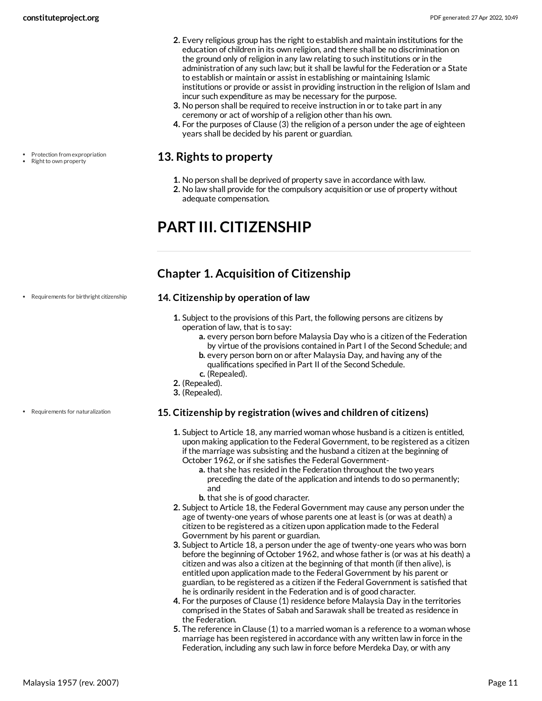- **2.** Every religious group has the right to establish and maintain institutions for the education of children in its own religion, and there shall be no discrimination on the ground only of religion in any law relating to such institutions or in the administration of any such law; but it shall be lawful for the Federation or a State to establish or maintain or assist in establishing or maintaining Islamic institutions or provide or assist in providing instruction in the religion of Islam and incur such expenditure as may be necessary for the purpose.
- **3.** No person shall be required to receive instruction in or to take part in any ceremony or act of worship of a religion other than his own.
- **4.** For the purposes of Clause (3) the religion of a person under the age of eighteen years shall be decided by his parent or guardian.

### <span id="page-10-0"></span>**13. Rights to property**

- **1.** No person shall be deprived of property save in accordance with law.
- **2.** No law shall provide for the compulsory acquisition or use of property without adequate compensation.

# <span id="page-10-1"></span>**PART III. CITIZENSHIP**

# <span id="page-10-2"></span>**Chapter 1. Acquisition of Citizenship**

- **14. Citizenship by operation of law**
	- **1.** Subject to the provisions of this Part, the following persons are citizens by operation of law, that is to say:
		- **a.** every person born before Malaysia Day who is a citizen of the Federation by virtue of the provisions contained in Part I of the Second Schedule; and
		- **b.** every person born on or after Malaysia Day, and having any of the qualifications specified in Part II of the Second Schedule.
		- **c.** (Repealed).
	- **2.** (Repealed).
	- **3.** (Repealed).

#### Requirements for naturalization

Requirements for birthright citizenship

**1.** Subject to Article 18, any married woman whose husband is a citizen is entitled, upon making application to the Federal Government, to be registered as a citizen

**15. Citizenship by registration (wives and children of citizens)**

- if the marriage was subsisting and the husband a citizen at the beginning of October 1962, or if she satisfies the Federal Government
	- **a.** that she has resided in the Federation throughout the two years preceding the date of the application and intends to do so permanently; and
	- **b.** that she is of good character.
- **2.** Subject to Article 18, the Federal Government may cause any person under the age of twenty-one years of whose parents one at least is (or was at death) a citizen to be registered as a citizen upon application made to the Federal Government by his parent or guardian.
- **3.** Subject to Article 18, a person under the age of twenty-one years who was born before the beginning of October 1962, and whose father is (or was at his death) a citizen and was also a citizen at the beginning of that month (if then alive), is entitled upon application made to the Federal Government by his parent or guardian, to be registered as a citizen if the Federal Government is satisfied that he is ordinarily resident in the Federation and is of good character.
- **4.** For the purposes of Clause (1) residence before Malaysia Day in the territories comprised in the States of Sabah and Sarawak shall be treated as residence in the Federation.
- **5.** The reference in Clause (1) to a married woman is a reference to a woman whose marriage has been registered in accordance with any written law in force in the Federation, including any such law in force before Merdeka Day, or with any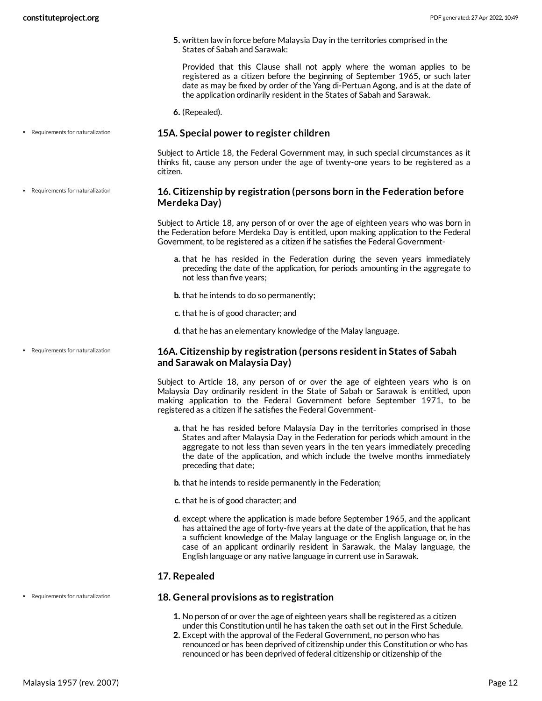• Requirements for naturalization

• Requirements for naturalization

• Requirements for naturalization

**5.** written law in force before Malaysia Day in the territories comprised in the States of Sabah and Sarawak:

Provided that this Clause shall not apply where the woman applies to be registered as a citizen before the beginning of September 1965, or such later date as may be fixed by order of the Yang di-Pertuan Agong, and is at the date of the application ordinarily resident in the States of Sabah and Sarawak.

**6.** (Repealed).

#### **15A. Special power to register children**

Subject to Article 18, the Federal Government may, in such special circumstances as it thinks fit, cause any person under the age of twenty-one years to be registered as a citizen.

#### **16. Citizenship by registration (persons born in the Federation before Merdeka Day)**

Subject to Article 18, any person of or over the age of eighteen years who was born in the Federation before Merdeka Day is entitled, upon making application to the Federal Government, to be registered as a citizen if he satisfies the Federal Government-

- **a.** that he has resided in the Federation during the seven years immediately preceding the date of the application, for periods amounting in the aggregate to not less than five years;
- **b.** that he intends to do so permanently;
- **c.** that he is of good character; and
- **d.** that he has an elementary knowledge of the Malay language.

#### **16A. Citizenship by registration (persons residentin States of Sabah and Sarawak on Malaysia Day)**

Subject to Article 18, any person of or over the age of eighteen years who is on Malaysia Day ordinarily resident in the State of Sabah or Sarawak is entitled, upon making application to the Federal Government before September 1971, to be registered as a citizen if he satisfies the Federal Government-

- **a.** that he has resided before Malaysia Day in the territories comprised in those States and after Malaysia Day in the Federation for periods which amount in the aggregate to not less than seven years in the ten years immediately preceding the date of the application, and which include the twelve months immediately preceding that date;
- **b.** that he intends to reside permanently in the Federation;
- **c.** that he is of good character; and
- **d.** except where the application is made before September 1965, and the applicant has attained the age of forty-five years at the date of the application, that he has a sufficient knowledge of the Malay language or the English language or, in the case of an applicant ordinarily resident in Sarawak, the Malay language, the English language or any native language in current use in Sarawak.

#### **17. Repealed**

#### **18. General provisions as to registration**

- **1.** No person of or over the age of eighteen years shall be registered as a citizen under this Constitution until he has taken the oath set out in the First Schedule.
- **2.** Except with the approval of the Federal Government, no person who has renounced or has been deprived of citizenship under this Constitution or who has renounced or has been deprived of federal citizenship or citizenship of the

• Requirements for naturalization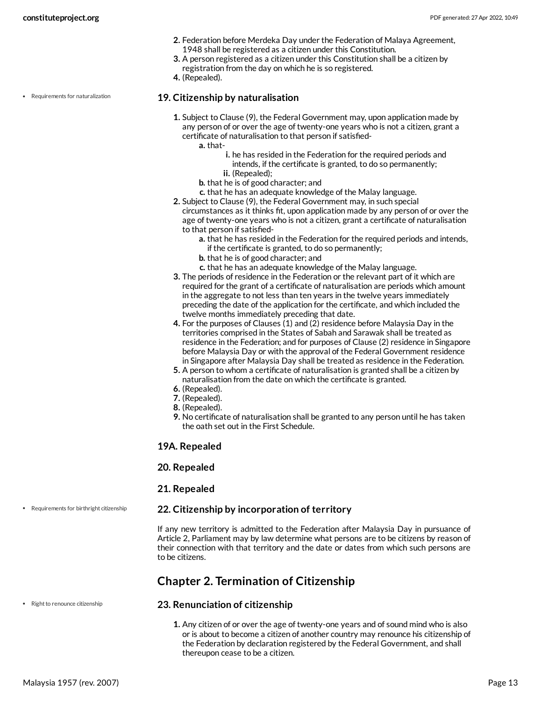• Requirements for naturalization

- **2.** Federation before Merdeka Day under the Federation of Malaya Agreement, 1948 shall be registered as a citizen under this Constitution.
- **3.** A person registered as a citizen under this Constitution shall be a citizen by registration from the day on which he is so registered.
- **4.** (Repealed).

#### **19. Citizenship by naturalisation**

- **1.** Subject to Clause (9), the Federal Government may, upon application made by any person of or over the age of twenty-one years who is not a citizen, grant a certificate of naturalisation to that person if satisfied
	- **a.** that
		- **i.** he has resided in the Federation for the required periods and intends, if the certificate is granted, to do so permanently;
		- **ii.** (Repealed);
	- **b.** that he is of good character; and
	- **c.** that he has an adequate knowledge of the Malay language.
- **2.** Subject to Clause (9), the Federal Government may, in such special circumstances as it thinks fit, upon application made by any person of or over the age of twenty-one years who is not a citizen, grant a certificate of naturalisation to that person if satisfied
	- **a.** that he has resided in the Federation for the required periods and intends, if the certificate is granted, to do so permanently;
	- **b.** that he is of good character; and
	- **c.** that he has an adequate knowledge of the Malay language.
- **3.** The periods of residence in the Federation or the relevant part of it which are required for the grant of a certificate of naturalisation are periods which amount in the aggregate to not less than ten years in the twelve years immediately preceding the date of the application for the certificate, and which included the twelve months immediately preceding that date.
- **4.** For the purposes of Clauses (1) and (2) residence before Malaysia Day in the territories comprised in the States of Sabah and Sarawak shall be treated as residence in the Federation; and for purposes of Clause (2) residence in Singapore before Malaysia Day or with the approval of the Federal Government residence in Singapore after Malaysia Day shall be treated as residence in the Federation.
- **5.** A person to whom a certificate of naturalisation is granted shall be a citizen by naturalisation from the date on which the certificate is granted.
- **6.** (Repealed).
- **7.** (Repealed).
- **8.** (Repealed).
- **9.** No certificate of naturalisation shall be granted to any person until he has taken the oath set out in the First Schedule.

#### **19A. Repealed**

**20. Repealed**

#### **21. Repealed**

Requirements for birthright citizenship

#### **22. Citizenship by incorporation of territory**

If any new territory is admitted to the Federation after Malaysia Day in pursuance of Article 2, Parliament may by law determine what persons are to be citizens by reason of their connection with that territory and the date or dates from which such persons are to be citizens.

# <span id="page-12-0"></span>**Chapter 2. Termination of Citizenship**

• Right to renounce citizenship

#### **23. Renunciation of citizenship**

**1.** Any citizen of or over the age of twenty-one years and of sound mind who is also or is about to become a citizen of another country may renounce his citizenship of the Federation by declaration registered by the Federal Government, and shall thereupon cease to be a citizen.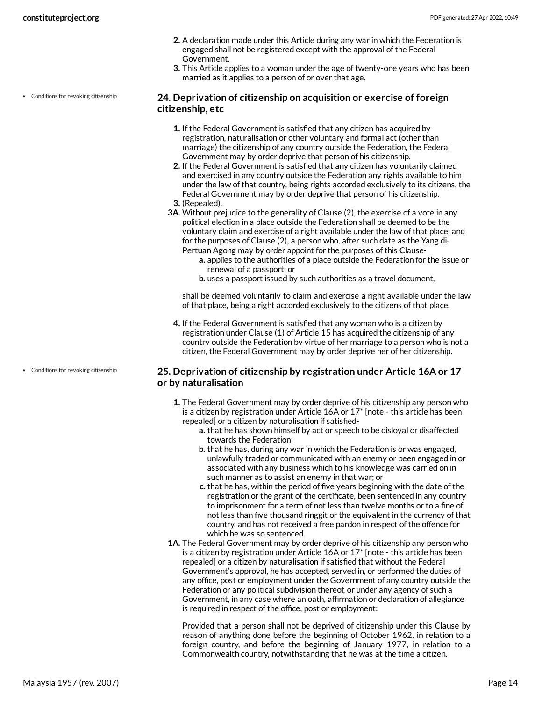Conditions for revoking citizenship

- **2.** A declaration made under this Article during any war in which the Federation is engaged shall not be registered except with the approval of the Federal Government.
- **3.** This Article applies to a woman under the age of twenty-one years who has been married as it applies to a person of or over that age.

#### **24. Deprivation of citizenship on acquisition or exercise of foreign citizenship, etc**

- **1.** If the Federal Government is satisfied that any citizen has acquired by registration, naturalisation or other voluntary and formal act (other than marriage) the citizenship of any country outside the Federation, the Federal Government may by order deprive that person of his citizenship.
- **2.** If the Federal Government is satisfied that any citizen has voluntarily claimed and exercised in any country outside the Federation any rights available to him under the law of that country, being rights accorded exclusively to its citizens, the Federal Government may by order deprive that person of his citizenship.
- **3.** (Repealed).
- **3A.** Without prejudice to the generality of Clause (2), the exercise of a vote in any political election in a place outside the Federation shall be deemed to be the voluntary claim and exercise of a right available under the law of that place; and for the purposes of Clause (2), a person who, after such date as the Yang di-Pertuan Agong may by order appoint for the purposes of this Clause
	- **a.** applies to the authorities of a place outside the Federation for the issue or renewal of a passport; or
	- **b.** uses a passport issued by such authorities as a travel document,

shall be deemed voluntarily to claim and exercise a right available under the law of that place, being a right accorded exclusively to the citizens of that place.

**4.** If the Federal Government is satisfied that any woman who is a citizen by registration under Clause (1) of Article 15 has acquired the citizenship of any country outside the Federation by virtue of her marriage to a person who is not a citizen, the Federal Government may by order deprive her of her citizenship.

#### **25. Deprivation of citizenship by registration under Article 16A or 17 or by naturalisation**

- **1.** The Federal Government may by order deprive of his citizenship any person who is a citizen by registration under Article 16A or 17\* [note - this article has been repealed] or a citizen by naturalisation if satisfied
	- **a.** that he has shown himself by act or speech to be disloyal or disaffected towards the Federation;
	- **b.** that he has, during any war in which the Federation is or was engaged, unlawfully traded or communicated with an enemy or been engaged in or associated with any business which to his knowledge was carried on in such manner as to assist an enemy in that war; or
	- **c.** that he has, within the period of five years beginning with the date of the registration or the grant of the certificate, been sentenced in any country to imprisonment for a term of not less than twelve months or to a fine of not less than five thousand ringgit or the equivalent in the currency of that country, and has not received a free pardon in respect of the offence for which he was so sentenced.
- **1A.** The Federal Government may by order deprive of his citizenship any person who is a citizen by registration under Article 16A or 17\* [note - this article has been repealed] or a citizen by naturalisation if satisfied that without the Federal Government's approval, he has accepted, served in, or performed the duties of any office, post or employment under the Government of any country outside the Federation or any political subdivision thereof, or under any agency of such a Government, in any case where an oath, affirmation or declaration of allegiance is required in respect of the office, post or employment:

Provided that a person shall not be deprived of citizenship under this Clause by reason of anything done before the beginning of October 1962, in relation to a foreign country, and before the beginning of January 1977, in relation to a Commonwealth country, notwithstanding that he was at the time a citizen.

Conditions for revoking citizenship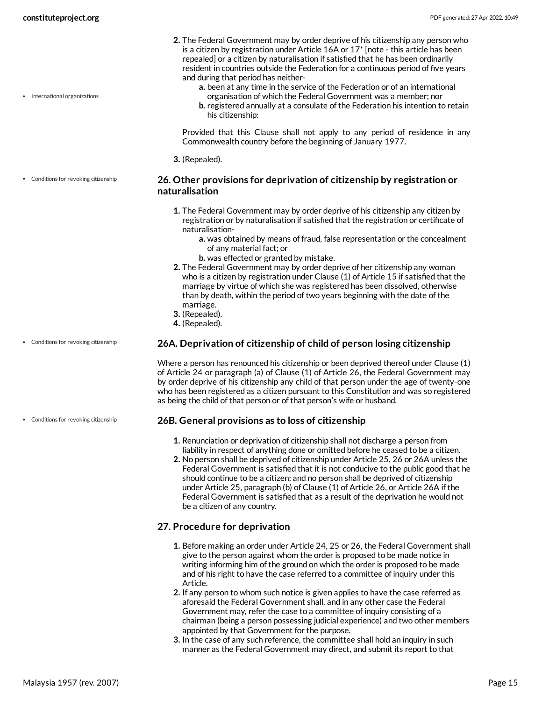• International organizations

- **2.** The Federal Government may by order deprive of his citizenship any person who is a citizen by registration under Article 16A or 17\* [note - this article has been repealed] or a citizen by naturalisation if satisfied that he has been ordinarily resident in countries outside the Federation for a continuous period of five years and during that period has neither
	- **a.** been at any time in the service of the Federation or of an international organisation of which the Federal Government was a member; nor
	- **b.** registered annually at a consulate of the Federation his intention to retain his citizenship:

Provided that this Clause shall not apply to any period of residence in any Commonwealth country before the beginning of January 1977.

**3.** (Repealed).

#### Conditions for revoking citizenship

• Conditions for revoking citizenship

Conditions for revoking citizenship

#### **26. Other provisions for deprivation of citizenship by registration or naturalisation**

- **1.** The Federal Government may by order deprive of his citizenship any citizen by registration or by naturalisation if satisfied that the registration or certificate of naturalisation
	- **a.** was obtained by means of fraud, false representation or the concealment of any material fact; or
	- **b.** was effected or granted by mistake.
- **2.** The Federal Government may by order deprive of her citizenship any woman who is a citizen by registration under Clause (1) of Article 15 if satisfied that the marriage by virtue of which she was registered has been dissolved, otherwise than by death, within the period of two years beginning with the date of the marriage.
- **3.** (Repealed).
- **4.** (Repealed).

#### **26A. Deprivation of citizenship of child of person losing citizenship**

Where a person has renounced his citizenship or been deprived thereof under Clause (1) of Article 24 or paragraph (a) of Clause (1) of Article 26, the Federal Government may by order deprive of his citizenship any child of that person under the age of twenty-one who has been registered as a citizen pursuant to this Constitution and was so registered as being the child of that person or of that person's wife or husband.

#### **26B. General provisions as to loss of citizenship**

- **1.** Renunciation or deprivation of citizenship shall not discharge a person from liability in respect of anything done or omitted before he ceased to be a citizen.
- **2.** No person shall be deprived of citizenship under Article 25, 26 or 26A unless the Federal Government is satisfied that it is not conducive to the public good that he should continue to be a citizen; and no person shall be deprived of citizenship under Article 25, paragraph (b) of Clause (1) of Article 26, or Article 26A if the Federal Government is satisfied that as a result of the deprivation he would not be a citizen of any country.

#### **27. Procedure for deprivation**

- **1.** Before making an order under Article 24, 25 or 26, the Federal Government shall give to the person against whom the order is proposed to be made notice in writing informing him of the ground on which the order is proposed to be made and of his right to have the case referred to a committee of inquiry under this Article.
- **2.** If any person to whom such notice is given applies to have the case referred as aforesaid the Federal Government shall, and in any other case the Federal Government may, refer the case to a committee of inquiry consisting of a chairman (being a person possessing judicial experience) and two other members appointed by that Government for the purpose.
- **3.** In the case of any such reference, the committee shall hold an inquiry in such manner as the Federal Government may direct, and submit its report to that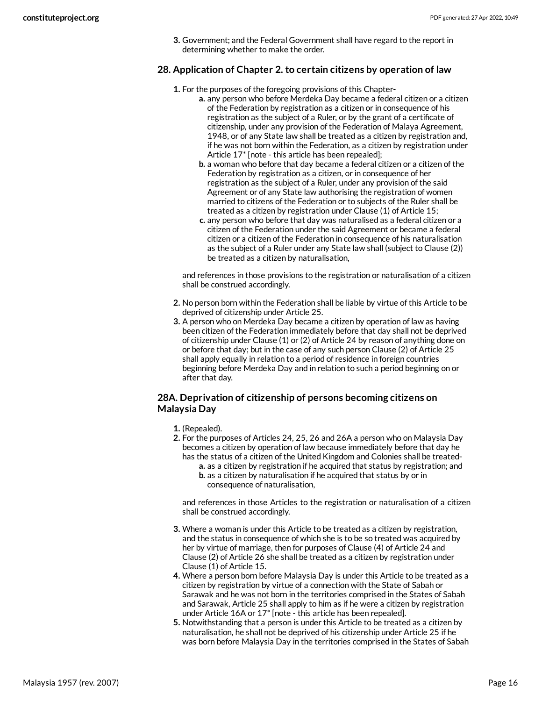**3.** Government; and the Federal Government shall have regard to the report in determining whether to make the order.

#### **28. Application of Chapter 2. to certain citizens by operation of law**

- **1.** For the purposes of the foregoing provisions of this Chapter
	- **a.** any person who before Merdeka Day became a federal citizen or a citizen of the Federation by registration as a citizen or in consequence of his registration as the subject of a Ruler, or by the grant of a certificate of citizenship, under any provision of the Federation of Malaya Agreement, 1948, or of any State law shall be treated as a citizen by registration and, if he was not born within the Federation, as a citizen by registration under Article 17\* [note - this article has been repealed];
	- **b.** a woman who before that day became a federal citizen or a citizen of the Federation by registration as a citizen, or in consequence of her registration as the subject of a Ruler, under any provision of the said Agreement or of any State law authorising the registration of women married to citizens of the Federation or to subjects of the Ruler shall be treated as a citizen by registration under Clause (1) of Article 15;
	- **c.** any person who before that day was naturalised as a federal citizen or a citizen of the Federation under the said Agreement or became a federal citizen or a citizen of the Federation in consequence of his naturalisation as the subject of a Ruler under any State law shall (subject to Clause (2)) be treated as a citizen by naturalisation,

and references in those provisions to the registration or naturalisation of a citizen shall be construed accordingly.

- **2.** No person born within the Federation shall be liable by virtue of this Article to be deprived of citizenship under Article 25.
- **3.** A person who on Merdeka Day became a citizen by operation of law as having been citizen of the Federation immediately before that day shall not be deprived of citizenship under Clause (1) or (2) of Article 24 by reason of anything done on or before that day; but in the case of any such person Clause (2) of Article 25 shall apply equally in relation to a period of residence in foreign countries beginning before Merdeka Day and in relation to such a period beginning on or after that day.

#### **28A. Deprivation of citizenship of persons becoming citizens on Malaysia Day**

- **1.** (Repealed).
- **2.** For the purposes of Articles 24, 25, 26 and 26A a person who on Malaysia Day becomes a citizen by operation of law because immediately before that day he
	- has the status of a citizen of the United Kingdom and Colonies shall be treated**a.** as a citizen by registration if he acquired that status by registration; and **b.** as a citizen by naturalisation if he acquired that status by or in consequence of naturalisation,

and references in those Articles to the registration or naturalisation of a citizen shall be construed accordingly.

- **3.** Where a woman is under this Article to be treated as a citizen by registration, and the status in consequence of which she is to be so treated was acquired by her by virtue of marriage, then for purposes of Clause (4) of Article 24 and Clause (2) of Article 26 she shall be treated as a citizen by registration under Clause (1) of Article 15.
- **4.** Where a person born before Malaysia Day is under this Article to be treated as a citizen by registration by virtue of a connection with the State of Sabah or Sarawak and he was not born in the territories comprised in the States of Sabah and Sarawak, Article 25 shall apply to him as if he were a citizen by registration under Article 16A or 17\* [note - this article has been repealed].
- **5.** Notwithstanding that a person is under this Article to be treated as a citizen by naturalisation, he shall not be deprived of his citizenship under Article 25 if he was born before Malaysia Day in the territories comprised in the States of Sabah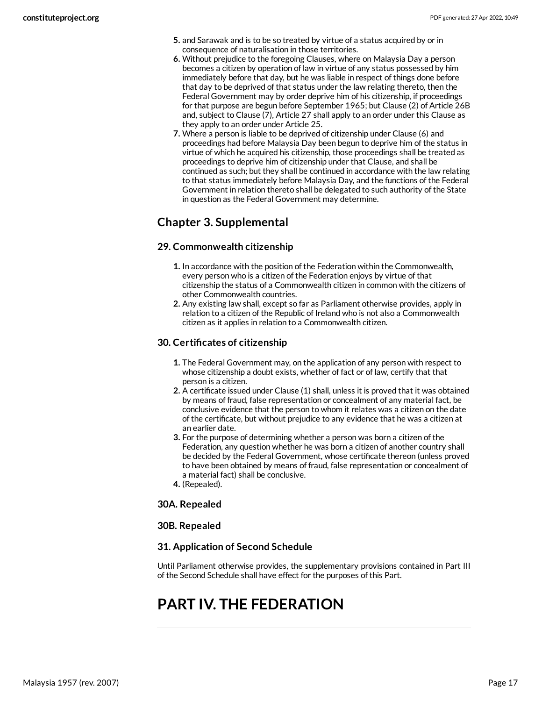- **5.** and Sarawak and is to be so treated by virtue of a status acquired by or in consequence of naturalisation in those territories.
- **6.** Without prejudice to the foregoing Clauses, where on Malaysia Day a person becomes a citizen by operation of law in virtue of any status possessed by him immediately before that day, but he was liable in respect of things done before that day to be deprived of that status under the law relating thereto, then the Federal Government may by order deprive him of his citizenship, if proceedings for that purpose are begun before September 1965; but Clause (2) of Article 26B and, subject to Clause (7), Article 27 shall apply to an order under this Clause as they apply to an order under Article 25.
- **7.** Where a person is liable to be deprived of citizenship under Clause (6) and proceedings had before Malaysia Day been begun to deprive him of the status in virtue of which he acquired his citizenship, those proceedings shall be treated as proceedings to deprive him of citizenship under that Clause, and shall be continued as such; but they shall be continued in accordance with the law relating to that status immediately before Malaysia Day, and the functions of the Federal Government in relation thereto shall be delegated to such authority of the State in question as the Federal Government may determine.

# <span id="page-16-0"></span>**Chapter 3. Supplemental**

#### **29. Commonwealth citizenship**

- **1.** In accordance with the position of the Federation within the Commonwealth, every person who is a citizen of the Federation enjoys by virtue of that citizenship the status of a Commonwealth citizen in common with the citizens of other Commonwealth countries.
- **2.** Any existing law shall, except so far as Parliament otherwise provides, apply in relation to a citizen of the Republic of Ireland who is not also a Commonwealth citizen as it applies in relation to a Commonwealth citizen.

### **30. Certificates of citizenship**

- **1.** The Federal Government may, on the application of any person with respect to whose citizenship a doubt exists, whether of fact or of law, certify that that person is a citizen.
- **2.** A certificate issued under Clause (1) shall, unless it is proved that it was obtained by means of fraud, false representation or concealment of any material fact, be conclusive evidence that the person to whom it relates was a citizen on the date of the certificate, but without prejudice to any evidence that he was a citizen at an earlier date.
- **3.** For the purpose of determining whether a person was born a citizen of the Federation, any question whether he was born a citizen of another country shall be decided by the Federal Government, whose certificate thereon (unless proved to have been obtained by means of fraud, false representation or concealment of a material fact) shall be conclusive.
- **4.** (Repealed).

#### **30A. Repealed**

#### **30B. Repealed**

#### **31. Application of Second Schedule**

Until Parliament otherwise provides, the supplementary provisions contained in Part III of the Second Schedule shall have effect for the purposes of this Part.

# <span id="page-16-1"></span>**PART IV. THE FEDERATION**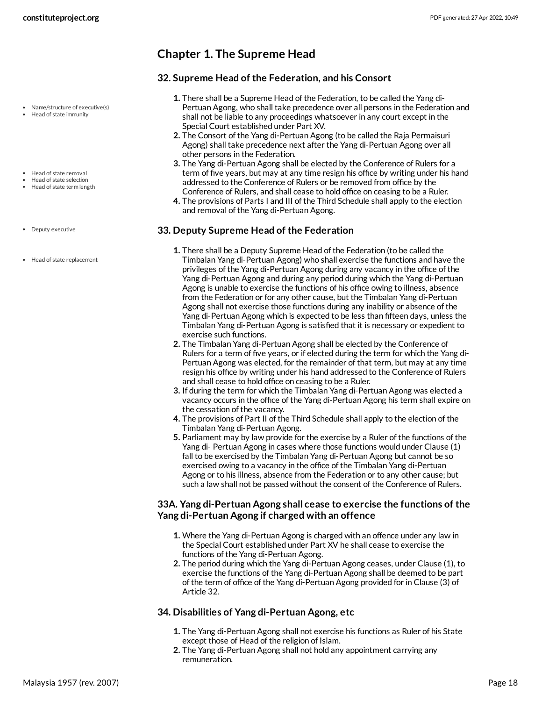- Name/structure of executive(s)
- Head of state immunity
- Head of state removal
- Head of state selection
- Head of state term length
- Deputy executive
- Head of state replacement

# <span id="page-17-0"></span>**Chapter 1. The Supreme Head**

#### **32. Supreme Head of the Federation, and his Consort**

- **1.** There shall be a Supreme Head of the Federation, to be called the Yang di-Pertuan Agong, who shall take precedence over all persons in the Federation and shall not be liable to any proceedings whatsoever in any court except in the Special Court established under Part XV.
- **2.** The Consort of the Yang di-Pertuan Agong (to be called the Raja Permaisuri Agong) shall take precedence next after the Yang di-Pertuan Agong over all other persons in the Federation.
- **3.** The Yang di-Pertuan Agong shall be elected by the Conference of Rulers for a term of five years, but may at any time resign his office by writing under his hand addressed to the Conference of Rulers or be removed from office by the Conference of Rulers, and shall cease to hold office on ceasing to be a Ruler.
- **4.** The provisions of Parts I and III of the Third Schedule shall apply to the election and removal of the Yang di-Pertuan Agong.

#### **33. Deputy Supreme Head of the Federation**

- **1.** There shall be a Deputy Supreme Head of the Federation (to be called the Timbalan Yang di-Pertuan Agong) who shall exercise the functions and have the privileges of the Yang di-Pertuan Agong during any vacancy in the office of the Yang di-Pertuan Agong and during any period during which the Yang di-Pertuan Agong is unable to exercise the functions of his office owing to illness, absence from the Federation or for any other cause, but the Timbalan Yang di-Pertuan Agong shall not exercise those functions during any inability or absence of the Yang di-Pertuan Agong which is expected to be less than fifteen days, unless the Timbalan Yang di-Pertuan Agong is satisfied that it is necessary or expedient to exercise such functions.
- **2.** The Timbalan Yang di-Pertuan Agong shall be elected by the Conference of Rulers for a term of five years, or if elected during the term for which the Yang di-Pertuan Agong was elected, for the remainder of that term, but may at any time resign his office by writing under his hand addressed to the Conference of Rulers and shall cease to hold office on ceasing to be a Ruler.
- **3.** If during the term for which the Timbalan Yang di-Pertuan Agong was elected a vacancy occurs in the office of the Yang di-Pertuan Agong his term shall expire on the cessation of the vacancy.
- **4.** The provisions of Part II of the Third Schedule shall apply to the election of the Timbalan Yang di-Pertuan Agong.
- **5.** Parliament may by law provide for the exercise by a Ruler of the functions of the Yang di- Pertuan Agong in cases where those functions would under Clause (1) fall to be exercised by the Timbalan Yang di-Pertuan Agong but cannot be so exercised owing to a vacancy in the office of the Timbalan Yang di-Pertuan Agong or to his illness, absence from the Federation or to any other cause; but such a law shall not be passed without the consent of the Conference of Rulers.

#### **33A. Yang di-Pertuan Agong shall cease to exercise the functions of the Yang di-Pertuan Agong if charged with an offence**

- **1.** Where the Yang di-Pertuan Agong is charged with an offence under any law in the Special Court established under Part XV he shall cease to exercise the functions of the Yang di-Pertuan Agong.
- **2.** The period during which the Yang di-Pertuan Agong ceases, under Clause (1), to exercise the functions of the Yang di-Pertuan Agong shall be deemed to be part of the term of office of the Yang di-Pertuan Agong provided for in Clause (3) of Article 32.

#### **34. Disabilities of Yang di-Pertuan Agong, etc**

- **1.** The Yang di-Pertuan Agong shall not exercise his functions as Ruler of his State except those of Head of the religion of Islam.
- **2.** The Yang di-Pertuan Agong shall not hold any appointment carrying any remuneration.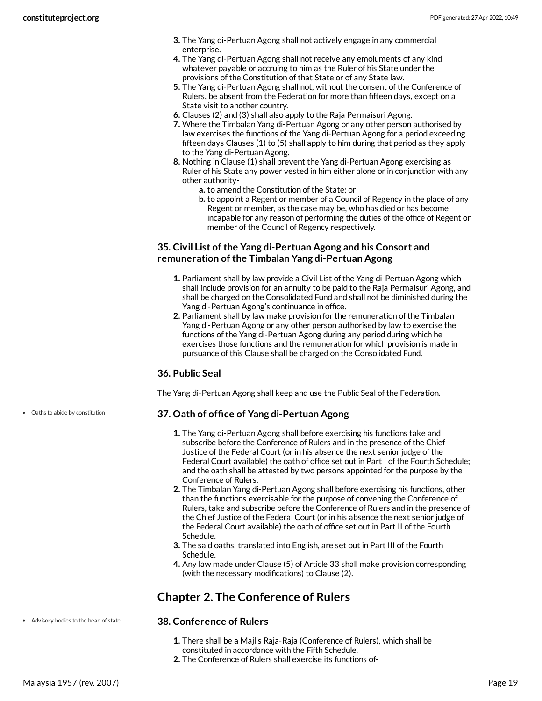- **3.** The Yang di-Pertuan Agong shall not actively engage in any commercial enterprise.
- **4.** The Yang di-Pertuan Agong shall not receive any emoluments of any kind whatever payable or accruing to him as the Ruler of his State under the provisions of the Constitution of that State or of any State law.
- **5.** The Yang di-Pertuan Agong shall not, without the consent of the Conference of Rulers, be absent from the Federation for more than fifteen days, except on a State visit to another country.
- **6.** Clauses (2) and (3) shall also apply to the Raja Permaisuri Agong.
- **7.** Where the Timbalan Yang di-Pertuan Agong or any other person authorised by law exercises the functions of the Yang di-Pertuan Agong for a period exceeding fifteen days Clauses (1) to (5) shall apply to him during that period as they apply to the Yang di-Pertuan Agong.
- **8.** Nothing in Clause (1) shall prevent the Yang di-Pertuan Agong exercising as Ruler of his State any power vested in him either alone or in conjunction with any other authority
	- **a.** to amend the Constitution of the State; or
	- **b.** to appoint a Regent or member of a Council of Regency in the place of any Regent or member, as the case may be, who has died or has become incapable for any reason of performing the duties of the office of Regent or member of the Council of Regency respectively.

#### **35. Civil List of the Yang di-Pertuan Agong and his Consort and remuneration of the Timbalan Yang di-Pertuan Agong**

- **1.** Parliament shall by law provide a Civil List of the Yang di-Pertuan Agong which shall include provision for an annuity to be paid to the Raja Permaisuri Agong, and shall be charged on the Consolidated Fund and shall not be diminished during the Yang di-Pertuan Agong's continuance in office.
- **2.** Parliament shall by law make provision for the remuneration of the Timbalan Yang di-Pertuan Agong or any other person authorised by law to exercise the functions of the Yang di-Pertuan Agong during any period during which he exercises those functions and the remuneration for which provision is made in pursuance of this Clause shall be charged on the Consolidated Fund.

#### **36. Public Seal**

The Yang di-Pertuan Agong shall keep and use the Public Seal of the Federation.

#### **37. Oath of office of Yang di-Pertuan Agong**

- **1.** The Yang di-Pertuan Agong shall before exercising his functions take and subscribe before the Conference of Rulers and in the presence of the Chief Justice of the Federal Court (or in his absence the next senior judge of the Federal Court available) the oath of office set out in Part I of the Fourth Schedule; and the oath shall be attested by two persons appointed for the purpose by the Conference of Rulers.
- **2.** The Timbalan Yang di-Pertuan Agong shall before exercising his functions, other than the functions exercisable for the purpose of convening the Conference of Rulers, take and subscribe before the Conference of Rulers and in the presence of the Chief Justice of the Federal Court (or in his absence the next senior judge of the Federal Court available) the oath of office set out in Part II of the Fourth Schedule.
- **3.** The said oaths, translated into English, are set out in Part III of the Fourth Schedule.
- **4.** Any law made under Clause (5) of Article 33 shall make provision corresponding (with the necessary modifications) to Clause (2).

# <span id="page-18-0"></span>**Chapter 2. The Conference of Rulers**

#### **38. Conference of Rulers**

- **1.** There shall be a Majlis Raja-Raja (Conference of Rulers), which shall be constituted in accordance with the Fifth Schedule.
- **2.** The Conference of Rulers shall exercise its functions of-

Advisory bodies to the head of state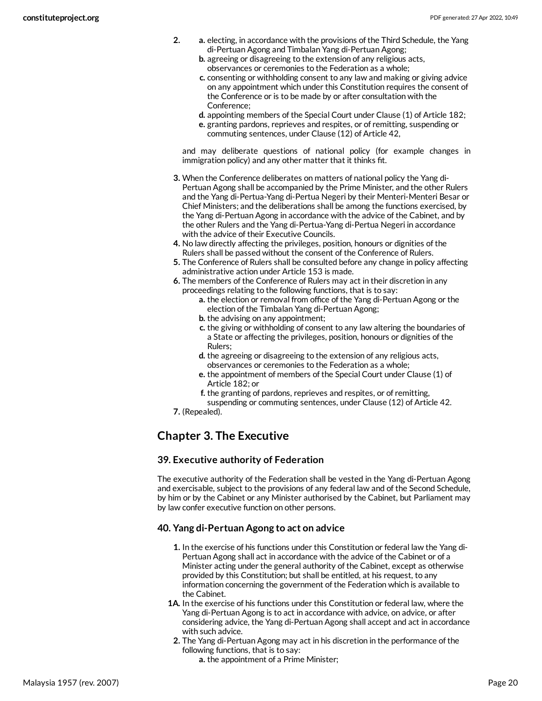- **2. a.** electing, in accordance with the provisions of the Third Schedule, the Yang di-Pertuan Agong and Timbalan Yang di-Pertuan Agong;
	- **b.** agreeing or disagreeing to the extension of any religious acts, observances or ceremonies to the Federation as a whole;
	- **c.** consenting or withholding consent to any law and making or giving advice on any appointment which under this Constitution requires the consent of the Conference or is to be made by or after consultation with the Conference;
	- **d.** appointing members of the Special Court under Clause (1) of Article 182;
	- **e.** granting pardons, reprieves and respites, or of remitting, suspending or commuting sentences, under Clause (12) of Article 42,

and may deliberate questions of national policy (for example changes in immigration policy) and any other matter that it thinks fit.

- **3.** When the Conference deliberates on matters of national policy the Yang di-Pertuan Agong shall be accompanied by the Prime Minister, and the other Rulers and the Yang di-Pertua-Yang di-Pertua Negeri by their Menteri-Menteri Besar or Chief Ministers; and the deliberations shall be among the functions exercised, by the Yang di-Pertuan Agong in accordance with the advice of the Cabinet, and by the other Rulers and the Yang di-Pertua-Yang di-Pertua Negeri in accordance with the advice of their Executive Councils.
- **4.** No law directly affecting the privileges, position, honours or dignities of the Rulers shall be passed without the consent of the Conference of Rulers.
- **5.** The Conference of Rulers shall be consulted before any change in policy affecting administrative action under Article 153 is made.
- **6.** The members of the Conference of Rulers may act in their discretion in any proceedings relating to the following functions, that is to say:
	- **a.** the election or removal from office of the Yang di-Pertuan Agong or the election of the Timbalan Yang di-Pertuan Agong;
	- **b.** the advising on any appointment;
	- **c.** the giving or withholding of consent to any law altering the boundaries of a State or affecting the privileges, position, honours or dignities of the Rulers;
	- **d.** the agreeing or disagreeing to the extension of any religious acts, observances or ceremonies to the Federation as a whole;
	- **e.** the appointment of members of the Special Court under Clause (1) of Article 182; or
	- **f.** the granting of pardons, reprieves and respites, or of remitting, suspending or commuting sentences, under Clause (12) of Article 42.
- **7.** (Repealed).

# <span id="page-19-0"></span>**Chapter 3. The Executive**

#### **39. Executive authority of Federation**

The executive authority of the Federation shall be vested in the Yang di-Pertuan Agong and exercisable, subject to the provisions of any federal law and of the Second Schedule, by him or by the Cabinet or any Minister authorised by the Cabinet, but Parliament may by law confer executive function on other persons.

#### **40. Yang di-Pertuan Agong to act on advice**

- **1.** In the exercise of his functions under this Constitution or federal law the Yang di-Pertuan Agong shall act in accordance with the advice of the Cabinet or of a Minister acting under the general authority of the Cabinet, except as otherwise provided by this Constitution; but shall be entitled, at his request, to any information concerning the government of the Federation which is available to the Cabinet.
- **1A.** In the exercise of his functions under this Constitution or federal law, where the Yang di-Pertuan Agong is to act in accordance with advice, on advice, or after considering advice, the Yang di-Pertuan Agong shall accept and act in accordance with such advice.
- **2.** The Yang di-Pertuan Agong may act in his discretion in the performance of the following functions, that is to say:
	- **a.** the appointment of a Prime Minister;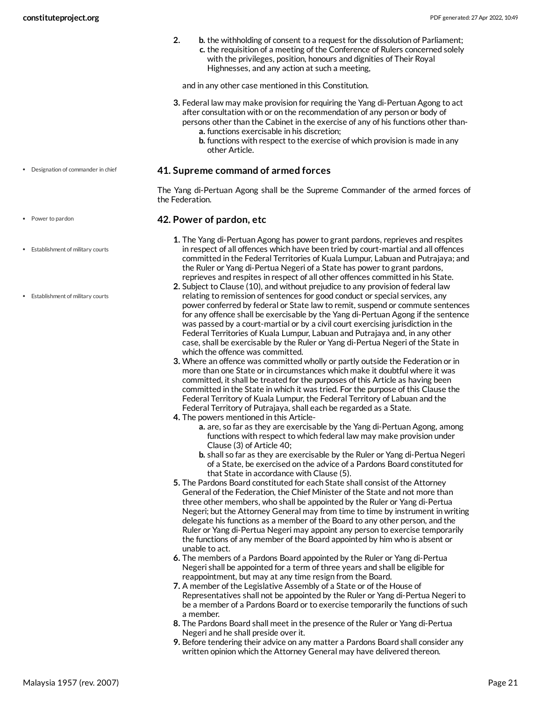**2. b.** the withholding of consent to a request for the dissolution of Parliament; **c.** the requisition of a meeting of the Conference of Rulers concerned solely with the privileges, position, honours and dignities of Their Royal Highnesses, and any action at such a meeting,

and in any other case mentioned in this Constitution.

- **3.** Federal law may make provision for requiring the Yang di-Pertuan Agong to act after consultation with or on the recommendation of any person or body of persons other than the Cabinet in the exercise of any of his functions other than
	- **a.** functions exercisable in his discretion;
	- **b.** functions with respect to the exercise of which provision is made in any other Article.

#### **41. Supreme command of armed forces**

The Yang di-Pertuan Agong shall be the Supreme Commander of the armed forces of the Federation.

#### **42. Power of pardon, etc**

- **1.** The Yang di-Pertuan Agong has power to grant pardons, reprieves and respites in respect of all offences which have been tried by court-martial and all offences committed in the Federal Territories of Kuala Lumpur, Labuan and Putrajaya; and the Ruler or Yang di-Pertua Negeri of a State has power to grant pardons, reprieves and respites in respect of all other offences committed in his State.
- **2.** Subject to Clause (10), and without prejudice to any provision of federal law relating to remission of sentences for good conduct or special services, any power conferred by federal or State law to remit, suspend or commute sentences for any offence shall be exercisable by the Yang di-Pertuan Agong if the sentence was passed by a court-martial or by a civil court exercising jurisdiction in the Federal Territories of Kuala Lumpur, Labuan and Putrajaya and, in any other case, shall be exercisable by the Ruler or Yang di-Pertua Negeri of the State in which the offence was committed.
- **3.** Where an offence was committed wholly or partly outside the Federation or in more than one State or in circumstances which make it doubtful where it was committed, it shall be treated for the purposes of this Article as having been committed in the State in which it was tried. For the purpose of this Clause the Federal Territory of Kuala Lumpur, the Federal Territory of Labuan and the Federal Territory of Putrajaya, shall each be regarded as a State.
- **4.** The powers mentioned in this Article
	- **a.** are, so far as they are exercisable by the Yang di-Pertuan Agong, among functions with respect to which federal law may make provision under Clause (3) of Article 40;
	- **b.** shall so far as they are exercisable by the Ruler or Yang di-Pertua Negeri of a State, be exercised on the advice of a Pardons Board constituted for that State in accordance with Clause (5).
- **5.** The Pardons Board constituted for each State shall consist of the Attorney General of the Federation, the Chief Minister of the State and not more than three other members, who shall be appointed by the Ruler or Yang di-Pertua Negeri; but the Attorney General may from time to time by instrument in writing delegate his functions as a member of the Board to any other person, and the Ruler or Yang di-Pertua Negeri may appoint any person to exercise temporarily the functions of any member of the Board appointed by him who is absent or unable to act.
- **6.** The members of a Pardons Board appointed by the Ruler or Yang di-Pertua Negeri shall be appointed for a term of three years and shall be eligible for reappointment, but may at any time resign from the Board.
- **7.** A member of the Legislative Assembly of a State or of the House of Representatives shall not be appointed by the Ruler or Yang di-Pertua Negeri to be a member of a Pardons Board or to exercise temporarily the functions of such a member.
- **8.** The Pardons Board shall meet in the presence of the Ruler or Yang di-Pertua Negeri and he shall preside over it.
- **9.** Before tendering their advice on any matter a Pardons Board shall consider any written opinion which the Attorney General may have delivered thereon.

Designation of commander in chief

Power to pardon

- Establishment of military courts
- Establishment of military courts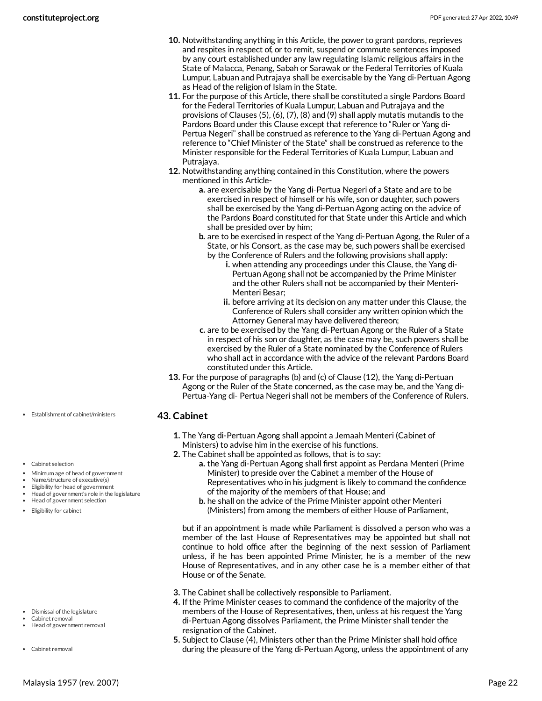- **10.** Notwithstanding anything in this Article, the power to grant pardons, reprieves and respites in respect of, or to remit, suspend or commute sentences imposed by any court established under any law regulating Islamic religious affairs in the State of Malacca, Penang, Sabah or Sarawak or the Federal Territories of Kuala Lumpur, Labuan and Putrajaya shall be exercisable by the Yang di-Pertuan Agong as Head of the religion of Islam in the State.
- **11.** For the purpose of this Article, there shall be constituted a single Pardons Board for the Federal Territories of Kuala Lumpur, Labuan and Putrajaya and the provisions of Clauses (5), (6), (7), (8) and (9) shall apply mutatis mutandis to the Pardons Board under this Clause except that reference to "Ruler or Yang di-Pertua Negeri" shall be construed as reference to the Yang di-Pertuan Agong and reference to "Chief Minister of the State" shall be construed as reference to the Minister responsible for the Federal Territories of Kuala Lumpur, Labuan and Putrajaya.
- **12.** Notwithstanding anything contained in this Constitution, where the powers mentioned in this Article
	- **a.** are exercisable by the Yang di-Pertua Negeri of a State and are to be exercised in respect of himself or his wife, son or daughter, such powers shall be exercised by the Yang di-Pertuan Agong acting on the advice of the Pardons Board constituted for that State under this Article and which shall be presided over by him;
	- **b.** are to be exercised in respect of the Yang di-Pertuan Agong, the Ruler of a State, or his Consort, as the case may be, such powers shall be exercised by the Conference of Rulers and the following provisions shall apply:
		- **i.** when attending any proceedings under this Clause, the Yang di-Pertuan Agong shall not be accompanied by the Prime Minister and the other Rulers shall not be accompanied by their Menteri-Menteri Besar;
		- **ii.** before arriving at its decision on any matter under this Clause, the Conference of Rulers shall consider any written opinion which the Attorney General may have delivered thereon;
	- **c.** are to be exercised by the Yang di-Pertuan Agong or the Ruler of a State in respect of his son or daughter, as the case may be, such powers shall be exercised by the Ruler of a State nominated by the Conference of Rulers who shall act in accordance with the advice of the relevant Pardons Board constituted under this Article.
- **13.** For the purpose of paragraphs (b) and (c) of Clause (12), the Yang di-Pertuan Agong or the Ruler of the State concerned, as the case may be, and the Yang di-Pertua-Yang di- Pertua Negeri shall not be members of the Conference of Rulers.

#### **43. Cabinet**

- **1.** The Yang di-Pertuan Agong shall appoint a Jemaah Menteri (Cabinet of Ministers) to advise him in the exercise of his functions.
- **2.** The Cabinet shall be appointed as follows, that is to say:
	- **a.** the Yang di-Pertuan Agong shall first appoint as Perdana Menteri (Prime Minister) to preside over the Cabinet a member of the House of Representatives who in his judgment is likely to command the confidence of the majority of the members of that House; and
	- **b.** he shall on the advice of the Prime Minister appoint other Menteri (Ministers) from among the members of either House of Parliament,

but if an appointment is made while Parliament is dissolved a person who was a member of the last House of Representatives may be appointed but shall not continue to hold office after the beginning of the next session of Parliament unless, if he has been appointed Prime Minister, he is a member of the new House of Representatives, and in any other case he is a member either of that House or of the Senate.

- **3.** The Cabinet shall be collectively responsible to Parliament.
- **4.** If the Prime Minister ceases to command the confidence of the majority of the members of the House of Representatives, then, unless at his request the Yang di-Pertuan Agong dissolves Parliament, the Prime Minister shall tender the resignation of the Cabinet.
- **5.** Subject to Clause (4), Ministers other than the Prime Minister shall hold office during the pleasure of the Yang di-Pertuan Agong, unless the appointment of any
- Establishment of cabinet/ministers
- Cabinet selection
- Minimum age of head of government
- Name/structure of executive(s)
- Eligibility for head of government
- Head of government's role in the legislature
- Head of government selection
- Eligibility for cabinet

- Dismissal of the legislature
- Cabinet removal
- Head of government removal
- Cabinet removal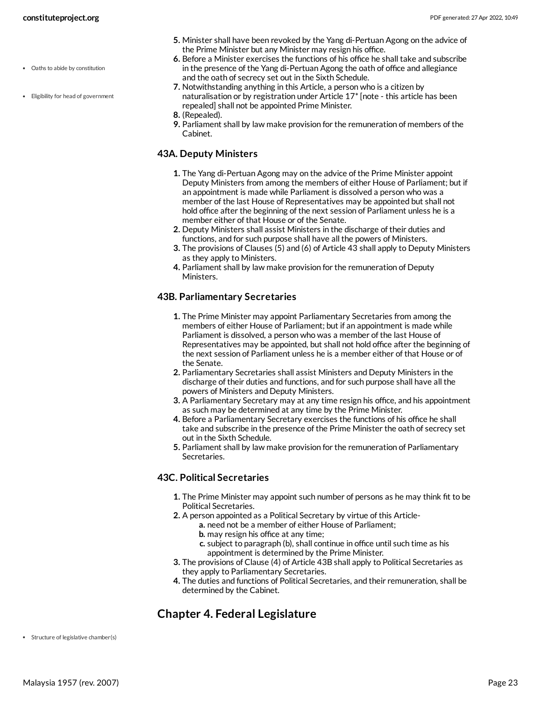Eligibility for head of government

- **5.** Minister shall have been revoked by the Yang di-Pertuan Agong on the advice of the Prime Minister but any Minister may resign his office.
- **6.** Before a Minister exercises the functions of his office he shall take and subscribe in the presence of the Yang di-Pertuan Agong the oath of office and allegiance and the oath of secrecy set out in the Sixth Schedule.
- **7.** Notwithstanding anything in this Article, a person who is a citizen by naturalisation or by registration under Article 17\* [note - this article has been repealed] shall not be appointed Prime Minister.
- **8.** (Repealed).
- **9.** Parliament shall by law make provision for the remuneration of members of the Cabinet.

#### **43A. Deputy Ministers**

- **1.** The Yang di-Pertuan Agong may on the advice of the Prime Minister appoint Deputy Ministers from among the members of either House of Parliament; but if an appointment is made while Parliament is dissolved a person who was a member of the last House of Representatives may be appointed but shall not hold office after the beginning of the next session of Parliament unless he is a member either of that House or of the Senate.
- **2.** Deputy Ministers shall assist Ministers in the discharge of their duties and functions, and for such purpose shall have all the powers of Ministers.
- **3.** The provisions of Clauses (5) and (6) of Article 43 shall apply to Deputy Ministers as they apply to Ministers.
- **4.** Parliament shall by law make provision for the remuneration of Deputy Ministers.

#### **43B. Parliamentary Secretaries**

- **1.** The Prime Minister may appoint Parliamentary Secretaries from among the members of either House of Parliament; but if an appointment is made while Parliament is dissolved, a person who was a member of the last House of Representatives may be appointed, but shall not hold office after the beginning of the next session of Parliament unless he is a member either of that House or of the Senate.
- **2.** Parliamentary Secretaries shall assist Ministers and Deputy Ministers in the discharge of their duties and functions, and for such purpose shall have all the powers of Ministers and Deputy Ministers.
- **3.** A Parliamentary Secretary may at any time resign his office, and his appointment as such may be determined at any time by the Prime Minister.
- **4.** Before a Parliamentary Secretary exercises the functions of his office he shall take and subscribe in the presence of the Prime Minister the oath of secrecy set out in the Sixth Schedule.
- **5.** Parliament shall by law make provision for the remuneration of Parliamentary Secretaries.

#### **43C. Political Secretaries**

- **1.** The Prime Minister may appoint such number of persons as he may think fit to be Political Secretaries.
- **2.** A person appointed as a Political Secretary by virtue of this Article
	- **a.** need not be a member of either House of Parliament;
	- **b.** may resign his office at any time;
	- **c.** subject to paragraph (b), shall continue in office until such time as his appointment is determined by the Prime Minister.
- **3.** The provisions of Clause (4) of Article 43B shall apply to Political Secretaries as they apply to Parliamentary Secretaries.
- **4.** The duties and functions of Political Secretaries, and their remuneration, shall be determined by the Cabinet.

# <span id="page-22-0"></span>**Chapter 4. Federal Legislature**

• Structure of legislative chamber(s)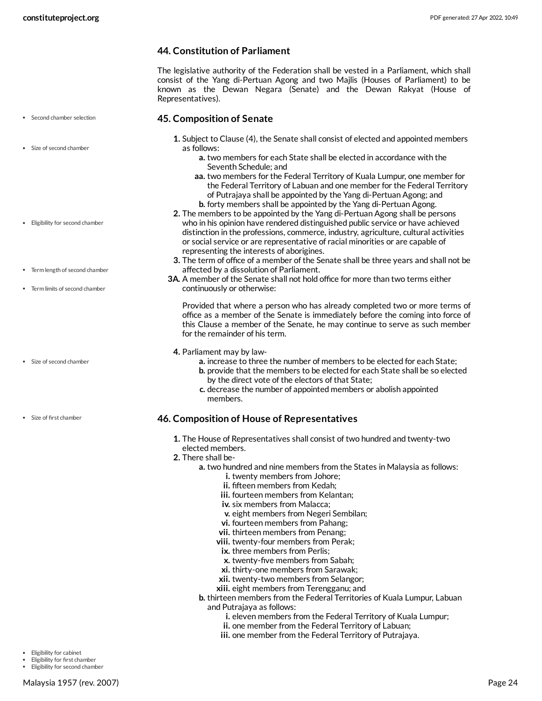#### **44. Constitution of Parliament**

**45. Composition of Senate**

The legislative authority of the Federation shall be vested in a Parliament, which shall consist of the Yang di-Pertuan Agong and two Majlis (Houses of Parliament) to be known as the Dewan Negara (Senate) and the Dewan Rakyat (House of Representatives).

#### Second chamber selection

- Size of second chamber
- Eligibility for second chamber
- Term length of second chamber
- Term limits of second chamber
- Size of second chamber
- Size of first chamber
- **1.** Subject to Clause (4), the Senate shall consist of elected and appointed members as follows:
	- **a.** two members for each State shall be elected in accordance with the Seventh Schedule; and
	- **aa.** two members for the Federal Territory of Kuala Lumpur, one member for the Federal Territory of Labuan and one member for the Federal Territory of Putrajaya shall be appointed by the Yang di-Pertuan Agong; and **b.** forty members shall be appointed by the Yang di-Pertuan Agong.
- **2.** The members to be appointed by the Yang di-Pertuan Agong shall be persons who in his opinion have rendered distinguished public service or have achieved distinction in the professions, commerce, industry, agriculture, cultural activities or social service or are representative of racial minorities or are capable of representing the interests of aborigines.
- **3.** The term of office of a member of the Senate shall be three years and shall not be affected by a dissolution of Parliament.
- **3A.** A member of the Senate shall not hold office for more than two terms either continuously or otherwise:

Provided that where a person who has already completed two or more terms of office as a member of the Senate is immediately before the coming into force of this Clause a member of the Senate, he may continue to serve as such member for the remainder of his term.

**4.** Parliament may by law-

- **a.** increase to three the number of members to be elected for each State;
- **b.** provide that the members to be elected for each State shall be so elected by the direct vote of the electors of that State;
- **c.** decrease the number of appointed members or abolish appointed members.

#### **46. Composition of House of Representatives**

- **1.** The House of Representatives shall consist of two hundred and twenty-two elected members.
- **2.** There shall be
	- **a.** two hundred and nine members from the States in Malaysia as follows: **i.** twenty members from Johore;
		- **ii.** fifteen members from Kedah;
		- **iii.** fourteen members from Kelantan;
		- **iv.** six members from Malacca;
		- **v.** eight members from Negeri Sembilan;
		- **vi.** fourteen members from Pahang;
		- **vii.** thirteen members from Penang;
		- **viii.** twenty-four members from Perak;
		- **ix.** three members from Perlis;
		- **x.** twenty-five members from Sabah;
		- **xi.** thirty-one members from Sarawak;
		- **xii.** twenty-two members from Selangor;
		- **xiii.** eight members from Terengganu; and
	- **b.** thirteen members from the Federal Territories of Kuala Lumpur, Labuan and Putrajaya as follows:
		- **i.** eleven members from the Federal Territory of Kuala Lumpur;
		- **ii.** one member from the Federal Territory of Labuan;
		- **iii.** one member from the Federal Territory of Putrajaya.

- Eligibility for cabinet
- Eligibility for first chamber Eligibility for second chamber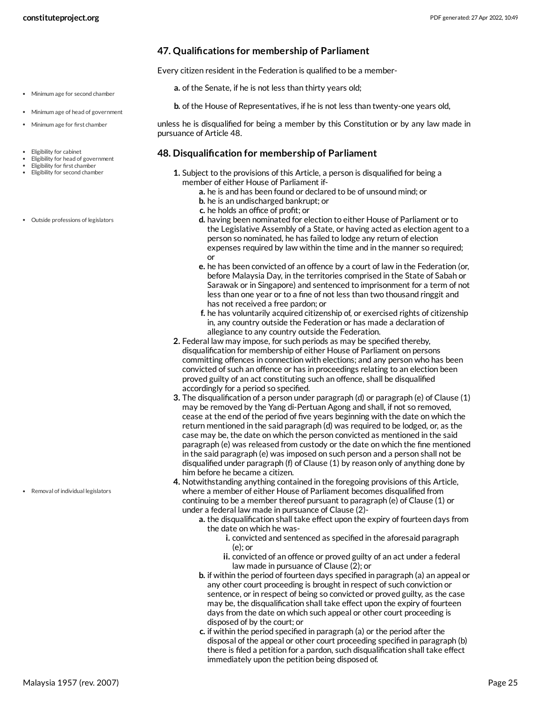- Minimum age for second chamber
- Minimum age of head of government
- Minimum age for first chamber
- Eligibility for cabinet
- Eligibility for head of government
- Eligibility for first chamber
- Eligibility for second chamber
- Outside professions of legislators

**47. Qualifications for membership of Parliament**

Every citizen resident in the Federation is qualified to be a member-

- **a.** of the Senate, if he is not less than thirty years old;
- **b.** of the House of Representatives, if he is not less than twenty-one years old,

unless he is disqualified for being a member by this Constitution or by any law made in pursuance of Article 48.

#### **48. Disqualification for membership of Parliament**

- **1.** Subject to the provisions of this Article, a person is disqualified for being a member of either House of Parliament if
	- **a.** he is and has been found or declared to be of unsound mind; or
	- **b.** he is an undischarged bankrupt; or
	- **c.** he holds an office of profit; or
	- **d.** having been nominated for election to either House of Parliament or to the Legislative Assembly of a State, or having acted as election agent to a person so nominated, he has failed to lodge any return of election expenses required by law within the time and in the manner so required; or
	- **e.** he has been convicted of an offence by a court of law in the Federation (or, before Malaysia Day, in the territories comprised in the State of Sabah or Sarawak or in Singapore) and sentenced to imprisonment for a term of not less than one year or to a fine of not less than two thousand ringgit and has not received a free pardon; or
	- **f.** he has voluntarily acquired citizenship of, or exercised rights of citizenship in, any country outside the Federation or has made a declaration of allegiance to any country outside the Federation.
- **2.** Federal law may impose, for such periods as may be specified thereby, disqualification for membership of either House of Parliament on persons committing offences in connection with elections; and any person who has been convicted of such an offence or has in proceedings relating to an election been proved guilty of an act constituting such an offence, shall be disqualified accordingly for a period so specified.
- **3.** The disqualification of a person under paragraph (d) or paragraph (e) of Clause (1) may be removed by the Yang di-Pertuan Agong and shall, if not so removed, cease at the end of the period of five years beginning with the date on which the return mentioned in the said paragraph (d) was required to be lodged, or, as the case may be, the date on which the person convicted as mentioned in the said paragraph (e) was released from custody or the date on which the fine mentioned in the said paragraph (e) was imposed on such person and a person shall not be disqualified under paragraph (f) of Clause (1) by reason only of anything done by him before he became a citizen.
- **4.** Notwithstanding anything contained in the foregoing provisions of this Article, where a member of either House of Parliament becomes disqualified from continuing to be a member thereof pursuant to paragraph (e) of Clause (1) or under a federal law made in pursuance of Clause (2)
	- **a.** the disqualification shall take effect upon the expiry of fourteen days from the date on which he was
		- **i.** convicted and sentenced as specified in the aforesaid paragraph (e); or
		- **ii.** convicted of an offence or proved guilty of an act under a federal law made in pursuance of Clause (2); or
	- **b.** if within the period of fourteen days specified in paragraph (a) an appeal or any other court proceeding is brought in respect of such conviction or sentence, or in respect of being so convicted or proved guilty, as the case may be, the disqualification shall take effect upon the expiry of fourteen days from the date on which such appeal or other court proceeding is disposed of by the court; or
	- **c.** if within the period specified in paragraph (a) or the period after the disposal of the appeal or other court proceeding specified in paragraph (b) there is filed a petition for a pardon, such disqualification shall take effect immediately upon the petition being disposed of.

Removal of individual legislators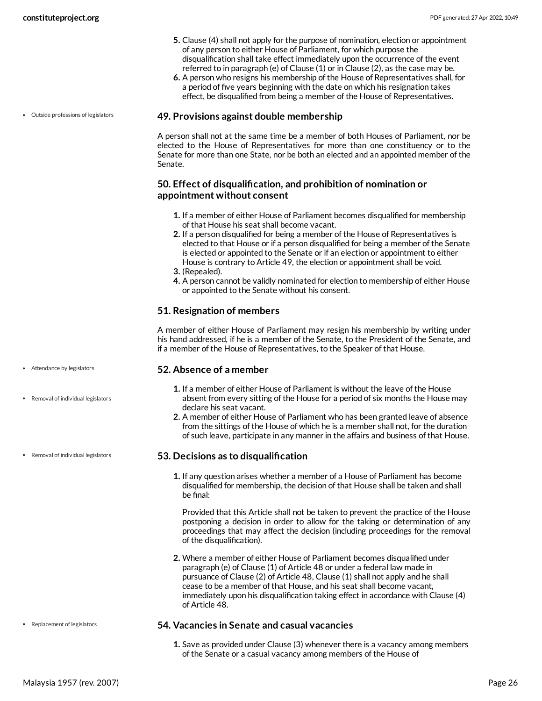Outside professions of legislators

- **5.** Clause (4) shall not apply for the purpose of nomination, election or appointment of any person to either House of Parliament, for which purpose the disqualification shall take effect immediately upon the occurrence of the event referred to in paragraph (e) of Clause (1) or in Clause (2), as the case may be.
- **6.** A person who resigns his membership of the House of Representatives shall, for a period of five years beginning with the date on which his resignation takes effect, be disqualified from being a member of the House of Representatives.

#### **49. Provisions against double membership**

A person shall not at the same time be a member of both Houses of Parliament, nor be elected to the House of Representatives for more than one constituency or to the Senate for more than one State, nor be both an elected and an appointed member of the Senate.

#### **50. Effect of disqualification, and prohibition of nomination or appointment without consent**

- **1.** If a member of either House of Parliament becomes disqualified for membership of that House his seat shall become vacant.
- **2.** If a person disqualified for being a member of the House of Representatives is elected to that House or if a person disqualified for being a member of the Senate is elected or appointed to the Senate or if an election or appointment to either House is contrary to Article 49, the election or appointment shall be void.
- **3.** (Repealed).
- **4.** A person cannot be validly nominated for election to membership of either House or appointed to the Senate without his consent.

#### **51. Resignation of members**

A member of either House of Parliament may resign his membership by writing under his hand addressed, if he is a member of the Senate, to the President of the Senate, and if a member of the House of Representatives, to the Speaker of that House.

#### **52. Absence of a member**

- **1.** If a member of either House of Parliament is without the leave of the House absent from every sitting of the House for a period of six months the House may declare his seat vacant.
- **2.** A member of either House of Parliament who has been granted leave of absence from the sittings of the House of which he is a member shall not, for the duration of such leave, participate in any manner in the affairs and business of that House.

#### **53. Decisions as to disqualification**

**1.** If any question arises whether a member of a House of Parliament has become disqualified for membership, the decision of that House shall be taken and shall be final:

Provided that this Article shall not be taken to prevent the practice of the House postponing a decision in order to allow for the taking or determination of any proceedings that may affect the decision (including proceedings for the removal of the disqualification).

**2.** Where a member of either House of Parliament becomes disqualified under paragraph (e) of Clause (1) of Article 48 or under a federal law made in pursuance of Clause (2) of Article 48, Clause (1) shall not apply and he shall cease to be a member of that House, and his seat shall become vacant, immediately upon his disqualification taking effect in accordance with Clause (4) of Article 48.

#### **54. Vacancies in Senate and casual vacancies**

**1.** Save as provided under Clause (3) whenever there is a vacancy among members of the Senate or a casual vacancy among members of the House of

Attendance by legislators

Removal of individual legislators

Removal of individual legislators

• Replacement of legislators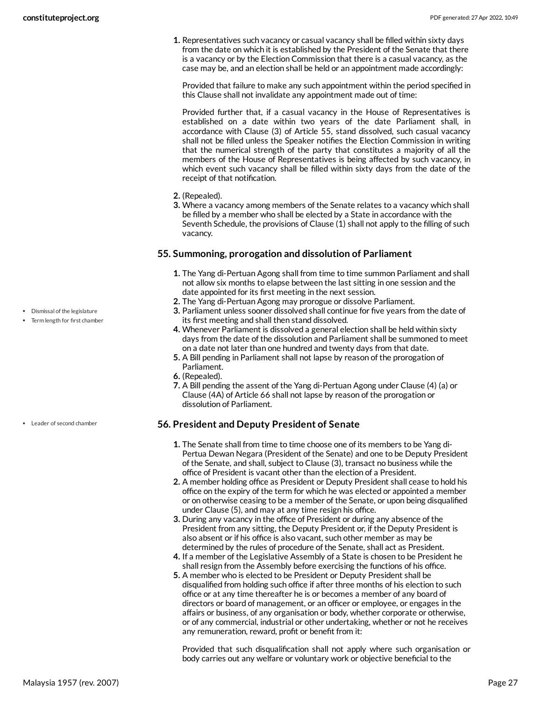**1.** Representatives such vacancy or casual vacancy shall be filled within sixty days from the date on which it is established by the President of the Senate that there is a vacancy or by the Election Commission that there is a casual vacancy, as the case may be, and an election shall be held or an appointment made accordingly:

Provided that failure to make any such appointment within the period specified in this Clause shall not invalidate any appointment made out of time:

Provided further that, if a casual vacancy in the House of Representatives is established on a date within two years of the date Parliament shall, in accordance with Clause (3) of Article 55, stand dissolved, such casual vacancy shall not be filled unless the Speaker notifies the Election Commission in writing that the numerical strength of the party that constitutes a majority of all the members of the House of Representatives is being affected by such vacancy, in which event such vacancy shall be filled within sixty days from the date of the receipt of that notification.

- **2.** (Repealed).
- **3.** Where a vacancy among members of the Senate relates to a vacancy which shall be filled by a member who shall be elected by a State in accordance with the Seventh Schedule, the provisions of Clause (1) shall not apply to the filling of such vacancy.

#### **55. Summoning, prorogation and dissolution of Parliament**

- **1.** The Yang di-Pertuan Agong shall from time to time summon Parliament and shall not allow six months to elapse between the last sitting in one session and the date appointed for its first meeting in the next session.
- **2.** The Yang di-Pertuan Agong may prorogue or dissolve Parliament.
- **3.** Parliament unless sooner dissolved shall continue for five years from the date of its first meeting and shall then stand dissolved.
- **4.** Whenever Parliament is dissolved a general election shall be held within sixty days from the date of the dissolution and Parliament shall be summoned to meet on a date not later than one hundred and twenty days from that date.
- **5.** A Bill pending in Parliament shall not lapse by reason of the prorogation of Parliament.
- **6.** (Repealed).
- **7.** A Bill pending the assent of the Yang di-Pertuan Agong under Clause (4) (a) or Clause (4A) of Article 66 shall not lapse by reason of the prorogation or dissolution of Parliament.

#### **56. President and Deputy President of Senate**

- **1.** The Senate shall from time to time choose one of its members to be Yang di-Pertua Dewan Negara (President of the Senate) and one to be Deputy President of the Senate, and shall, subject to Clause (3), transact no business while the office of President is vacant other than the election of a President.
- **2.** A member holding office as President or Deputy President shall cease to hold his office on the expiry of the term for which he was elected or appointed a member or on otherwise ceasing to be a member of the Senate, or upon being disqualified under Clause (5), and may at any time resign his office.
- **3.** During any vacancy in the office of President or during any absence of the President from any sitting, the Deputy President or, if the Deputy President is also absent or if his office is also vacant, such other member as may be determined by the rules of procedure of the Senate, shall act as President.
- **4.** If a member of the Legislative Assembly of a State is chosen to be President he shall resign from the Assembly before exercising the functions of his office.
- **5.** A member who is elected to be President or Deputy President shall be disqualified from holding such office if after three months of his election to such office or at any time thereafter he is or becomes a member of any board of directors or board of management, or an officer or employee, or engages in the affairs or business, of any organisation or body, whether corporate or otherwise, or of any commercial, industrial or other undertaking, whether or not he receives any remuneration, reward, profit or benefit from it:

Provided that such disqualification shall not apply where such organisation or body carries out any welfare or voluntary work or objective beneficial to the

- Dismissal of the legislature
- Term length for first chamber

Leader of second chamber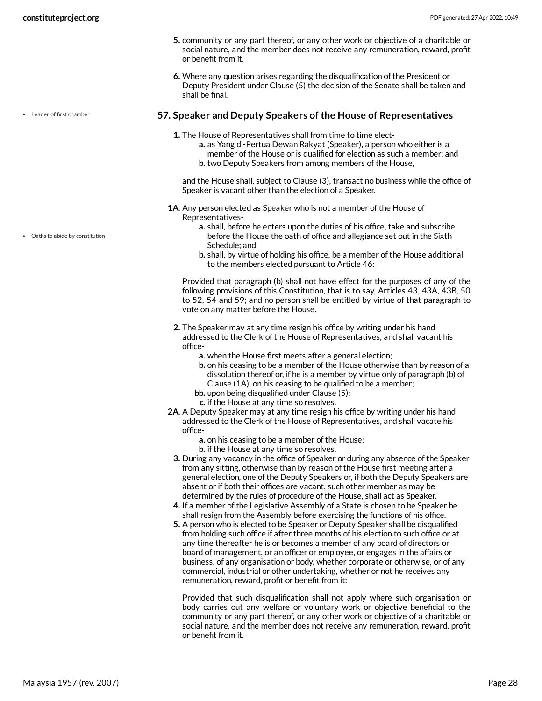Leader of first chamber

- **5.** community or any part thereof, or any other work or objective of a charitable or social nature, and the member does not receive any remuneration, reward, profit or benefit from it.
- **6.** Where any question arises regarding the disqualification of the President or Deputy President under Clause (5) the decision of the Senate shall be taken and shall be final.

#### **57. Speaker and Deputy Speakers of the House of Representatives**

**1.** The House of Representatives shall from time to time elect-

**a.** as Yang di-Pertua Dewan Rakyat (Speaker), a person who either is a member of the House or is qualified for election as such a member; and **b.** two Deputy Speakers from among members of the House,

and the House shall, subject to Clause (3), transact no business while the office of Speaker is vacant other than the election of a Speaker.

- **1A.** Any person elected as Speaker who is not a member of the House of Representatives
	- **a.** shall, before he enters upon the duties of his office, take and subscribe before the House the oath of office and allegiance set out in the Sixth Schedule; and
	- **b.** shall, by virtue of holding his office, be a member of the House additional to the members elected pursuant to Article 46:

Provided that paragraph (b) shall not have effect for the purposes of any of the following provisions of this Constitution, that is to say, Articles 43, 43A, 43B, 50 to 52, 54 and 59; and no person shall be entitled by virtue of that paragraph to vote on any matter before the House.

- **2.** The Speaker may at any time resign his office by writing under his hand addressed to the Clerk of the House of Representatives, and shall vacant his office
	- **a.** when the House first meets after a general election;
	- **b.** on his ceasing to be a member of the House otherwise than by reason of a dissolution thereof or, if he is a member by virtue only of paragraph (b) of Clause (1A), on his ceasing to be qualified to be a member;
	- **bb.** upon being disqualified under Clause (5);
	- **c.** if the House at any time so resolves.
- **2A.** A Deputy Speaker may at any time resign his office by writing under his hand addressed to the Clerk of the House of Representatives, and shall vacate his office
	- **a.** on his ceasing to be a member of the House;
	- **b.** if the House at any time so resolves.
- **3.** During any vacancy in the office of Speaker or during any absence of the Speaker from any sitting, otherwise than by reason of the House first meeting after a general election, one of the Deputy Speakers or, if both the Deputy Speakers are absent or if both their offices are vacant, such other member as may be determined by the rules of procedure of the House, shall act as Speaker.
- **4.** If a member of the Legislative Assembly of a State is chosen to be Speaker he shall resign from the Assembly before exercising the functions of his office.
- **5.** A person who is elected to be Speaker or Deputy Speaker shall be disqualified from holding such office if after three months of his election to such office or at any time thereafter he is or becomes a member of any board of directors or board of management, or an officer or employee, or engages in the affairs or business, of any organisation or body, whether corporate or otherwise, or of any commercial, industrial or other undertaking, whether or not he receives any remuneration, reward, profit or benefit from it:

Provided that such disqualification shall not apply where such organisation or body carries out any welfare or voluntary work or objective beneficial to the community or any part thereof, or any other work or objective of a charitable or social nature, and the member does not receive any remuneration, reward, profit or benefit from it.

Oaths to abide by constitution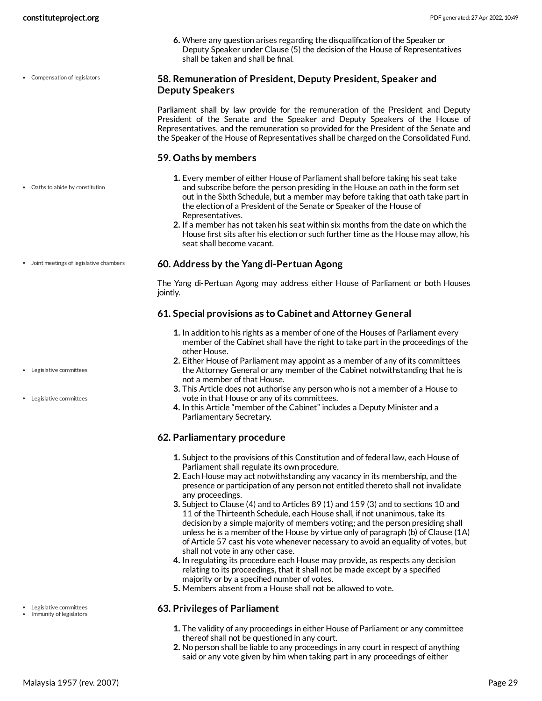**6.** Where any question arises regarding the disqualification of the Speaker or Deputy Speaker under Clause (5) the decision of the House of Representatives shall be taken and shall be final.

Compensation of legislators

Oaths to abide by constitution

Joint meetings of legislative chambers

#### **58. Remuneration of President, Deputy President, Speaker and Deputy Speakers**

Parliament shall by law provide for the remuneration of the President and Deputy President of the Senate and the Speaker and Deputy Speakers of the House of Representatives, and the remuneration so provided for the President of the Senate and the Speaker of the House of Representatives shall be charged on the Consolidated Fund.

#### **59. Oaths by members**

- **1.** Every member of either House of Parliament shall before taking his seat take and subscribe before the person presiding in the House an oath in the form set out in the Sixth Schedule, but a member may before taking that oath take part in the election of a President of the Senate or Speaker of the House of Representatives.
- **2.** If a member has not taken his seat within six months from the date on which the House first sits after his election or such further time as the House may allow, his seat shall become vacant.

#### **60. Address by the Yang di-Pertuan Agong**

The Yang di-Pertuan Agong may address either House of Parliament or both Houses jointly.

#### **61. Special provisions as to Cabinet and Attorney General**

- **1.** In addition to his rights as a member of one of the Houses of Parliament every member of the Cabinet shall have the right to take part in the proceedings of the other House.
- **2.** Either House of Parliament may appoint as a member of any of its committees the Attorney General or any member of the Cabinet notwithstanding that he is not a member of that House.
- **3.** This Article does not authorise any person who is not a member of a House to vote in that House or any of its committees.
- **4.** In this Article "member of the Cabinet" includes a Deputy Minister and a Parliamentary Secretary.

#### **62. Parliamentary procedure**

- **1.** Subject to the provisions of this Constitution and of federal law, each House of Parliament shall regulate its own procedure.
- **2.** Each House may act notwithstanding any vacancy in its membership, and the presence or participation of any person not entitled thereto shall not invalidate any proceedings.
- **3.** Subject to Clause (4) and to Articles 89 (1) and 159 (3) and to sections 10 and 11 of the Thirteenth Schedule, each House shall, if not unanimous, take its decision by a simple majority of members voting; and the person presiding shall unless he is a member of the House by virtue only of paragraph (b) of Clause (1A) of Article 57 cast his vote whenever necessary to avoid an equality of votes, but shall not vote in any other case.
- **4.** In regulating its procedure each House may provide, as respects any decision relating to its proceedings, that it shall not be made except by a specified majority or by a specified number of votes.
- **5.** Members absent from a House shall not be allowed to vote.

#### **63. Privileges of Parliament**

- **1.** The validity of any proceedings in either House of Parliament or any committee thereof shall not be questioned in any court.
- **2.** No person shall be liable to any proceedings in any court in respect of anything said or any vote given by him when taking part in any proceedings of either
- Legislative committees
- Legislative committees

- **Legislative committees**
- Immunity of legislators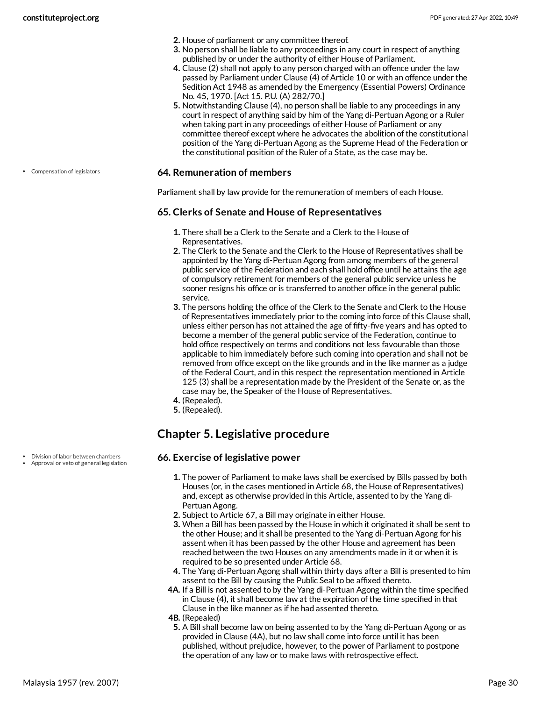- **2.** House of parliament or any committee thereof.
- **3.** No person shall be liable to any proceedings in any court in respect of anything published by or under the authority of either House of Parliament.
- **4.** Clause (2) shall not apply to any person charged with an offence under the law passed by Parliament under Clause (4) of Article 10 or with an offence under the Sedition Act 1948 as amended by the Emergency (Essential Powers) Ordinance No. 45, 1970. [Act 15. P.U. (A) 282/70.]
- **5.** Notwithstanding Clause (4), no person shall be liable to any proceedings in any court in respect of anything said by him of the Yang di-Pertuan Agong or a Ruler when taking part in any proceedings of either House of Parliament or any committee thereof except where he advocates the abolition of the constitutional position of the Yang di-Pertuan Agong as the Supreme Head of the Federation or the constitutional position of the Ruler of a State, as the case may be.

#### **64. Remuneration of members**

Parliament shall by law provide for the remuneration of members of each House.

#### **65. Clerks of Senate and House of Representatives**

- **1.** There shall be a Clerk to the Senate and a Clerk to the House of Representatives.
- **2.** The Clerk to the Senate and the Clerk to the House of Representatives shall be appointed by the Yang di-Pertuan Agong from among members of the general public service of the Federation and each shall hold office until he attains the age of compulsory retirement for members of the general public service unless he sooner resigns his office or is transferred to another office in the general public service.
- **3.** The persons holding the office of the Clerk to the Senate and Clerk to the House of Representatives immediately prior to the coming into force of this Clause shall, unless either person has not attained the age of fifty-five years and has opted to become a member of the general public service of the Federation, continue to hold office respectively on terms and conditions not less favourable than those applicable to him immediately before such coming into operation and shall not be removed from office except on the like grounds and in the like manner as a judge of the Federal Court, and in this respect the representation mentioned in Article 125 (3) shall be a representation made by the President of the Senate or, as the case may be, the Speaker of the House of Representatives.
- **4.** (Repealed).
- **5.** (Repealed).

# <span id="page-29-0"></span>**Chapter 5. Legislative procedure**

#### **66. Exercise of legislative power**

- **1.** The power of Parliament to make laws shall be exercised by Bills passed by both Houses (or, in the cases mentioned in Article 68, the House of Representatives) and, except as otherwise provided in this Article, assented to by the Yang di-Pertuan Agong.
- **2.** Subject to Article 67, a Bill may originate in either House.
- **3.** When a Bill has been passed by the House in which it originated it shall be sent to the other House; and it shall be presented to the Yang di-Pertuan Agong for his assent when it has been passed by the other House and agreement has been reached between the two Houses on any amendments made in it or when it is required to be so presented under Article 68.
- **4.** The Yang di-Pertuan Agong shall within thirty days after a Bill is presented to him assent to the Bill by causing the Public Seal to be affixed thereto.
- **4A.** If a Bill is not assented to by the Yang di-Pertuan Agong within the time specified in Clause (4), it shall become law at the expiration of the time specified in that Clause in the like manner as if he had assented thereto.
- **4B.** (Repealed)
- **5.** A Bill shall become law on being assented to by the Yang di-Pertuan Agong or as provided in Clause (4A), but no law shall come into force until it has been published, without prejudice, however, to the power of Parliament to postpone the operation of any law or to make laws with retrospective effect.

Compensation of legislators

Division of labor between chambers Approval or veto of general legislation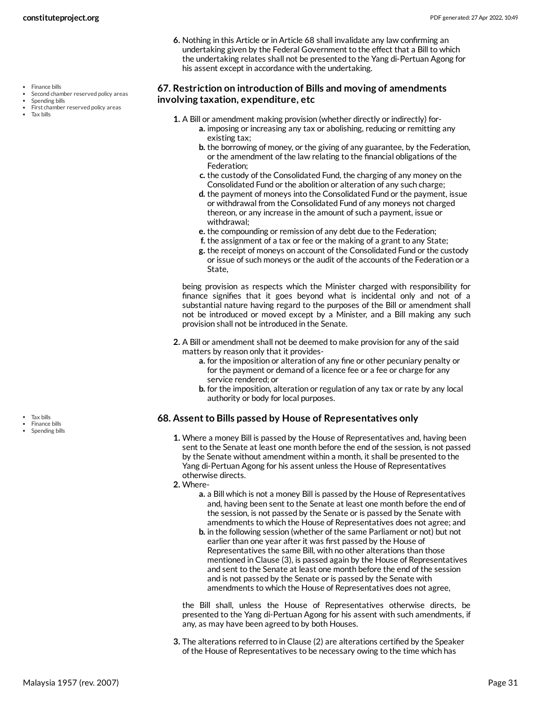- Finance bills
- Second chamber reserved policy areas
- Spending bills First chamber reserved policy areas
- Tax bills

**6.** Nothing in this Article or in Article 68 shall invalidate any law confirming an undertaking given by the Federal Government to the effect that a Bill to which the undertaking relates shall not be presented to the Yang di-Pertuan Agong for his assent except in accordance with the undertaking.

#### **67. Restriction on introduction of Bills and moving of amendments involving taxation, expenditure, etc**

- **1.** A Bill or amendment making provision (whether directly or indirectly) for
	- **a.** imposing or increasing any tax or abolishing, reducing or remitting any existing tax;
	- **b.** the borrowing of money, or the giving of any guarantee, by the Federation, or the amendment of the law relating to the financial obligations of the Federation;
	- **c.** the custody of the Consolidated Fund, the charging of any money on the Consolidated Fund or the abolition or alteration of any such charge;
	- **d.** the payment of moneys into the Consolidated Fund or the payment, issue or withdrawal from the Consolidated Fund of any moneys not charged thereon, or any increase in the amount of such a payment, issue or withdrawal;
	- **e.** the compounding or remission of any debt due to the Federation;
	- **f.** the assignment of a tax or fee or the making of a grant to any State;
	- **g.** the receipt of moneys on account of the Consolidated Fund or the custody or issue of such moneys or the audit of the accounts of the Federation or a State,

being provision as respects which the Minister charged with responsibility for finance signifies that it goes beyond what is incidental only and not of a substantial nature having regard to the purposes of the Bill or amendment shall not be introduced or moved except by a Minister, and a Bill making any such provision shall not be introduced in the Senate.

- **2.** A Bill or amendment shall not be deemed to make provision for any of the said matters by reason only that it provides
	- **a.** for the imposition or alteration of any fine or other pecuniary penalty or for the payment or demand of a licence fee or a fee or charge for any service rendered; or
	- **b.** for the imposition, alteration or regulation of any tax or rate by any local authority or body for local purposes.

#### **68. Assentto Bills passed by House of Representatives only**

- **1.** Where a money Bill is passed by the House of Representatives and, having been sent to the Senate at least one month before the end of the session, is not passed by the Senate without amendment within a month, it shall be presented to the Yang di-Pertuan Agong for his assent unless the House of Representatives otherwise directs.
- **2.** Where
	- **a.** a Bill which is not a money Bill is passed by the House of Representatives and, having been sent to the Senate at least one month before the end of the session, is not passed by the Senate or is passed by the Senate with amendments to which the House of Representatives does not agree; and
	- **b.** in the following session (whether of the same Parliament or not) but not earlier than one year after it was first passed by the House of Representatives the same Bill, with no other alterations than those mentioned in Clause (3), is passed again by the House of Representatives and sent to the Senate at least one month before the end of the session and is not passed by the Senate or is passed by the Senate with amendments to which the House of Representatives does not agree,

the Bill shall, unless the House of Representatives otherwise directs, be presented to the Yang di-Pertuan Agong for his assent with such amendments, if any, as may have been agreed to by both Houses.

**3.** The alterations referred to in Clause (2) are alterations certified by the Speaker of the House of Representatives to be necessary owing to the time which has

- Tax bills
- Finance bills
- Spending bills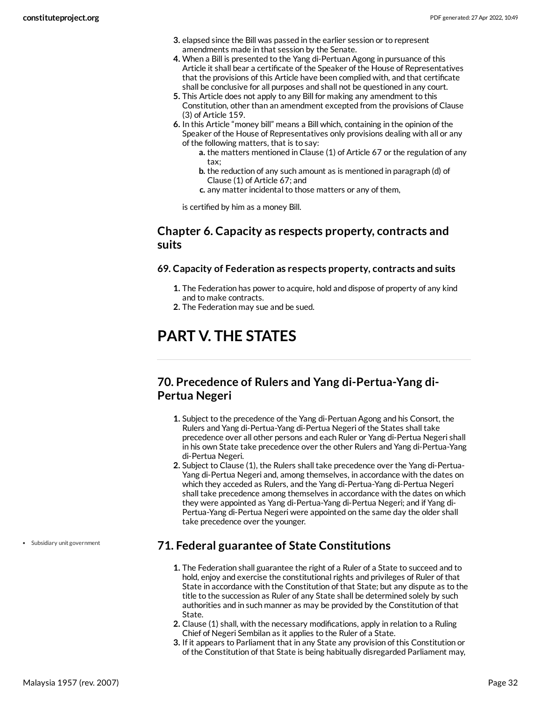- **3.** elapsed since the Bill was passed in the earlier session or to represent amendments made in that session by the Senate.
- **4.** When a Bill is presented to the Yang di-Pertuan Agong in pursuance of this Article it shall bear a certificate of the Speaker of the House of Representatives that the provisions of this Article have been complied with, and that certificate shall be conclusive for all purposes and shall not be questioned in any court.
- **5.** This Article does not apply to any Bill for making any amendment to this Constitution, other than an amendment excepted from the provisions of Clause (3) of Article 159.
- **6.** In this Article "money bill" means a Bill which, containing in the opinion of the Speaker of the House of Representatives only provisions dealing with all or any of the following matters, that is to say:
	- **a.** the matters mentioned in Clause (1) of Article 67 or the regulation of any tax;
	- **b.** the reduction of any such amount as is mentioned in paragraph (d) of Clause (1) of Article 67; and
	- **c.** any matter incidental to those matters or any of them,

is certified by him as a money Bill.

# <span id="page-31-0"></span>**Chapter 6. Capacity as respects property, contracts and suits**

#### **69. Capacity of Federation as respects property, contracts and suits**

- **1.** The Federation has power to acquire, hold and dispose of property of any kind and to make contracts.
- **2.** The Federation may sue and be sued.

# <span id="page-31-1"></span>**PART V. THE STATES**

# <span id="page-31-2"></span>**70. Precedence of Rulers and Yang di-Pertua-Yang di-Pertua Negeri**

- **1.** Subject to the precedence of the Yang di-Pertuan Agong and his Consort, the Rulers and Yang di-Pertua-Yang di-Pertua Negeri of the States shall take precedence over all other persons and each Ruler or Yang di-Pertua Negeri shall in his own State take precedence over the other Rulers and Yang di-Pertua-Yang di-Pertua Negeri.
- **2.** Subject to Clause (1), the Rulers shall take precedence over the Yang di-Pertua-Yang di-Pertua Negeri and, among themselves, in accordance with the dates on which they acceded as Rulers, and the Yang di-Pertua-Yang di-Pertua Negeri shall take precedence among themselves in accordance with the dates on which they were appointed as Yang di-Pertua-Yang di-Pertua Negeri; and if Yang di-Pertua-Yang di-Pertua Negeri were appointed on the same day the older shall take precedence over the younger.

# <span id="page-31-3"></span>**71. Federal guarantee of State Constitutions**

- **1.** The Federation shall guarantee the right of a Ruler of a State to succeed and to hold, enjoy and exercise the constitutional rights and privileges of Ruler of that State in accordance with the Constitution of that State; but any dispute as to the title to the succession as Ruler of any State shall be determined solely by such authorities and in such manner as may be provided by the Constitution of that **State**
- **2.** Clause (1) shall, with the necessary modifications, apply in relation to a Ruling Chief of Negeri Sembilan as it applies to the Ruler of a State.
- **3.** If it appears to Parliament that in any State any provision of this Constitution or of the Constitution of that State is being habitually disregarded Parliament may,

Subsidiary unit government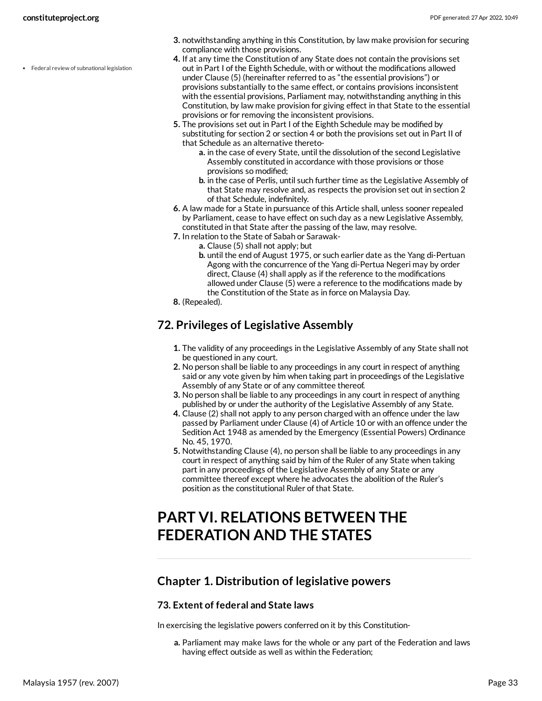• Federal review of subnational legislation

- **3.** notwithstanding anything in this Constitution, by law make provision for securing compliance with those provisions.
	- **4.** If at any time the Constitution of any State does not contain the provisions set out in Part I of the Eighth Schedule, with or without the modifications allowed under Clause (5) (hereinafter referred to as "the essential provisions") or provisions substantially to the same effect, or contains provisions inconsistent with the essential provisions, Parliament may, notwithstanding anything in this Constitution, by law make provision for giving effect in that State to the essential provisions or for removing the inconsistent provisions.
	- **5.** The provisions set out in Part I of the Eighth Schedule may be modified by substituting for section 2 or section 4 or both the provisions set out in Part II of that Schedule as an alternative thereto
		- **a.** in the case of every State, until the dissolution of the second Legislative Assembly constituted in accordance with those provisions or those provisions so modified;
		- **b.** in the case of Perlis, until such further time as the Legislative Assembly of that State may resolve and, as respects the provision set out in section 2 of that Schedule, indefinitely.
	- **6.** A law made for a State in pursuance of this Article shall, unless sooner repealed by Parliament, cease to have effect on such day as a new Legislative Assembly, constituted in that State after the passing of the law, may resolve.
	- **7.** In relation to the State of Sabah or Sarawak
		- **a.** Clause (5) shall not apply; but
		- **b.** until the end of August 1975, or such earlier date as the Yang di-Pertuan Agong with the concurrence of the Yang di-Pertua Negeri may by order direct, Clause (4) shall apply as if the reference to the modifications allowed under Clause (5) were a reference to the modifications made by the Constitution of the State as in force on Malaysia Day.
	- **8.** (Repealed).

# <span id="page-32-0"></span>**72. Privileges of Legislative Assembly**

- **1.** The validity of any proceedings in the Legislative Assembly of any State shall not be questioned in any court.
- **2.** No person shall be liable to any proceedings in any court in respect of anything said or any vote given by him when taking part in proceedings of the Legislative Assembly of any State or of any committee thereof.
- **3.** No person shall be liable to any proceedings in any court in respect of anything published by or under the authority of the Legislative Assembly of any State.
- **4.** Clause (2) shall not apply to any person charged with an offence under the law passed by Parliament under Clause (4) of Article 10 or with an offence under the Sedition Act 1948 as amended by the Emergency (Essential Powers) Ordinance No. 45, 1970.
- **5.** Notwithstanding Clause (4), no person shall be liable to any proceedings in any court in respect of anything said by him of the Ruler of any State when taking part in any proceedings of the Legislative Assembly of any State or any committee thereof except where he advocates the abolition of the Ruler's position as the constitutional Ruler of that State.

# <span id="page-32-1"></span>**PART VI. RELATIONS BETWEEN THE FEDERATION AND THE STATES**

# <span id="page-32-2"></span>**Chapter 1. Distribution of legislative powers**

#### **73. Extent of federal and State laws**

In exercising the legislative powers conferred on it by this Constitution-

**a.** Parliament may make laws for the whole or any part of the Federation and laws having effect outside as well as within the Federation;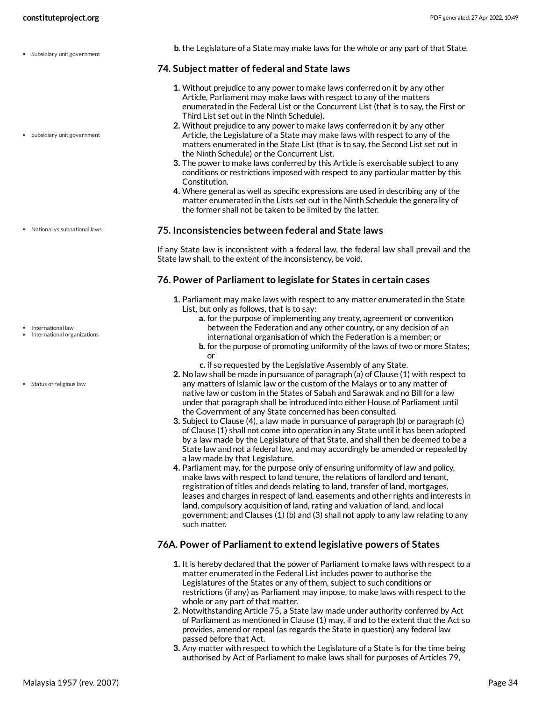Subsidiary unit government

Subsidiary unit government

National vs subnational laws

- International law
- International organizations
- Status of religious law

**b.** the Legislature of a State may make laws for the whole or any part of that State.

#### **74. Subject matter of federal and State laws**

- **1.** Without prejudice to any power to make laws conferred on it by any other Article, Parliament may make laws with respect to any of the matters enumerated in the Federal List or the Concurrent List (that is to say, the First or Third List set out in the Ninth Schedule).
- **2.** Without prejudice to any power to make laws conferred on it by any other Article, the Legislature of a State may make laws with respect to any of the matters enumerated in the State List (that is to say, the Second List set out in the Ninth Schedule) or the Concurrent List.
- **3.** The power to make laws conferred by this Article is exercisable subject to any conditions or restrictions imposed with respect to any particular matter by this Constitution.
- **4.** Where general as well as specific expressions are used in describing any of the matter enumerated in the Lists set out in the Ninth Schedule the generality of the former shall not be taken to be limited by the latter.

#### **75. Inconsistencies between federal and State laws**

If any State law is inconsistent with a federal law, the federal law shall prevail and the State law shall, to the extent of the inconsistency, be void.

#### **76. Power of Parliamentto legislate for States in certain cases**

- **1.** Parliament may make laws with respect to any matter enumerated in the State List, but only as follows, that is to say:
	- **a.** for the purpose of implementing any treaty, agreement or convention between the Federation and any other country, or any decision of an international organisation of which the Federation is a member; or
	- **b.** for the purpose of promoting uniformity of the laws of two or more States; or
	- **c.** if so requested by the Legislative Assembly of any State.
- **2.** No law shall be made in pursuance of paragraph (a) of Clause (1) with respect to any matters of Islamic law or the custom of the Malays or to any matter of native law or custom in the States of Sabah and Sarawak and no Bill for a law under that paragraph shall be introduced into either House of Parliament until the Government of any State concerned has been consulted.
- **3.** Subject to Clause (4), a law made in pursuance of paragraph (b) or paragraph (c) of Clause (1) shall not come into operation in any State until it has been adopted by a law made by the Legislature of that State, and shall then be deemed to be a State law and not a federal law, and may accordingly be amended or repealed by a law made by that Legislature.
- **4.** Parliament may, for the purpose only of ensuring uniformity of law and policy, make laws with respect to land tenure, the relations of landlord and tenant, registration of titles and deeds relating to land, transfer of land, mortgages, leases and charges in respect of land, easements and other rights and interests in land, compulsory acquisition of land, rating and valuation of land, and local government; and Clauses (1) (b) and (3) shall not apply to any law relating to any such matter.

#### *76A.* **Power of Parliament to extend legislative powers of States**

- **1.** It is hereby declared that the power of Parliament to make laws with respect to a matter enumerated in the Federal List includes power to authorise the Legislatures of the States or any of them, subject to such conditions or restrictions (if any) as Parliament may impose, to make laws with respect to the whole or any part of that matter.
- **2.** Notwithstanding Article 75, a State law made under authority conferred by Act of Parliament as mentioned in Clause (1) may, if and to the extent that the Act so provides, amend or repeal (as regards the State in question) any federal law passed before that Act.
- **3.** Any matter with respect to which the Legislature of a State is for the time being authorised by Act of Parliament to make laws shall for purposes of Articles 79,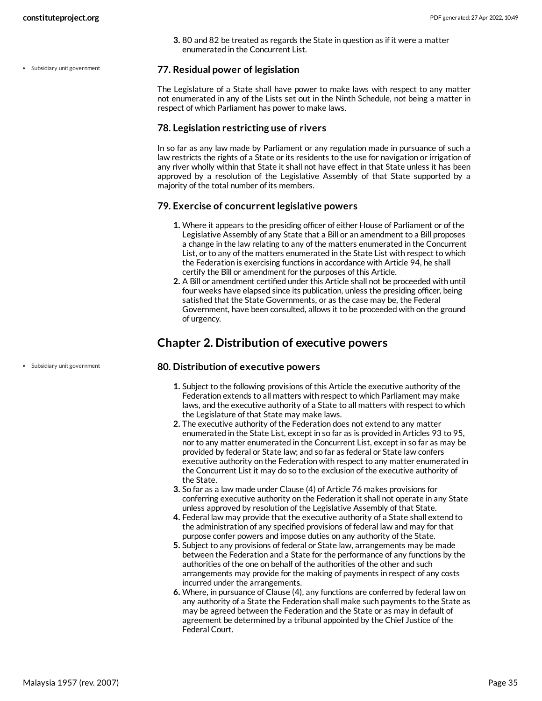**3.** 80 and 82 be treated as regards the State in question as if it were a matter enumerated in the Concurrent List.

#### Subsidiary unit government

#### **77. Residual power of legislation**

The Legislature of a State shall have power to make laws with respect to any matter not enumerated in any of the Lists set out in the Ninth Schedule, not being a matter in respect of which Parliament has power to make laws.

#### **78. Legislation restricting use of rivers**

In so far as any law made by Parliament or any regulation made in pursuance of such a law restricts the rights of a State or its residents to the use for navigation or irrigation of any river wholly within that State it shall not have effect in that State unless it has been approved by a resolution of the Legislative Assembly of that State supported by a majority of the total number of its members.

#### **79. Exercise of concurrentlegislative powers**

- **1.** Where it appears to the presiding officer of either House of Parliament or of the Legislative Assembly of any State that a Bill or an amendment to a Bill proposes a change in the law relating to any of the matters enumerated in the Concurrent List, or to any of the matters enumerated in the State List with respect to which the Federation is exercising functions in accordance with Article 94, he shall certify the Bill or amendment for the purposes of this Article.
- **2.** A Bill or amendment certified under this Article shall not be proceeded with until four weeks have elapsed since its publication, unless the presiding officer, being satisfied that the State Governments, or as the case may be, the Federal Government, have been consulted, allows it to be proceeded with on the ground of urgency.

### <span id="page-34-0"></span>**Chapter 2. Distribution of executive powers**

#### **80. Distribution of executive powers**

- **1.** Subject to the following provisions of this Article the executive authority of the Federation extends to all matters with respect to which Parliament may make laws, and the executive authority of a State to all matters with respect to which the Legislature of that State may make laws.
- **2.** The executive authority of the Federation does not extend to any matter enumerated in the State List, except in so far as is provided in Articles 93 to 95, nor to any matter enumerated in the Concurrent List, except in so far as may be provided by federal or State law; and so far as federal or State law confers executive authority on the Federation with respect to any matter enumerated in the Concurrent List it may do so to the exclusion of the executive authority of the State.
- **3.** So far as a law made under Clause (4) of Article 76 makes provisions for conferring executive authority on the Federation it shall not operate in any State unless approved by resolution of the Legislative Assembly of that State.
- **4.** Federal law may provide that the executive authority of a State shall extend to the administration of any specified provisions of federal law and may for that purpose confer powers and impose duties on any authority of the State.
- **5.** Subject to any provisions of federal or State law, arrangements may be made between the Federation and a State for the performance of any functions by the authorities of the one on behalf of the authorities of the other and such arrangements may provide for the making of payments in respect of any costs incurred under the arrangements.
- **6.** Where, in pursuance of Clause (4), any functions are conferred by federal law on any authority of a State the Federation shall make such payments to the State as may be agreed between the Federation and the State or as may in default of agreement be determined by a tribunal appointed by the Chief Justice of the Federal Court.

Subsidiary unit government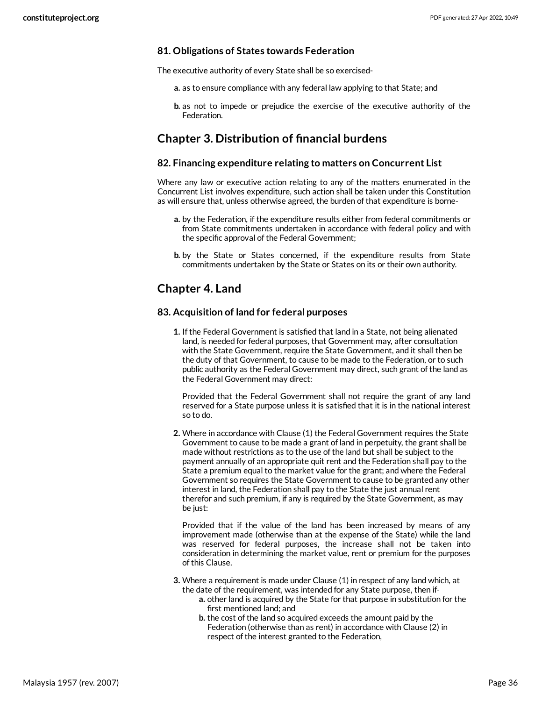#### **81. Obligations of States towards Federation**

The executive authority of every State shall be so exercised-

- **a.** as to ensure compliance with any federal law applying to that State; and
- **b.** as not to impede or prejudice the exercise of the executive authority of the Federation.

# <span id="page-35-0"></span>**Chapter 3. Distribution of financial burdens**

#### **82. Financing expenditure relating to matters on Concurrent List**

Where any law or executive action relating to any of the matters enumerated in the Concurrent List involves expenditure, such action shall be taken under this Constitution as will ensure that, unless otherwise agreed, the burden of that expenditure is borne-

- **a.** by the Federation, if the expenditure results either from federal commitments or from State commitments undertaken in accordance with federal policy and with the specific approval of the Federal Government;
- **b.** by the State or States concerned, if the expenditure results from State commitments undertaken by the State or States on its or their own authority.

# <span id="page-35-1"></span>**Chapter 4. Land**

#### **83. Acquisition of land for federal purposes**

**1.** If the Federal Government is satisfied that land in a State, not being alienated land, is needed for federal purposes, that Government may, after consultation with the State Government, require the State Government, and it shall then be the duty of that Government, to cause to be made to the Federation, or to such public authority as the Federal Government may direct, such grant of the land as the Federal Government may direct:

Provided that the Federal Government shall not require the grant of any land reserved for a State purpose unless it is satisfied that it is in the national interest so to do.

**2.** Where in accordance with Clause (1) the Federal Government requires the State Government to cause to be made a grant of land in perpetuity, the grant shall be made without restrictions as to the use of the land but shall be subject to the payment annually of an appropriate quit rent and the Federation shall pay to the State a premium equal to the market value for the grant; and where the Federal Government so requires the State Government to cause to be granted any other interest in land, the Federation shall pay to the State the just annual rent therefor and such premium, if any is required by the State Government, as may be just:

Provided that if the value of the land has been increased by means of any improvement made (otherwise than at the expense of the State) while the land was reserved for federal purposes, the increase shall not be taken into consideration in determining the market value, rent or premium for the purposes of this Clause.

- **3.** Where a requirement is made under Clause (1) in respect of any land which, at the date of the requirement, was intended for any State purpose, then if
	- **a.** other land is acquired by the State for that purpose in substitution for the first mentioned land; and
	- **b.** the cost of the land so acquired exceeds the amount paid by the Federation (otherwise than as rent) in accordance with Clause (2) in respect of the interest granted to the Federation,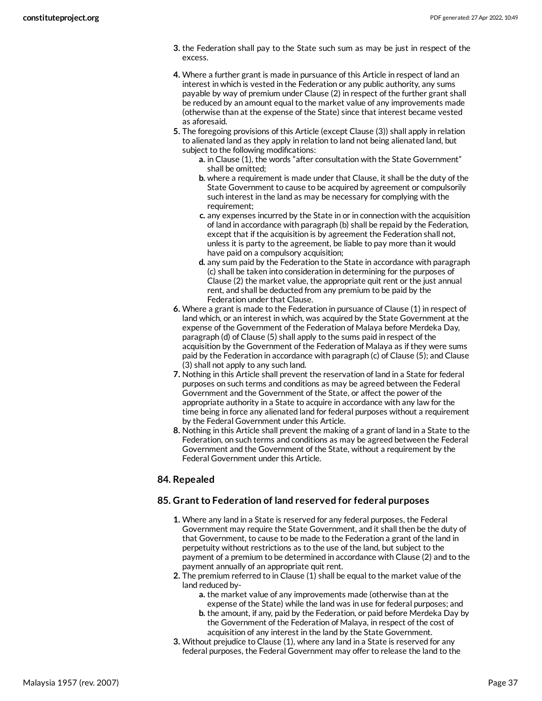- **3.** the Federation shall pay to the State such sum as may be just in respect of the excess.
- **4.** Where a further grant is made in pursuance of this Article in respect of land an interest in which is vested in the Federation or any public authority, any sums payable by way of premium under Clause (2) in respect of the further grant shall be reduced by an amount equal to the market value of any improvements made (otherwise than at the expense of the State) since that interest became vested as aforesaid.
- **5.** The foregoing provisions of this Article (except Clause (3)) shall apply in relation to alienated land as they apply in relation to land not being alienated land, but subject to the following modifications:
	- **a.** in Clause (1), the words "after consultation with the State Government" shall be omitted;
	- **b.** where a requirement is made under that Clause, it shall be the duty of the State Government to cause to be acquired by agreement or compulsorily such interest in the land as may be necessary for complying with the requirement;
	- **c.** any expenses incurred by the State in or in connection with the acquisition of land in accordance with paragraph (b) shall be repaid by the Federation, except that if the acquisition is by agreement the Federation shall not, unless it is party to the agreement, be liable to pay more than it would have paid on a compulsory acquisition;
	- **d.** any sum paid by the Federation to the State in accordance with paragraph (c) shall be taken into consideration in determining for the purposes of Clause (2) the market value, the appropriate quit rent or the just annual rent, and shall be deducted from any premium to be paid by the Federation under that Clause.
- **6.** Where a grant is made to the Federation in pursuance of Clause (1) in respect of land which, or an interest in which, was acquired by the State Government at the expense of the Government of the Federation of Malaya before Merdeka Day, paragraph (d) of Clause (5) shall apply to the sums paid in respect of the acquisition by the Government of the Federation of Malaya as if they were sums paid by the Federation in accordance with paragraph (c) of Clause (5); and Clause (3) shall not apply to any such land.
- **7.** Nothing in this Article shall prevent the reservation of land in a State for federal purposes on such terms and conditions as may be agreed between the Federal Government and the Government of the State, or affect the power of the appropriate authority in a State to acquire in accordance with any law for the time being in force any alienated land for federal purposes without a requirement by the Federal Government under this Article.
- **8.** Nothing in this Article shall prevent the making of a grant of land in a State to the Federation, on such terms and conditions as may be agreed between the Federal Government and the Government of the State, without a requirement by the Federal Government under this Article.

### **84. Repealed**

### **85. Grantto Federation of land reserved for federal purposes**

- **1.** Where any land in a State is reserved for any federal purposes, the Federal Government may require the State Government, and it shall then be the duty of that Government, to cause to be made to the Federation a grant of the land in perpetuity without restrictions as to the use of the land, but subject to the payment of a premium to be determined in accordance with Clause (2) and to the payment annually of an appropriate quit rent.
- **2.** The premium referred to in Clause (1) shall be equal to the market value of the land reduced by
	- **a.** the market value of any improvements made (otherwise than at the expense of the State) while the land was in use for federal purposes; and
	- **b.** the amount, if any, paid by the Federation, or paid before Merdeka Day by the Government of the Federation of Malaya, in respect of the cost of acquisition of any interest in the land by the State Government.
- **3.** Without prejudice to Clause (1), where any land in a State is reserved for any federal purposes, the Federal Government may offer to release the land to the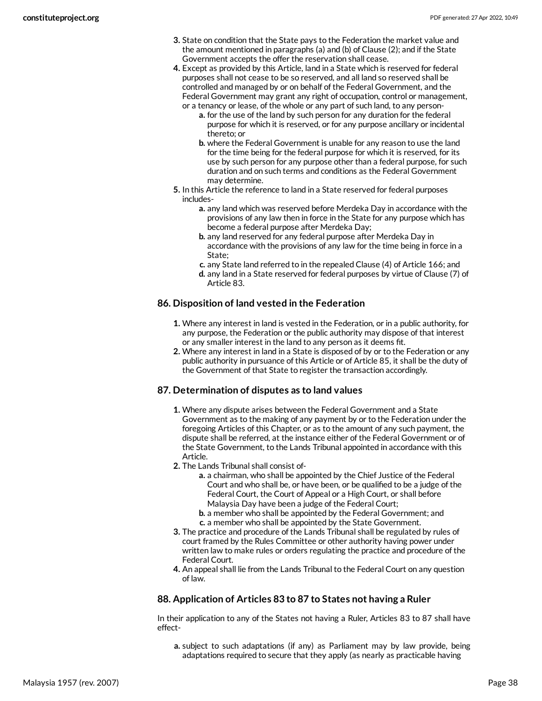- **3.** State on condition that the State pays to the Federation the market value and the amount mentioned in paragraphs (a) and (b) of Clause (2); and if the State Government accepts the offer the reservation shall cease.
- **4.** Except as provided by this Article, land in a State which is reserved for federal purposes shall not cease to be so reserved, and all land so reserved shall be controlled and managed by or on behalf of the Federal Government, and the Federal Government may grant any right of occupation, control or management, or a tenancy or lease, of the whole or any part of such land, to any person
	- **a.** for the use of the land by such person for any duration for the federal purpose for which it is reserved, or for any purpose ancillary or incidental thereto; or
	- **b.** where the Federal Government is unable for any reason to use the land for the time being for the federal purpose for which it is reserved, for its use by such person for any purpose other than a federal purpose, for such duration and on such terms and conditions as the Federal Government may determine.
- **5.** In this Article the reference to land in a State reserved for federal purposes includes
	- **a.** any land which was reserved before Merdeka Day in accordance with the provisions of any law then in force in the State for any purpose which has become a federal purpose after Merdeka Day;
	- **b.** any land reserved for any federal purpose after Merdeka Day in accordance with the provisions of any law for the time being in force in a State;
	- **c.** any State land referred to in the repealed Clause (4) of Article 166; and
	- **d.** any land in a State reserved for federal purposes by virtue of Clause (7) of Article 83.

### **86. Disposition of land vested in the Federation**

- **1.** Where any interest in land is vested in the Federation, or in a public authority, for any purpose, the Federation or the public authority may dispose of that interest or any smaller interest in the land to any person as it deems fit.
- **2.** Where any interest in land in a State is disposed of by or to the Federation or any public authority in pursuance of this Article or of Article 85, it shall be the duty of the Government of that State to register the transaction accordingly.

### **87. Determination of disputes as to land values**

- **1.** Where any dispute arises between the Federal Government and a State Government as to the making of any payment by or to the Federation under the foregoing Articles of this Chapter, or as to the amount of any such payment, the dispute shall be referred, at the instance either of the Federal Government or of the State Government, to the Lands Tribunal appointed in accordance with this Article.
- **2.** The Lands Tribunal shall consist of
	- **a.** a chairman, who shall be appointed by the Chief Justice of the Federal Court and who shall be, or have been, or be qualified to be a judge of the Federal Court, the Court of Appeal or a High Court, or shall before Malaysia Day have been a judge of the Federal Court;
	- **b.** a member who shall be appointed by the Federal Government; and
	- **c.** a member who shall be appointed by the State Government.
- **3.** The practice and procedure of the Lands Tribunal shall be regulated by rules of court framed by the Rules Committee or other authority having power under written law to make rules or orders regulating the practice and procedure of the Federal Court.
- **4.** An appeal shall lie from the Lands Tribunal to the Federal Court on any question of law.

### **88. Application of Articles 83 to 87 to States not having a Ruler**

In their application to any of the States not having a Ruler, Articles 83 to 87 shall have effect-

**a.** subject to such adaptations (if any) as Parliament may by law provide, being adaptations required to secure that they apply (as nearly as practicable having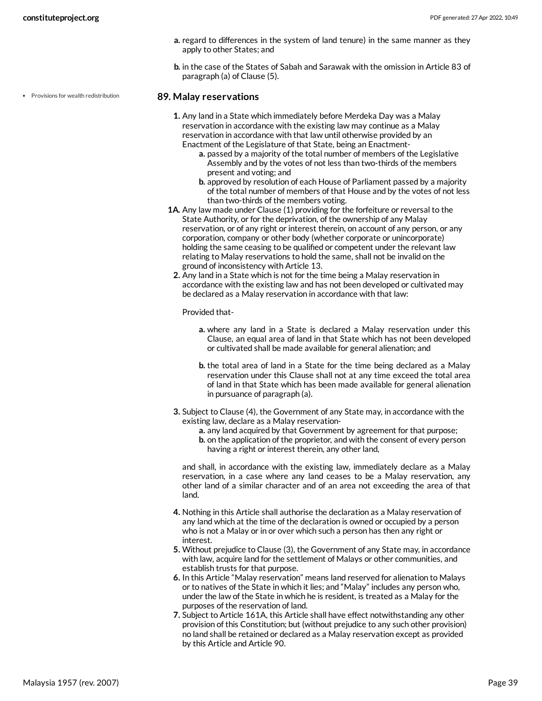- **a.** regard to differences in the system of land tenure) in the same manner as they apply to other States; and
- **b.** in the case of the States of Sabah and Sarawak with the omission in Article 83 of paragraph (a) of Clause (5).

Provisions for wealth redistribution

#### **89. Malay reservations**

- **1.** Any land in a State which immediately before Merdeka Day was a Malay reservation in accordance with the existing law may continue as a Malay reservation in accordance with that law until otherwise provided by an Enactment of the Legislature of that State, being an Enactment
	- **a.** passed by a majority of the total number of members of the Legislative Assembly and by the votes of not less than two-thirds of the members present and voting; and
	- **b.** approved by resolution of each House of Parliament passed by a majority of the total number of members of that House and by the votes of not less than two-thirds of the members voting.
- **1A.** Any law made under Clause (1) providing for the forfeiture or reversal to the State Authority, or for the deprivation, of the ownership of any Malay reservation, or of any right or interest therein, on account of any person, or any corporation, company or other body (whether corporate or unincorporate) holding the same ceasing to be qualified or competent under the relevant law relating to Malay reservations to hold the same, shall not be invalid on the ground of inconsistency with Article 13.
- **2.** Any land in a State which is not for the time being a Malay reservation in accordance with the existing law and has not been developed or cultivated may be declared as a Malay reservation in accordance with that law:

#### Provided that-

- **a.** where any land in a State is declared a Malay reservation under this Clause, an equal area of land in that State which has not been developed or cultivated shall be made available for general alienation; and
- **b.** the total area of land in a State for the time being declared as a Malay reservation under this Clause shall not at any time exceed the total area of land in that State which has been made available for general alienation in pursuance of paragraph (a).
- **3.** Subject to Clause (4), the Government of any State may, in accordance with the existing law, declare as a Malay reservation
	- **a.** any land acquired by that Government by agreement for that purpose;
	- **b.** on the application of the proprietor, and with the consent of every person having a right or interest therein, any other land,

and shall, in accordance with the existing law, immediately declare as a Malay reservation, in a case where any land ceases to be a Malay reservation, any other land of a similar character and of an area not exceeding the area of that land.

- **4.** Nothing in this Article shall authorise the declaration as a Malay reservation of any land which at the time of the declaration is owned or occupied by a person who is not a Malay or in or over which such a person has then any right or interest.
- **5.** Without prejudice to Clause (3), the Government of any State may, in accordance with law, acquire land for the settlement of Malays or other communities, and establish trusts for that purpose.
- **6.** In this Article "Malay reservation" means land reserved for alienation to Malays or to natives of the State in which it lies; and "Malay" includes any person who, under the law of the State in which he is resident, is treated as a Malay for the purposes of the reservation of land.
- **7.** Subject to Article 161A, this Article shall have effect notwithstanding any other provision of this Constitution; but (without prejudice to any such other provision) no land shall be retained or declared as a Malay reservation except as provided by this Article and Article 90.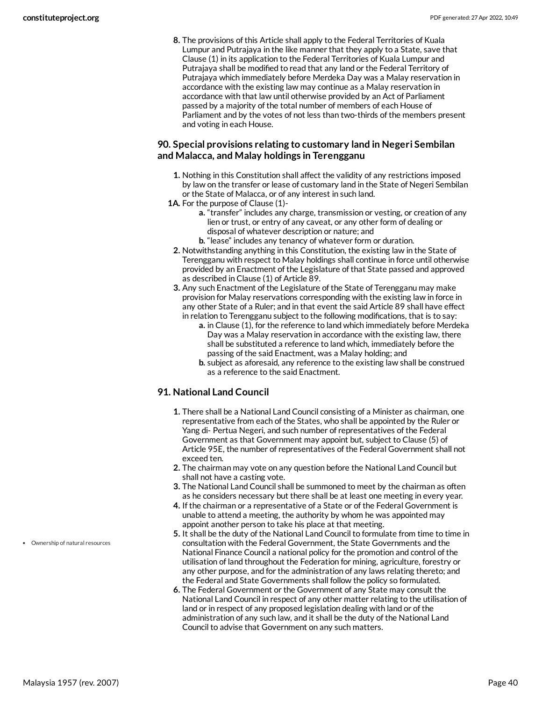**8.** The provisions of this Article shall apply to the Federal Territories of Kuala Lumpur and Putrajaya in the like manner that they apply to a State, save that Clause (1) in its application to the Federal Territories of Kuala Lumpur and Putrajaya shall be modified to read that any land or the Federal Territory of Putrajaya which immediately before Merdeka Day was a Malay reservation in accordance with the existing law may continue as a Malay reservation in accordance with that law until otherwise provided by an Act of Parliament passed by a majority of the total number of members of each House of Parliament and by the votes of not less than two-thirds of the members present and voting in each House.

### **90. Special provisions relating to customary land in Negeri Sembilan and Malacca, and Malay holdings in Terengganu**

- **1.** Nothing in this Constitution shall affect the validity of any restrictions imposed by law on the transfer or lease of customary land in the State of Negeri Sembilan or the State of Malacca, or of any interest in such land.
- **1A.** For the purpose of Clause (1)
	- **a.** "transfer" includes any charge, transmission or vesting, or creation of any lien or trust, or entry of any caveat, or any other form of dealing or disposal of whatever description or nature; and
	- **b.** "lease" includes any tenancy of whatever form or duration.
- **2.** Notwithstanding anything in this Constitution, the existing law in the State of Terengganu with respect to Malay holdings shall continue in force until otherwise provided by an Enactment of the Legislature of that State passed and approved as described in Clause (1) of Article 89.
- **3.** Any such Enactment of the Legislature of the State of Terengganu may make provision for Malay reservations corresponding with the existing law in force in any other State of a Ruler; and in that event the said Article 89 shall have effect in relation to Terengganu subject to the following modifications, that is to say:
	- **a.** in Clause (1), for the reference to land which immediately before Merdeka Day was a Malay reservation in accordance with the existing law, there shall be substituted a reference to land which, immediately before the passing of the said Enactment, was a Malay holding; and
	- **b.** subject as aforesaid, any reference to the existing law shall be construed as a reference to the said Enactment.

### **91. National Land Council**

- **1.** There shall be a National Land Council consisting of a Minister as chairman, one representative from each of the States, who shall be appointed by the Ruler or Yang di- Pertua Negeri, and such number of representatives of the Federal Government as that Government may appoint but, subject to Clause (5) of Article 95E, the number of representatives of the Federal Government shall not exceed ten.
- **2.** The chairman may vote on any question before the National Land Council but shall not have a casting vote.
- **3.** The National Land Council shall be summoned to meet by the chairman as often as he considers necessary but there shall be at least one meeting in every year.
- **4.** If the chairman or a representative of a State or of the Federal Government is unable to attend a meeting, the authority by whom he was appointed may appoint another person to take his place at that meeting.
- **5.** It shall be the duty of the National Land Council to formulate from time to time in consultation with the Federal Government, the State Governments and the National Finance Council a national policy for the promotion and control of the utilisation of land throughout the Federation for mining, agriculture, forestry or any other purpose, and for the administration of any laws relating thereto; and the Federal and State Governments shall follow the policy so formulated.
- **6.** The Federal Government or the Government of any State may consult the National Land Council in respect of any other matter relating to the utilisation of land or in respect of any proposed legislation dealing with land or of the administration of any such law, and it shall be the duty of the National Land Council to advise that Government on any such matters.

Ownership of natural resources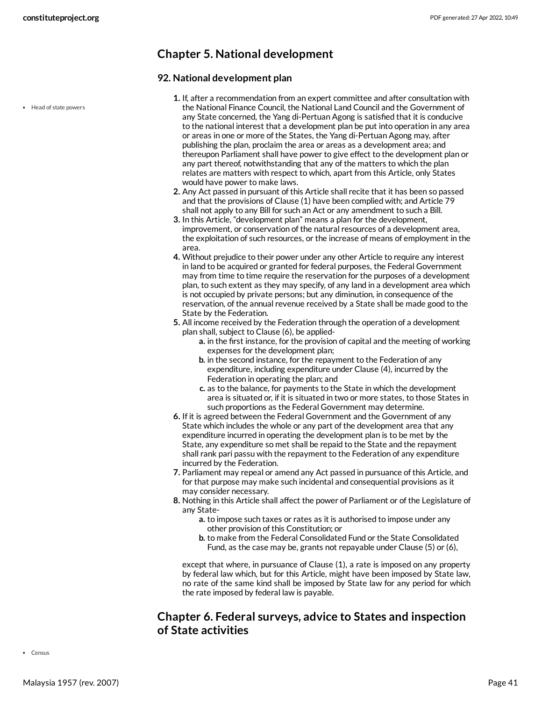## **Chapter 5. National development**

### **92. National development plan**

• Head of state powers

- **1.** If, after a recommendation from an expert committee and after consultation with the National Finance Council, the National Land Council and the Government of any State concerned, the Yang di-Pertuan Agong is satisfied that it is conducive to the national interest that a development plan be put into operation in any area or areas in one or more of the States, the Yang di-Pertuan Agong may, after publishing the plan, proclaim the area or areas as a development area; and thereupon Parliament shall have power to give effect to the development plan or any part thereof, notwithstanding that any of the matters to which the plan relates are matters with respect to which, apart from this Article, only States would have power to make laws.
- **2.** Any Act passed in pursuant of this Article shall recite that it has been so passed and that the provisions of Clause (1) have been complied with; and Article 79 shall not apply to any Bill for such an Act or any amendment to such a Bill.
- **3.** In this Article, "development plan" means a plan for the development, improvement, or conservation of the natural resources of a development area, the exploitation of such resources, or the increase of means of employment in the area.
- **4.** Without prejudice to their power under any other Article to require any interest in land to be acquired or granted for federal purposes, the Federal Government may from time to time require the reservation for the purposes of a development plan, to such extent as they may specify, of any land in a development area which is not occupied by private persons; but any diminution, in consequence of the reservation, of the annual revenue received by a State shall be made good to the State by the Federation.
- **5.** All income received by the Federation through the operation of a development plan shall, subject to Clause (6), be applied
	- **a.** in the first instance, for the provision of capital and the meeting of working expenses for the development plan;
	- **b.** in the second instance, for the repayment to the Federation of any expenditure, including expenditure under Clause (4), incurred by the Federation in operating the plan; and
	- **c.** as to the balance, for payments to the State in which the development area is situated or, if it is situated in two or more states, to those States in such proportions as the Federal Government may determine.
- **6.** If it is agreed between the Federal Government and the Government of any State which includes the whole or any part of the development area that any expenditure incurred in operating the development plan is to be met by the State, any expenditure so met shall be repaid to the State and the repayment shall rank pari passu with the repayment to the Federation of any expenditure incurred by the Federation.
- **7.** Parliament may repeal or amend any Act passed in pursuance of this Article, and for that purpose may make such incidental and consequential provisions as it may consider necessary.
- **8.** Nothing in this Article shall affect the power of Parliament or of the Legislature of any State
	- **a.** to impose such taxes or rates as it is authorised to impose under any other provision of this Constitution; or
	- **b.** to make from the Federal Consolidated Fund or the State Consolidated Fund, as the case may be, grants not repayable under Clause (5) or (6),

except that where, in pursuance of Clause (1), a rate is imposed on any property by federal law which, but for this Article, might have been imposed by State law, no rate of the same kind shall be imposed by State law for any period for which the rate imposed by federal law is payable.

## **Chapter 6. Federal surveys, advice to States and inspection of State activities**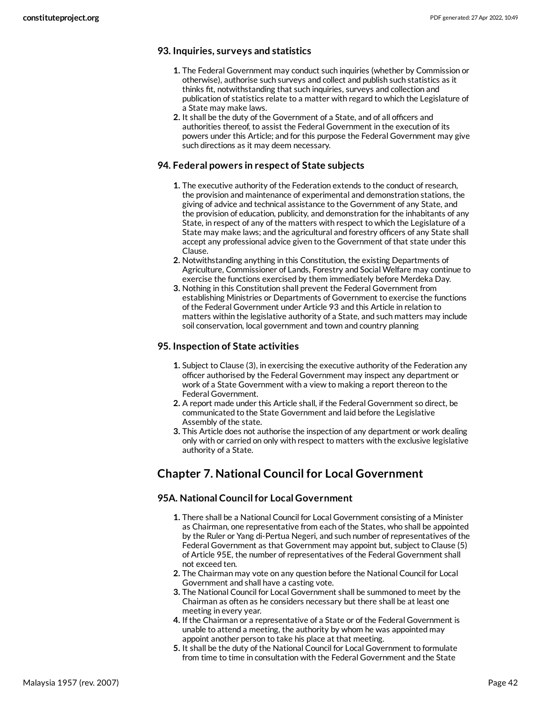### **93. Inquiries, surveys and statistics**

- **1.** The Federal Government may conduct such inquiries (whether by Commission or otherwise), authorise such surveys and collect and publish such statistics as it thinks fit, notwithstanding that such inquiries, surveys and collection and publication of statistics relate to a matter with regard to which the Legislature of a State may make laws.
- **2.** It shall be the duty of the Government of a State, and of all officers and authorities thereof, to assist the Federal Government in the execution of its powers under this Article; and for this purpose the Federal Government may give such directions as it may deem necessary.

### **94. Federal powers in respect of State subjects**

- **1.** The executive authority of the Federation extends to the conduct of research, the provision and maintenance of experimental and demonstration stations, the giving of advice and technical assistance to the Government of any State, and the provision of education, publicity, and demonstration for the inhabitants of any State, in respect of any of the matters with respect to which the Legislature of a State may make laws; and the agricultural and forestry officers of any State shall accept any professional advice given to the Government of that state under this Clause.
- **2.** Notwithstanding anything in this Constitution, the existing Departments of Agriculture, Commissioner of Lands, Forestry and Social Welfare may continue to exercise the functions exercised by them immediately before Merdeka Day.
- **3.** Nothing in this Constitution shall prevent the Federal Government from establishing Ministries or Departments of Government to exercise the functions of the Federal Government under Article 93 and this Article in relation to matters within the legislative authority of a State, and such matters may include soil conservation, local government and town and country planning

### **95. Inspection of State activities**

- **1.** Subject to Clause (3), in exercising the executive authority of the Federation any officer authorised by the Federal Government may inspect any department or work of a State Government with a view to making a report thereon to the Federal Government.
- **2.** A report made under this Article shall, if the Federal Government so direct, be communicated to the State Government and laid before the Legislative Assembly of the state.
- **3.** This Article does not authorise the inspection of any department or work dealing only with or carried on only with respect to matters with the exclusive legislative authority of a State.

## **Chapter 7. National Council for Local Government**

### **95A. National Council for Local Government**

- **1.** There shall be a National Council for Local Government consisting of a Minister as Chairman, one representative from each of the States, who shall be appointed by the Ruler or Yang di-Pertua Negeri, and such number of representatives of the Federal Government as that Government may appoint but, subject to Clause (5) of Article 95E, the number of representatives of the Federal Government shall not exceed ten.
- **2.** The Chairman may vote on any question before the National Council for Local Government and shall have a casting vote.
- **3.** The National Council for Local Government shall be summoned to meet by the Chairman as often as he considers necessary but there shall be at least one meeting in every year.
- **4.** If the Chairman or a representative of a State or of the Federal Government is unable to attend a meeting, the authority by whom he was appointed may appoint another person to take his place at that meeting.
- **5.** It shall be the duty of the National Council for Local Government to formulate from time to time in consultation with the Federal Government and the State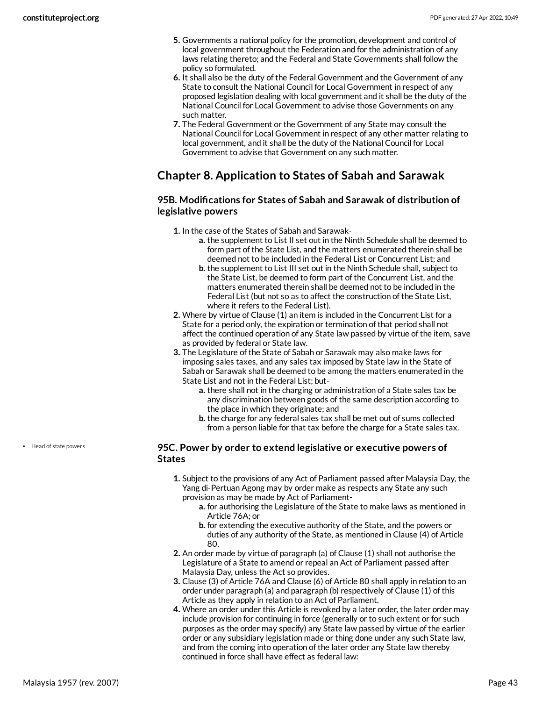- **5.** Governments a national policy for the promotion, development and control of local government throughout the Federation and for the administration of any laws relating thereto; and the Federal and State Governments shall follow the policy so formulated.
- **6.** It shall also be the duty of the Federal Government and the Government of any State to consult the National Council for Local Government in respect of any proposed legislation dealing with local government and it shall be the duty of the National Council for Local Government to advise those Governments on any such matter.
- **7.** The Federal Government or the Government of any State may consult the National Council for Local Government in respect of any other matter relating to local government, and it shall be the duty of the National Council for Local Government to advise that Government on any such matter.

## **Chapter 8. Application to States of Sabah and Sarawak**

### **95B. Modifications for States of Sabah and Sarawak of distribution of legislative powers**

- **1.** In the case of the States of Sabah and Sarawak
	- **a.** the supplement to List II set out in the Ninth Schedule shall be deemed to form part of the State List, and the matters enumerated therein shall be deemed not to be included in the Federal List or Concurrent List; and
	- **b.** the supplement to List III set out in the Ninth Schedule shall, subject to the State List, be deemed to form part of the Concurrent List, and the matters enumerated therein shall be deemed not to be included in the Federal List (but not so as to affect the construction of the State List, where it refers to the Federal List).
- **2.** Where by virtue of Clause (1) an item is included in the Concurrent List for a State for a period only, the expiration or termination of that period shall not affect the continued operation of any State law passed by virtue of the item, save as provided by federal or State law.
- **3.** The Legislature of the State of Sabah or Sarawak may also make laws for imposing sales taxes, and any sales tax imposed by State law in the State of Sabah or Sarawak shall be deemed to be among the matters enumerated in the State List and not in the Federal List; but
	- **a.** there shall not in the charging or administration of a State sales tax be any discrimination between goods of the same description according to the place in which they originate; and
	- **b.** the charge for any federal sales tax shall be met out of sums collected from a person liable for that tax before the charge for a State sales tax.

### **95C. Power by order to extend legislative or executive powers of States**

- **1.** Subject to the provisions of any Act of Parliament passed after Malaysia Day, the Yang di-Pertuan Agong may by order make as respects any State any such provision as may be made by Act of Parliament
	- **a.** for authorising the Legislature of the State to make laws as mentioned in Article 76A; or
	- **b.** for extending the executive authority of the State, and the powers or duties of any authority of the State, as mentioned in Clause (4) of Article 80.
- **2.** An order made by virtue of paragraph (a) of Clause (1) shall not authorise the Legislature of a State to amend or repeal an Act of Parliament passed after Malaysia Day, unless the Act so provides.
- **3.** Clause (3) of Article 76A and Clause (6) of Article 80 shall apply in relation to an order under paragraph (a) and paragraph (b) respectively of Clause (1) of this Article as they apply in relation to an Act of Parliament.
- **4.** Where an order under this Article is revoked by a later order, the later order may include provision for continuing in force (generally or to such extent or for such purposes as the order may specify) any State law passed by virtue of the earlier order or any subsidiary legislation made or thing done under any such State law, and from the coming into operation of the later order any State law thereby continued in force shall have effect as federal law:

• Head of state powers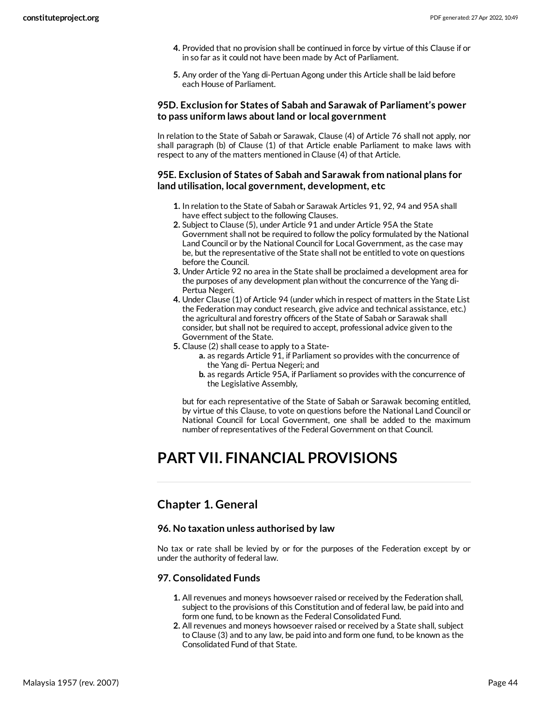- **4.** Provided that no provision shall be continued in force by virtue of this Clause if or in so far as it could not have been made by Act of Parliament.
- **5.** Any order of the Yang di-Pertuan Agong under this Article shall be laid before each House of Parliament.

### **95D. Exclusion for States of Sabah and Sarawak of Parliament's power to pass uniform laws aboutland or local government**

In relation to the State of Sabah or Sarawak, Clause (4) of Article 76 shall not apply, nor shall paragraph (b) of Clause (1) of that Article enable Parliament to make laws with respect to any of the matters mentioned in Clause (4) of that Article.

### **95E. Exclusion of States of Sabah and Sarawak from national plans for land utilisation, local government, development, etc**

- **1.** In relation to the State of Sabah or Sarawak Articles 91, 92, 94 and 95A shall have effect subject to the following Clauses.
- **2.** Subject to Clause (5), under Article 91 and under Article 95A the State Government shall not be required to follow the policy formulated by the National Land Council or by the National Council for Local Government, as the case may be, but the representative of the State shall not be entitled to vote on questions before the Council.
- **3.** Under Article 92 no area in the State shall be proclaimed a development area for the purposes of any development plan without the concurrence of the Yang di-Pertua Negeri.
- **4.** Under Clause (1) of Article 94 (under which in respect of matters in the State List the Federation may conduct research, give advice and technical assistance, etc.) the agricultural and forestry officers of the State of Sabah or Sarawak shall consider, but shall not be required to accept, professional advice given to the Government of the State.
- **5.** Clause (2) shall cease to apply to a State
	- **a.** as regards Article 91, if Parliament so provides with the concurrence of the Yang di- Pertua Negeri; and
	- **b.** as regards Article 95A, if Parliament so provides with the concurrence of the Legislative Assembly,

but for each representative of the State of Sabah or Sarawak becoming entitled, by virtue of this Clause, to vote on questions before the National Land Council or National Council for Local Government, one shall be added to the maximum number of representatives of the Federal Government on that Council.

# **PART VII. FINANCIAL PROVISIONS**

## **Chapter 1. General**

### **96. No taxation unless authorised by law**

No tax or rate shall be levied by or for the purposes of the Federation except by or under the authority of federal law.

### **97. Consolidated Funds**

- **1.** All revenues and moneys howsoever raised or received by the Federation shall, subject to the provisions of this Constitution and of federal law, be paid into and form one fund, to be known as the Federal Consolidated Fund.
- **2.** All revenues and moneys howsoever raised or received by a State shall, subject to Clause (3) and to any law, be paid into and form one fund, to be known as the Consolidated Fund of that State.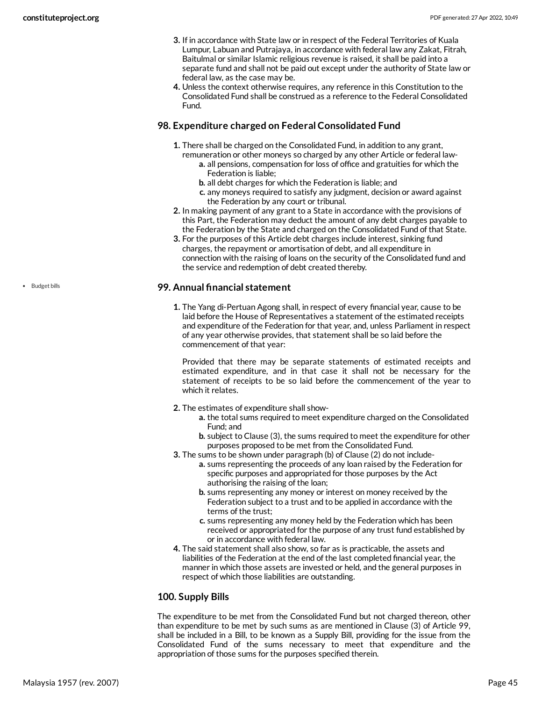- **3.** If in accordance with State law or in respect of the Federal Territories of Kuala Lumpur, Labuan and Putrajaya, in accordance with federal law any Zakat, Fitrah, Baitulmal or similar Islamic religious revenue is raised, it shall be paid into a separate fund and shall not be paid out except under the authority of State law or federal law, as the case may be.
- **4.** Unless the context otherwise requires, any reference in this Constitution to the Consolidated Fund shall be construed as a reference to the Federal Consolidated Fund.

### **98. Expenditure charged on Federal Consolidated Fund**

- **1.** There shall be charged on the Consolidated Fund, in addition to any grant, remuneration or other moneys so charged by any other Article or federal law
	- **a.** all pensions, compensation for loss of office and gratuities for which the Federation is liable;
	- **b.** all debt charges for which the Federation is liable; and
	- **c.** any moneys required to satisfy any judgment, decision or award against the Federation by any court or tribunal.
- **2.** In making payment of any grant to a State in accordance with the provisions of this Part, the Federation may deduct the amount of any debt charges payable to the Federation by the State and charged on the Consolidated Fund of that State.
- **3.** For the purposes of this Article debt charges include interest, sinking fund charges, the repayment or amortisation of debt, and all expenditure in connection with the raising of loans on the security of the Consolidated fund and the service and redemption of debt created thereby.

### **99. Annual financial statement**

**1.** The Yang di-Pertuan Agong shall, in respect of every financial year, cause to be laid before the House of Representatives a statement of the estimated receipts and expenditure of the Federation for that year, and, unless Parliament in respect of any year otherwise provides, that statement shall be so laid before the commencement of that year:

Provided that there may be separate statements of estimated receipts and estimated expenditure, and in that case it shall not be necessary for the statement of receipts to be so laid before the commencement of the year to which it relates.

- **2.** The estimates of expenditure shall show
	- **a.** the total sums required to meet expenditure charged on the Consolidated Fund; and
	- **b.** subject to Clause (3), the sums required to meet the expenditure for other purposes proposed to be met from the Consolidated Fund.
- **3.** The sums to be shown under paragraph (b) of Clause (2) do not include
	- **a.** sums representing the proceeds of any loan raised by the Federation for specific purposes and appropriated for those purposes by the Act authorising the raising of the loan;
	- **b.** sums representing any money or interest on money received by the Federation subject to a trust and to be applied in accordance with the terms of the trust;
	- **c.** sums representing any money held by the Federation which has been received or appropriated for the purpose of any trust fund established by or in accordance with federal law.
- **4.** The said statement shall also show, so far as is practicable, the assets and liabilities of the Federation at the end of the last completed financial year, the manner in which those assets are invested or held, and the general purposes in respect of which those liabilities are outstanding.

### **100. Supply Bills**

The expenditure to be met from the Consolidated Fund but not charged thereon, other than expenditure to be met by such sums as are mentioned in Clause (3) of Article 99, shall be included in a Bill, to be known as a Supply Bill, providing for the issue from the Consolidated Fund of the sums necessary to meet that expenditure and the appropriation of those sums for the purposes specified therein.

• Budget bills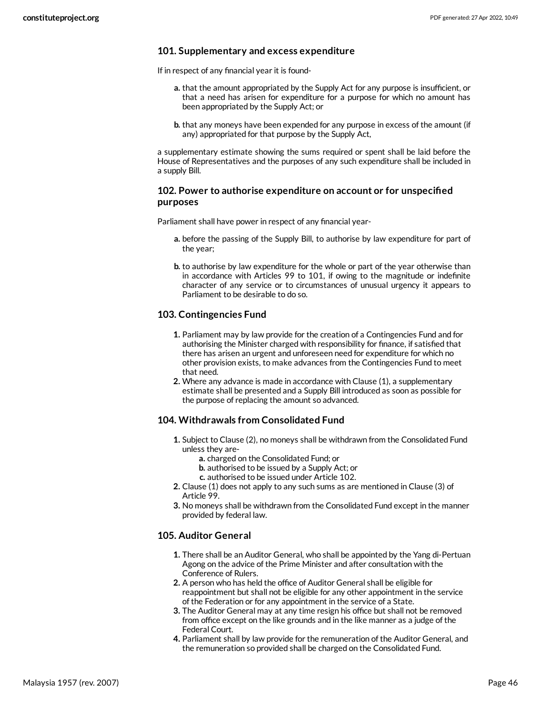#### **101. Supplementary and excess expenditure**

If in respect of any financial year it is found-

- **a.** that the amount appropriated by the Supply Act for any purpose is insufficient, or that a need has arisen for expenditure for a purpose for which no amount has been appropriated by the Supply Act; or
- **b.** that any moneys have been expended for any purpose in excess of the amount (if any) appropriated for that purpose by the Supply Act,

a supplementary estimate showing the sums required or spent shall be laid before the House of Representatives and the purposes of any such expenditure shall be included in a supply Bill.

#### **102. Power to authorise expenditure on account or for unspecified purposes**

Parliament shall have power in respect of any financial year-

- **a.** before the passing of the Supply Bill, to authorise by law expenditure for part of the year;
- **b.** to authorise by law expenditure for the whole or part of the year otherwise than in accordance with Articles 99 to 101, if owing to the magnitude or indefinite character of any service or to circumstances of unusual urgency it appears to Parliament to be desirable to do so.

#### **103. Contingencies Fund**

- **1.** Parliament may by law provide for the creation of a Contingencies Fund and for authorising the Minister charged with responsibility for finance, if satisfied that there has arisen an urgent and unforeseen need for expenditure for which no other provision exists, to make advances from the Contingencies Fund to meet that need.
- **2.** Where any advance is made in accordance with Clause (1), a supplementary estimate shall be presented and a Supply Bill introduced as soon as possible for the purpose of replacing the amount so advanced.

#### **104. Withdrawals from Consolidated Fund**

- **1.** Subject to Clause (2), no moneys shall be withdrawn from the Consolidated Fund unless they are
	- **a.** charged on the Consolidated Fund; or
	- **b.** authorised to be issued by a Supply Act; or
	- **c.** authorised to be issued under Article 102.
- **2.** Clause (1) does not apply to any such sums as are mentioned in Clause (3) of Article 99.
- **3.** No moneys shall be withdrawn from the Consolidated Fund except in the manner provided by federal law.

#### **105. Auditor General**

- **1.** There shall be an Auditor General, who shall be appointed by the Yang di-Pertuan Agong on the advice of the Prime Minister and after consultation with the Conference of Rulers.
- **2.** A person who has held the office of Auditor General shall be eligible for reappointment but shall not be eligible for any other appointment in the service of the Federation or for any appointment in the service of a State.
- **3.** The Auditor General may at any time resign his office but shall not be removed from office except on the like grounds and in the like manner as a judge of the Federal Court.
- **4.** Parliament shall by law provide for the remuneration of the Auditor General, and the remuneration so provided shall be charged on the Consolidated Fund.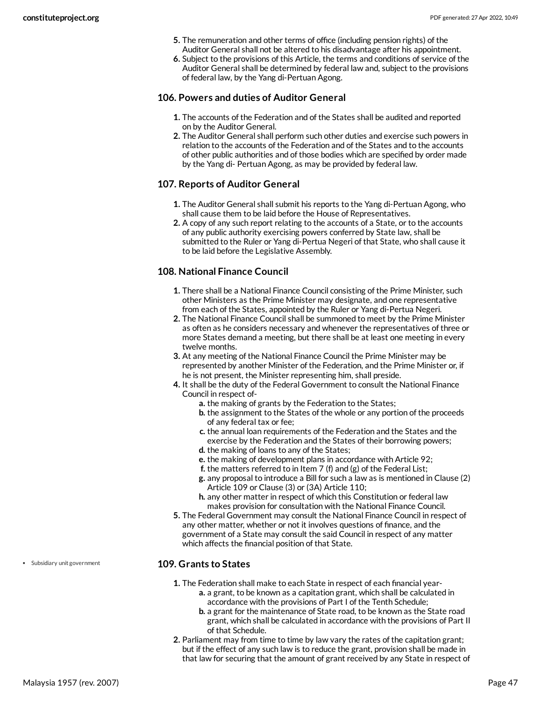- **5.** The remuneration and other terms of office (including pension rights) of the Auditor General shall not be altered to his disadvantage after his appointment.
- **6.** Subject to the provisions of this Article, the terms and conditions of service of the Auditor General shall be determined by federal law and, subject to the provisions of federal law, by the Yang di-Pertuan Agong.

### **106. Powers and duties of Auditor General**

- **1.** The accounts of the Federation and of the States shall be audited and reported on by the Auditor General.
- **2.** The Auditor General shall perform such other duties and exercise such powers in relation to the accounts of the Federation and of the States and to the accounts of other public authorities and of those bodies which are specified by order made by the Yang di- Pertuan Agong, as may be provided by federal law.

### **107. Reports of Auditor General**

- **1.** The Auditor General shall submit his reports to the Yang di-Pertuan Agong, who shall cause them to be laid before the House of Representatives.
- **2.** A copy of any such report relating to the accounts of a State, or to the accounts of any public authority exercising powers conferred by State law, shall be submitted to the Ruler or Yang di-Pertua Negeri of that State, who shall cause it to be laid before the Legislative Assembly.

### **108. National Finance Council**

- **1.** There shall be a National Finance Council consisting of the Prime Minister, such other Ministers as the Prime Minister may designate, and one representative from each of the States, appointed by the Ruler or Yang di-Pertua Negeri.
- **2.** The National Finance Council shall be summoned to meet by the Prime Minister as often as he considers necessary and whenever the representatives of three or more States demand a meeting, but there shall be at least one meeting in every twelve months.
- **3.** At any meeting of the National Finance Council the Prime Minister may be represented by another Minister of the Federation, and the Prime Minister or, if he is not present, the Minister representing him, shall preside.
- **4.** It shall be the duty of the Federal Government to consult the National Finance Council in respect of
	- **a.** the making of grants by the Federation to the States;
	- **b.** the assignment to the States of the whole or any portion of the proceeds of any federal tax or fee;
	- **c.** the annual loan requirements of the Federation and the States and the exercise by the Federation and the States of their borrowing powers;
	- **d.** the making of loans to any of the States;
	- **e.** the making of development plans in accordance with Article 92;
	- **f.** the matters referred to in Item 7 (f) and (g) of the Federal List;
	- **g.** any proposal to introduce a Bill for such a law as is mentioned in Clause (2) Article 109 or Clause (3) or (3A) Article 110;
	- **h.** any other matter in respect of which this Constitution or federal law makes provision for consultation with the National Finance Council.
- **5.** The Federal Government may consult the National Finance Council in respect of any other matter, whether or not it involves questions of finance, and the government of a State may consult the said Council in respect of any matter which affects the financial position of that State.

Subsidiary unit government

### **109. Grants to States**

- **1.** The Federation shall make to each State in respect of each financial year
	- **a.** a grant, to be known as a capitation grant, which shall be calculated in accordance with the provisions of Part I of the Tenth Schedule;
		- **b.** a grant for the maintenance of State road, to be known as the State road grant, which shall be calculated in accordance with the provisions of Part II of that Schedule.
- **2.** Parliament may from time to time by law vary the rates of the capitation grant; but if the effect of any such law is to reduce the grant, provision shall be made in that law for securing that the amount of grant received by any State in respect of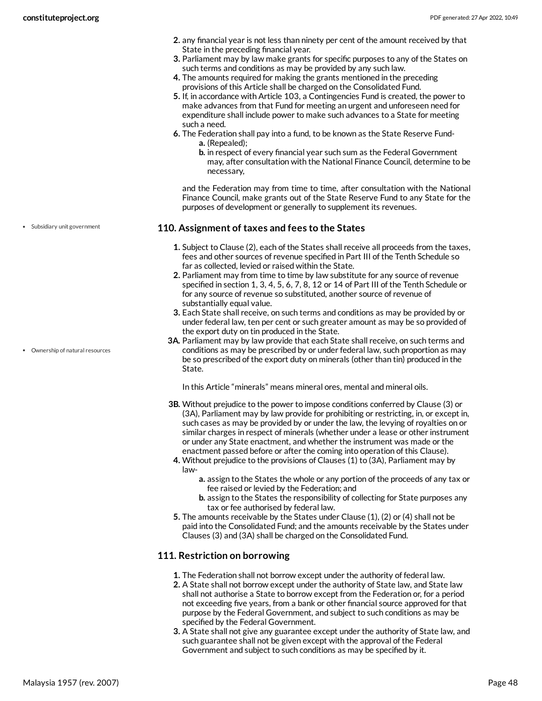- **2.** any financial year is not less than ninety per cent of the amount received by that State in the preceding financial year.
- **3.** Parliament may by law make grants for specific purposes to any of the States on such terms and conditions as may be provided by any such law.
- **4.** The amounts required for making the grants mentioned in the preceding provisions of this Article shall be charged on the Consolidated Fund.
- **5.** If, in accordance with Article 103, a Contingencies Fund is created, the power to make advances from that Fund for meeting an urgent and unforeseen need for expenditure shall include power to make such advances to a State for meeting such a need.
- **6.** The Federation shall pay into a fund, to be known as the State Reserve Fund**a.** (Repealed);
	- **b.** in respect of every financial year such sum as the Federal Government may, after consultation with the National Finance Council, determine to be necessary,

and the Federation may from time to time, after consultation with the National Finance Council, make grants out of the State Reserve Fund to any State for the purposes of development or generally to supplement its revenues.

### **110. Assignment of taxes and fees to the States**

- **1.** Subject to Clause (2), each of the States shall receive all proceeds from the taxes, fees and other sources of revenue specified in Part III of the Tenth Schedule so far as collected, levied or raised within the State.
- **2.** Parliament may from time to time by law substitute for any source of revenue specified in section 1, 3, 4, 5, 6, 7, 8, 12 or 14 of Part III of the Tenth Schedule or for any source of revenue so substituted, another source of revenue of substantially equal value.
- **3.** Each State shall receive, on such terms and conditions as may be provided by or under federal law, ten per cent or such greater amount as may be so provided of the export duty on tin produced in the State.
- **3A.** Parliament may by law provide that each State shall receive, on such terms and conditions as may be prescribed by or under federal law, such proportion as may be so prescribed of the export duty on minerals (other than tin) produced in the State.

In this Article "minerals" means mineral ores, mental and mineral oils.

- **3B.** Without prejudice to the power to impose conditions conferred by Clause (3) or (3A), Parliament may by law provide for prohibiting or restricting, in, or except in, such cases as may be provided by or under the law, the levying of royalties on or similar charges in respect of minerals (whether under a lease or other instrument or under any State enactment, and whether the instrument was made or the enactment passed before or after the coming into operation of this Clause).
- **4.** Without prejudice to the provisions of Clauses (1) to (3A), Parliament may by law
	- **a.** assign to the States the whole or any portion of the proceeds of any tax or fee raised or levied by the Federation; and
	- **b.** assign to the States the responsibility of collecting for State purposes any tax or fee authorised by federal law.
- **5.** The amounts receivable by the States under Clause (1), (2) or (4) shall not be paid into the Consolidated Fund; and the amounts receivable by the States under Clauses (3) and (3A) shall be charged on the Consolidated Fund.

### **111. Restriction on borrowing**

- **1.** The Federation shall not borrow except under the authority of federal law.
- **2.** A State shall not borrow except under the authority of State law, and State law shall not authorise a State to borrow except from the Federation or, for a period not exceeding five years, from a bank or other financial source approved for that purpose by the Federal Government, and subject to such conditions as may be specified by the Federal Government.
- **3.** A State shall not give any guarantee except under the authority of State law, and such guarantee shall not be given except with the approval of the Federal Government and subject to such conditions as may be specified by it.

Subsidiary unit government

Ownership of natural resources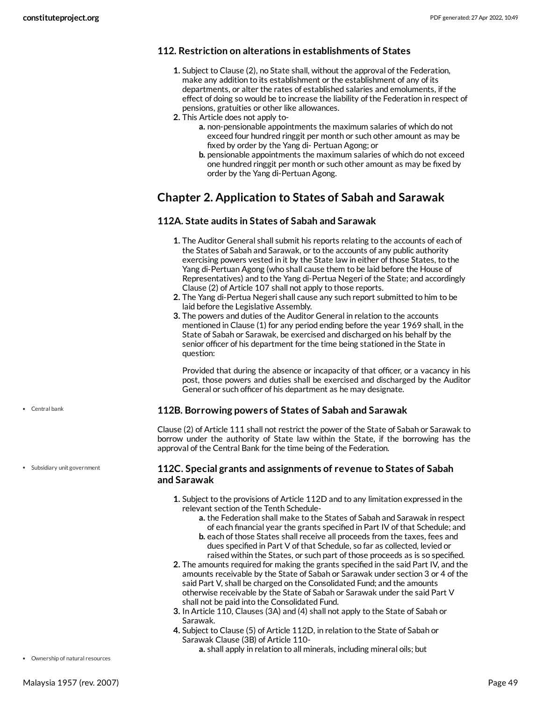### **112. Restriction on alterations in establishments of States**

- **1.** Subject to Clause (2), no State shall, without the approval of the Federation, make any addition to its establishment or the establishment of any of its departments, or alter the rates of established salaries and emoluments, if the effect of doing so would be to increase the liability of the Federation in respect of pensions, gratuities or other like allowances.
- **2.** This Article does not apply to
	- **a.** non-pensionable appointments the maximum salaries of which do not exceed four hundred ringgit per month or such other amount as may be fixed by order by the Yang di- Pertuan Agong; or
	- **b.** pensionable appointments the maximum salaries of which do not exceed one hundred ringgit per month or such other amount as may be fixed by order by the Yang di-Pertuan Agong.

## **Chapter 2. Application to States of Sabah and Sarawak**

### **112A. State audits in States of Sabah and Sarawak**

- **1.** The Auditor General shall submit his reports relating to the accounts of each of the States of Sabah and Sarawak, or to the accounts of any public authority exercising powers vested in it by the State law in either of those States, to the Yang di-Pertuan Agong (who shall cause them to be laid before the House of Representatives) and to the Yang di-Pertua Negeri of the State; and accordingly Clause (2) of Article 107 shall not apply to those reports.
- **2.** The Yang di-Pertua Negeri shall cause any such report submitted to him to be laid before the Legislative Assembly.
- **3.** The powers and duties of the Auditor General in relation to the accounts mentioned in Clause (1) for any period ending before the year 1969 shall, in the State of Sabah or Sarawak, be exercised and discharged on his behalf by the senior officer of his department for the time being stationed in the State in question:

Provided that during the absence or incapacity of that officer, or a vacancy in his post, those powers and duties shall be exercised and discharged by the Auditor General or such officer of his department as he may designate.

#### **112B. Borrowing powers of States of Sabah and Sarawak**

Clause (2) of Article 111 shall not restrict the power of the State of Sabah or Sarawak to borrow under the authority of State law within the State, if the borrowing has the approval of the Central Bank for the time being of the Federation.

#### **112C. Special grants and assignments of revenue to States of Sabah and Sarawak**

- **1.** Subject to the provisions of Article 112D and to any limitation expressed in the relevant section of the Tenth Schedule
	- **a.** the Federation shall make to the States of Sabah and Sarawak in respect of each financial year the grants specified in Part IV of that Schedule; and
	- **b.** each of those States shall receive all proceeds from the taxes, fees and dues specified in Part V of that Schedule, so far as collected, levied or raised within the States, or such part of those proceeds as is so specified.
- **2.** The amounts required for making the grants specified in the said Part IV, and the amounts receivable by the State of Sabah or Sarawak under section 3 or 4 of the said Part V, shall be charged on the Consolidated Fund; and the amounts otherwise receivable by the State of Sabah or Sarawak under the said Part V shall not be paid into the Consolidated Fund.
- **3.** In Article 110, Clauses (3A) and (4) shall not apply to the State of Sabah or Sarawak.
- **4.** Subject to Clause (5) of Article 112D, in relation to the State of Sabah or Sarawak Clause (3B) of Article 110
	- **a.** shall apply in relation to all minerals, including mineral oils; but

• Central bank

Subsidiary unit government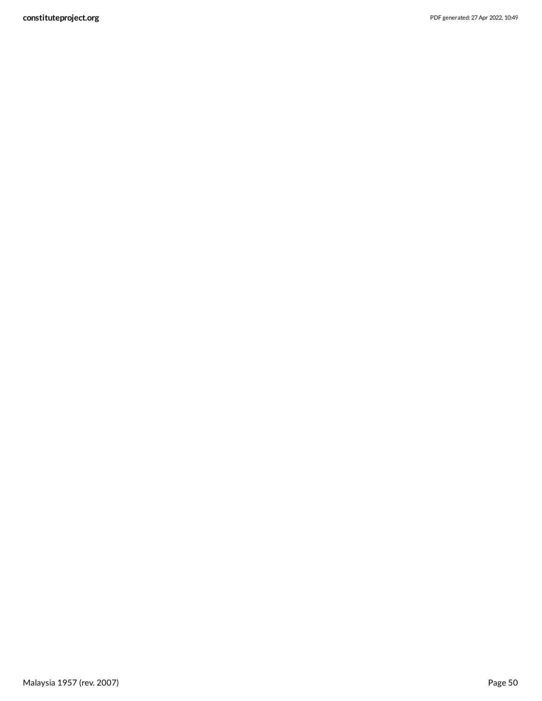**constituteproject.org** PDF generated: 27 Apr 2022, 10:49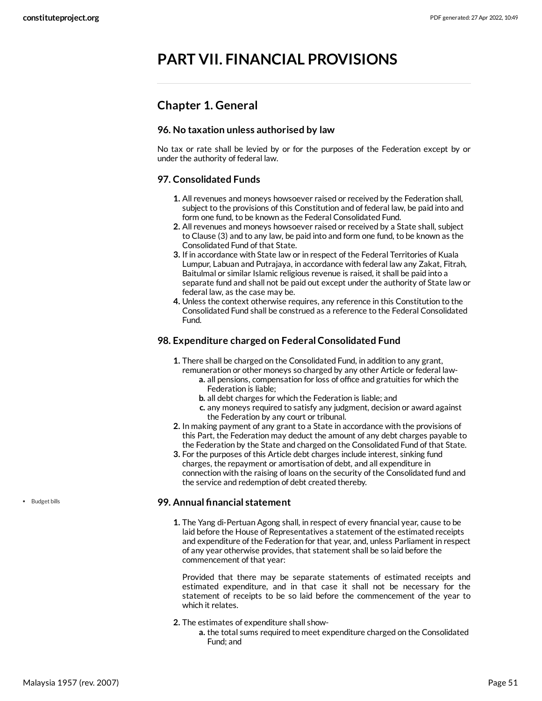# **PART VII. FINANCIAL PROVISIONS**

## **Chapter 1. General**

#### **96. No taxation unless authorised by law**

No tax or rate shall be levied by or for the purposes of the Federation except by or under the authority of federal law.

### **97. Consolidated Funds**

- **1.** All revenues and moneys howsoever raised or received by the Federation shall, subject to the provisions of this Constitution and of federal law, be paid into and form one fund, to be known as the Federal Consolidated Fund.
- **2.** All revenues and moneys howsoever raised or received by a State shall, subject to Clause (3) and to any law, be paid into and form one fund, to be known as the Consolidated Fund of that State.
- **3.** If in accordance with State law or in respect of the Federal Territories of Kuala Lumpur, Labuan and Putrajaya, in accordance with federal law any Zakat, Fitrah, Baitulmal or similar Islamic religious revenue is raised, it shall be paid into a separate fund and shall not be paid out except under the authority of State law or federal law, as the case may be.
- **4.** Unless the context otherwise requires, any reference in this Constitution to the Consolidated Fund shall be construed as a reference to the Federal Consolidated Fund.

### **98. Expenditure charged on Federal Consolidated Fund**

- **1.** There shall be charged on the Consolidated Fund, in addition to any grant, remuneration or other moneys so charged by any other Article or federal law
	- **a.** all pensions, compensation for loss of office and gratuities for which the Federation is liable;
	- **b.** all debt charges for which the Federation is liable; and
	- **c.** any moneys required to satisfy any judgment, decision or award against the Federation by any court or tribunal.
- **2.** In making payment of any grant to a State in accordance with the provisions of this Part, the Federation may deduct the amount of any debt charges payable to the Federation by the State and charged on the Consolidated Fund of that State.
- **3.** For the purposes of this Article debt charges include interest, sinking fund charges, the repayment or amortisation of debt, and all expenditure in connection with the raising of loans on the security of the Consolidated fund and the service and redemption of debt created thereby.

#### **99. Annual financial statement**

**1.** The Yang di-Pertuan Agong shall, in respect of every financial year, cause to be laid before the House of Representatives a statement of the estimated receipts and expenditure of the Federation for that year, and, unless Parliament in respect of any year otherwise provides, that statement shall be so laid before the commencement of that year:

Provided that there may be separate statements of estimated receipts and estimated expenditure, and in that case it shall not be necessary for the statement of receipts to be so laid before the commencement of the year to which it relates.

#### **2.** The estimates of expenditure shall show-

**a.** the total sums required to meet expenditure charged on the Consolidated Fund; and

Budget bills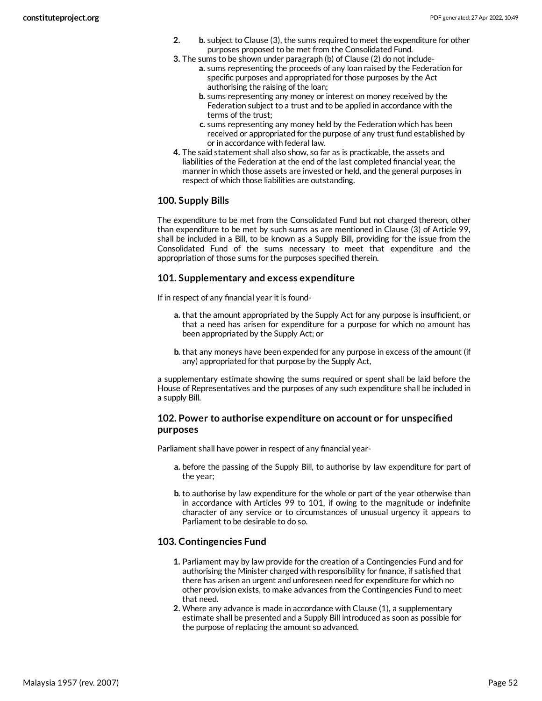- **2. b.** subject to Clause (3), the sums required to meet the expenditure for other purposes proposed to be met from the Consolidated Fund.
- **3.** The sums to be shown under paragraph (b) of Clause (2) do not include**a.** sums representing the proceeds of any loan raised by the Federation for specific purposes and appropriated for those purposes by the Act authorising the raising of the loan;
	- **b.** sums representing any money or interest on money received by the Federation subject to a trust and to be applied in accordance with the terms of the trust;
	- **c.** sums representing any money held by the Federation which has been received or appropriated for the purpose of any trust fund established by or in accordance with federal law.
- **4.** The said statement shall also show, so far as is practicable, the assets and liabilities of the Federation at the end of the last completed financial year, the manner in which those assets are invested or held, and the general purposes in respect of which those liabilities are outstanding.

### **100. Supply Bills**

The expenditure to be met from the Consolidated Fund but not charged thereon, other than expenditure to be met by such sums as are mentioned in Clause (3) of Article 99, shall be included in a Bill, to be known as a Supply Bill, providing for the issue from the Consolidated Fund of the sums necessary to meet that expenditure and the appropriation of those sums for the purposes specified therein.

### **101. Supplementary and excess expenditure**

If in respect of any financial year it is found-

- **a.** that the amount appropriated by the Supply Act for any purpose is insufficient, or that a need has arisen for expenditure for a purpose for which no amount has been appropriated by the Supply Act; or
- **b.** that any moneys have been expended for any purpose in excess of the amount (if any) appropriated for that purpose by the Supply Act,

a supplementary estimate showing the sums required or spent shall be laid before the House of Representatives and the purposes of any such expenditure shall be included in a supply Bill.

### **102. Power to authorise expenditure on account or for unspecified purposes**

Parliament shall have power in respect of any financial year-

- **a.** before the passing of the Supply Bill, to authorise by law expenditure for part of the year;
- **b.** to authorise by law expenditure for the whole or part of the year otherwise than in accordance with Articles 99 to 101, if owing to the magnitude or indefinite character of any service or to circumstances of unusual urgency it appears to Parliament to be desirable to do so.

### **103. Contingencies Fund**

- **1.** Parliament may by law provide for the creation of a Contingencies Fund and for authorising the Minister charged with responsibility for finance, if satisfied that there has arisen an urgent and unforeseen need for expenditure for which no other provision exists, to make advances from the Contingencies Fund to meet that need.
- **2.** Where any advance is made in accordance with Clause (1), a supplementary estimate shall be presented and a Supply Bill introduced as soon as possible for the purpose of replacing the amount so advanced.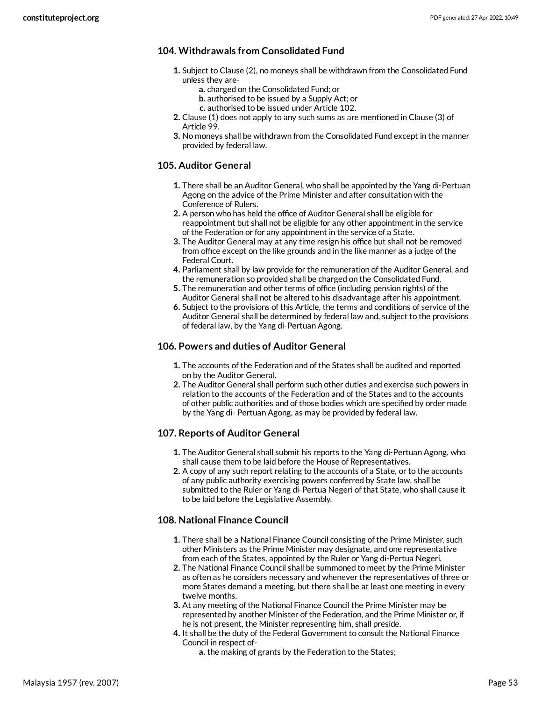### **104. Withdrawals from Consolidated Fund**

- **1.** Subject to Clause (2), no moneys shall be withdrawn from the Consolidated Fund unless they are
	- **a.** charged on the Consolidated Fund; or
	- **b.** authorised to be issued by a Supply Act; or
	- **c.** authorised to be issued under Article 102.
- **2.** Clause (1) does not apply to any such sums as are mentioned in Clause (3) of Article 99.
- **3.** No moneys shall be withdrawn from the Consolidated Fund except in the manner provided by federal law.

### **105. Auditor General**

- **1.** There shall be an Auditor General, who shall be appointed by the Yang di-Pertuan Agong on the advice of the Prime Minister and after consultation with the Conference of Rulers.
- **2.** A person who has held the office of Auditor General shall be eligible for reappointment but shall not be eligible for any other appointment in the service of the Federation or for any appointment in the service of a State.
- **3.** The Auditor General may at any time resign his office but shall not be removed from office except on the like grounds and in the like manner as a judge of the Federal Court.
- **4.** Parliament shall by law provide for the remuneration of the Auditor General, and the remuneration so provided shall be charged on the Consolidated Fund.
- **5.** The remuneration and other terms of office (including pension rights) of the Auditor General shall not be altered to his disadvantage after his appointment.
- **6.** Subject to the provisions of this Article, the terms and conditions of service of the Auditor General shall be determined by federal law and, subject to the provisions of federal law, by the Yang di-Pertuan Agong.

### **106. Powers and duties of Auditor General**

- **1.** The accounts of the Federation and of the States shall be audited and reported on by the Auditor General.
- **2.** The Auditor General shall perform such other duties and exercise such powers in relation to the accounts of the Federation and of the States and to the accounts of other public authorities and of those bodies which are specified by order made by the Yang di- Pertuan Agong, as may be provided by federal law.

### **107. Reports of Auditor General**

- **1.** The Auditor General shall submit his reports to the Yang di-Pertuan Agong, who shall cause them to be laid before the House of Representatives.
- **2.** A copy of any such report relating to the accounts of a State, or to the accounts of any public authority exercising powers conferred by State law, shall be submitted to the Ruler or Yang di-Pertua Negeri of that State, who shall cause it to be laid before the Legislative Assembly.

### **108. National Finance Council**

- **1.** There shall be a National Finance Council consisting of the Prime Minister, such other Ministers as the Prime Minister may designate, and one representative from each of the States, appointed by the Ruler or Yang di-Pertua Negeri.
- **2.** The National Finance Council shall be summoned to meet by the Prime Minister as often as he considers necessary and whenever the representatives of three or more States demand a meeting, but there shall be at least one meeting in every twelve months.
- **3.** At any meeting of the National Finance Council the Prime Minister may be represented by another Minister of the Federation, and the Prime Minister or, if he is not present, the Minister representing him, shall preside.
- **4.** It shall be the duty of the Federal Government to consult the National Finance Council in respect of-

**a.** the making of grants by the Federation to the States;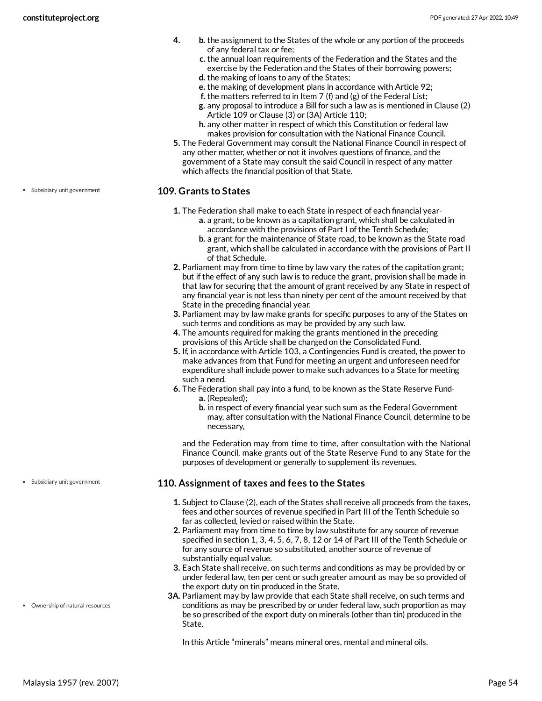- **4. b.** the assignment to the States of the whole or any portion of the proceeds of any federal tax or fee;
	- **c.** the annual loan requirements of the Federation and the States and the exercise by the Federation and the States of their borrowing powers;
	- **d.** the making of loans to any of the States;
	- **e.** the making of development plans in accordance with Article 92;
	- **f.** the matters referred to in Item 7 (f) and (g) of the Federal List;
	- **g.** any proposal to introduce a Bill for such a law as is mentioned in Clause (2) Article 109 or Clause (3) or (3A) Article 110;
	- **h.** any other matter in respect of which this Constitution or federal law makes provision for consultation with the National Finance Council.
- **5.** The Federal Government may consult the National Finance Council in respect of any other matter, whether or not it involves questions of finance, and the government of a State may consult the said Council in respect of any matter which affects the financial position of that State.

#### **109. Grants to States**

- **1.** The Federation shall make to each State in respect of each financial year
	- **a.** a grant, to be known as a capitation grant, which shall be calculated in accordance with the provisions of Part I of the Tenth Schedule;
	- **b.** a grant for the maintenance of State road, to be known as the State road grant, which shall be calculated in accordance with the provisions of Part II of that Schedule.
- **2.** Parliament may from time to time by law vary the rates of the capitation grant; but if the effect of any such law is to reduce the grant, provision shall be made in that law for securing that the amount of grant received by any State in respect of any financial year is not less than ninety per cent of the amount received by that State in the preceding financial year.
- **3.** Parliament may by law make grants for specific purposes to any of the States on such terms and conditions as may be provided by any such law.
- **4.** The amounts required for making the grants mentioned in the preceding provisions of this Article shall be charged on the Consolidated Fund.
- **5.** If, in accordance with Article 103, a Contingencies Fund is created, the power to make advances from that Fund for meeting an urgent and unforeseen need for expenditure shall include power to make such advances to a State for meeting such a need.
- **6.** The Federation shall pay into a fund, to be known as the State Reserve Fund**a.** (Repealed);
	- **b.** in respect of every financial year such sum as the Federal Government may, after consultation with the National Finance Council, determine to be necessary,

and the Federation may from time to time, after consultation with the National Finance Council, make grants out of the State Reserve Fund to any State for the purposes of development or generally to supplement its revenues.

#### **110. Assignment of taxes and fees to the States**

- **1.** Subject to Clause (2), each of the States shall receive all proceeds from the taxes, fees and other sources of revenue specified in Part III of the Tenth Schedule so far as collected, levied or raised within the State.
- **2.** Parliament may from time to time by law substitute for any source of revenue specified in section 1, 3, 4, 5, 6, 7, 8, 12 or 14 of Part III of the Tenth Schedule or for any source of revenue so substituted, another source of revenue of substantially equal value.
- **3.** Each State shall receive, on such terms and conditions as may be provided by or under federal law, ten per cent or such greater amount as may be so provided of the export duty on tin produced in the State.
- **3A.** Parliament may by law provide that each State shall receive, on such terms and conditions as may be prescribed by or under federal law, such proportion as may be so prescribed of the export duty on minerals (other than tin) produced in the State.

In this Article "minerals" means mineral ores, mental and mineral oils.

Subsidiary unit government

Subsidiary unit government

Ownership of natural resources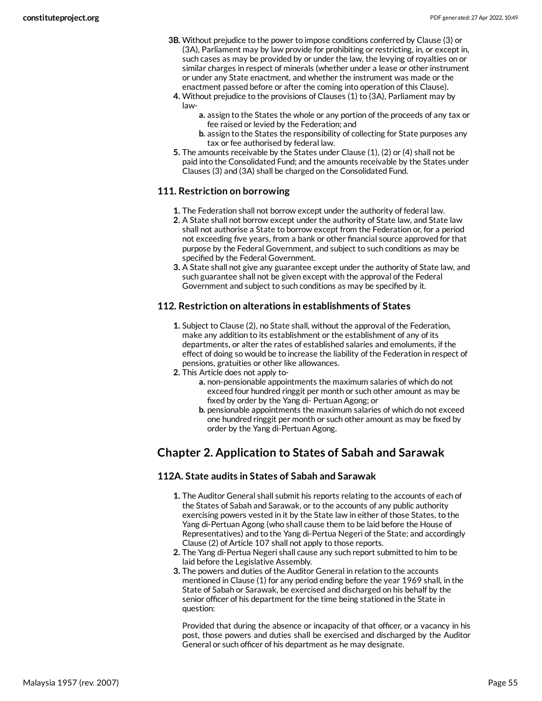- **3B.** Without prejudice to the power to impose conditions conferred by Clause (3) or (3A), Parliament may by law provide for prohibiting or restricting, in, or except in, such cases as may be provided by or under the law, the levying of royalties on or similar charges in respect of minerals (whether under a lease or other instrument or under any State enactment, and whether the instrument was made or the enactment passed before or after the coming into operation of this Clause).
- **4.** Without prejudice to the provisions of Clauses (1) to (3A), Parliament may by law
	- **a.** assign to the States the whole or any portion of the proceeds of any tax or fee raised or levied by the Federation; and
	- **b.** assign to the States the responsibility of collecting for State purposes any tax or fee authorised by federal law.
- **5.** The amounts receivable by the States under Clause (1), (2) or (4) shall not be paid into the Consolidated Fund; and the amounts receivable by the States under Clauses (3) and (3A) shall be charged on the Consolidated Fund.

### **111. Restriction on borrowing**

- **1.** The Federation shall not borrow except under the authority of federal law.
- **2.** A State shall not borrow except under the authority of State law, and State law shall not authorise a State to borrow except from the Federation or, for a period not exceeding five years, from a bank or other financial source approved for that purpose by the Federal Government, and subject to such conditions as may be specified by the Federal Government.
- **3.** A State shall not give any guarantee except under the authority of State law, and such guarantee shall not be given except with the approval of the Federal Government and subject to such conditions as may be specified by it.

### **112. Restriction on alterations in establishments of States**

- **1.** Subject to Clause (2), no State shall, without the approval of the Federation, make any addition to its establishment or the establishment of any of its departments, or alter the rates of established salaries and emoluments, if the effect of doing so would be to increase the liability of the Federation in respect of pensions, gratuities or other like allowances.
- **2.** This Article does not apply to
	- **a.** non-pensionable appointments the maximum salaries of which do not exceed four hundred ringgit per month or such other amount as may be fixed by order by the Yang di- Pertuan Agong; or
	- **b.** pensionable appointments the maximum salaries of which do not exceed one hundred ringgit per month or such other amount as may be fixed by order by the Yang di-Pertuan Agong.

## **Chapter 2. Application to States of Sabah and Sarawak**

### **112A. State audits in States of Sabah and Sarawak**

- **1.** The Auditor General shall submit his reports relating to the accounts of each of the States of Sabah and Sarawak, or to the accounts of any public authority exercising powers vested in it by the State law in either of those States, to the Yang di-Pertuan Agong (who shall cause them to be laid before the House of Representatives) and to the Yang di-Pertua Negeri of the State; and accordingly Clause (2) of Article 107 shall not apply to those reports.
- **2.** The Yang di-Pertua Negeri shall cause any such report submitted to him to be laid before the Legislative Assembly.
- **3.** The powers and duties of the Auditor General in relation to the accounts mentioned in Clause (1) for any period ending before the year 1969 shall, in the State of Sabah or Sarawak, be exercised and discharged on his behalf by the senior officer of his department for the time being stationed in the State in question:

Provided that during the absence or incapacity of that officer, or a vacancy in his post, those powers and duties shall be exercised and discharged by the Auditor General or such officer of his department as he may designate.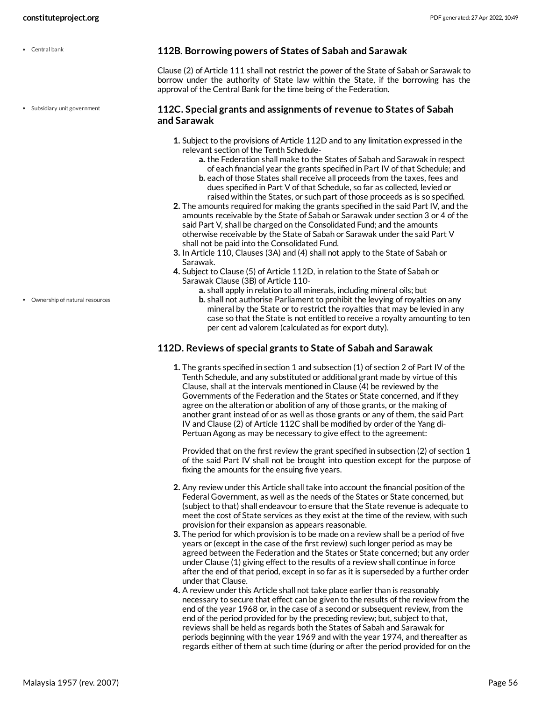Subsidiary unit government

Ownership of natural resources

#### **112B. Borrowing powers of States of Sabah and Sarawak**

Clause (2) of Article 111 shall not restrict the power of the State of Sabah or Sarawak to borrow under the authority of State law within the State, if the borrowing has the approval of the Central Bank for the time being of the Federation.

#### **112C. Special grants and assignments of revenue to States of Sabah and Sarawak**

- **1.** Subject to the provisions of Article 112D and to any limitation expressed in the relevant section of the Tenth Schedule
	- **a.** the Federation shall make to the States of Sabah and Sarawak in respect of each financial year the grants specified in Part IV of that Schedule; and
	- **b.** each of those States shall receive all proceeds from the taxes, fees and dues specified in Part V of that Schedule, so far as collected, levied or raised within the States, or such part of those proceeds as is so specified.
- **2.** The amounts required for making the grants specified in the said Part IV, and the amounts receivable by the State of Sabah or Sarawak under section 3 or 4 of the said Part V, shall be charged on the Consolidated Fund; and the amounts otherwise receivable by the State of Sabah or Sarawak under the said Part V shall not be paid into the Consolidated Fund.
- **3.** In Article 110, Clauses (3A) and (4) shall not apply to the State of Sabah or Sarawak.
- **4.** Subject to Clause (5) of Article 112D, in relation to the State of Sabah or Sarawak Clause (3B) of Article 110
	- **a.** shall apply in relation to all minerals, including mineral oils; but
	- **b.** shall not authorise Parliament to prohibit the levying of royalties on any mineral by the State or to restrict the royalties that may be levied in any case so that the State is not entitled to receive a royalty amounting to ten per cent ad valorem (calculated as for export duty).

#### **112D. Reviews of special grants to State of Sabah and Sarawak**

**1.** The grants specified in section 1 and subsection (1) of section 2 of Part IV of the Tenth Schedule, and any substituted or additional grant made by virtue of this Clause, shall at the intervals mentioned in Clause (4) be reviewed by the Governments of the Federation and the States or State concerned, and if they agree on the alteration or abolition of any of those grants, or the making of another grant instead of or as well as those grants or any of them, the said Part IV and Clause (2) of Article 112C shall be modified by order of the Yang di-Pertuan Agong as may be necessary to give effect to the agreement:

Provided that on the first review the grant specified in subsection (2) of section 1 of the said Part IV shall not be brought into question except for the purpose of fixing the amounts for the ensuing five years.

- **2.** Any review under this Article shall take into account the financial position of the Federal Government, as well as the needs of the States or State concerned, but (subject to that) shall endeavour to ensure that the State revenue is adequate to meet the cost of State services as they exist at the time of the review, with such provision for their expansion as appears reasonable.
- **3.** The period for which provision is to be made on a review shall be a period of five years or (except in the case of the first review) such longer period as may be agreed between the Federation and the States or State concerned; but any order under Clause (1) giving effect to the results of a review shall continue in force after the end of that period, except in so far as it is superseded by a further order under that Clause.
- **4.** A review under this Article shall not take place earlier than is reasonably necessary to secure that effect can be given to the results of the review from the end of the year 1968 or, in the case of a second or subsequent review, from the end of the period provided for by the preceding review; but, subject to that, reviews shall be held as regards both the States of Sabah and Sarawak for periods beginning with the year 1969 and with the year 1974, and thereafter as regards either of them at such time (during or after the period provided for on the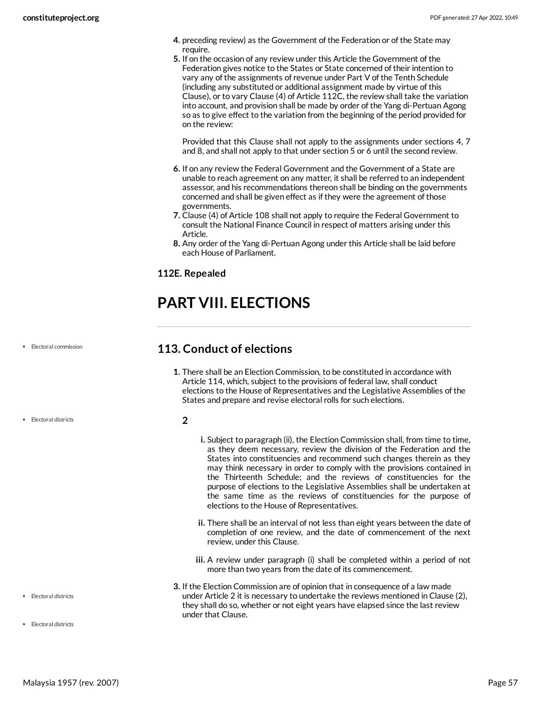- **4.** preceding review) as the Government of the Federation or of the State may require.
- **5.** If on the occasion of any review under this Article the Government of the Federation gives notice to the States or State concerned of their intention to vary any of the assignments of revenue under Part V of the Tenth Schedule (including any substituted or additional assignment made by virtue of this Clause), or to vary Clause (4) of Article 112C, the review shall take the variation into account, and provision shall be made by order of the Yang di-Pertuan Agong so as to give effect to the variation from the beginning of the period provided for on the review:

Provided that this Clause shall not apply to the assignments under sections 4, 7 and 8, and shall not apply to that under section 5 or 6 until the second review.

- **6.** If on any review the Federal Government and the Government of a State are unable to reach agreement on any matter, it shall be referred to an independent assessor, and his recommendations thereon shall be binding on the governments concerned and shall be given effect as if they were the agreement of those governments.
- **7.** Clause (4) of Article 108 shall not apply to require the Federal Government to consult the National Finance Council in respect of matters arising under this Article.
- **8.** Any order of the Yang di-Pertuan Agong under this Article shall be laid before each House of Parliament.

### **112E. Repealed**

# **PART VIII. ELECTIONS**

## **113. Conduct of elections**

**1.** There shall be an Election Commission, to be constituted in accordance with Article 114, which, subject to the provisions of federal law, shall conduct elections to the House of Representatives and the Legislative Assemblies of the States and prepare and revise electoral rolls for such elections.

#### **2**

- **i.** Subject to paragraph (ii), the Election Commission shall, from time to time, as they deem necessary, review the division of the Federation and the States into constituencies and recommend such changes therein as they may think necessary in order to comply with the provisions contained in the Thirteenth Schedule; and the reviews of constituencies for the purpose of elections to the Legislative Assemblies shall be undertaken at the same time as the reviews of constituencies for the purpose of elections to the House of Representatives.
- **ii.** There shall be an interval of not less than eight years between the date of completion of one review, and the date of commencement of the next review, under this Clause.
- **iii.** A review under paragraph (i) shall be completed within a period of not more than two years from the date of its commencement.
- **3.** If the Election Commission are of opinion that in consequence of a law made under Article 2 it is necessary to undertake the reviews mentioned in Clause (2), they shall do so, whether or not eight years have elapsed since the last review under that Clause.

• Electoral commission

Electoral districts

- Electoral districts
- Electoral districts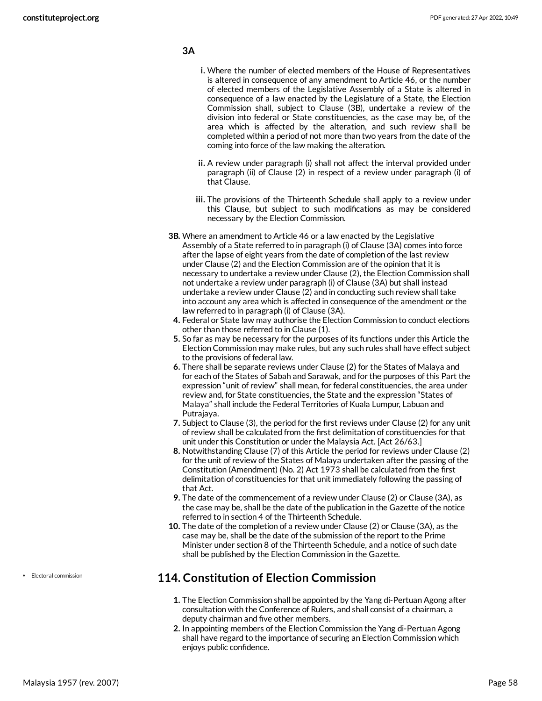**3A**

- **i.** Where the number of elected members of the House of Representatives is altered in consequence of any amendment to Article 46, or the number of elected members of the Legislative Assembly of a State is altered in consequence of a law enacted by the Legislature of a State, the Election Commission shall, subject to Clause (3B), undertake a review of the division into federal or State constituencies, as the case may be, of the area which is affected by the alteration, and such review shall be completed within a period of not more than two years from the date of the coming into force of the law making the alteration.
- **ii.** A review under paragraph (i) shall not affect the interval provided under paragraph (ii) of Clause (2) in respect of a review under paragraph (i) of that Clause.
- **iii.** The provisions of the Thirteenth Schedule shall apply to a review under this Clause, but subject to such modifications as may be considered necessary by the Election Commission.
- **3B.** Where an amendment to Article 46 or a law enacted by the Legislative Assembly of a State referred to in paragraph (i) of Clause (3A) comes into force after the lapse of eight years from the date of completion of the last review under Clause (2) and the Election Commission are of the opinion that it is necessary to undertake a review under Clause (2), the Election Commission shall not undertake a review under paragraph (i) of Clause (3A) but shall instead undertake a review under Clause (2) and in conducting such review shall take into account any area which is affected in consequence of the amendment or the law referred to in paragraph (i) of Clause (3A).
- **4.** Federal or State law may authorise the Election Commission to conduct elections other than those referred to in Clause (1).
- **5.** So far as may be necessary for the purposes of its functions under this Article the Election Commission may make rules, but any such rules shall have effect subject to the provisions of federal law.
- **6.** There shall be separate reviews under Clause (2) for the States of Malaya and for each of the States of Sabah and Sarawak, and for the purposes of this Part the expression "unit of review" shall mean, for federal constituencies, the area under review and, for State constituencies, the State and the expression "States of Malaya" shall include the Federal Territories of Kuala Lumpur, Labuan and Putrajaya.
- **7.** Subject to Clause (3), the period for the first reviews under Clause (2) for any unit of review shall be calculated from the first delimitation of constituencies for that unit under this Constitution or under the Malaysia Act. [Act 26/63.]
- **8.** Notwithstanding Clause (7) of this Article the period for reviews under Clause (2) for the unit of review of the States of Malaya undertaken after the passing of the Constitution (Amendment) (No. 2) Act 1973 shall be calculated from the first delimitation of constituencies for that unit immediately following the passing of that Act.
- **9.** The date of the commencement of a review under Clause (2) or Clause (3A), as the case may be, shall be the date of the publication in the Gazette of the notice referred to in section 4 of the Thirteenth Schedule.
- **10.** The date of the completion of a review under Clause (2) or Clause (3A), as the case may be, shall be the date of the submission of the report to the Prime Minister under section 8 of the Thirteenth Schedule, and a notice of such date shall be published by the Election Commission in the Gazette.

## **114. Constitution of Election Commission**

- **1.** The Election Commission shall be appointed by the Yang di-Pertuan Agong after consultation with the Conference of Rulers, and shall consist of a chairman, a deputy chairman and five other members.
- **2.** In appointing members of the Election Commission the Yang di-Pertuan Agong shall have regard to the importance of securing an Election Commission which enjoys public confidence.

Electoral commission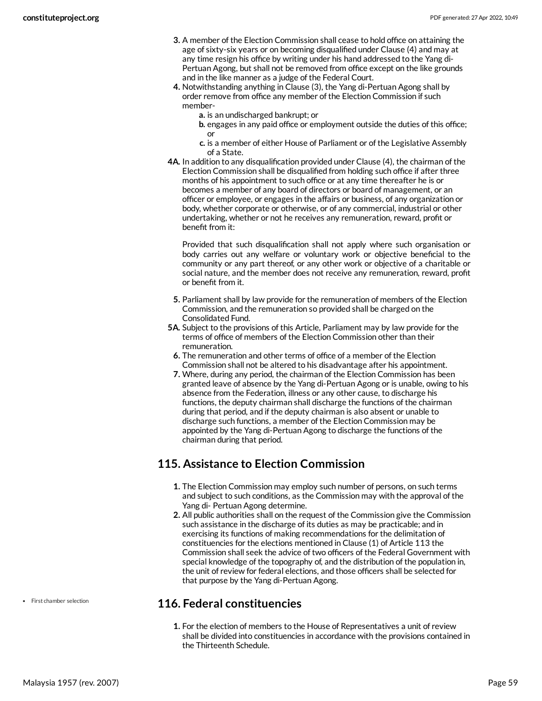- **3.** A member of the Election Commission shall cease to hold office on attaining the age of sixty-six years or on becoming disqualified under Clause (4) and may at any time resign his office by writing under his hand addressed to the Yang di-Pertuan Agong, but shall not be removed from office except on the like grounds and in the like manner as a judge of the Federal Court.
- **4.** Notwithstanding anything in Clause (3), the Yang di-Pertuan Agong shall by order remove from office any member of the Election Commission if such member
	- **a.** is an undischarged bankrupt; or
	- **b.** engages in any paid office or employment outside the duties of this office; or
	- **c.** is a member of either House of Parliament or of the Legislative Assembly of a State.
- **4A.** In addition to any disqualification provided under Clause (4), the chairman of the Election Commission shall be disqualified from holding such office if after three months of his appointment to such office or at any time thereafter he is or becomes a member of any board of directors or board of management, or an officer or employee, or engages in the affairs or business, of any organization or body, whether corporate or otherwise, or of any commercial, industrial or other undertaking, whether or not he receives any remuneration, reward, profit or benefit from it:

Provided that such disqualification shall not apply where such organisation or body carries out any welfare or voluntary work or objective beneficial to the community or any part thereof, or any other work or objective of a charitable or social nature, and the member does not receive any remuneration, reward, profit or benefit from it.

- **5.** Parliament shall by law provide for the remuneration of members of the Election Commission, and the remuneration so provided shall be charged on the Consolidated Fund.
- **5A.** Subject to the provisions of this Article, Parliament may by law provide for the terms of office of members of the Election Commission other than their remuneration.
- **6.** The remuneration and other terms of office of a member of the Election Commission shall not be altered to his disadvantage after his appointment.
- **7.** Where, during any period, the chairman of the Election Commission has been granted leave of absence by the Yang di-Pertuan Agong or is unable, owing to his absence from the Federation, illness or any other cause, to discharge his functions, the deputy chairman shall discharge the functions of the chairman during that period, and if the deputy chairman is also absent or unable to discharge such functions, a member of the Election Commission may be appointed by the Yang di-Pertuan Agong to discharge the functions of the chairman during that period.

## **115. Assistance to Election Commission**

- **1.** The Election Commission may employ such number of persons, on such terms and subject to such conditions, as the Commission may with the approval of the Yang di- Pertuan Agong determine.
- **2.** All public authorities shall on the request of the Commission give the Commission such assistance in the discharge of its duties as may be practicable; and in exercising its functions of making recommendations for the delimitation of constituencies for the elections mentioned in Clause (1) of Article 113 the Commission shall seek the advice of two officers of the Federal Government with special knowledge of the topography of, and the distribution of the population in, the unit of review for federal elections, and those officers shall be selected for that purpose by the Yang di-Pertuan Agong.

## **116. Federal constituencies**

**1.** For the election of members to the House of Representatives a unit of review shall be divided into constituencies in accordance with the provisions contained in the Thirteenth Schedule.

• First chamber selection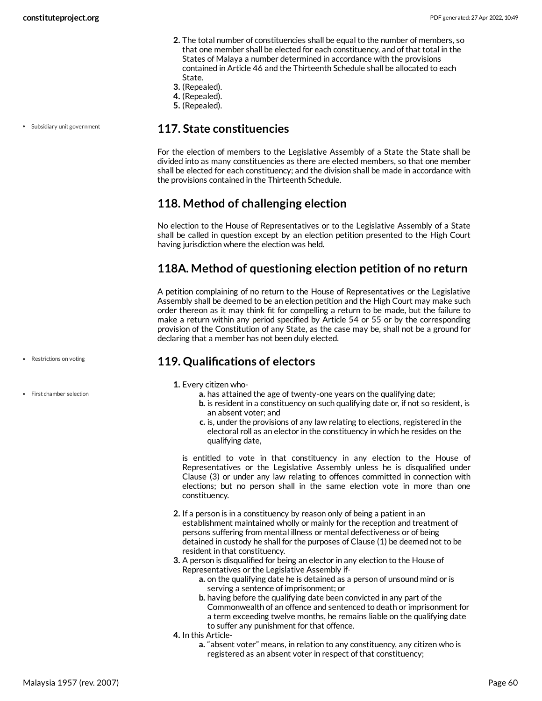- **2.** The total number of constituencies shall be equal to the number of members, so that one member shall be elected for each constituency, and of that total in the States of Malaya a number determined in accordance with the provisions contained in Article 46 and the Thirteenth Schedule shall be allocated to each State.
- **3.** (Repealed).
- **4.** (Repealed).
- **5.** (Repealed).

### **117. State constituencies**

For the election of members to the Legislative Assembly of a State the State shall be divided into as many constituencies as there are elected members, so that one member shall be elected for each constituency; and the division shall be made in accordance with the provisions contained in the Thirteenth Schedule.

## **118. Method of challenging election**

No election to the House of Representatives or to the Legislative Assembly of a State shall be called in question except by an election petition presented to the High Court having jurisdiction where the election was held.

## **118A. Method of questioning election petition of no return**

A petition complaining of no return to the House of Representatives or the Legislative Assembly shall be deemed to be an election petition and the High Court may make such order thereon as it may think fit for compelling a return to be made, but the failure to make a return within any period specified by Article 54 or 55 or by the corresponding provision of the Constitution of any State, as the case may be, shall not be a ground for declaring that a member has not been duly elected.

## **119. Qualifications of electors**

**1.** Every citizen who-

- **a.** has attained the age of twenty-one years on the qualifying date;
- **b.** is resident in a constituency on such qualifying date or, if not so resident, is an absent voter; and
- **c.** is, under the provisions of any law relating to elections, registered in the electoral roll as an elector in the constituency in which he resides on the qualifying date,

is entitled to vote in that constituency in any election to the House of Representatives or the Legislative Assembly unless he is disqualified under Clause (3) or under any law relating to offences committed in connection with elections; but no person shall in the same election vote in more than one constituency.

- **2.** If a person is in a constituency by reason only of being a patient in an establishment maintained wholly or mainly for the reception and treatment of persons suffering from mental illness or mental defectiveness or of being detained in custody he shall for the purposes of Clause (1) be deemed not to be resident in that constituency.
- **3.** A person is disqualified for being an elector in any election to the House of Representatives or the Legislative Assembly if
	- **a.** on the qualifying date he is detained as a person of unsound mind or is serving a sentence of imprisonment; or
	- **b.** having before the qualifying date been convicted in any part of the Commonwealth of an offence and sentenced to death or imprisonment for a term exceeding twelve months, he remains liable on the qualifying date to suffer any punishment for that offence.
- **4.** In this Article
	- **a.** "absent voter" means, in relation to any constituency, any citizen who is registered as an absent voter in respect of that constituency;

Subsidiary unit government

- Restrictions on voting
- First chamber selection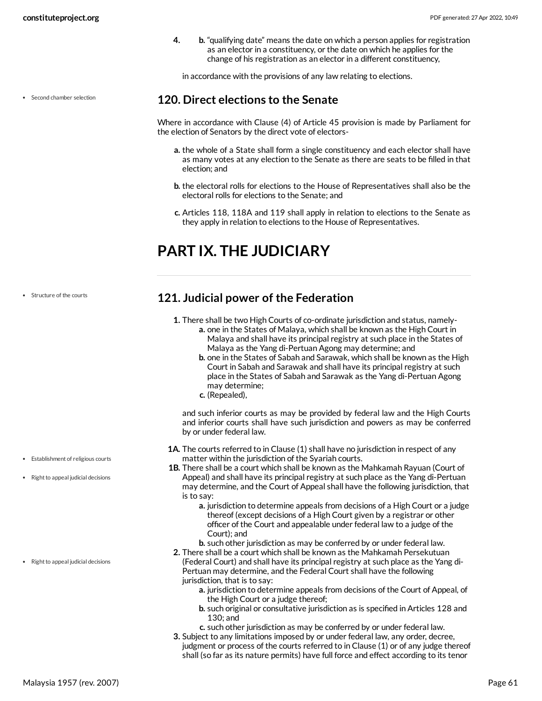Second chamber selection

**4. b.** "qualifying date" means the date on which a person applies for registration as an elector in a constituency, or the date on which he applies for the change of his registration as an elector in a different constituency,

in accordance with the provisions of any law relating to elections.

#### **120. Direct elections to the Senate**

Where in accordance with Clause (4) of Article 45 provision is made by Parliament for the election of Senators by the direct vote of electors-

- **a.** the whole of a State shall form a single constituency and each elector shall have as many votes at any election to the Senate as there are seats to be filled in that election; and
- **b.** the electoral rolls for elections to the House of Representatives shall also be the electoral rolls for elections to the Senate; and
- **c.** Articles 118, 118A and 119 shall apply in relation to elections to the Senate as they apply in relation to elections to the House of Representatives.

# **PART IX. THE JUDICIARY**

Structure of the courts

#### Establishment of religious courts

• Right to appeal judicial decisions

• Right to appeal judicial decisions

### **121. Judicial power of the Federation**

- **1.** There shall be two High Courts of co-ordinate jurisdiction and status, namely
	- **a.** one in the States of Malaya, which shall be known as the High Court in Malaya and shall have its principal registry at such place in the States of Malaya as the Yang di-Pertuan Agong may determine; and
		- **b.** one in the States of Sabah and Sarawak, which shall be known as the High Court in Sabah and Sarawak and shall have its principal registry at such place in the States of Sabah and Sarawak as the Yang di-Pertuan Agong may determine;
		- **c.** (Repealed),

and such inferior courts as may be provided by federal law and the High Courts and inferior courts shall have such jurisdiction and powers as may be conferred by or under federal law.

- **1A.** The courts referred to in Clause (1) shall have no jurisdiction in respect of any matter within the jurisdiction of the Syariah courts.
- **1B.** There shall be a court which shall be known as the Mahkamah Rayuan (Court of Appeal) and shall have its principal registry at such place as the Yang di-Pertuan may determine, and the Court of Appeal shall have the following jurisdiction, that is to say:
	- **a.** jurisdiction to determine appeals from decisions of a High Court or a judge thereof (except decisions of a High Court given by a registrar or other officer of the Court and appealable under federal law to a judge of the Court); and
	- **b.** such other jurisdiction as may be conferred by or under federal law.
- **2.** There shall be a court which shall be known as the Mahkamah Persekutuan (Federal Court) and shall have its principal registry at such place as the Yang di-Pertuan may determine, and the Federal Court shall have the following jurisdiction, that is to say:
	- **a.** jurisdiction to determine appeals from decisions of the Court of Appeal, of the High Court or a judge thereof;
	- **b.** such original or consultative jurisdiction as is specified in Articles 128 and 130; and
	- **c.** such other jurisdiction as may be conferred by or under federal law.
- **3.** Subject to any limitations imposed by or under federal law, any order, decree, judgment or process of the courts referred to in Clause (1) or of any judge thereof shall (so far as its nature permits) have full force and effect according to its tenor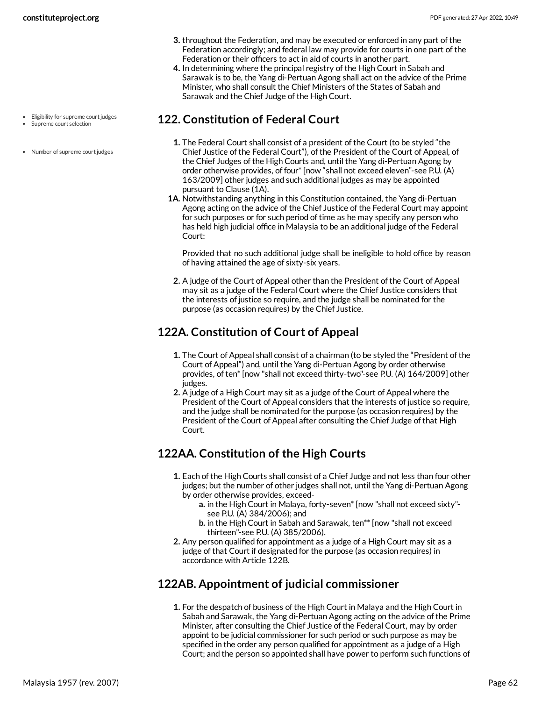- **3.** throughout the Federation, and may be executed or enforced in any part of the Federation accordingly; and federal law may provide for courts in one part of the Federation or their officers to act in aid of courts in another part.
- **4.** In determining where the principal registry of the High Court in Sabah and Sarawak is to be, the Yang di-Pertuan Agong shall act on the advice of the Prime Minister, who shall consult the Chief Ministers of the States of Sabah and Sarawak and the Chief Judge of the High Court.

## **122. Constitution of Federal Court**

- **1.** The Federal Court shall consist of a president of the Court (to be styled "the Chief Justice of the Federal Court"), of the President of the Court of Appeal, of the Chief Judges of the High Courts and, until the Yang di-Pertuan Agong by order otherwise provides, of four\* [now "shall not exceed eleven"-see P.U. (A) 163/2009] other judges and such additional judges as may be appointed pursuant to Clause (1A).
- **1A.** Notwithstanding anything in this Constitution contained, the Yang di-Pertuan Agong acting on the advice of the Chief Justice of the Federal Court may appoint for such purposes or for such period of time as he may specify any person who has held high judicial office in Malaysia to be an additional judge of the Federal Court:

Provided that no such additional judge shall be ineligible to hold office by reason of having attained the age of sixty-six years.

**2.** A judge of the Court of Appeal other than the President of the Court of Appeal may sit as a judge of the Federal Court where the Chief Justice considers that the interests of justice so require, and the judge shall be nominated for the purpose (as occasion requires) by the Chief Justice.

## **122A. Constitution of Court of Appeal**

- **1.** The Court of Appeal shall consist of a chairman (to be styled the "President of the Court of Appeal") and, until the Yang di-Pertuan Agong by order otherwise provides, of ten\* [now "shall not exceed thirty-two"-see P.U. (A) 164/2009] other judges.
- **2.** A judge of a High Court may sit as a judge of the Court of Appeal where the President of the Court of Appeal considers that the interests of justice so require, and the judge shall be nominated for the purpose (as occasion requires) by the President of the Court of Appeal after consulting the Chief Judge of that High Court.

## **122AA. Constitution of the High Courts**

- **1.** Each of the High Courts shall consist of a Chief Judge and not less than four other judges; but the number of other judges shall not, until the Yang di-Pertuan Agong by order otherwise provides, exceed
	- **a.** in the High Court in Malaya, forty-seven\* [now "shall not exceed sixty" see P.U. (A) 384/2006); and
	- **b.** in the High Court in Sabah and Sarawak, ten\*\* [now "shall not exceed thirteen"-see P.U. (A) 385/2006).
- **2.** Any person qualified for appointment as a judge of a High Court may sit as a judge of that Court if designated for the purpose (as occasion requires) in accordance with Article 122B.

## **122AB. Appointment of judicial commissioner**

**1.** For the despatch of business of the High Court in Malaya and the High Court in Sabah and Sarawak, the Yang di-Pertuan Agong acting on the advice of the Prime Minister, after consulting the Chief Justice of the Federal Court, may by order appoint to be judicial commissioner for such period or such purpose as may be specified in the order any person qualified for appointment as a judge of a High Court; and the person so appointed shall have power to perform such functions of

Eligibility for supreme court judges Supreme court selection

• Number of supreme court judges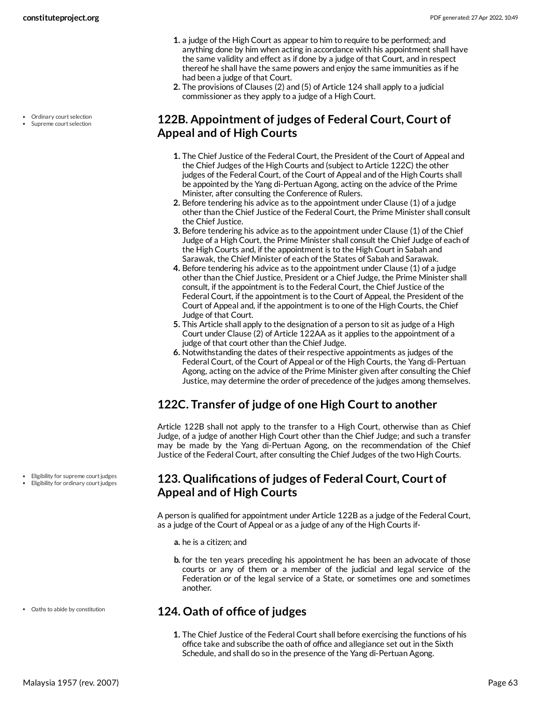- **1.** a judge of the High Court as appear to him to require to be performed; and anything done by him when acting in accordance with his appointment shall have the same validity and effect as if done by a judge of that Court, and in respect thereof he shall have the same powers and enjoy the same immunities as if he had been a judge of that Court.
- **2.** The provisions of Clauses (2) and (5) of Article 124 shall apply to a judicial commissioner as they apply to a judge of a High Court.

## **122B. Appointment of judges of Federal Court, Court of Appeal and of High Courts**

- **1.** The Chief Justice of the Federal Court, the President of the Court of Appeal and the Chief Judges of the High Courts and (subject to Article 122C) the other judges of the Federal Court, of the Court of Appeal and of the High Courts shall be appointed by the Yang di-Pertuan Agong, acting on the advice of the Prime Minister, after consulting the Conference of Rulers.
- **2.** Before tendering his advice as to the appointment under Clause (1) of a judge other than the Chief Justice of the Federal Court, the Prime Minister shall consult the Chief Justice.
- **3.** Before tendering his advice as to the appointment under Clause (1) of the Chief Judge of a High Court, the Prime Minister shall consult the Chief Judge of each of the High Courts and, if the appointment is to the High Court in Sabah and Sarawak, the Chief Minister of each of the States of Sabah and Sarawak.
- **4.** Before tendering his advice as to the appointment under Clause (1) of a judge other than the Chief Justice, President or a Chief Judge, the Prime Minister shall consult, if the appointment is to the Federal Court, the Chief Justice of the Federal Court, if the appointment is to the Court of Appeal, the President of the Court of Appeal and, if the appointment is to one of the High Courts, the Chief Judge of that Court.
- **5.** This Article shall apply to the designation of a person to sit as judge of a High Court under Clause (2) of Article 122AA as it applies to the appointment of a judge of that court other than the Chief Judge.
- **6.** Notwithstanding the dates of their respective appointments as judges of the Federal Court, of the Court of Appeal or of the High Courts, the Yang di-Pertuan Agong, acting on the advice of the Prime Minister given after consulting the Chief Justice, may determine the order of precedence of the judges among themselves.

## **122C. Transfer of judge of one High Court to another**

Article 122B shall not apply to the transfer to a High Court, otherwise than as Chief Judge, of a judge of another High Court other than the Chief Judge; and such a transfer may be made by the Yang di-Pertuan Agong, on the recommendation of the Chief Justice of the Federal Court, after consulting the Chief Judges of the two High Courts.

## **123. Qualifications of judges of Federal Court, Court of Appeal and of High Courts**

A person is qualified for appointment under Article 122B as a judge of the Federal Court, as a judge of the Court of Appeal or as a judge of any of the High Courts if-

- **a.** he is a citizen; and
- **b.** for the ten years preceding his appointment he has been an advocate of those courts or any of them or a member of the judicial and legal service of the Federation or of the legal service of a State, or sometimes one and sometimes another.

## **124. Oath of office of judges**

**1.** The Chief Justice of the Federal Court shall before exercising the functions of his office take and subscribe the oath of office and allegiance set out in the Sixth Schedule, and shall do so in the presence of the Yang di-Pertuan Agong.

Ordinary court selection

Supreme court selection

Eligibility for supreme court judges

• Eligibility for ordinary court judges

Oaths to abide by constitution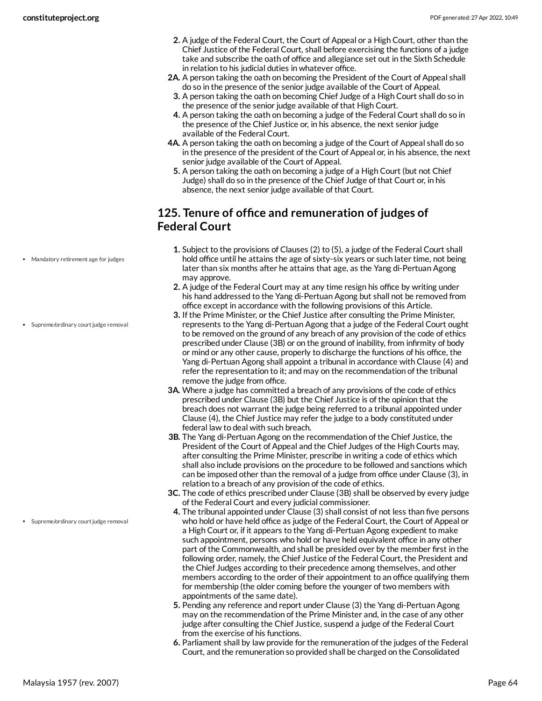- **2.** A judge of the Federal Court, the Court of Appeal or a High Court, other than the Chief Justice of the Federal Court, shall before exercising the functions of a judge take and subscribe the oath of office and allegiance set out in the Sixth Schedule in relation to his judicial duties in whatever office.
- **2A.** A person taking the oath on becoming the President of the Court of Appeal shall do so in the presence of the senior judge available of the Court of Appeal.
- **3.** A person taking the oath on becoming Chief Judge of a High Court shall do so in the presence of the senior judge available of that High Court.
- **4.** A person taking the oath on becoming a judge of the Federal Court shall do so in the presence of the Chief Justice or, in his absence, the next senior judge available of the Federal Court.
- **4A.** A person taking the oath on becoming a judge of the Court of Appeal shall do so in the presence of the president of the Court of Appeal or, in his absence, the next senior judge available of the Court of Appeal.
- **5.** A person taking the oath on becoming a judge of a High Court (but not Chief Judge) shall do so in the presence of the Chief Judge of that Court or, in his absence, the next senior judge available of that Court.

## **125. Tenure of office and remuneration of judges of Federal Court**

- Mandatory retirement age for judges
- Supreme/ordinary court judge removal
- 

• Supreme/ordinary court judge removal

- **1.** Subject to the provisions of Clauses (2) to (5), a judge of the Federal Court shall hold office until he attains the age of sixty-six years or such later time, not being later than six months after he attains that age, as the Yang di-Pertuan Agong may approve.
- **2.** A judge of the Federal Court may at any time resign his office by writing under his hand addressed to the Yang di-Pertuan Agong but shall not be removed from office except in accordance with the following provisions of this Article.
- **3.** If the Prime Minister, or the Chief Justice after consulting the Prime Minister, represents to the Yang di-Pertuan Agong that a judge of the Federal Court ought to be removed on the ground of any breach of any provision of the code of ethics prescribed under Clause (3B) or on the ground of inability, from infirmity of body or mind or any other cause, properly to discharge the functions of his office, the Yang di-Pertuan Agong shall appoint a tribunal in accordance with Clause (4) and refer the representation to it; and may on the recommendation of the tribunal remove the judge from office.
- **3A.** Where a judge has committed a breach of any provisions of the code of ethics prescribed under Clause (3B) but the Chief Justice is of the opinion that the breach does not warrant the judge being referred to a tribunal appointed under Clause (4), the Chief Justice may refer the judge to a body constituted under federal law to deal with such breach.
- **3B.** The Yang di-Pertuan Agong on the recommendation of the Chief Justice, the President of the Court of Appeal and the Chief Judges of the High Courts may, after consulting the Prime Minister, prescribe in writing a code of ethics which shall also include provisions on the procedure to be followed and sanctions which can be imposed other than the removal of a judge from office under Clause (3), in relation to a breach of any provision of the code of ethics.
- **3C.** The code of ethics prescribed under Clause (3B) shall be observed by every judge of the Federal Court and every judicial commissioner.
- **4.** The tribunal appointed under Clause (3) shall consist of not less than five persons who hold or have held office as judge of the Federal Court, the Court of Appeal or a High Court or, if it appears to the Yang di-Pertuan Agong expedient to make such appointment, persons who hold or have held equivalent office in any other part of the Commonwealth, and shall be presided over by the member first in the following order, namely, the Chief Justice of the Federal Court, the President and the Chief Judges according to their precedence among themselves, and other members according to the order of their appointment to an office qualifying them for membership (the older coming before the younger of two members with appointments of the same date).
- **5.** Pending any reference and report under Clause (3) the Yang di-Pertuan Agong may on the recommendation of the Prime Minister and, in the case of any other judge after consulting the Chief Justice, suspend a judge of the Federal Court from the exercise of his functions.
- **6.** Parliament shall by law provide for the remuneration of the judges of the Federal Court, and the remuneration so provided shall be charged on the Consolidated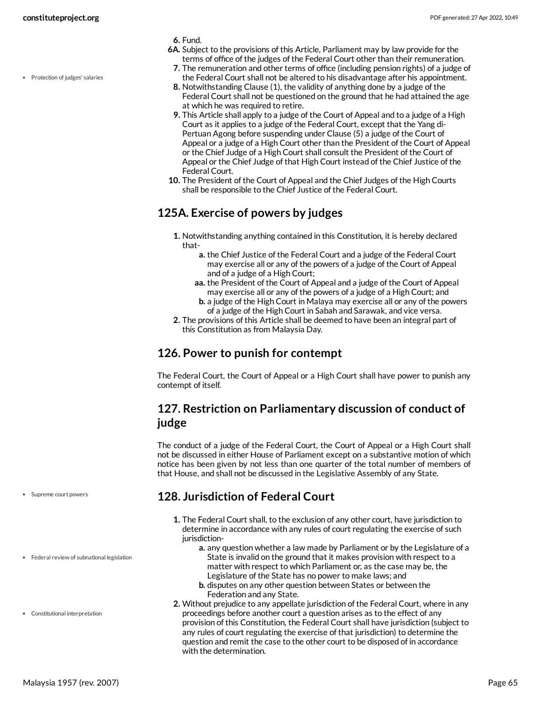- **6.** Fund.
- **6A.** Subject to the provisions of this Article, Parliament may by law provide for the terms of office of the judges of the Federal Court other than their remuneration.
- **7.** The remuneration and other terms of office (including pension rights) of a judge of the Federal Court shall not be altered to his disadvantage after his appointment.
- **8.** Notwithstanding Clause (1), the validity of anything done by a judge of the Federal Court shall not be questioned on the ground that he had attained the age at which he was required to retire.
- **9.** This Article shall apply to a judge of the Court of Appeal and to a judge of a High Court as it applies to a judge of the Federal Court, except that the Yang di-Pertuan Agong before suspending under Clause (5) a judge of the Court of Appeal or a judge of a High Court other than the President of the Court of Appeal or the Chief Judge of a High Court shall consult the President of the Court of Appeal or the Chief Judge of that High Court instead of the Chief Justice of the Federal Court.
- **10.** The President of the Court of Appeal and the Chief Judges of the High Courts shall be responsible to the Chief Justice of the Federal Court.

## **125A. Exercise of powers by judges**

- **1.** Notwithstanding anything contained in this Constitution, it is hereby declared that
	- **a.** the Chief Justice of the Federal Court and a judge of the Federal Court may exercise all or any of the powers of a judge of the Court of Appeal and of a judge of a High Court;
	- **aa.** the President of the Court of Appeal and a judge of the Court of Appeal may exercise all or any of the powers of a judge of a High Court; and
	- **b.** a judge of the High Court in Malaya may exercise all or any of the powers of a judge of the High Court in Sabah and Sarawak, and vice versa.
- **2.** The provisions of this Article shall be deemed to have been an integral part of this Constitution as from Malaysia Day.

## **126. Power to punish for contempt**

The Federal Court, the Court of Appeal or a High Court shall have power to punish any contempt of itself.

## **127. Restriction on Parliamentary discussion of conduct of judge**

The conduct of a judge of the Federal Court, the Court of Appeal or a High Court shall not be discussed in either House of Parliament except on a substantive motion of which notice has been given by not less than one quarter of the total number of members of that House, and shall not be discussed in the Legislative Assembly of any State.

## **128. Jurisdiction of Federal Court**

- **1.** The Federal Court shall, to the exclusion of any other court, have jurisdiction to determine in accordance with any rules of court regulating the exercise of such jurisdiction
	- **a.** any question whether a law made by Parliament or by the Legislature of a State is invalid on the ground that it makes provision with respect to a matter with respect to which Parliament or, as the case may be, the Legislature of the State has no power to make laws; and
	- **b.** disputes on any other question between States or between the Federation and any State.
- **2.** Without prejudice to any appellate jurisdiction of the Federal Court, where in any proceedings before another court a question arises as to the effect of any provision of this Constitution, the Federal Court shall have jurisdiction (subject to any rules of court regulating the exercise of that jurisdiction) to determine the question and remit the case to the other court to be disposed of in accordance with the determination.

• Protection of judges' salaries

- Supreme court powers
- Federal review of subnational legislation
- Constitutional interpretation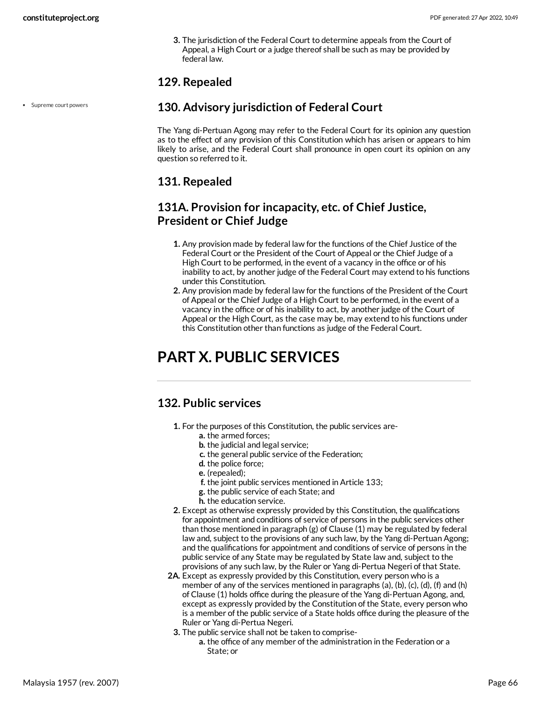**3.** The jurisdiction of the Federal Court to determine appeals from the Court of Appeal, a High Court or a judge thereof shall be such as may be provided by federal law.

## **129. Repealed**

Supreme court powers

### **130. Advisory jurisdiction of Federal Court**

The Yang di-Pertuan Agong may refer to the Federal Court for its opinion any question as to the effect of any provision of this Constitution which has arisen or appears to him likely to arise, and the Federal Court shall pronounce in open court its opinion on any question so referred to it.

## **131. Repealed**

## **131A. Provision for incapacity, etc. of Chief Justice, President or Chief Judge**

- **1.** Any provision made by federal law for the functions of the Chief Justice of the Federal Court or the President of the Court of Appeal or the Chief Judge of a High Court to be performed, in the event of a vacancy in the office or of his inability to act, by another judge of the Federal Court may extend to his functions under this Constitution.
- **2.** Any provision made by federal law for the functions of the President of the Court of Appeal or the Chief Judge of a High Court to be performed, in the event of a vacancy in the office or of his inability to act, by another judge of the Court of Appeal or the High Court, as the case may be, may extend to his functions under this Constitution other than functions as judge of the Federal Court.

# **PART X. PUBLIC SERVICES**

## **132. Public services**

- **1.** For the purposes of this Constitution, the public services are
	- **a.** the armed forces;
		- **b.** the judicial and legal service;
		- **c.** the general public service of the Federation;
		- **d.** the police force;
		- **e.** (repealed);
		- **f.** the joint public services mentioned in Article 133;
		- **g.** the public service of each State; and
		- **h.** the education service.
- **2.** Except as otherwise expressly provided by this Constitution, the qualifications for appointment and conditions of service of persons in the public services other than those mentioned in paragraph (g) of Clause (1) may be regulated by federal law and, subject to the provisions of any such law, by the Yang di-Pertuan Agong; and the qualifications for appointment and conditions of service of persons in the public service of any State may be regulated by State law and, subject to the provisions of any such law, by the Ruler or Yang di-Pertua Negeri of that State.
- **2A.** Except as expressly provided by this Constitution, every person who is a member of any of the services mentioned in paragraphs (a), (b), (c), (d), (f) and (h) of Clause (1) holds office during the pleasure of the Yang di-Pertuan Agong, and, except as expressly provided by the Constitution of the State, every person who is a member of the public service of a State holds office during the pleasure of the Ruler or Yang di-Pertua Negeri.
- **3.** The public service shall not be taken to comprise
	- **a.** the office of any member of the administration in the Federation or a State; or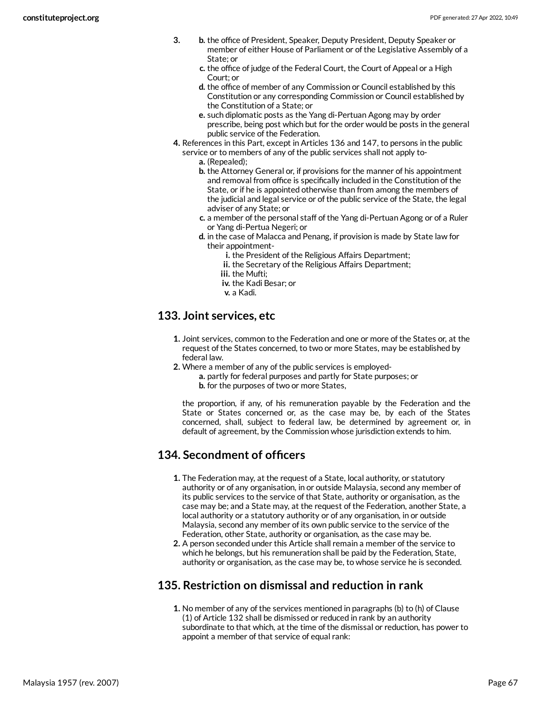- **3. b.** the office of President, Speaker, Deputy President, Deputy Speaker or member of either House of Parliament or of the Legislative Assembly of a State; or
	- **c.** the office of judge of the Federal Court, the Court of Appeal or a High Court; or
	- **d.** the office of member of any Commission or Council established by this Constitution or any corresponding Commission or Council established by the Constitution of a State; or
	- **e.** such diplomatic posts as the Yang di-Pertuan Agong may by order prescribe, being post which but for the order would be posts in the general public service of the Federation.
- **4.** References in this Part, except in Articles 136 and 147, to persons in the public service or to members of any of the public services shall not apply to
	- **a.** (Repealed);
	- **b.** the Attorney General or, if provisions for the manner of his appointment and removal from office is specifically included in the Constitution of the State, or if he is appointed otherwise than from among the members of the judicial and legal service or of the public service of the State, the legal adviser of any State; or
	- **c.** a member of the personal staff of the Yang di-Pertuan Agong or of a Ruler or Yang di-Pertua Negeri; or
	- **d.** in the case of Malacca and Penang, if provision is made by State law for their appointment
		- **i.** the President of the Religious Affairs Department;
		- **ii.** the Secretary of the Religious Affairs Department;
		- **iii.** the Mufti;
		- **iv.** the Kadi Besar; or
		- **v.** a Kadi.

## **133. Joint services, etc**

- **1.** Joint services, common to the Federation and one or more of the States or, at the request of the States concerned, to two or more States, may be established by federal law.
- **2.** Where a member of any of the public services is employed
	- **a.** partly for federal purposes and partly for State purposes; or
	- **b.** for the purposes of two or more States,

the proportion, if any, of his remuneration payable by the Federation and the State or States concerned or, as the case may be, by each of the States concerned, shall, subject to federal law, be determined by agreement or, in default of agreement, by the Commission whose jurisdiction extends to him.

## **134. Secondment of officers**

- **1.** The Federation may, at the request of a State, local authority, or statutory authority or of any organisation, in or outside Malaysia, second any member of its public services to the service of that State, authority or organisation, as the case may be; and a State may, at the request of the Federation, another State, a local authority or a statutory authority or of any organisation, in or outside Malaysia, second any member of its own public service to the service of the Federation, other State, authority or organisation, as the case may be.
- **2.** A person seconded under this Article shall remain a member of the service to which he belongs, but his remuneration shall be paid by the Federation, State, authority or organisation, as the case may be, to whose service he is seconded.

## **135. Restriction on dismissal and reduction in rank**

**1.** No member of any of the services mentioned in paragraphs (b) to (h) of Clause (1) of Article 132 shall be dismissed or reduced in rank by an authority subordinate to that which, at the time of the dismissal or reduction, has power to appoint a member of that service of equal rank: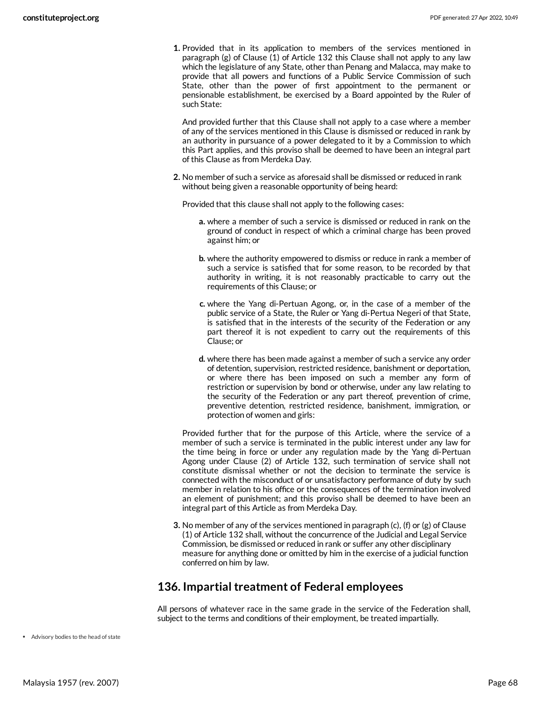**1.** Provided that in its application to members of the services mentioned in paragraph (g) of Clause (1) of Article 132 this Clause shall not apply to any law which the legislature of any State, other than Penang and Malacca, may make to provide that all powers and functions of a Public Service Commission of such State, other than the power of first appointment to the permanent or pensionable establishment, be exercised by a Board appointed by the Ruler of such State:

And provided further that this Clause shall not apply to a case where a member of any of the services mentioned in this Clause is dismissed or reduced in rank by an authority in pursuance of a power delegated to it by a Commission to which this Part applies, and this proviso shall be deemed to have been an integral part of this Clause as from Merdeka Day.

**2.** No member of such a service as aforesaid shall be dismissed or reduced in rank without being given a reasonable opportunity of being heard:

Provided that this clause shall not apply to the following cases:

- **a.** where a member of such a service is dismissed or reduced in rank on the ground of conduct in respect of which a criminal charge has been proved against him; or
- **b.** where the authority empowered to dismiss or reduce in rank a member of such a service is satisfied that for some reason, to be recorded by that authority in writing, it is not reasonably practicable to carry out the requirements of this Clause; or
- **c.** where the Yang di-Pertuan Agong, or, in the case of a member of the public service of a State, the Ruler or Yang di-Pertua Negeri of that State, is satisfied that in the interests of the security of the Federation or any part thereof it is not expedient to carry out the requirements of this Clause; or
- **d.** where there has been made against a member of such a service any order of detention, supervision, restricted residence, banishment or deportation, or where there has been imposed on such a member any form of restriction or supervision by bond or otherwise, under any law relating to the security of the Federation or any part thereof, prevention of crime, preventive detention, restricted residence, banishment, immigration, or protection of women and girls:

Provided further that for the purpose of this Article, where the service of a member of such a service is terminated in the public interest under any law for the time being in force or under any regulation made by the Yang di-Pertuan Agong under Clause (2) of Article 132, such termination of service shall not constitute dismissal whether or not the decision to terminate the service is connected with the misconduct of or unsatisfactory performance of duty by such member in relation to his office or the consequences of the termination involved an element of punishment; and this proviso shall be deemed to have been an integral part of this Article as from Merdeka Day.

**3.** No member of any of the services mentioned in paragraph (c), (f) or (g) of Clause (1) of Article 132 shall, without the concurrence of the Judicial and Legal Service Commission, be dismissed or reduced in rank or suffer any other disciplinary measure for anything done or omitted by him in the exercise of a judicial function conferred on him by law.

## **136. Impartial treatment of Federal employees**

All persons of whatever race in the same grade in the service of the Federation shall, subject to the terms and conditions of their employment, be treated impartially.

Advisory bodies to the head of state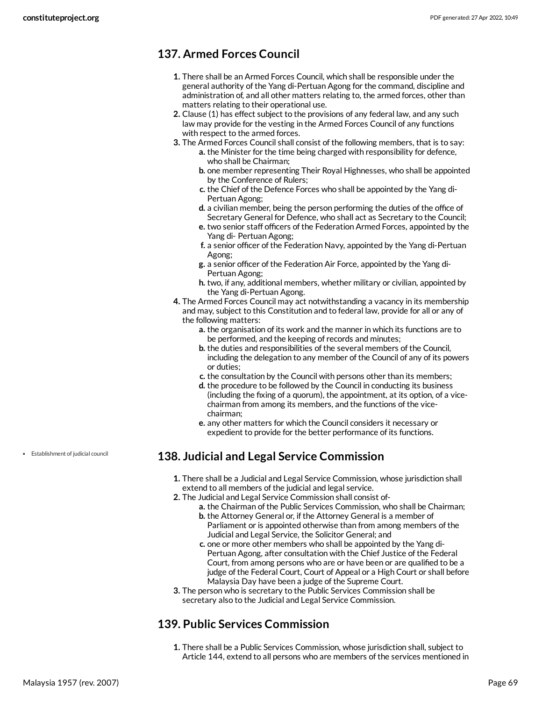## **137. Armed Forces Council**

- **1.** There shall be an Armed Forces Council, which shall be responsible under the general authority of the Yang di-Pertuan Agong for the command, discipline and administration of, and all other matters relating to, the armed forces, other than matters relating to their operational use.
- **2.** Clause (1) has effect subject to the provisions of any federal law, and any such law may provide for the vesting in the Armed Forces Council of any functions with respect to the armed forces.
- **3.** The Armed Forces Council shall consist of the following members, that is to say: **a.** the Minister for the time being charged with responsibility for defence,
	- who shall be Chairman; **b.** one member representing Their Royal Highnesses, who shall be appointed by the Conference of Rulers;
	- **c.** the Chief of the Defence Forces who shall be appointed by the Yang di-Pertuan Agong;
	- **d.** a civilian member, being the person performing the duties of the office of Secretary General for Defence, who shall act as Secretary to the Council;
	- **e.** two senior staff officers of the Federation Armed Forces, appointed by the Yang di- Pertuan Agong;
	- **f.** a senior officer of the Federation Navy, appointed by the Yang di-Pertuan Agong;
	- **g.** a senior officer of the Federation Air Force, appointed by the Yang di-Pertuan Agong;
	- **h.** two, if any, additional members, whether military or civilian, appointed by the Yang di-Pertuan Agong.
- **4.** The Armed Forces Council may act notwithstanding a vacancy in its membership and may, subject to this Constitution and to federal law, provide for all or any of the following matters:
	- **a.** the organisation of its work and the manner in which its functions are to be performed, and the keeping of records and minutes;
	- **b.** the duties and responsibilities of the several members of the Council, including the delegation to any member of the Council of any of its powers or duties;
	- **c.** the consultation by the Council with persons other than its members;
	- **d.** the procedure to be followed by the Council in conducting its business (including the fixing of a quorum), the appointment, at its option, of a vicechairman from among its members, and the functions of the vicechairman;
	- **e.** any other matters for which the Council considers it necessary or expedient to provide for the better performance of its functions.

## **138. Judicial and Legal Service Commission**

- **1.** There shall be a Judicial and Legal Service Commission, whose jurisdiction shall extend to all members of the judicial and legal service.
- **2.** The Judicial and Legal Service Commission shall consist of
	- **a.** the Chairman of the Public Services Commission, who shall be Chairman;
		- **b.** the Attorney General or, if the Attorney General is a member of Parliament or is appointed otherwise than from among members of the Judicial and Legal Service, the Solicitor General; and
		- **c.** one or more other members who shall be appointed by the Yang di-Pertuan Agong, after consultation with the Chief Justice of the Federal Court, from among persons who are or have been or are qualified to be a judge of the Federal Court, Court of Appeal or a High Court or shall before Malaysia Day have been a judge of the Supreme Court.
- **3.** The person who is secretary to the Public Services Commission shall be secretary also to the Judicial and Legal Service Commission.

## **139. Public Services Commission**

**1.** There shall be a Public Services Commission, whose jurisdiction shall, subject to Article 144, extend to all persons who are members of the services mentioned in

Establishment of judicial council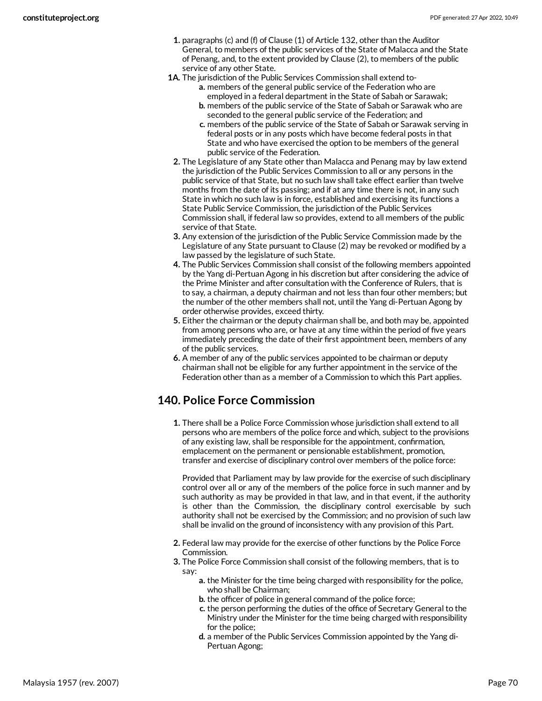- **1.** paragraphs (c) and (f) of Clause (1) of Article 132, other than the Auditor General, to members of the public services of the State of Malacca and the State of Penang, and, to the extent provided by Clause (2), to members of the public service of any other State.
- **1A.** The jurisdiction of the Public Services Commission shall extend to
	- **a.** members of the general public service of the Federation who are employed in a federal department in the State of Sabah or Sarawak;
	- **b.** members of the public service of the State of Sabah or Sarawak who are seconded to the general public service of the Federation; and
	- **c.** members of the public service of the State of Sabah or Sarawak serving in federal posts or in any posts which have become federal posts in that State and who have exercised the option to be members of the general public service of the Federation.
	- **2.** The Legislature of any State other than Malacca and Penang may by law extend the jurisdiction of the Public Services Commission to all or any persons in the public service of that State, but no such law shall take effect earlier than twelve months from the date of its passing; and if at any time there is not, in any such State in which no such law is in force, established and exercising its functions a State Public Service Commission, the jurisdiction of the Public Services Commission shall, if federal law so provides, extend to all members of the public service of that State.
	- **3.** Any extension of the jurisdiction of the Public Service Commission made by the Legislature of any State pursuant to Clause (2) may be revoked or modified by a law passed by the legislature of such State.
	- **4.** The Public Services Commission shall consist of the following members appointed by the Yang di-Pertuan Agong in his discretion but after considering the advice of the Prime Minister and after consultation with the Conference of Rulers, that is to say, a chairman, a deputy chairman and not less than four other members; but the number of the other members shall not, until the Yang di-Pertuan Agong by order otherwise provides, exceed thirty.
	- **5.** Either the chairman or the deputy chairman shall be, and both may be, appointed from among persons who are, or have at any time within the period of five years immediately preceding the date of their first appointment been, members of any of the public services.
	- **6.** A member of any of the public services appointed to be chairman or deputy chairman shall not be eligible for any further appointment in the service of the Federation other than as a member of a Commission to which this Part applies.

## **140. Police Force Commission**

**1.** There shall be a Police Force Commission whose jurisdiction shall extend to all persons who are members of the police force and which, subject to the provisions of any existing law, shall be responsible for the appointment, confirmation, emplacement on the permanent or pensionable establishment, promotion, transfer and exercise of disciplinary control over members of the police force:

Provided that Parliament may by law provide for the exercise of such disciplinary control over all or any of the members of the police force in such manner and by such authority as may be provided in that law, and in that event, if the authority is other than the Commission, the disciplinary control exercisable by such authority shall not be exercised by the Commission; and no provision of such law shall be invalid on the ground of inconsistency with any provision of this Part.

- **2.** Federal law may provide for the exercise of other functions by the Police Force Commission.
- **3.** The Police Force Commission shall consist of the following members, that is to say:
	- **a.** the Minister for the time being charged with responsibility for the police, who shall be Chairman;
	- **b.** the officer of police in general command of the police force;
	- **c.** the person performing the duties of the office of Secretary General to the Ministry under the Minister for the time being charged with responsibility for the police;
	- **d.** a member of the Public Services Commission appointed by the Yang di-Pertuan Agong;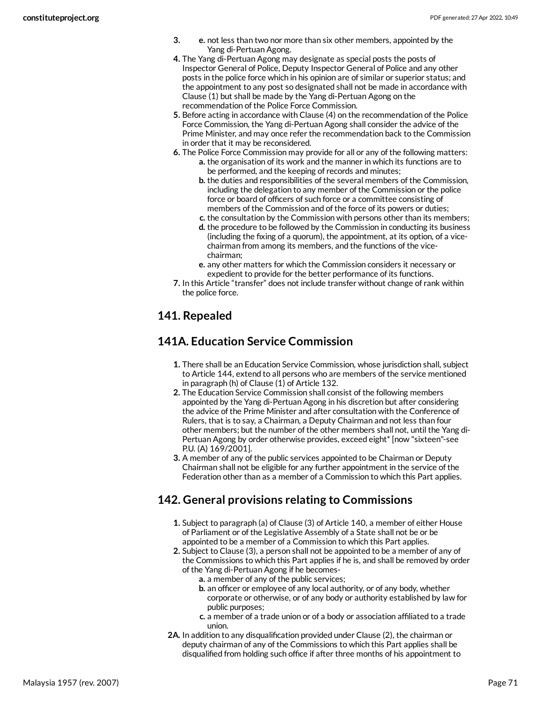- **3. e.** not less than two nor more than six other members, appointed by the Yang di-Pertuan Agong.
- **4.** The Yang di-Pertuan Agong may designate as special posts the posts of Inspector General of Police, Deputy Inspector General of Police and any other posts in the police force which in his opinion are of similar or superior status; and the appointment to any post so designated shall not be made in accordance with Clause (1) but shall be made by the Yang di-Pertuan Agong on the recommendation of the Police Force Commission.
- **5.** Before acting in accordance with Clause (4) on the recommendation of the Police Force Commission, the Yang di-Pertuan Agong shall consider the advice of the Prime Minister, and may once refer the recommendation back to the Commission in order that it may be reconsidered.
- **6.** The Police Force Commission may provide for all or any of the following matters: **a.** the organisation of its work and the manner in which its functions are to
	- be performed, and the keeping of records and minutes;
	- **b.** the duties and responsibilities of the several members of the Commission, including the delegation to any member of the Commission or the police force or board of officers of such force or a committee consisting of members of the Commission and of the force of its powers or duties;
	- **c.** the consultation by the Commission with persons other than its members;
	- **d.** the procedure to be followed by the Commission in conducting its business (including the fixing of a quorum), the appointment, at its option, of a vicechairman from among its members, and the functions of the vicechairman;
	- **e.** any other matters for which the Commission considers it necessary or expedient to provide for the better performance of its functions.
- **7.** In this Article "transfer" does not include transfer without change of rank within the police force.

## **141. Repealed**

## **141A. Education Service Commission**

- **1.** There shall be an Education Service Commission, whose jurisdiction shall, subject to Article 144, extend to all persons who are members of the service mentioned in paragraph (h) of Clause (1) of Article 132.
- **2.** The Education Service Commission shall consist of the following members appointed by the Yang di-Pertuan Agong in his discretion but after considering the advice of the Prime Minister and after consultation with the Conference of Rulers, that is to say, a Chairman, a Deputy Chairman and not less than four other members; but the number of the other members shall not, until the Yang di-Pertuan Agong by order otherwise provides, exceed eight\* [now "sixteen"-see P.U. (A) 169/2001].
- **3.** A member of any of the public services appointed to be Chairman or Deputy Chairman shall not be eligible for any further appointment in the service of the Federation other than as a member of a Commission to which this Part applies.

## **142. General provisions relating to Commissions**

- **1.** Subject to paragraph (a) of Clause (3) of Article 140, a member of either House of Parliament or of the Legislative Assembly of a State shall not be or be appointed to be a member of a Commission to which this Part applies.
- **2.** Subject to Clause (3), a person shall not be appointed to be a member of any of the Commissions to which this Part applies if he is, and shall be removed by order of the Yang di-Pertuan Agong if he becomes
	- **a.** a member of any of the public services;
	- **b.** an officer or employee of any local authority, or of any body, whether corporate or otherwise, or of any body or authority established by law for public purposes;
	- **c.** a member of a trade union or of a body or association affiliated to a trade union.
- **2A.** In addition to any disqualification provided under Clause (2), the chairman or deputy chairman of any of the Commissions to which this Part applies shall be disqualified from holding such office if after three months of his appointment to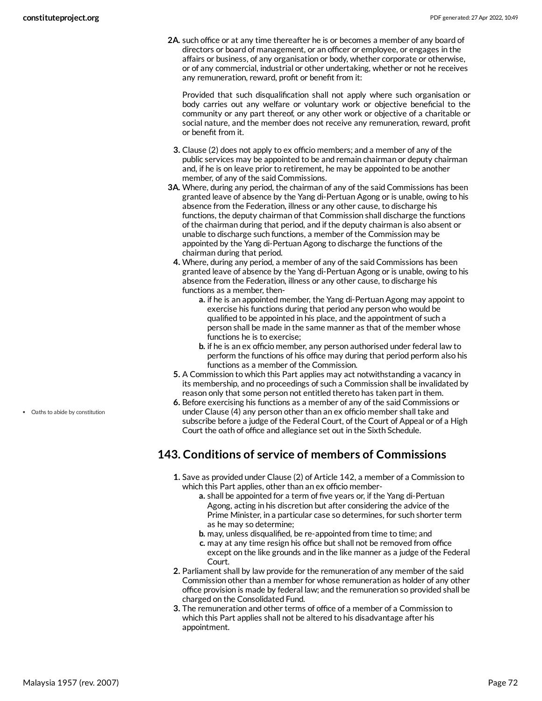**2A.** such office or at any time thereafter he is or becomes a member of any board of directors or board of management, or an officer or employee, or engages in the affairs or business, of any organisation or body, whether corporate or otherwise, or of any commercial, industrial or other undertaking, whether or not he receives any remuneration, reward, profit or benefit from it:

Provided that such disqualification shall not apply where such organisation or body carries out any welfare or voluntary work or objective beneficial to the community or any part thereof, or any other work or objective of a charitable or social nature, and the member does not receive any remuneration, reward, profit or benefit from it.

- **3.** Clause (2) does not apply to ex officio members; and a member of any of the public services may be appointed to be and remain chairman or deputy chairman and, if he is on leave prior to retirement, he may be appointed to be another member, of any of the said Commissions.
- **3A.** Where, during any period, the chairman of any of the said Commissions has been granted leave of absence by the Yang di-Pertuan Agong or is unable, owing to his absence from the Federation, illness or any other cause, to discharge his functions, the deputy chairman of that Commission shall discharge the functions of the chairman during that period, and if the deputy chairman is also absent or unable to discharge such functions, a member of the Commission may be appointed by the Yang di-Pertuan Agong to discharge the functions of the chairman during that period.
- **4.** Where, during any period, a member of any of the said Commissions has been granted leave of absence by the Yang di-Pertuan Agong or is unable, owing to his absence from the Federation, illness or any other cause, to discharge his functions as a member, then
	- **a.** if he is an appointed member, the Yang di-Pertuan Agong may appoint to exercise his functions during that period any person who would be qualified to be appointed in his place, and the appointment of such a person shall be made in the same manner as that of the member whose functions he is to exercise;
	- **b.** if he is an ex officio member, any person authorised under federal law to perform the functions of his office may during that period perform also his functions as a member of the Commission.
- **5.** A Commission to which this Part applies may act notwithstanding a vacancy in its membership, and no proceedings of such a Commission shall be invalidated by reason only that some person not entitled thereto has taken part in them.
- **6.** Before exercising his functions as a member of any of the said Commissions or under Clause (4) any person other than an ex officio member shall take and subscribe before a judge of the Federal Court, of the Court of Appeal or of a High Court the oath of office and allegiance set out in the Sixth Schedule.

## **143. Conditions of service of members of Commissions**

- **1.** Save as provided under Clause (2) of Article 142, a member of a Commission to which this Part applies, other than an ex officio member
	- **a.** shall be appointed for a term of five years or, if the Yang di-Pertuan Agong, acting in his discretion but after considering the advice of the Prime Minister, in a particular case so determines, for such shorter term as he may so determine;
	- **b.** may, unless disqualified, be re-appointed from time to time; and
	- **c.** may at any time resign his office but shall not be removed from office except on the like grounds and in the like manner as a judge of the Federal Court.
- **2.** Parliament shall by law provide for the remuneration of any member of the said Commission other than a member for whose remuneration as holder of any other office provision is made by federal law; and the remuneration so provided shall be charged on the Consolidated Fund.
- **3.** The remuneration and other terms of office of a member of a Commission to which this Part applies shall not be altered to his disadvantage after his appointment.

Oaths to abide by constitution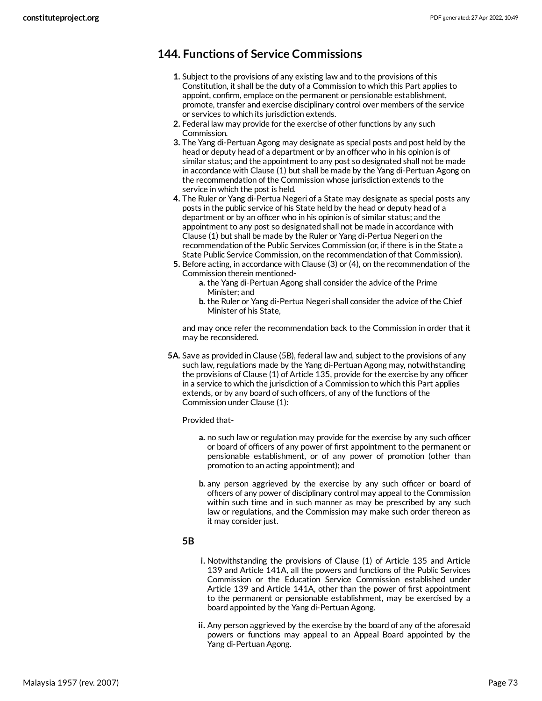## **144. Functions of Service Commissions**

- **1.** Subject to the provisions of any existing law and to the provisions of this Constitution, it shall be the duty of a Commission to which this Part applies to appoint, confirm, emplace on the permanent or pensionable establishment, promote, transfer and exercise disciplinary control over members of the service or services to which its jurisdiction extends.
- **2.** Federal law may provide for the exercise of other functions by any such Commission.
- **3.** The Yang di-Pertuan Agong may designate as special posts and post held by the head or deputy head of a department or by an officer who in his opinion is of similar status; and the appointment to any post so designated shall not be made in accordance with Clause (1) but shall be made by the Yang di-Pertuan Agong on the recommendation of the Commission whose jurisdiction extends to the service in which the post is held.
- **4.** The Ruler or Yang di-Pertua Negeri of a State may designate as special posts any posts in the public service of his State held by the head or deputy head of a department or by an officer who in his opinion is of similar status; and the appointment to any post so designated shall not be made in accordance with Clause (1) but shall be made by the Ruler or Yang di-Pertua Negeri on the recommendation of the Public Services Commission (or, if there is in the State a State Public Service Commission, on the recommendation of that Commission).
- **5.** Before acting, in accordance with Clause (3) or (4), on the recommendation of the Commission therein mentioned
	- **a.** the Yang di-Pertuan Agong shall consider the advice of the Prime Minister; and
	- **b.** the Ruler or Yang di-Pertua Negeri shall consider the advice of the Chief Minister of his State,

and may once refer the recommendation back to the Commission in order that it may be reconsidered.

**5A.** Save as provided in Clause (5B), federal law and, subject to the provisions of any such law, regulations made by the Yang di-Pertuan Agong may, notwithstanding the provisions of Clause (1) of Article 135, provide for the exercise by any officer in a service to which the jurisdiction of a Commission to which this Part applies extends, or by any board of such officers, of any of the functions of the Commission under Clause (1):

Provided that-

- **a.** no such law or regulation may provide for the exercise by any such officer or board of officers of any power of first appointment to the permanent or pensionable establishment, or of any power of promotion (other than promotion to an acting appointment); and
- **b.** any person aggrieved by the exercise by any such officer or board of officers of any power of disciplinary control may appeal to the Commission within such time and in such manner as may be prescribed by any such law or regulations, and the Commission may make such order thereon as it may consider just.

#### **5B**

- **i.** Notwithstanding the provisions of Clause (1) of Article 135 and Article 139 and Article 141A, all the powers and functions of the Public Services Commission or the Education Service Commission established under Article 139 and Article 141A, other than the power of first appointment to the permanent or pensionable establishment, may be exercised by a board appointed by the Yang di-Pertuan Agong.
- **ii.** Any person aggrieved by the exercise by the board of any of the aforesaid powers or functions may appeal to an Appeal Board appointed by the Yang di-Pertuan Agong.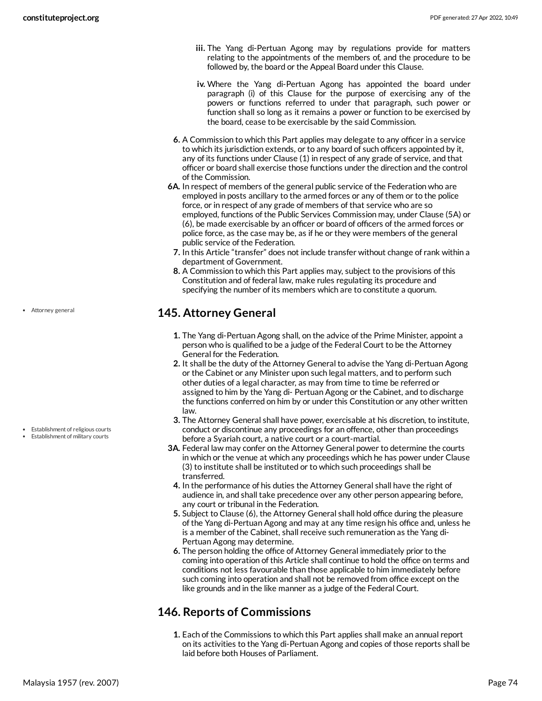- **iii.** The Yang di-Pertuan Agong may by regulations provide for matters relating to the appointments of the members of, and the procedure to be followed by, the board or the Appeal Board under this Clause.
- **iv.** Where the Yang di-Pertuan Agong has appointed the board under paragraph (i) of this Clause for the purpose of exercising any of the powers or functions referred to under that paragraph, such power or function shall so long as it remains a power or function to be exercised by the board, cease to be exercisable by the said Commission.
- **6.** A Commission to which this Part applies may delegate to any officer in a service to which its jurisdiction extends, or to any board of such officers appointed by it, any of its functions under Clause (1) in respect of any grade of service, and that officer or board shall exercise those functions under the direction and the control of the Commission.
- **6A.** In respect of members of the general public service of the Federation who are employed in posts ancillary to the armed forces or any of them or to the police force, or in respect of any grade of members of that service who are so employed, functions of the Public Services Commission may, under Clause (5A) or (6), be made exercisable by an officer or board of officers of the armed forces or police force, as the case may be, as if he or they were members of the general public service of the Federation.
- **7.** In this Article "transfer" does not include transfer without change of rank within a department of Government.
- **8.** A Commission to which this Part applies may, subject to the provisions of this Constitution and of federal law, make rules regulating its procedure and specifying the number of its members which are to constitute a quorum.

## **145. Attorney General**

- **1.** The Yang di-Pertuan Agong shall, on the advice of the Prime Minister, appoint a person who is qualified to be a judge of the Federal Court to be the Attorney General for the Federation.
- **2.** It shall be the duty of the Attorney General to advise the Yang di-Pertuan Agong or the Cabinet or any Minister upon such legal matters, and to perform such other duties of a legal character, as may from time to time be referred or assigned to him by the Yang di- Pertuan Agong or the Cabinet, and to discharge the functions conferred on him by or under this Constitution or any other written law.
- **3.** The Attorney General shall have power, exercisable at his discretion, to institute, conduct or discontinue any proceedings for an offence, other than proceedings before a Syariah court, a native court or a court-martial.
- **3A.** Federal law may confer on the Attorney General power to determine the courts in which or the venue at which any proceedings which he has power under Clause (3) to institute shall be instituted or to which such proceedings shall be transferred.
- **4.** In the performance of his duties the Attorney General shall have the right of audience in, and shall take precedence over any other person appearing before, any court or tribunal in the Federation.
- **5.** Subject to Clause (6), the Attorney General shall hold office during the pleasure of the Yang di-Pertuan Agong and may at any time resign his office and, unless he is a member of the Cabinet, shall receive such remuneration as the Yang di-Pertuan Agong may determine.
- **6.** The person holding the office of Attorney General immediately prior to the coming into operation of this Article shall continue to hold the office on terms and conditions not less favourable than those applicable to him immediately before such coming into operation and shall not be removed from office except on the like grounds and in the like manner as a judge of the Federal Court.

## **146. Reports of Commissions**

**1.** Each of the Commissions to which this Part applies shall make an annual report on its activities to the Yang di-Pertuan Agong and copies of those reports shall be laid before both Houses of Parliament.

Attorney general

- Establishment of religious courts
- Establishment of military courts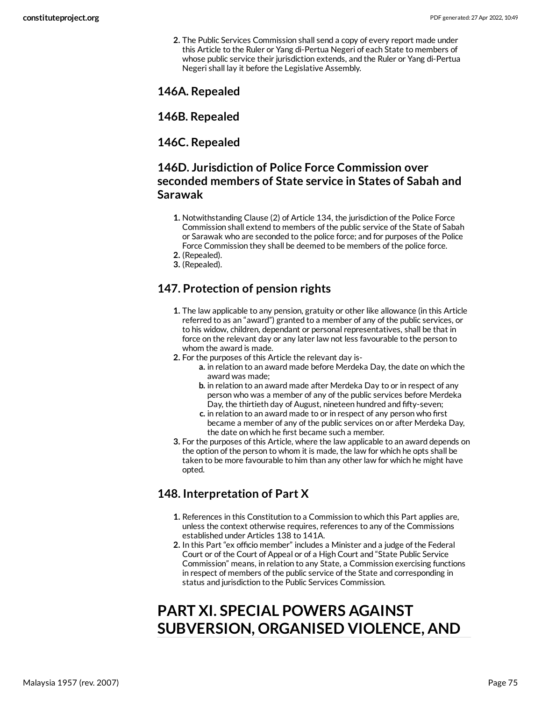**2.** The Public Services Commission shall send a copy of every report made under this Article to the Ruler or Yang di-Pertua Negeri of each State to members of whose public service their jurisdiction extends, and the Ruler or Yang di-Pertua Negeri shall lay it before the Legislative Assembly.

**146A. Repealed**

**146B. Repealed**

## **146C. Repealed**

## **146D. Jurisdiction of Police Force Commission over seconded members of State service in States of Sabah and Sarawak**

- **1.** Notwithstanding Clause (2) of Article 134, the jurisdiction of the Police Force Commission shall extend to members of the public service of the State of Sabah or Sarawak who are seconded to the police force; and for purposes of the Police Force Commission they shall be deemed to be members of the police force.
- **2.** (Repealed).
- **3.** (Repealed).

## **147. Protection of pension rights**

- **1.** The law applicable to any pension, gratuity or other like allowance (in this Article referred to as an "award") granted to a member of any of the public services, or to his widow, children, dependant or personal representatives, shall be that in force on the relevant day or any later law not less favourable to the person to whom the award is made.
- **2.** For the purposes of this Article the relevant day is
	- **a.** in relation to an award made before Merdeka Day, the date on which the award was made;
	- **b.** in relation to an award made after Merdeka Day to or in respect of any person who was a member of any of the public services before Merdeka Day, the thirtieth day of August, nineteen hundred and fifty-seven;
	- **c.** in relation to an award made to or in respect of any person who first became a member of any of the public services on or after Merdeka Day, the date on which he first became such a member.
- **3.** For the purposes of this Article, where the law applicable to an award depends on the option of the person to whom it is made, the law for which he opts shall be taken to be more favourable to him than any other law for which he might have opted.

## **148. Interpretation of Part X**

- **1.** References in this Constitution to a Commission to which this Part applies are, unless the context otherwise requires, references to any of the Commissions established under Articles 138 to 141A.
- **2.** In this Part "ex officio member" includes a Minister and a judge of the Federal Court or of the Court of Appeal or of a High Court and "State Public Service Commission" means, in relation to any State, a Commission exercising functions in respect of members of the public service of the State and corresponding in status and jurisdiction to the Public Services Commission.

## **PART XI. SPECIAL POWERS AGAINST SUBVERSION, ORGANISED VIOLENCE, AND**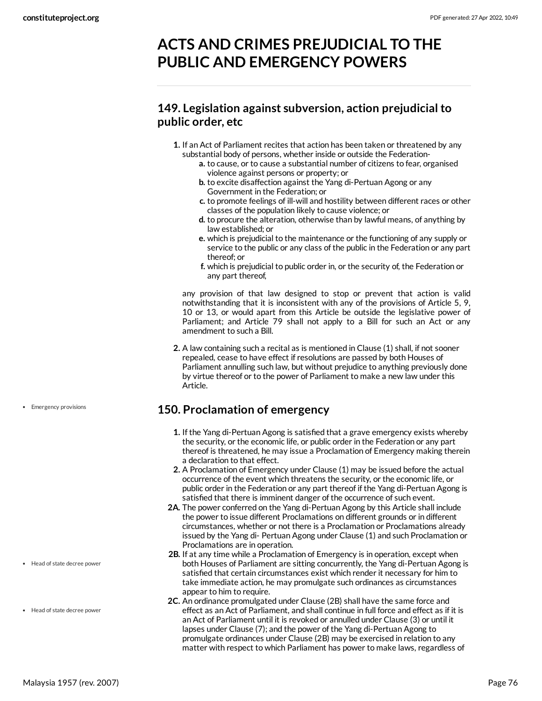# **ACTS AND CRIMES PREJUDICIAL TO THE PUBLIC AND EMERGENCY POWERS**

## **149. Legislation against subversion, action prejudicial to public order, etc**

- **1.** If an Act of Parliament recites that action has been taken or threatened by any substantial body of persons, whether inside or outside the Federation
	- **a.** to cause, or to cause a substantial number of citizens to fear, organised violence against persons or property; or
	- **b.** to excite disaffection against the Yang di-Pertuan Agong or any Government in the Federation; or
	- **c.** to promote feelings of ill-will and hostility between different races or other classes of the population likely to cause violence; or
	- **d.** to procure the alteration, otherwise than by lawful means, of anything by law established; or
	- **e.** which is prejudicial to the maintenance or the functioning of any supply or service to the public or any class of the public in the Federation or any part thereof; or
	- **f.** which is prejudicial to public order in, or the security of, the Federation or any part thereof,

any provision of that law designed to stop or prevent that action is valid notwithstanding that it is inconsistent with any of the provisions of Article 5, 9, 10 or 13, or would apart from this Article be outside the legislative power of Parliament; and Article 79 shall not apply to a Bill for such an Act or any amendment to such a Bill.

**2.** A law containing such a recital as is mentioned in Clause (1) shall, if not sooner repealed, cease to have effect if resolutions are passed by both Houses of Parliament annulling such law, but without prejudice to anything previously done by virtue thereof or to the power of Parliament to make a new law under this Article.

## **150. Proclamation of emergency**

- **1.** If the Yang di-Pertuan Agong is satisfied that a grave emergency exists whereby the security, or the economic life, or public order in the Federation or any part thereof is threatened, he may issue a Proclamation of Emergency making therein a declaration to that effect.
- **2.** A Proclamation of Emergency under Clause (1) may be issued before the actual occurrence of the event which threatens the security, or the economic life, or public order in the Federation or any part thereof if the Yang di-Pertuan Agong is satisfied that there is imminent danger of the occurrence of such event.
- **2A.** The power conferred on the Yang di-Pertuan Agong by this Article shall include the power to issue different Proclamations on different grounds or in different circumstances, whether or not there is a Proclamation or Proclamations already issued by the Yang di- Pertuan Agong under Clause (1) and such Proclamation or Proclamations are in operation.
- **2B.** If at any time while a Proclamation of Emergency is in operation, except when both Houses of Parliament are sitting concurrently, the Yang di-Pertuan Agong is satisfied that certain circumstances exist which render it necessary for him to take immediate action, he may promulgate such ordinances as circumstances appear to him to require.
- **2C.** An ordinance promulgated under Clause (2B) shall have the same force and effect as an Act of Parliament, and shall continue in full force and effect as if it is an Act of Parliament until it is revoked or annulled under Clause (3) or until it lapses under Clause (7); and the power of the Yang di-Pertuan Agong to promulgate ordinances under Clause (2B) may be exercised in relation to any matter with respect to which Parliament has power to make laws, regardless of

**•** Emergency provisions

- Head of state decree power
- Head of state decree power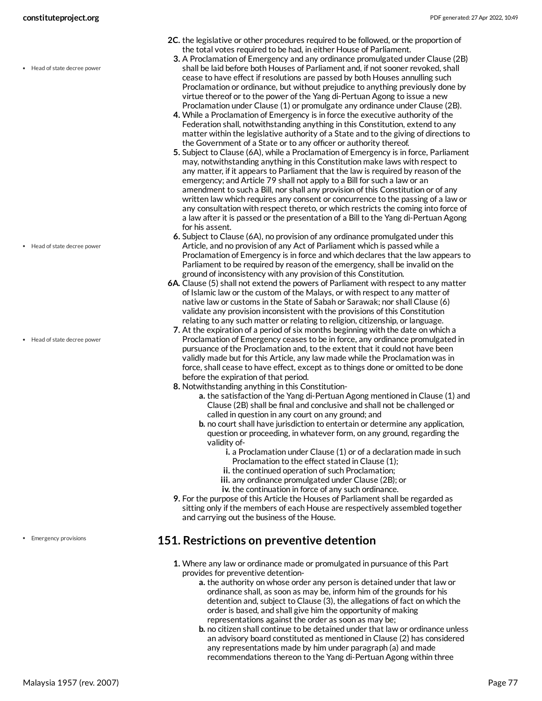Head of state decree power

Head of state decree power

• Emergency provisions

- **2C.** the legislative or other procedures required to be followed, or the proportion of the total votes required to be had, in either House of Parliament.
- **3.** A Proclamation of Emergency and any ordinance promulgated under Clause (2B) shall be laid before both Houses of Parliament and, if not sooner revoked, shall cease to have effect if resolutions are passed by both Houses annulling such Proclamation or ordinance, but without prejudice to anything previously done by virtue thereof or to the power of the Yang di-Pertuan Agong to issue a new Proclamation under Clause (1) or promulgate any ordinance under Clause (2B).
- **4.** While a Proclamation of Emergency is in force the executive authority of the Federation shall, notwithstanding anything in this Constitution, extend to any matter within the legislative authority of a State and to the giving of directions to the Government of a State or to any officer or authority thereof.
- **5.** Subject to Clause (6A), while a Proclamation of Emergency is in force, Parliament may, notwithstanding anything in this Constitution make laws with respect to any matter, if it appears to Parliament that the law is required by reason of the emergency; and Article 79 shall not apply to a Bill for such a law or an amendment to such a Bill, nor shall any provision of this Constitution or of any written law which requires any consent or concurrence to the passing of a law or any consultation with respect thereto, or which restricts the coming into force of a law after it is passed or the presentation of a Bill to the Yang di-Pertuan Agong for his assent.
- **6.** Subject to Clause (6A), no provision of any ordinance promulgated under this Article, and no provision of any Act of Parliament which is passed while a Proclamation of Emergency is in force and which declares that the law appears to Parliament to be required by reason of the emergency, shall be invalid on the ground of inconsistency with any provision of this Constitution.
- **6A.** Clause (5) shall not extend the powers of Parliament with respect to any matter of Islamic law or the custom of the Malays, or with respect to any matter of native law or customs in the State of Sabah or Sarawak; nor shall Clause (6) validate any provision inconsistent with the provisions of this Constitution relating to any such matter or relating to religion, citizenship, or language.
- **7.** At the expiration of a period of six months beginning with the date on which a Proclamation of Emergency ceases to be in force, any ordinance promulgated in pursuance of the Proclamation and, to the extent that it could not have been validly made but for this Article, any law made while the Proclamation was in force, shall cease to have effect, except as to things done or omitted to be done before the expiration of that period.
- **8.** Notwithstanding anything in this Constitution
	- **a.** the satisfaction of the Yang di-Pertuan Agong mentioned in Clause (1) and Clause (2B) shall be final and conclusive and shall not be challenged or called in question in any court on any ground; and
	- **b.** no court shall have jurisdiction to entertain or determine any application, question or proceeding, in whatever form, on any ground, regarding the validity of
		- **i.** a Proclamation under Clause (1) or of a declaration made in such Proclamation to the effect stated in Clause (1);
		- **ii.** the continued operation of such Proclamation;
		- **iii.** any ordinance promulgated under Clause (2B); or
		- **iv.** the continuation in force of any such ordinance.
- **9.** For the purpose of this Article the Houses of Parliament shall be regarded as sitting only if the members of each House are respectively assembled together and carrying out the business of the House.

## **151. Restrictions on preventive detention**

- **1.** Where any law or ordinance made or promulgated in pursuance of this Part provides for preventive detention
	- **a.** the authority on whose order any person is detained under that law or ordinance shall, as soon as may be, inform him of the grounds for his detention and, subject to Clause (3), the allegations of fact on which the order is based, and shall give him the opportunity of making representations against the order as soon as may be;
	- **b.** no citizen shall continue to be detained under that law or ordinance unless an advisory board constituted as mentioned in Clause (2) has considered any representations made by him under paragraph (a) and made recommendations thereon to the Yang di-Pertuan Agong within three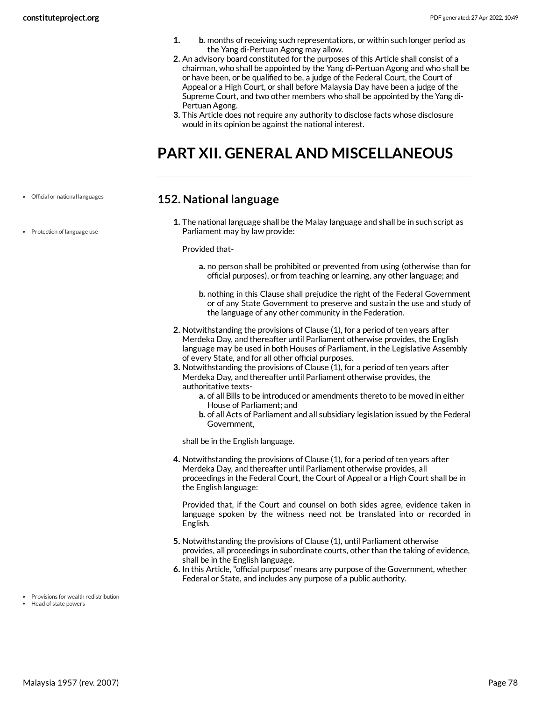- **1. b.** months of receiving such representations, or within such longer period as the Yang di-Pertuan Agong may allow.
- **2.** An advisory board constituted for the purposes of this Article shall consist of a chairman, who shall be appointed by the Yang di-Pertuan Agong and who shall be or have been, or be qualified to be, a judge of the Federal Court, the Court of Appeal or a High Court, or shall before Malaysia Day have been a judge of the Supreme Court, and two other members who shall be appointed by the Yang di-Pertuan Agong.
- **3.** This Article does not require any authority to disclose facts whose disclosure would in its opinion be against the national interest.

## **PART XII. GENERAL AND MISCELLANEOUS**

### **152. National language**

**1.** The national language shall be the Malay language and shall be in such script as Parliament may by law provide:

#### Provided that-

- **a.** no person shall be prohibited or prevented from using (otherwise than for official purposes), or from teaching or learning, any other language; and
- **b.** nothing in this Clause shall prejudice the right of the Federal Government or of any State Government to preserve and sustain the use and study of the language of any other community in the Federation.
- **2.** Notwithstanding the provisions of Clause (1), for a period of ten years after Merdeka Day, and thereafter until Parliament otherwise provides, the English language may be used in both Houses of Parliament, in the Legislative Assembly of every State, and for all other official purposes.
- **3.** Notwithstanding the provisions of Clause (1), for a period of ten years after Merdeka Day, and thereafter until Parliament otherwise provides, the authoritative texts
	- **a.** of all Bills to be introduced or amendments thereto to be moved in either House of Parliament; and
	- **b.** of all Acts of Parliament and all subsidiary legislation issued by the Federal Government,

shall be in the English language.

**4.** Notwithstanding the provisions of Clause (1), for a period of ten years after Merdeka Day, and thereafter until Parliament otherwise provides, all proceedings in the Federal Court, the Court of Appeal or a High Court shall be in the English language:

Provided that, if the Court and counsel on both sides agree, evidence taken in language spoken by the witness need not be translated into or recorded in English.

- **5.** Notwithstanding the provisions of Clause (1), until Parliament otherwise provides, all proceedings in subordinate courts, other than the taking of evidence, shall be in the English language.
- **6.** In this Article, "official purpose" means any purpose of the Government, whether Federal or State, and includes any purpose of a public authority.

• Provisions for wealth redistribution

• Head of state powers

• Protection of language use

Official or national languages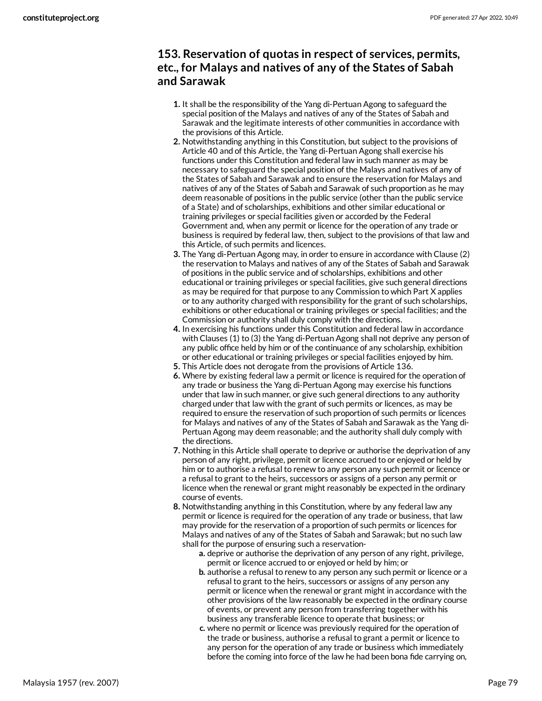## **153. Reservation of quotas in respect of services, permits, etc., for Malays and natives of any of the States of Sabah and Sarawak**

- **1.** It shall be the responsibility of the Yang di-Pertuan Agong to safeguard the special position of the Malays and natives of any of the States of Sabah and Sarawak and the legitimate interests of other communities in accordance with the provisions of this Article.
- **2.** Notwithstanding anything in this Constitution, but subject to the provisions of Article 40 and of this Article, the Yang di-Pertuan Agong shall exercise his functions under this Constitution and federal law in such manner as may be necessary to safeguard the special position of the Malays and natives of any of the States of Sabah and Sarawak and to ensure the reservation for Malays and natives of any of the States of Sabah and Sarawak of such proportion as he may deem reasonable of positions in the public service (other than the public service of a State) and of scholarships, exhibitions and other similar educational or training privileges or special facilities given or accorded by the Federal Government and, when any permit or licence for the operation of any trade or business is required by federal law, then, subject to the provisions of that law and this Article, of such permits and licences.
- **3.** The Yang di-Pertuan Agong may, in order to ensure in accordance with Clause (2) the reservation to Malays and natives of any of the States of Sabah and Sarawak of positions in the public service and of scholarships, exhibitions and other educational or training privileges or special facilities, give such general directions as may be required for that purpose to any Commission to which Part X applies or to any authority charged with responsibility for the grant of such scholarships, exhibitions or other educational or training privileges or special facilities; and the Commission or authority shall duly comply with the directions.
- **4.** In exercising his functions under this Constitution and federal law in accordance with Clauses (1) to (3) the Yang di-Pertuan Agong shall not deprive any person of any public office held by him or of the continuance of any scholarship, exhibition or other educational or training privileges or special facilities enjoyed by him.
- **5.** This Article does not derogate from the provisions of Article 136.
- **6.** Where by existing federal law a permit or licence is required for the operation of any trade or business the Yang di-Pertuan Agong may exercise his functions under that law in such manner, or give such general directions to any authority charged under that law with the grant of such permits or licences, as may be required to ensure the reservation of such proportion of such permits or licences for Malays and natives of any of the States of Sabah and Sarawak as the Yang di-Pertuan Agong may deem reasonable; and the authority shall duly comply with the directions.
- **7.** Nothing in this Article shall operate to deprive or authorise the deprivation of any person of any right, privilege, permit or licence accrued to or enjoyed or held by him or to authorise a refusal to renew to any person any such permit or licence or a refusal to grant to the heirs, successors or assigns of a person any permit or licence when the renewal or grant might reasonably be expected in the ordinary course of events.
- **8.** Notwithstanding anything in this Constitution, where by any federal law any permit or licence is required for the operation of any trade or business, that law may provide for the reservation of a proportion of such permits or licences for Malays and natives of any of the States of Sabah and Sarawak; but no such law shall for the purpose of ensuring such a reservation
	- **a.** deprive or authorise the deprivation of any person of any right, privilege, permit or licence accrued to or enjoyed or held by him; or
	- **b.** authorise a refusal to renew to any person any such permit or licence or a refusal to grant to the heirs, successors or assigns of any person any permit or licence when the renewal or grant might in accordance with the other provisions of the law reasonably be expected in the ordinary course of events, or prevent any person from transferring together with his business any transferable licence to operate that business; or
	- **c.** where no permit or licence was previously required for the operation of the trade or business, authorise a refusal to grant a permit or licence to any person for the operation of any trade or business which immediately before the coming into force of the law he had been bona fide carrying on,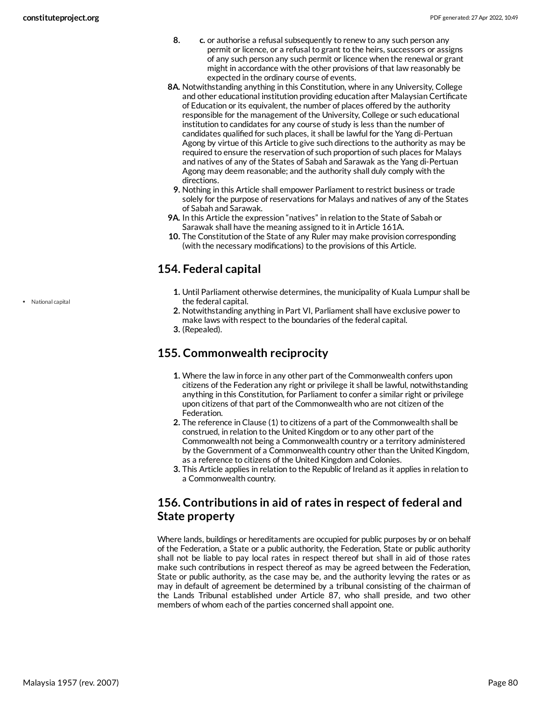- **8. c.** or authorise a refusal subsequently to renew to any such person any permit or licence, or a refusal to grant to the heirs, successors or assigns of any such person any such permit or licence when the renewal or grant might in accordance with the other provisions of that law reasonably be expected in the ordinary course of events.
- **8A.** Notwithstanding anything in this Constitution, where in any University, College and other educational institution providing education after Malaysian Certificate of Education or its equivalent, the number of places offered by the authority responsible for the management of the University, College or such educational institution to candidates for any course of study is less than the number of candidates qualified for such places, it shall be lawful for the Yang di-Pertuan Agong by virtue of this Article to give such directions to the authority as may be required to ensure the reservation of such proportion of such places for Malays and natives of any of the States of Sabah and Sarawak as the Yang di-Pertuan Agong may deem reasonable; and the authority shall duly comply with the directions.
- **9.** Nothing in this Article shall empower Parliament to restrict business or trade solely for the purpose of reservations for Malays and natives of any of the States of Sabah and Sarawak.
- **9A.** In this Article the expression "natives" in relation to the State of Sabah or Sarawak shall have the meaning assigned to it in Article 161A.
- **10.** The Constitution of the State of any Ruler may make provision corresponding (with the necessary modifications) to the provisions of this Article.

## **154. Federal capital**

- **1.** Until Parliament otherwise determines, the municipality of Kuala Lumpur shall be the federal capital.
- **2.** Notwithstanding anything in Part VI, Parliament shall have exclusive power to make laws with respect to the boundaries of the federal capital.
- **3.** (Repealed).

## **155. Commonwealth reciprocity**

- **1.** Where the law in force in any other part of the Commonwealth confers upon citizens of the Federation any right or privilege it shall be lawful, notwithstanding anything in this Constitution, for Parliament to confer a similar right or privilege upon citizens of that part of the Commonwealth who are not citizen of the Federation.
- **2.** The reference in Clause (1) to citizens of a part of the Commonwealth shall be construed, in relation to the United Kingdom or to any other part of the Commonwealth not being a Commonwealth country or a territory administered by the Government of a Commonwealth country other than the United Kingdom, as a reference to citizens of the United Kingdom and Colonies.
- **3.** This Article applies in relation to the Republic of Ireland as it applies in relation to a Commonwealth country.

## **156. Contributions in aid of rates in respect of federal and State property**

Where lands, buildings or hereditaments are occupied for public purposes by or on behalf of the Federation, a State or a public authority, the Federation, State or public authority shall not be liable to pay local rates in respect thereof but shall in aid of those rates make such contributions in respect thereof as may be agreed between the Federation, State or public authority, as the case may be, and the authority levying the rates or as may in default of agreement be determined by a tribunal consisting of the chairman of the Lands Tribunal established under Article 87, who shall preside, and two other members of whom each of the parties concerned shall appoint one.

National capital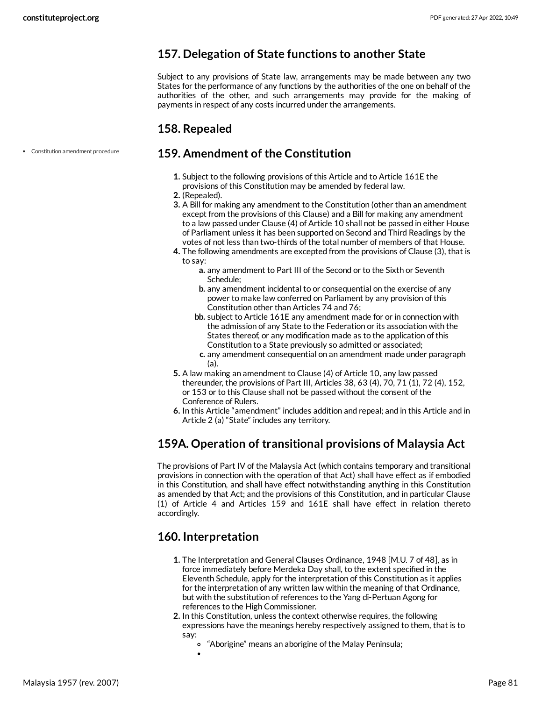## **157. Delegation of State functions to another State**

Subject to any provisions of State law, arrangements may be made between any two States for the performance of any functions by the authorities of the one on behalf of the authorities of the other, and such arrangements may provide for the making of payments in respect of any costs incurred under the arrangements.

### **158. Repealed**

Constitution amendment procedure

### **159. Amendment of the Constitution**

- **1.** Subject to the following provisions of this Article and to Article 161E the provisions of this Constitution may be amended by federal law.
- **2.** (Repealed).
- **3.** A Bill for making any amendment to the Constitution (other than an amendment except from the provisions of this Clause) and a Bill for making any amendment to a law passed under Clause (4) of Article 10 shall not be passed in either House of Parliament unless it has been supported on Second and Third Readings by the votes of not less than two-thirds of the total number of members of that House.
- **4.** The following amendments are excepted from the provisions of Clause (3), that is to say:
	- **a.** any amendment to Part III of the Second or to the Sixth or Seventh Schedule;
	- **b.** any amendment incidental to or consequential on the exercise of any power to make law conferred on Parliament by any provision of this Constitution other than Articles 74 and 76;
	- **bb.** subject to Article 161E any amendment made for or in connection with the admission of any State to the Federation or its association with the States thereof, or any modification made as to the application of this Constitution to a State previously so admitted or associated;
	- **c.** any amendment consequential on an amendment made under paragraph (a).
- **5.** A law making an amendment to Clause (4) of Article 10, any law passed thereunder, the provisions of Part III, Articles 38, 63 (4), 70, 71 (1), 72 (4), 152, or 153 or to this Clause shall not be passed without the consent of the Conference of Rulers.
- **6.** In this Article "amendment" includes addition and repeal; and in this Article and in Article 2 (a) "State" includes any territory.

## **159A. Operation of transitional provisions of Malaysia Act**

The provisions of Part IV of the Malaysia Act (which contains temporary and transitional provisions in connection with the operation of that Act) shall have effect as if embodied in this Constitution, and shall have effect notwithstanding anything in this Constitution as amended by that Act; and the provisions of this Constitution, and in particular Clause (1) of Article 4 and Articles 159 and 161E shall have effect in relation thereto accordingly.

## **160. Interpretation**

- **1.** The Interpretation and General Clauses Ordinance, 1948 [M.U. 7 of 48], as in force immediately before Merdeka Day shall, to the extent specified in the Eleventh Schedule, apply for the interpretation of this Constitution as it applies for the interpretation of any written law within the meaning of that Ordinance, but with the substitution of references to the Yang di-Pertuan Agong for references to the High Commissioner.
- **2.** In this Constitution, unless the context otherwise requires, the following expressions have the meanings hereby respectively assigned to them, that is to say:
	- "Aborigine" means an aborigine of the Malay Peninsula;
	-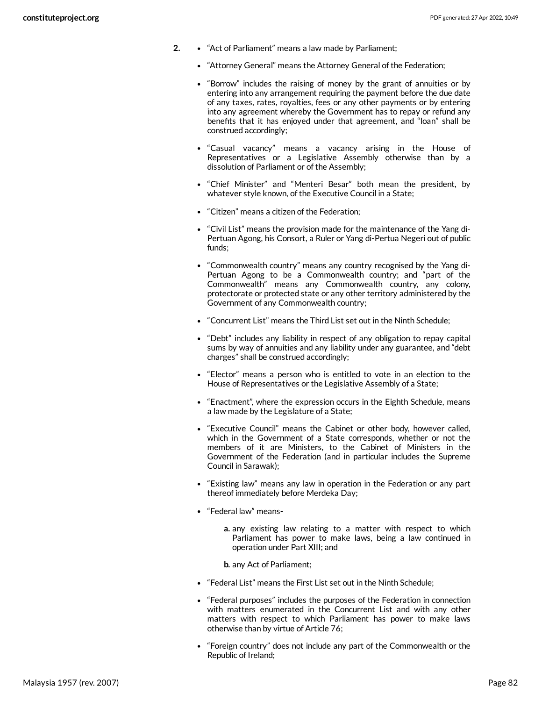- **2.** "Act of Parliament" means a law made by Parliament;
	- "Attorney General" means the Attorney General of the Federation;
	- "Borrow" includes the raising of money by the grant of annuities or by entering into any arrangement requiring the payment before the due date of any taxes, rates, royalties, fees or any other payments or by entering into any agreement whereby the Government has to repay or refund any benefits that it has enjoyed under that agreement, and "loan" shall be construed accordingly;
	- "Casual vacancy" means a vacancy arising in the House of Representatives or a Legislative Assembly otherwise than by a dissolution of Parliament or of the Assembly;
	- "Chief Minister" and "Menteri Besar" both mean the president, by whatever style known, of the Executive Council in a State;
	- "Citizen" means a citizen of the Federation;
	- "Civil List" means the provision made for the maintenance of the Yang di-Pertuan Agong, his Consort, a Ruler or Yang di-Pertua Negeri out of public funds;
	- "Commonwealth country" means any country recognised by the Yang di-Pertuan Agong to be a Commonwealth country; and "part of the Commonwealth" means any Commonwealth country, any colony, protectorate or protected state or any other territory administered by the Government of any Commonwealth country;
	- "Concurrent List" means the Third List set out in the Ninth Schedule;
	- "Debt" includes any liability in respect of any obligation to repay capital sums by way of annuities and any liability under any guarantee, and "debt charges" shall be construed accordingly;
	- "Elector" means a person who is entitled to vote in an election to the House of Representatives or the Legislative Assembly of a State;
	- "Enactment", where the expression occurs in the Eighth Schedule, means a law made by the Legislature of a State;
	- "Executive Council" means the Cabinet or other body, however called, which in the Government of a State corresponds, whether or not the members of it are Ministers, to the Cabinet of Ministers in the Government of the Federation (and in particular includes the Supreme Council in Sarawak);
	- "Existing law" means any law in operation in the Federation or any part thereof immediately before Merdeka Day;
	- "Federal law" means-

**a.** any existing law relating to a matter with respect to which Parliament has power to make laws, being a law continued in operation under Part XIII; and

**b.** any Act of Parliament;

- "Federal List" means the First List set out in the Ninth Schedule;
- "Federal purposes" includes the purposes of the Federation in connection with matters enumerated in the Concurrent List and with any other matters with respect to which Parliament has power to make laws otherwise than by virtue of Article 76;
- "Foreign country" does not include any part of the Commonwealth or the Republic of Ireland;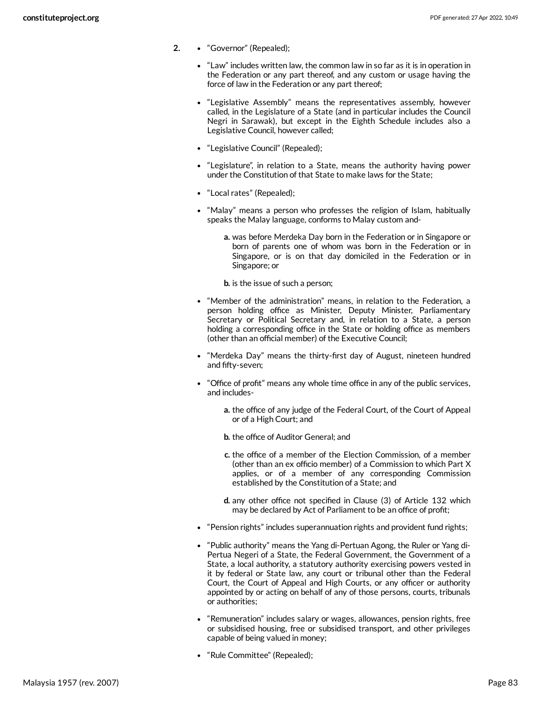- **2.** "Governor" (Repealed);
	- "Law" includes written law, the common law in so far as it is in operation in the Federation or any part thereof, and any custom or usage having the force of law in the Federation or any part thereof;
	- "Legislative Assembly" means the representatives assembly, however called, in the Legislature of a State (and in particular includes the Council Negri in Sarawak), but except in the Eighth Schedule includes also a Legislative Council, however called;
	- "Legislative Council" (Repealed);
	- "Legislature", in relation to a State, means the authority having power under the Constitution of that State to make laws for the State;
	- "Local rates" (Repealed);
	- "Malay" means a person who professes the religion of Islam, habitually speaks the Malay language, conforms to Malay custom and
		- **a.** was before Merdeka Day born in the Federation or in Singapore or born of parents one of whom was born in the Federation or in Singapore, or is on that day domiciled in the Federation or in Singapore; or

**b.** is the issue of such a person;

- "Member of the administration" means, in relation to the Federation, a person holding office as Minister, Deputy Minister, Parliamentary Secretary or Political Secretary and, in relation to a State, a person holding a corresponding office in the State or holding office as members (other than an official member) of the Executive Council;
- "Merdeka Day" means the thirty-first day of August, nineteen hundred and fifty-seven;
- "Office of profit" means any whole time office in any of the public services, and includes
	- **a.** the office of any judge of the Federal Court, of the Court of Appeal or of a High Court; and
	- **b.** the office of Auditor General; and
	- **c.** the office of a member of the Election Commission, of a member (other than an ex officio member) of a Commission to which Part X applies, or of a member of any corresponding Commission established by the Constitution of a State; and
	- **d.** any other office not specified in Clause (3) of Article 132 which may be declared by Act of Parliament to be an office of profit;
- "Pension rights" includes superannuation rights and provident fund rights;
- "Public authority" means the Yang di-Pertuan Agong, the Ruler or Yang di-Pertua Negeri of a State, the Federal Government, the Government of a State, a local authority, a statutory authority exercising powers vested in it by federal or State law, any court or tribunal other than the Federal Court, the Court of Appeal and High Courts, or any officer or authority appointed by or acting on behalf of any of those persons, courts, tribunals or authorities;
- "Remuneration" includes salary or wages, allowances, pension rights, free or subsidised housing, free or subsidised transport, and other privileges capable of being valued in money;
- "Rule Committee" (Repealed);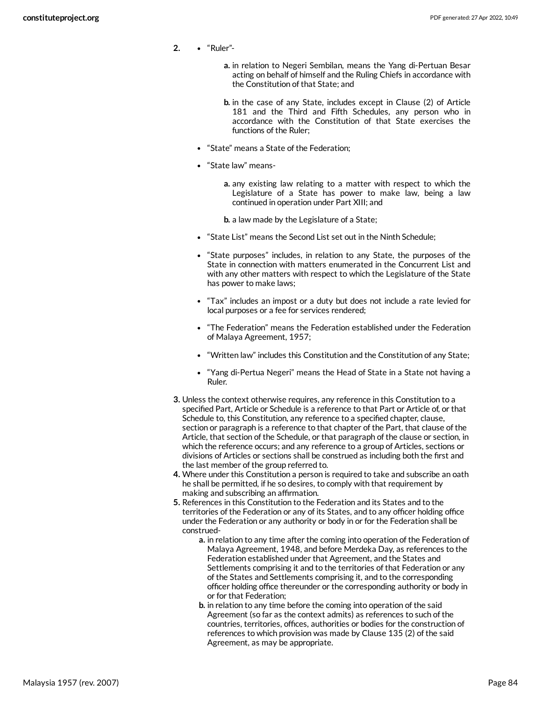- **2.** "Ruler"
	- **a.** in relation to Negeri Sembilan, means the Yang di-Pertuan Besar acting on behalf of himself and the Ruling Chiefs in accordance with the Constitution of that State; and
	- **b.** in the case of any State, includes except in Clause (2) of Article 181 and the Third and Fifth Schedules, any person who in accordance with the Constitution of that State exercises the functions of the Ruler;
	- "State" means a State of the Federation;
	- "State law" means
		- **a.** any existing law relating to a matter with respect to which the Legislature of a State has power to make law, being a law continued in operation under Part XIII; and

**b.** a law made by the Legislature of a State;

- "State List" means the Second List set out in the Ninth Schedule;
- "State purposes" includes, in relation to any State, the purposes of the State in connection with matters enumerated in the Concurrent List and with any other matters with respect to which the Legislature of the State has power to make laws;
- "Tax" includes an impost or a duty but does not include a rate levied for local purposes or a fee for services rendered;
- "The Federation" means the Federation established under the Federation of Malaya Agreement, 1957;
- "Written law" includes this Constitution and the Constitution of any State;
- "Yang di-Pertua Negeri" means the Head of State in a State not having a Ruler.
- **3.** Unless the context otherwise requires, any reference in this Constitution to a specified Part, Article or Schedule is a reference to that Part or Article of, or that Schedule to, this Constitution, any reference to a specified chapter, clause, section or paragraph is a reference to that chapter of the Part, that clause of the Article, that section of the Schedule, or that paragraph of the clause or section, in which the reference occurs; and any reference to a group of Articles, sections or divisions of Articles or sections shall be construed as including both the first and the last member of the group referred to.
- **4.** Where under this Constitution a person is required to take and subscribe an oath he shall be permitted, if he so desires, to comply with that requirement by making and subscribing an affirmation.
- **5.** References in this Constitution to the Federation and its States and to the territories of the Federation or any of its States, and to any officer holding office under the Federation or any authority or body in or for the Federation shall be construed
	- **a.** in relation to any time after the coming into operation of the Federation of Malaya Agreement, 1948, and before Merdeka Day, as references to the Federation established under that Agreement, and the States and Settlements comprising it and to the territories of that Federation or any of the States and Settlements comprising it, and to the corresponding officer holding office thereunder or the corresponding authority or body in or for that Federation;
	- **b.** in relation to any time before the coming into operation of the said Agreement (so far as the context admits) as references to such of the countries, territories, offices, authorities or bodies for the construction of references to which provision was made by Clause 135 (2) of the said Agreement, as may be appropriate.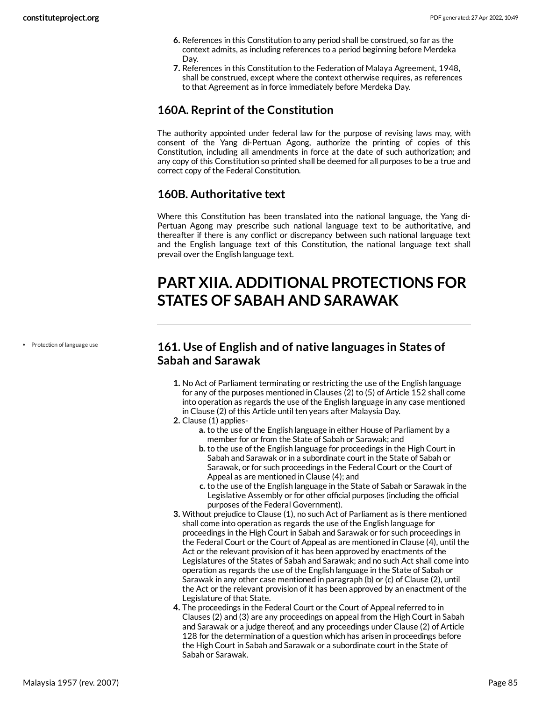- **6.** References in this Constitution to any period shall be construed, so far as the context admits, as including references to a period beginning before Merdeka Day.
- **7.** References in this Constitution to the Federation of Malaya Agreement, 1948, shall be construed, except where the context otherwise requires, as references to that Agreement as in force immediately before Merdeka Day.

## **160A. Reprint of the Constitution**

The authority appointed under federal law for the purpose of revising laws may, with consent of the Yang di-Pertuan Agong, authorize the printing of copies of this Constitution, including all amendments in force at the date of such authorization; and any copy of this Constitution so printed shall be deemed for all purposes to be a true and correct copy of the Federal Constitution.

## **160B. Authoritative text**

Where this Constitution has been translated into the national language, the Yang di-Pertuan Agong may prescribe such national language text to be authoritative, and thereafter if there is any conflict or discrepancy between such national language text and the English language text of this Constitution, the national language text shall prevail over the English language text.

## **PART XIIA. ADDITIONAL PROTECTIONS FOR STATES OF SABAH AND SARAWAK**

• Protection of language use

## **161. Use of English and of native languages in States of Sabah and Sarawak**

- **1.** No Act of Parliament terminating or restricting the use of the English language for any of the purposes mentioned in Clauses (2) to (5) of Article 152 shall come into operation as regards the use of the English language in any case mentioned in Clause (2) of this Article until ten years after Malaysia Day.
- **2.** Clause (1) applies
	- **a.** to the use of the English language in either House of Parliament by a member for or from the State of Sabah or Sarawak; and
	- **b.** to the use of the English language for proceedings in the High Court in Sabah and Sarawak or in a subordinate court in the State of Sabah or Sarawak, or for such proceedings in the Federal Court or the Court of Appeal as are mentioned in Clause (4); and
	- **c.** to the use of the English language in the State of Sabah or Sarawak in the Legislative Assembly or for other official purposes (including the official purposes of the Federal Government).
- **3.** Without prejudice to Clause (1), no such Act of Parliament as is there mentioned shall come into operation as regards the use of the English language for proceedings in the High Court in Sabah and Sarawak or for such proceedings in the Federal Court or the Court of Appeal as are mentioned in Clause (4), until the Act or the relevant provision of it has been approved by enactments of the Legislatures of the States of Sabah and Sarawak; and no such Act shall come into operation as regards the use of the English language in the State of Sabah or Sarawak in any other case mentioned in paragraph (b) or (c) of Clause (2), until the Act or the relevant provision of it has been approved by an enactment of the Legislature of that State.
- **4.** The proceedings in the Federal Court or the Court of Appeal referred to in Clauses (2) and (3) are any proceedings on appeal from the High Court in Sabah and Sarawak or a judge thereof, and any proceedings under Clause (2) of Article 128 for the determination of a question which has arisen in proceedings before the High Court in Sabah and Sarawak or a subordinate court in the State of Sabah or Sarawak.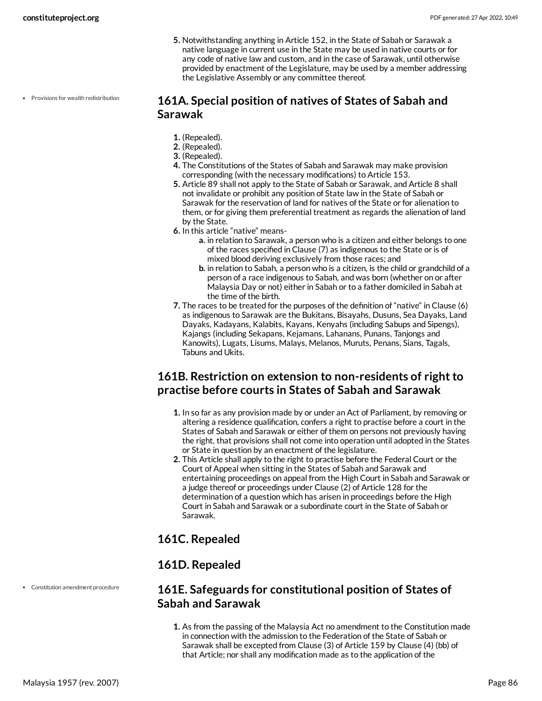- **5.** Notwithstanding anything in Article 152, in the State of Sabah or Sarawak a native language in current use in the State may be used in native courts or for any code of native law and custom, and in the case of Sarawak, until otherwise provided by enactment of the Legislature, may be used by a member addressing the Legislative Assembly or any committee thereof.
- Provisions for wealth redistribution

## **161A. Special position of natives of States of Sabah and Sarawak**

- **1.** (Repealed).
- **2.** (Repealed).
- **3.** (Repealed).
- **4.** The Constitutions of the States of Sabah and Sarawak may make provision corresponding (with the necessary modifications) to Article 153.
- **5.** Article 89 shall not apply to the State of Sabah or Sarawak, and Article 8 shall not invalidate or prohibit any position of State law in the State of Sabah or Sarawak for the reservation of land for natives of the State or for alienation to them, or for giving them preferential treatment as regards the alienation of land by the State.
- **6.** In this article "native" means
	- **a.** in relation to Sarawak, a person who is a citizen and either belongs to one of the races specified in Clause (7) as indigenous to the State or is of mixed blood deriving exclusively from those races; and
	- **b.** in relation to Sabah, a person who is a citizen, is the child or grandchild of a person of a race indigenous to Sabah, and was born (whether on or after Malaysia Day or not) either in Sabah or to a father domiciled in Sabah at the time of the birth.
- **7.** The races to be treated for the purposes of the definition of "native" in Clause (6) as indigenous to Sarawak are the Bukitans, Bisayahs, Dusuns, Sea Dayaks, Land Dayaks, Kadayans, Kalabits, Kayans, Kenyahs (including Sabups and Sipengs), Kajangs (including Sekapans, Kejamans, Lahanans, Punans, Tanjongs and Kanowits), Lugats, Lisums, Malays, Melanos, Muruts, Penans, Sians, Tagals, Tabuns and Ukits.

## **161B. Restriction on extension to non-residents of right to practise before courts in States of Sabah and Sarawak**

- **1.** In so far as any provision made by or under an Act of Parliament, by removing or altering a residence qualification, confers a right to practise before a court in the States of Sabah and Sarawak or either of them on persons not previously having the right, that provisions shall not come into operation until adopted in the States or State in question by an enactment of the legislature.
- **2.** This Article shall apply to the right to practise before the Federal Court or the Court of Appeal when sitting in the States of Sabah and Sarawak and entertaining proceedings on appeal from the High Court in Sabah and Sarawak or a judge thereof or proceedings under Clause (2) of Article 128 for the determination of a question which has arisen in proceedings before the High Court in Sabah and Sarawak or a subordinate court in the State of Sabah or Sarawak.

## **161C. Repealed**

## **161D. Repealed**

• Constitution amendment procedure

## **161E. Safeguards for constitutional position of States of Sabah and Sarawak**

**1.** As from the passing of the Malaysia Act no amendment to the Constitution made in connection with the admission to the Federation of the State of Sabah or Sarawak shall be excepted from Clause (3) of Article 159 by Clause (4) (bb) of that Article; nor shall any modification made as to the application of the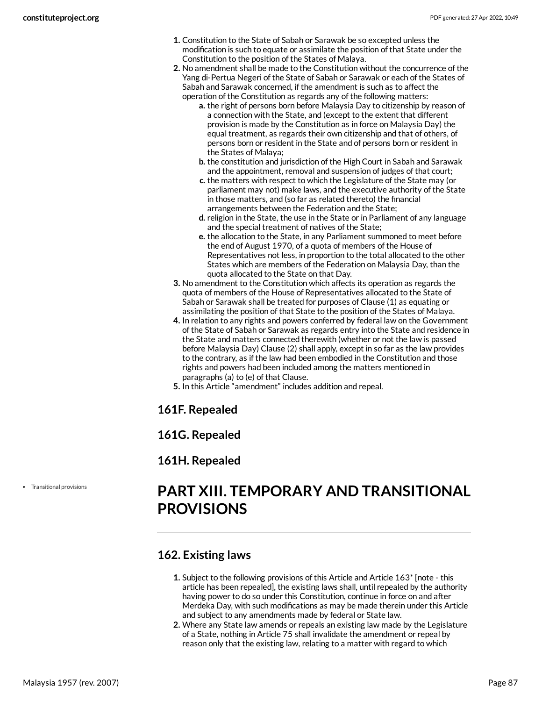- **1.** Constitution to the State of Sabah or Sarawak be so excepted unless the modification is such to equate or assimilate the position of that State under the Constitution to the position of the States of Malaya.
- **2.** No amendment shall be made to the Constitution without the concurrence of the Yang di-Pertua Negeri of the State of Sabah or Sarawak or each of the States of Sabah and Sarawak concerned, if the amendment is such as to affect the operation of the Constitution as regards any of the following matters:
	- **a.** the right of persons born before Malaysia Day to citizenship by reason of a connection with the State, and (except to the extent that different provision is made by the Constitution as in force on Malaysia Day) the equal treatment, as regards their own citizenship and that of others, of persons born or resident in the State and of persons born or resident in the States of Malaya;
	- **b.** the constitution and jurisdiction of the High Court in Sabah and Sarawak and the appointment, removal and suspension of judges of that court;
	- **c.** the matters with respect to which the Legislature of the State may (or parliament may not) make laws, and the executive authority of the State in those matters, and (so far as related thereto) the financial arrangements between the Federation and the State;
	- **d.** religion in the State, the use in the State or in Parliament of any language and the special treatment of natives of the State;
	- **e.** the allocation to the State, in any Parliament summoned to meet before the end of August 1970, of a quota of members of the House of Representatives not less, in proportion to the total allocated to the other States which are members of the Federation on Malaysia Day, than the quota allocated to the State on that Day.
- **3.** No amendment to the Constitution which affects its operation as regards the quota of members of the House of Representatives allocated to the State of Sabah or Sarawak shall be treated for purposes of Clause (1) as equating or assimilating the position of that State to the position of the States of Malaya.
- **4.** In relation to any rights and powers conferred by federal law on the Government of the State of Sabah or Sarawak as regards entry into the State and residence in the State and matters connected therewith (whether or not the law is passed before Malaysia Day) Clause (2) shall apply, except in so far as the law provides to the contrary, as if the law had been embodied in the Constitution and those rights and powers had been included among the matters mentioned in paragraphs (a) to (e) of that Clause.
- **5.** In this Article "amendment" includes addition and repeal.

## **161F. Repealed**

## **161G. Repealed**

## **161H. Repealed**

Transitional provisions

## **PART XIII. TEMPORARY AND TRANSITIONAL PROVISIONS**

## **162. Existing laws**

- **1.** Subject to the following provisions of this Article and Article 163\* [note this article has been repealed], the existing laws shall, until repealed by the authority having power to do so under this Constitution, continue in force on and after Merdeka Day, with such modifications as may be made therein under this Article and subject to any amendments made by federal or State law.
- **2.** Where any State law amends or repeals an existing law made by the Legislature of a State, nothing in Article 75 shall invalidate the amendment or repeal by reason only that the existing law, relating to a matter with regard to which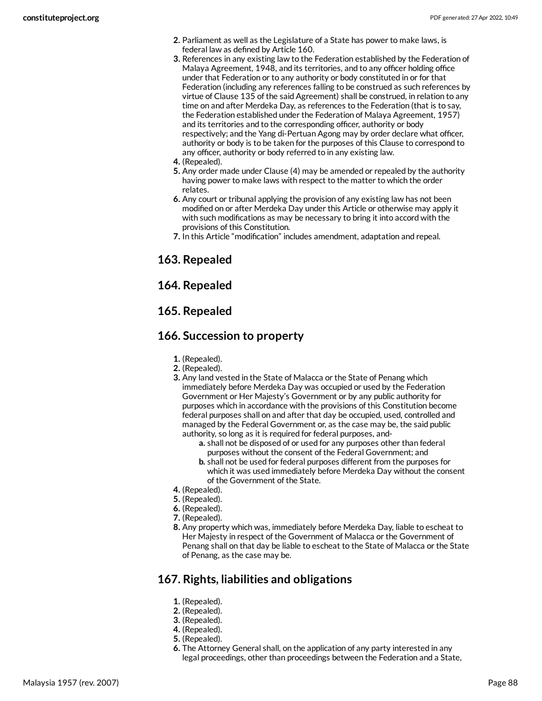- **2.** Parliament as well as the Legislature of a State has power to make laws, is federal law as defined by Article 160.
- **3.** References in any existing law to the Federation established by the Federation of Malaya Agreement, 1948, and its territories, and to any officer holding office under that Federation or to any authority or body constituted in or for that Federation (including any references falling to be construed as such references by virtue of Clause 135 of the said Agreement) shall be construed, in relation to any time on and after Merdeka Day, as references to the Federation (that is to say, the Federation established under the Federation of Malaya Agreement, 1957) and its territories and to the corresponding officer, authority or body respectively; and the Yang di-Pertuan Agong may by order declare what officer, authority or body is to be taken for the purposes of this Clause to correspond to any officer, authority or body referred to in any existing law.
- **4.** (Repealed).
- **5.** Any order made under Clause (4) may be amended or repealed by the authority having power to make laws with respect to the matter to which the order relates.
- **6.** Any court or tribunal applying the provision of any existing law has not been modified on or after Merdeka Day under this Article or otherwise may apply it with such modifications as may be necessary to bring it into accord with the provisions of this Constitution.
- **7.** In this Article "modification" includes amendment, adaptation and repeal.

## **163. Repealed**

### **164. Repealed**

### **165. Repealed**

### **166. Succession to property**

- **1.** (Repealed).
- **2.** (Repealed).
- **3.** Any land vested in the State of Malacca or the State of Penang which immediately before Merdeka Day was occupied or used by the Federation Government or Her Majesty's Government or by any public authority for purposes which in accordance with the provisions of this Constitution become federal purposes shall on and after that day be occupied, used, controlled and managed by the Federal Government or, as the case may be, the said public authority, so long as it is required for federal purposes, and
	- **a.** shall not be disposed of or used for any purposes other than federal purposes without the consent of the Federal Government; and
	- **b.** shall not be used for federal purposes different from the purposes for which it was used immediately before Merdeka Day without the consent of the Government of the State.
- **4.** (Repealed).
- **5.** (Repealed).
- **6.** (Repealed).
- **7.** (Repealed).
- **8.** Any property which was, immediately before Merdeka Day, liable to escheat to Her Majesty in respect of the Government of Malacca or the Government of Penang shall on that day be liable to escheat to the State of Malacca or the State of Penang, as the case may be.

## **167. Rights, liabilities and obligations**

- **1.** (Repealed).
- **2.** (Repealed).
- **3.** (Repealed).
- **4.** (Repealed).
- **5.** (Repealed).
- **6.** The Attorney General shall, on the application of any party interested in any legal proceedings, other than proceedings between the Federation and a State,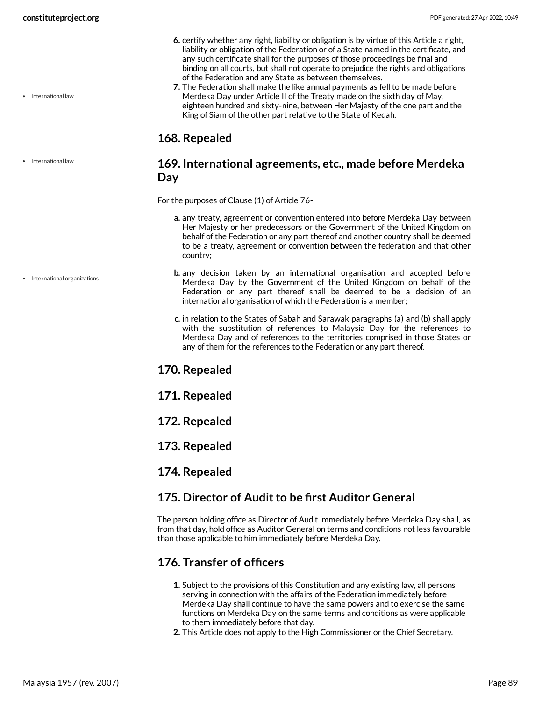- **6.** certify whether any right, liability or obligation is by virtue of this Article a right, liability or obligation of the Federation or of a State named in the certificate, and any such certificate shall for the purposes of those proceedings be final and binding on all courts, but shall not operate to prejudice the rights and obligations of the Federation and any State as between themselves.
- **7.** The Federation shall make the like annual payments as fell to be made before Merdeka Day under Article II of the Treaty made on the sixth day of May, eighteen hundred and sixty-nine, between Her Majesty of the one part and the King of Siam of the other part relative to the State of Kedah.

## **168. Repealed**

• International law

• International organizations

### **169. International agreements, etc., made before Merdeka Day**

For the purposes of Clause (1) of Article 76-

- **a.** any treaty, agreement or convention entered into before Merdeka Day between Her Majesty or her predecessors or the Government of the United Kingdom on behalf of the Federation or any part thereof and another country shall be deemed to be a treaty, agreement or convention between the federation and that other country;
- **b.** any decision taken by an international organisation and accepted before Merdeka Day by the Government of the United Kingdom on behalf of the Federation or any part thereof shall be deemed to be a decision of an international organisation of which the Federation is a member;
- **c.** in relation to the States of Sabah and Sarawak paragraphs (a) and (b) shall apply with the substitution of references to Malaysia Day for the references to Merdeka Day and of references to the territories comprised in those States or any of them for the references to the Federation or any part thereof.

## **170. Repealed**

- **171. Repealed**
- **172. Repealed**

### **173. Repealed**

## **174. Repealed**

## **175. Director of Audit to be first Auditor General**

The person holding office as Director of Audit immediately before Merdeka Day shall, as from that day, hold office as Auditor General on terms and conditions not less favourable than those applicable to him immediately before Merdeka Day.

## **176. Transfer of officers**

- **1.** Subject to the provisions of this Constitution and any existing law, all persons serving in connection with the affairs of the Federation immediately before Merdeka Day shall continue to have the same powers and to exercise the same functions on Merdeka Day on the same terms and conditions as were applicable to them immediately before that day.
- **2.** This Article does not apply to the High Commissioner or the Chief Secretary.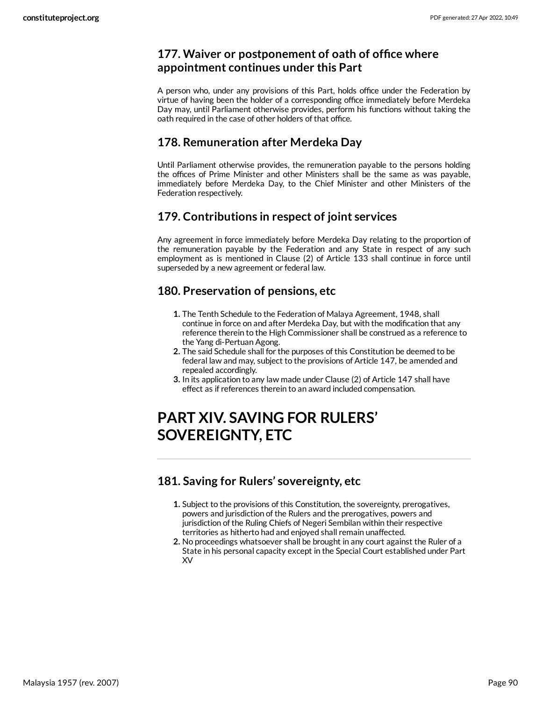## **177. Waiver or postponement of oath of office where appointment continues under this Part**

A person who, under any provisions of this Part, holds office under the Federation by virtue of having been the holder of a corresponding office immediately before Merdeka Day may, until Parliament otherwise provides, perform his functions without taking the oath required in the case of other holders of that office.

## **178. Remuneration after Merdeka Day**

Until Parliament otherwise provides, the remuneration payable to the persons holding the offices of Prime Minister and other Ministers shall be the same as was payable, immediately before Merdeka Day, to the Chief Minister and other Ministers of the Federation respectively.

## **179. Contributions in respect of joint services**

Any agreement in force immediately before Merdeka Day relating to the proportion of the remuneration payable by the Federation and any State in respect of any such employment as is mentioned in Clause (2) of Article 133 shall continue in force until superseded by a new agreement or federal law.

## **180. Preservation of pensions, etc**

- **1.** The Tenth Schedule to the Federation of Malaya Agreement, 1948, shall continue in force on and after Merdeka Day, but with the modification that any reference therein to the High Commissioner shall be construed as a reference to the Yang di-Pertuan Agong.
- **2.** The said Schedule shall for the purposes of this Constitution be deemed to be federal law and may, subject to the provisions of Article 147, be amended and repealed accordingly.
- **3.** In its application to any law made under Clause (2) of Article 147 shall have effect as if references therein to an award included compensation.

## **PART XIV. SAVING FOR RULERS' SOVEREIGNTY, ETC**

## **181. Saving for Rulers' sovereignty, etc**

- **1.** Subject to the provisions of this Constitution, the sovereignty, prerogatives, powers and jurisdiction of the Rulers and the prerogatives, powers and jurisdiction of the Ruling Chiefs of Negeri Sembilan within their respective territories as hitherto had and enjoyed shall remain unaffected.
- **2.** No proceedings whatsoever shall be brought in any court against the Ruler of a State in his personal capacity except in the Special Court established under Part XV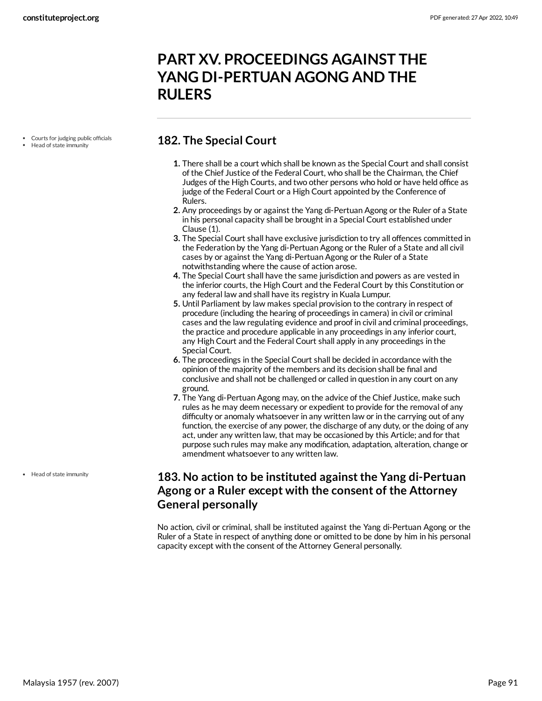## **PART XV. PROCEEDINGS AGAINST THE YANG DI-PERTUAN AGONG AND THE RULERS**

Courts for judging public officials

#### Head of state immunity

## **182. The Special Court**

- **1.** There shall be a court which shall be known as the Special Court and shall consist of the Chief Justice of the Federal Court, who shall be the Chairman, the Chief Judges of the High Courts, and two other persons who hold or have held office as judge of the Federal Court or a High Court appointed by the Conference of Rulers.
- **2.** Any proceedings by or against the Yang di-Pertuan Agong or the Ruler of a State in his personal capacity shall be brought in a Special Court established under Clause (1).
- **3.** The Special Court shall have exclusive jurisdiction to try all offences committed in the Federation by the Yang di-Pertuan Agong or the Ruler of a State and all civil cases by or against the Yang di-Pertuan Agong or the Ruler of a State notwithstanding where the cause of action arose.
- **4.** The Special Court shall have the same jurisdiction and powers as are vested in the inferior courts, the High Court and the Federal Court by this Constitution or any federal law and shall have its registry in Kuala Lumpur.
- **5.** Until Parliament by law makes special provision to the contrary in respect of procedure (including the hearing of proceedings in camera) in civil or criminal cases and the law regulating evidence and proof in civil and criminal proceedings, the practice and procedure applicable in any proceedings in any inferior court, any High Court and the Federal Court shall apply in any proceedings in the Special Court.
- **6.** The proceedings in the Special Court shall be decided in accordance with the opinion of the majority of the members and its decision shall be final and conclusive and shall not be challenged or called in question in any court on any ground.
- **7.** The Yang di-Pertuan Agong may, on the advice of the Chief Justice, make such rules as he may deem necessary or expedient to provide for the removal of any difficulty or anomaly whatsoever in any written law or in the carrying out of any function, the exercise of any power, the discharge of any duty, or the doing of any act, under any written law, that may be occasioned by this Article; and for that purpose such rules may make any modification, adaptation, alteration, change or amendment whatsoever to any written law.

## **183. No action to be instituted against the Yang di-Pertuan Agong or a Ruler except with the consent of the Attorney General personally**

No action, civil or criminal, shall be instituted against the Yang di-Pertuan Agong or the Ruler of a State in respect of anything done or omitted to be done by him in his personal capacity except with the consent of the Attorney General personally.

• Head of state immunity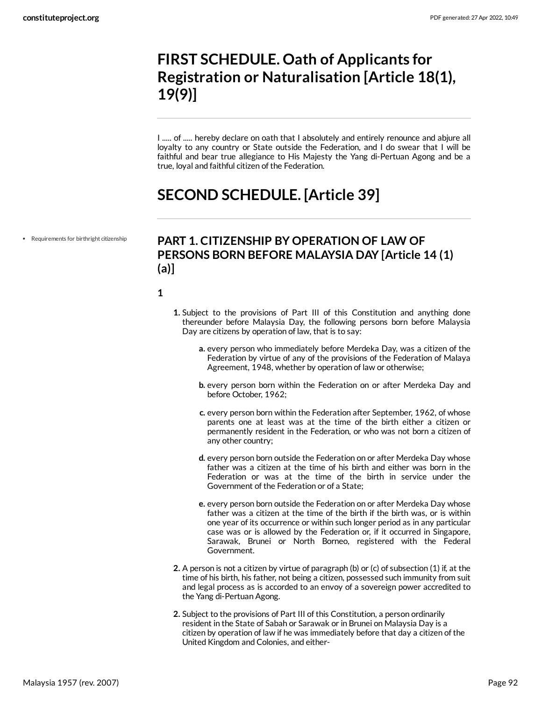## **FIRST SCHEDULE. Oath of Applicants for Registration or Naturalisation [Article 18(1), 19(9)]**

I ..... of ..... hereby declare on oath that I absolutely and entirely renounce and abjure all loyalty to any country or State outside the Federation, and I do swear that I will be faithful and bear true allegiance to His Majesty the Yang di-Pertuan Agong and be a true, loyal and faithful citizen of the Federation.

## **SECOND SCHEDULE. [Article 39]**

Requirements for birthright citizenship

## **PART 1. CITIZENSHIP BY OPERATION OF LAW OF PERSONS BORN BEFORE MALAYSIA DAY [Article 14 (1) (a)]**

#### **1**

- **1.** Subject to the provisions of Part III of this Constitution and anything done thereunder before Malaysia Day, the following persons born before Malaysia Day are citizens by operation of law, that is to say:
	- **a.** every person who immediately before Merdeka Day, was a citizen of the Federation by virtue of any of the provisions of the Federation of Malaya Agreement, 1948, whether by operation of law or otherwise;
	- **b.** every person born within the Federation on or after Merdeka Day and before October, 1962;
	- **c.** every person born within the Federation after September, 1962, of whose parents one at least was at the time of the birth either a citizen or permanently resident in the Federation, or who was not born a citizen of any other country;
	- **d.** every person born outside the Federation on or after Merdeka Day whose father was a citizen at the time of his birth and either was born in the Federation or was at the time of the birth in service under the Government of the Federation or of a State;
	- **e.** every person born outside the Federation on or after Merdeka Day whose father was a citizen at the time of the birth if the birth was, or is within one year of its occurrence or within such longer period as in any particular case was or is allowed by the Federation or, if it occurred in Singapore, Sarawak, Brunei or North Borneo, registered with the Federal Government.
- **2.** A person is not a citizen by virtue of paragraph (b) or (c) of subsection (1) if, at the time of his birth, his father, not being a citizen, possessed such immunity from suit and legal process as is accorded to an envoy of a sovereign power accredited to the Yang di-Pertuan Agong.
- **2.** Subject to the provisions of Part III of this Constitution, a person ordinarily resident in the State of Sabah or Sarawak or in Brunei on Malaysia Day is a citizen by operation of law if he was immediately before that day a citizen of the United Kingdom and Colonies, and either-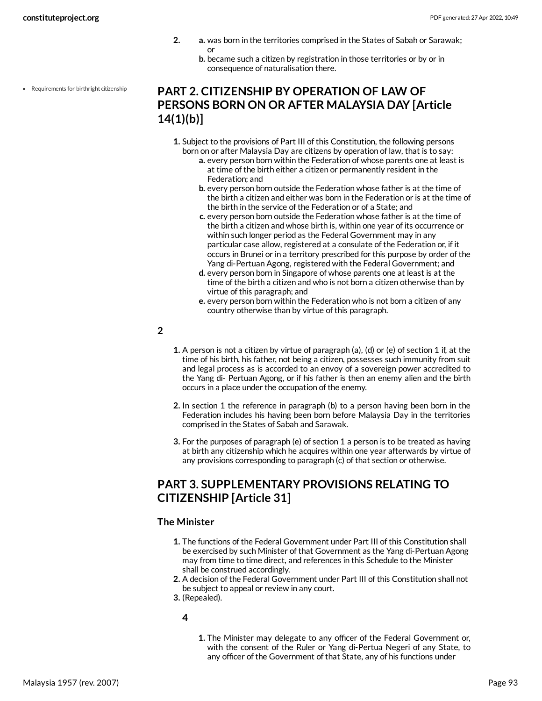- **2. a.** was born in the territories comprised in the States of Sabah or Sarawak; or
	- **b.** became such a citizen by registration in those territories or by or in consequence of naturalisation there.
- Requirements for birthright citizenship

## **PART 2. CITIZENSHIP BY OPERATION OF LAW OF PERSONS BORN ON OR AFTER MALAYSIA DAY [Article 14(1)(b)]**

- **1.** Subject to the provisions of Part III of this Constitution, the following persons born on or after Malaysia Day are citizens by operation of law, that is to say:
	- **a.** every person born within the Federation of whose parents one at least is at time of the birth either a citizen or permanently resident in the Federation; and
	- **b.** every person born outside the Federation whose father is at the time of the birth a citizen and either was born in the Federation or is at the time of the birth in the service of the Federation or of a State; and
	- **c.** every person born outside the Federation whose father is at the time of the birth a citizen and whose birth is, within one year of its occurrence or within such longer period as the Federal Government may in any particular case allow, registered at a consulate of the Federation or, if it occurs in Brunei or in a territory prescribed for this purpose by order of the Yang di-Pertuan Agong, registered with the Federal Government; and
	- **d.** every person born in Singapore of whose parents one at least is at the time of the birth a citizen and who is not born a citizen otherwise than by virtue of this paragraph; and
	- **e.** every person born within the Federation who is not born a citizen of any country otherwise than by virtue of this paragraph.

#### **2**

- **1.** A person is not a citizen by virtue of paragraph (a), (d) or (e) of section 1 if, at the time of his birth, his father, not being a citizen, possesses such immunity from suit and legal process as is accorded to an envoy of a sovereign power accredited to the Yang di- Pertuan Agong, or if his father is then an enemy alien and the birth occurs in a place under the occupation of the enemy.
- **2.** In section 1 the reference in paragraph (b) to a person having been born in the Federation includes his having been born before Malaysia Day in the territories comprised in the States of Sabah and Sarawak.
- **3.** For the purposes of paragraph (e) of section 1 a person is to be treated as having at birth any citizenship which he acquires within one year afterwards by virtue of any provisions corresponding to paragraph (c) of that section or otherwise.

## **PART 3. SUPPLEMENTARY PROVISIONS RELATING TO CITIZENSHIP [Article 31]**

#### **The Minister**

- **1.** The functions of the Federal Government under Part III of this Constitution shall be exercised by such Minister of that Government as the Yang di-Pertuan Agong may from time to time direct, and references in this Schedule to the Minister shall be construed accordingly.
- **2.** A decision of the Federal Government under Part III of this Constitution shall not be subject to appeal or review in any court.
- **3.** (Repealed).

#### **4**

**1.** The Minister may delegate to any officer of the Federal Government or, with the consent of the Ruler or Yang di-Pertua Negeri of any State, to any officer of the Government of that State, any of his functions under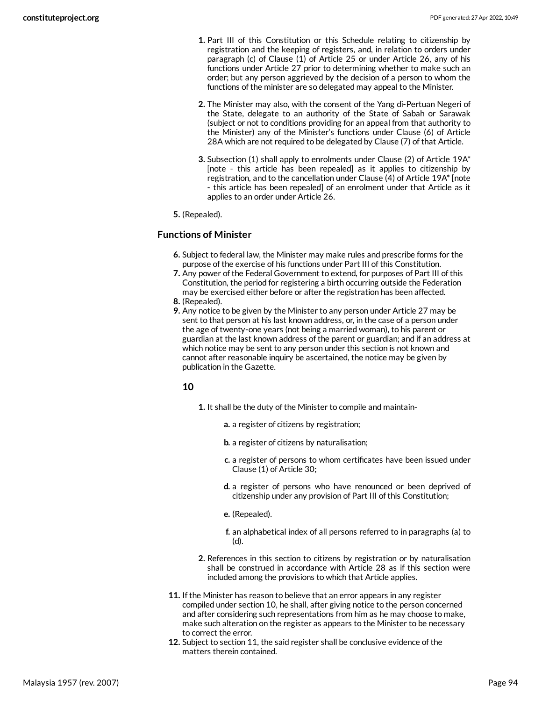- **1.** Part III of this Constitution or this Schedule relating to citizenship by registration and the keeping of registers, and, in relation to orders under paragraph (c) of Clause (1) of Article 25 or under Article 26, any of his functions under Article 27 prior to determining whether to make such an order; but any person aggrieved by the decision of a person to whom the functions of the minister are so delegated may appeal to the Minister.
- **2.** The Minister may also, with the consent of the Yang di-Pertuan Negeri of the State, delegate to an authority of the State of Sabah or Sarawak (subject or not to conditions providing for an appeal from that authority to the Minister) any of the Minister's functions under Clause (6) of Article 28A which are not required to be delegated by Clause (7) of that Article.
- **3.** Subsection (1) shall apply to enrolments under Clause (2) of Article 19A\* [note - this article has been repealed] as it applies to citizenship by registration, and to the cancellation under Clause (4) of Article 19A\* [note - this article has been repealed] of an enrolment under that Article as it applies to an order under Article 26.
- **5.** (Repealed).

#### **Functions of Minister**

- **6.** Subject to federal law, the Minister may make rules and prescribe forms for the purpose of the exercise of his functions under Part III of this Constitution.
- **7.** Any power of the Federal Government to extend, for purposes of Part III of this Constitution, the period for registering a birth occurring outside the Federation may be exercised either before or after the registration has been affected.
- **8.** (Repealed).
- **9.** Any notice to be given by the Minister to any person under Article 27 may be sent to that person at his last known address, or, in the case of a person under the age of twenty-one years (not being a married woman), to his parent or guardian at the last known address of the parent or guardian; and if an address at which notice may be sent to any person under this section is not known and cannot after reasonable inquiry be ascertained, the notice may be given by publication in the Gazette.

#### **10**

- **1.** It shall be the duty of the Minister to compile and maintain
	- **a.** a register of citizens by registration;
	- **b.** a register of citizens by naturalisation;
	- **c.** a register of persons to whom certificates have been issued under Clause (1) of Article 30;
	- **d.** a register of persons who have renounced or been deprived of citizenship under any provision of Part III of this Constitution;
	- **e.** (Repealed).
	- **f.** an alphabetical index of all persons referred to in paragraphs (a) to (d).
- **2.** References in this section to citizens by registration or by naturalisation shall be construed in accordance with Article 28 as if this section were included among the provisions to which that Article applies.
- **11.** If the Minister has reason to believe that an error appears in any register compiled under section 10, he shall, after giving notice to the person concerned and after considering such representations from him as he may choose to make, make such alteration on the register as appears to the Minister to be necessary to correct the error.
- **12.** Subject to section 11, the said register shall be conclusive evidence of the matters therein contained.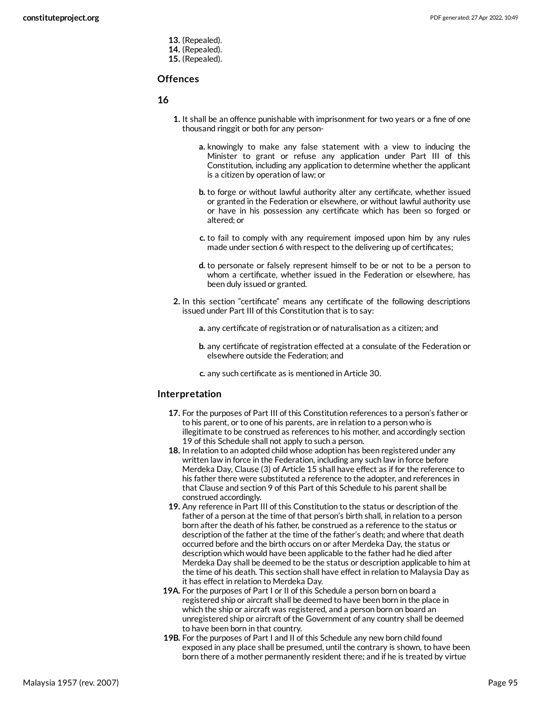- **13.** (Repealed).
- **14.** (Repealed).
- **15.** (Repealed).

#### **Offences**

#### **16**

- **1.** It shall be an offence punishable with imprisonment for two years or a fine of one thousand ringgit or both for any person
	- **a.** knowingly to make any false statement with a view to inducing the Minister to grant or refuse any application under Part III of this Constitution, including any application to determine whether the applicant is a citizen by operation of law; or
	- **b.** to forge or without lawful authority alter any certificate, whether issued or granted in the Federation or elsewhere, or without lawful authority use or have in his possession any certificate which has been so forged or altered; or
	- **c.** to fail to comply with any requirement imposed upon him by any rules made under section 6 with respect to the delivering up of certificates;
	- **d.** to personate or falsely represent himself to be or not to be a person to whom a certificate, whether issued in the Federation or elsewhere, has been duly issued or granted.
- **2.** In this section "certificate" means any certificate of the following descriptions issued under Part III of this Constitution that is to say:
	- **a.** any certificate of registration or of naturalisation as a citizen; and
	- **b.** any certificate of registration effected at a consulate of the Federation or elsewhere outside the Federation; and
	- **c.** any such certificate as is mentioned in Article 30.

#### **Interpretation**

- **17.** For the purposes of Part III of this Constitution references to a person's father or to his parent, or to one of his parents, are in relation to a person who is illegitimate to be construed as references to his mother, and accordingly section 19 of this Schedule shall not apply to such a person.
- **18.** In relation to an adopted child whose adoption has been registered under any written law in force in the Federation, including any such law in force before Merdeka Day, Clause (3) of Article 15 shall have effect as if for the reference to his father there were substituted a reference to the adopter, and references in that Clause and section 9 of this Part of this Schedule to his parent shall be construed accordingly.
- **19.** Any reference in Part III of this Constitution to the status or description of the father of a person at the time of that person's birth shall, in relation to a person born after the death of his father, be construed as a reference to the status or description of the father at the time of the father's death; and where that death occurred before and the birth occurs on or after Merdeka Day, the status or description which would have been applicable to the father had he died after Merdeka Day shall be deemed to be the status or description applicable to him at the time of his death. This section shall have effect in relation to Malaysia Day as it has effect in relation to Merdeka Day.
- **19A.** For the purposes of Part I or II of this Schedule a person born on board a registered ship or aircraft shall be deemed to have been born in the place in which the ship or aircraft was registered, and a person born on board an unregistered ship or aircraft of the Government of any country shall be deemed to have been born in that country.
- **19B.** For the purposes of Part I and II of this Schedule any new born child found exposed in any place shall be presumed, until the contrary is shown, to have been born there of a mother permanently resident there; and if he is treated by virtue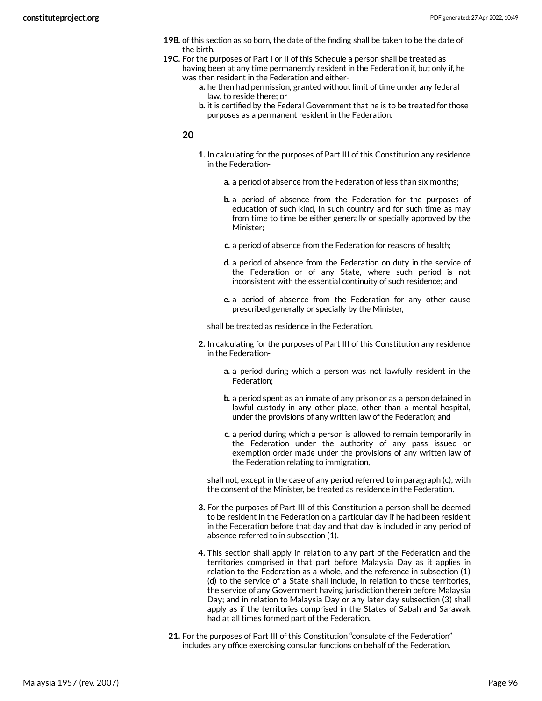- **19B.** of this section as so born, the date of the finding shall be taken to be the date of the birth.
- **19C.** For the purposes of Part I or II of this Schedule a person shall be treated as having been at any time permanently resident in the Federation if, but only if, he was then resident in the Federation and either
	- **a.** he then had permission, granted without limit of time under any federal law, to reside there; or
	- **b.** it is certified by the Federal Government that he is to be treated for those purposes as a permanent resident in the Federation.

#### **20**

- **1.** In calculating for the purposes of Part III of this Constitution any residence in the Federation
	- **a.** a period of absence from the Federation of less than six months;
	- **b.** a period of absence from the Federation for the purposes of education of such kind, in such country and for such time as may from time to time be either generally or specially approved by the Minister;
	- **c.** a period of absence from the Federation for reasons of health;
	- **d.** a period of absence from the Federation on duty in the service of the Federation or of any State, where such period is not inconsistent with the essential continuity of such residence; and
	- **e.** a period of absence from the Federation for any other cause prescribed generally or specially by the Minister,

shall be treated as residence in the Federation.

- **2.** In calculating for the purposes of Part III of this Constitution any residence in the Federation
	- **a.** a period during which a person was not lawfully resident in the Federation;
	- **b.** a period spent as an inmate of any prison or as a person detained in lawful custody in any other place, other than a mental hospital, under the provisions of any written law of the Federation; and
	- **c.** a period during which a person is allowed to remain temporarily in the Federation under the authority of any pass issued or exemption order made under the provisions of any written law of the Federation relating to immigration,

shall not, except in the case of any period referred to in paragraph (c), with the consent of the Minister, be treated as residence in the Federation.

- **3.** For the purposes of Part III of this Constitution a person shall be deemed to be resident in the Federation on a particular day if he had been resident in the Federation before that day and that day is included in any period of absence referred to in subsection (1).
- **4.** This section shall apply in relation to any part of the Federation and the territories comprised in that part before Malaysia Day as it applies in relation to the Federation as a whole, and the reference in subsection (1) (d) to the service of a State shall include, in relation to those territories, the service of any Government having jurisdiction therein before Malaysia Day; and in relation to Malaysia Day or any later day subsection (3) shall apply as if the territories comprised in the States of Sabah and Sarawak had at all times formed part of the Federation.
- **21.** For the purposes of Part III of this Constitution "consulate of the Federation" includes any office exercising consular functions on behalf of the Federation.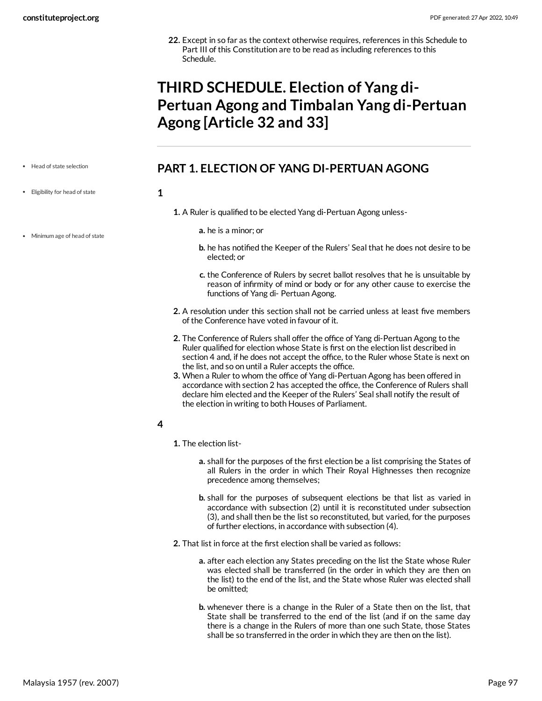**22.** Except in so far as the context otherwise requires, references in this Schedule to Part III of this Constitution are to be read as including references to this Schedule.

## **THIRD SCHEDULE. Election of Yang di-Pertuan Agong and Timbalan Yang di-Pertuan Agong [Article 32 and 33]**

## **PART 1. ELECTION OF YANG DI-PERTUAN AGONG**

**1**

- **1.** A Ruler is qualified to be elected Yang di-Pertuan Agong unless-
- Minimum age of head of state

Head of state selection

Eligibility for head of state

- **a.** he is a minor; or
- **b.** he has notified the Keeper of the Rulers' Seal that he does not desire to be elected; or
- **c.** the Conference of Rulers by secret ballot resolves that he is unsuitable by reason of infirmity of mind or body or for any other cause to exercise the functions of Yang di- Pertuan Agong.
- **2.** A resolution under this section shall not be carried unless at least five members of the Conference have voted in favour of it.
- **2.** The Conference of Rulers shall offer the office of Yang di-Pertuan Agong to the Ruler qualified for election whose State is first on the election list described in section 4 and, if he does not accept the office, to the Ruler whose State is next on the list, and so on until a Ruler accepts the office.
- **3.** When a Ruler to whom the office of Yang di-Pertuan Agong has been offered in accordance with section 2 has accepted the office, the Conference of Rulers shall declare him elected and the Keeper of the Rulers' Seal shall notify the result of the election in writing to both Houses of Parliament.

#### **4**

- **1.** The election list
	- **a.** shall for the purposes of the first election be a list comprising the States of all Rulers in the order in which Their Royal Highnesses then recognize precedence among themselves;
	- **b.** shall for the purposes of subsequent elections be that list as varied in accordance with subsection (2) until it is reconstituted under subsection (3), and shall then be the list so reconstituted, but varied, for the purposes of further elections, in accordance with subsection (4).
- **2.** That list in force at the first election shall be varied as follows:
	- **a.** after each election any States preceding on the list the State whose Ruler was elected shall be transferred (in the order in which they are then on the list) to the end of the list, and the State whose Ruler was elected shall be omitted;
	- **b.** whenever there is a change in the Ruler of a State then on the list, that State shall be transferred to the end of the list (and if on the same day there is a change in the Rulers of more than one such State, those States shall be so transferred in the order in which they are then on the list).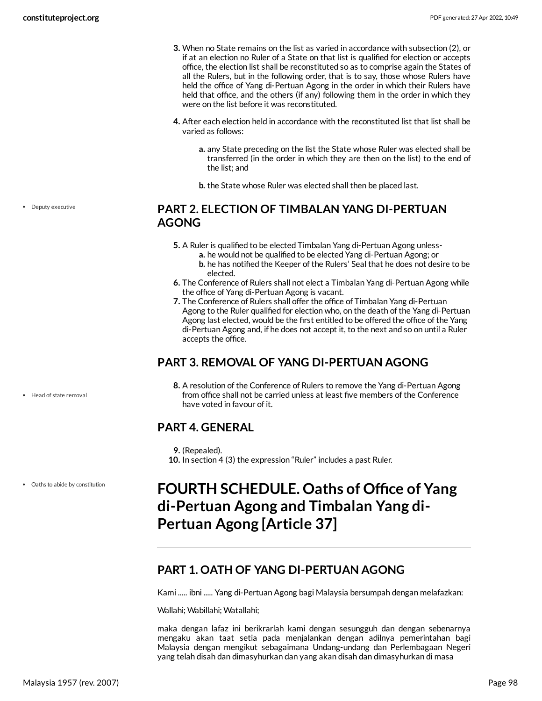- **3.** When no State remains on the list as varied in accordance with subsection (2), or if at an election no Ruler of a State on that list is qualified for election or accepts office, the election list shall be reconstituted so as to comprise again the States of all the Rulers, but in the following order, that is to say, those whose Rulers have held the office of Yang di-Pertuan Agong in the order in which their Rulers have held that office, and the others (if any) following them in the order in which they were on the list before it was reconstituted.
- **4.** After each election held in accordance with the reconstituted list that list shall be varied as follows:
	- **a.** any State preceding on the list the State whose Ruler was elected shall be transferred (in the order in which they are then on the list) to the end of the list; and
	- **b.** the State whose Ruler was elected shall then be placed last.

### **PART 2. ELECTION OF TIMBALAN YANG DI-PERTUAN AGONG**

- **5.** A Ruler is qualified to be elected Timbalan Yang di-Pertuan Agong unless
	- **a.** he would not be qualified to be elected Yang di-Pertuan Agong; or **b.** he has notified the Keeper of the Rulers' Seal that he does not desire to be elected.
- **6.** The Conference of Rulers shall not elect a Timbalan Yang di-Pertuan Agong while the office of Yang di-Pertuan Agong is vacant.
- **7.** The Conference of Rulers shall offer the office of Timbalan Yang di-Pertuan Agong to the Ruler qualified for election who, on the death of the Yang di-Pertuan Agong last elected, would be the first entitled to be offered the office of the Yang di-Pertuan Agong and, if he does not accept it, to the next and so on until a Ruler accepts the office.

## **PART 3. REMOVAL OF YANG DI-PERTUAN AGONG**

**8.** A resolution of the Conference of Rulers to remove the Yang di-Pertuan Agong from office shall not be carried unless at least five members of the Conference have voted in favour of it.

## **PART 4. GENERAL**

**9.** (Repealed).

**10.** In section 4 (3) the expression "Ruler" includes a past Ruler.

## **FOURTH SCHEDULE. Oaths of Office of Yang di-Pertuan Agong and Timbalan Yang di-Pertuan Agong [Article 37]**

## **PART 1. OATH OF YANG DI-PERTUAN AGONG**

Kami ..... ibni ..... Yang di-Pertuan Agong bagi Malaysia bersumpah dengan melafazkan:

Wallahi; Wabillahi; Watallahi;

maka dengan lafaz ini berikrarlah kami dengan sesungguh dan dengan sebenarnya mengaku akan taat setia pada menjalankan dengan adilnya pemerintahan bagi Malaysia dengan mengikut sebagaimana Undang-undang dan Perlembagaan Negeri yang telah disah dan dimasyhurkan dan yang akan disah dan dimasyhurkan di masa

Deputy executive

• Head of state removal

Oaths to abide by constitution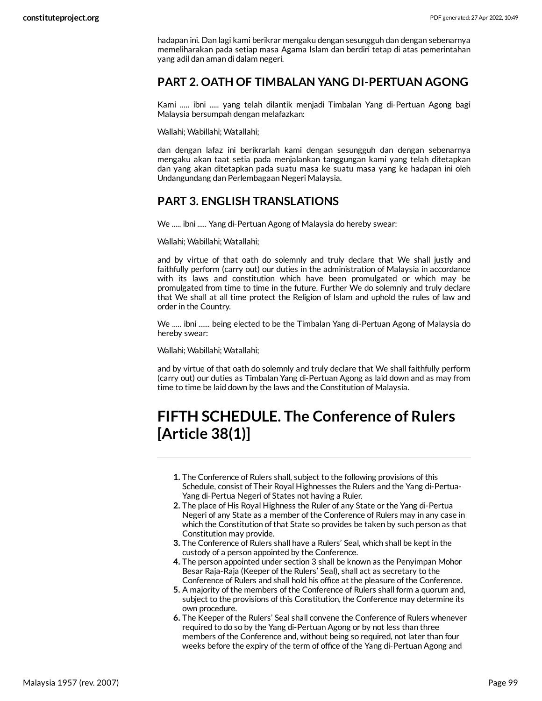hadapan ini. Dan lagi kami berikrar mengaku dengan sesungguh dan dengan sebenarnya memeliharakan pada setiap masa Agama Islam dan berdiri tetap di atas pemerintahan yang adil dan aman di dalam negeri.

## **PART 2. OATH OF TIMBALAN YANG DI-PERTUAN AGONG**

Kami ..... ibni ..... yang telah dilantik menjadi Timbalan Yang di-Pertuan Agong bagi Malaysia bersumpah dengan melafazkan:

Wallahi; Wabillahi; Watallahi;

dan dengan lafaz ini berikrarlah kami dengan sesungguh dan dengan sebenarnya mengaku akan taat setia pada menjalankan tanggungan kami yang telah ditetapkan dan yang akan ditetapkan pada suatu masa ke suatu masa yang ke hadapan ini oleh Undangundang dan Perlembagaan Negeri Malaysia.

## **PART 3. ENGLISH TRANSLATIONS**

We ..... ibni ..... Yang di-Pertuan Agong of Malaysia do hereby swear:

Wallahi; Wabillahi; Watallahi;

and by virtue of that oath do solemnly and truly declare that We shall justly and faithfully perform (carry out) our duties in the administration of Malaysia in accordance with its laws and constitution which have been promulgated or which may be promulgated from time to time in the future. Further We do solemnly and truly declare that We shall at all time protect the Religion of Islam and uphold the rules of law and order in the Country.

We ..... ibni ...... being elected to be the Timbalan Yang di-Pertuan Agong of Malaysia do hereby swear:

Wallahi; Wabillahi; Watallahi;

and by virtue of that oath do solemnly and truly declare that We shall faithfully perform (carry out) our duties as Timbalan Yang di-Pertuan Agong as laid down and as may from time to time be laid down by the laws and the Constitution of Malaysia.

## **FIFTH SCHEDULE. The Conference of Rulers [Article 38(1)]**

- **1.** The Conference of Rulers shall, subject to the following provisions of this Schedule, consist of Their Royal Highnesses the Rulers and the Yang di-Pertua-Yang di-Pertua Negeri of States not having a Ruler.
- **2.** The place of His Royal Highness the Ruler of any State or the Yang di-Pertua Negeri of any State as a member of the Conference of Rulers may in any case in which the Constitution of that State so provides be taken by such person as that Constitution may provide.
- **3.** The Conference of Rulers shall have a Rulers' Seal, which shall be kept in the custody of a person appointed by the Conference.
- **4.** The person appointed under section 3 shall be known as the Penyimpan Mohor Besar Raja-Raja (Keeper of the Rulers' Seal), shall act as secretary to the Conference of Rulers and shall hold his office at the pleasure of the Conference.
- **5.** A majority of the members of the Conference of Rulers shall form a quorum and, subject to the provisions of this Constitution, the Conference may determine its own procedure.
- **6.** The Keeper of the Rulers' Seal shall convene the Conference of Rulers whenever required to do so by the Yang di-Pertuan Agong or by not less than three members of the Conference and, without being so required, not later than four weeks before the expiry of the term of office of the Yang di-Pertuan Agong and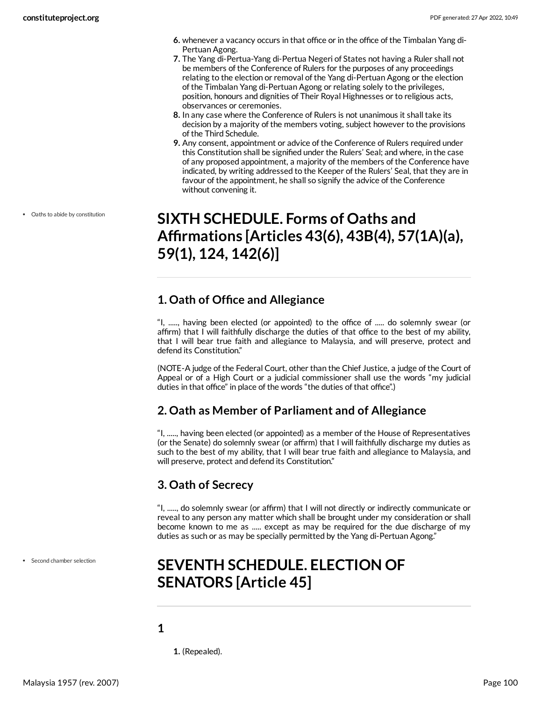Oaths to abide by constitution

- **6.** whenever a vacancy occurs in that office or in the office of the Timbalan Yang di-Pertuan Agong.
- **7.** The Yang di-Pertua-Yang di-Pertua Negeri of States not having a Ruler shall not be members of the Conference of Rulers for the purposes of any proceedings relating to the election or removal of the Yang di-Pertuan Agong or the election of the Timbalan Yang di-Pertuan Agong or relating solely to the privileges, position, honours and dignities of Their Royal Highnesses or to religious acts, observances or ceremonies.
- **8.** In any case where the Conference of Rulers is not unanimous it shall take its decision by a majority of the members voting, subject however to the provisions of the Third Schedule.
- **9.** Any consent, appointment or advice of the Conference of Rulers required under this Constitution shall be signified under the Rulers' Seal; and where, in the case of any proposed appointment, a majority of the members of the Conference have indicated, by writing addressed to the Keeper of the Rulers' Seal, that they are in favour of the appointment, he shall so signify the advice of the Conference without convening it.

## **SIXTH SCHEDULE. Forms of Oaths and Affirmations [Articles 43(6), 43B(4), 57(1A)(a), 59(1), 124, 142(6)]**

## **1. Oath of Office and Allegiance**

"I, ....., having been elected (or appointed) to the office of ..... do solemnly swear (or affirm) that I will faithfully discharge the duties of that office to the best of my ability, that I will bear true faith and allegiance to Malaysia, and will preserve, protect and defend its Constitution."

(NOTE-A judge of the Federal Court, other than the Chief Justice, a judge of the Court of Appeal or of a High Court or a judicial commissioner shall use the words "my judicial duties in that office" in place of the words "the duties of that office".)

## **2. Oath as Member of Parliament and of Allegiance**

"I, ....., having been elected (or appointed) as a member of the House of Representatives (or the Senate) do solemnly swear (or affirm) that I will faithfully discharge my duties as such to the best of my ability, that I will bear true faith and allegiance to Malaysia, and will preserve, protect and defend its Constitution."

## **3. Oath of Secrecy**

"I, ....., do solemnly swear (or affirm) that I will not directly or indirectly communicate or reveal to any person any matter which shall be brought under my consideration or shall become known to me as ..... except as may be required for the due discharge of my duties as such or as may be specially permitted by the Yang di-Pertuan Agong."

Second chamber selection

## **SEVENTH SCHEDULE. ELECTION OF SENATORS [Article 45]**

**1**

**1.** (Repealed).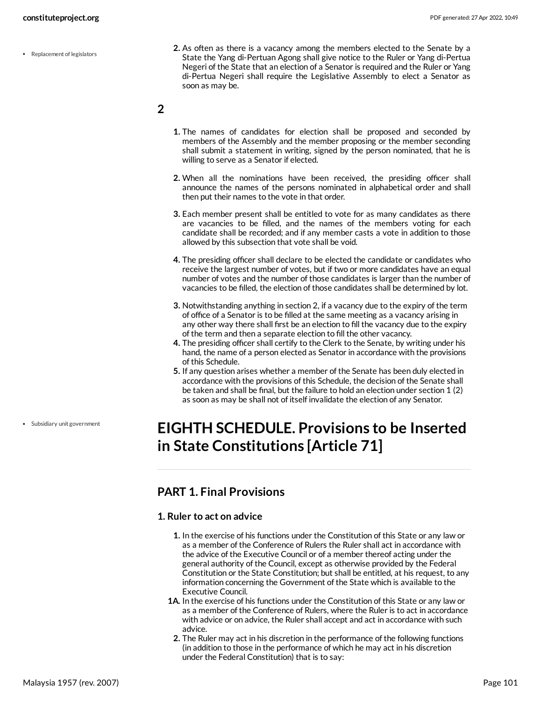Replacement of legislators

- **2.** As often as there is a vacancy among the members elected to the Senate by a State the Yang di-Pertuan Agong shall give notice to the Ruler or Yang di-Pertua Negeri of the State that an election of a Senator is required and the Ruler or Yang di-Pertua Negeri shall require the Legislative Assembly to elect a Senator as soon as may be.
- **2**
- **1.** The names of candidates for election shall be proposed and seconded by members of the Assembly and the member proposing or the member seconding shall submit a statement in writing, signed by the person nominated, that he is willing to serve as a Senator if elected.
- **2.** When all the nominations have been received, the presiding officer shall announce the names of the persons nominated in alphabetical order and shall then put their names to the vote in that order.
- **3.** Each member present shall be entitled to vote for as many candidates as there are vacancies to be filled, and the names of the members voting for each candidate shall be recorded; and if any member casts a vote in addition to those allowed by this subsection that vote shall be void.
- **4.** The presiding officer shall declare to be elected the candidate or candidates who receive the largest number of votes, but if two or more candidates have an equal number of votes and the number of those candidates is larger than the number of vacancies to be filled, the election of those candidates shall be determined by lot.
- **3.** Notwithstanding anything in section 2, if a vacancy due to the expiry of the term of office of a Senator is to be filled at the same meeting as a vacancy arising in any other way there shall first be an election to fill the vacancy due to the expiry of the term and then a separate election to fill the other vacancy.
- **4.** The presiding officer shall certify to the Clerk to the Senate, by writing under his hand, the name of a person elected as Senator in accordance with the provisions of this Schedule.
- **5.** If any question arises whether a member of the Senate has been duly elected in accordance with the provisions of this Schedule, the decision of the Senate shall be taken and shall be final, but the failure to hold an election under section 1 (2) as soon as may be shall not of itself invalidate the election of any Senator.

Subsidiary unit government

## **EIGHTH SCHEDULE. Provisions to be Inserted in State Constitutions [Article 71]**

## **PART 1. Final Provisions**

#### **1. Ruler to act on advice**

- **1.** In the exercise of his functions under the Constitution of this State or any law or as a member of the Conference of Rulers the Ruler shall act in accordance with the advice of the Executive Council or of a member thereof acting under the general authority of the Council, except as otherwise provided by the Federal Constitution or the State Constitution; but shall be entitled, at his request, to any information concerning the Government of the State which is available to the Executive Council.
- **1A.** In the exercise of his functions under the Constitution of this State or any law or as a member of the Conference of Rulers, where the Ruler is to act in accordance with advice or on advice, the Ruler shall accept and act in accordance with such advice.
- **2.** The Ruler may act in his discretion in the performance of the following functions (in addition to those in the performance of which he may act in his discretion under the Federal Constitution) that is to say: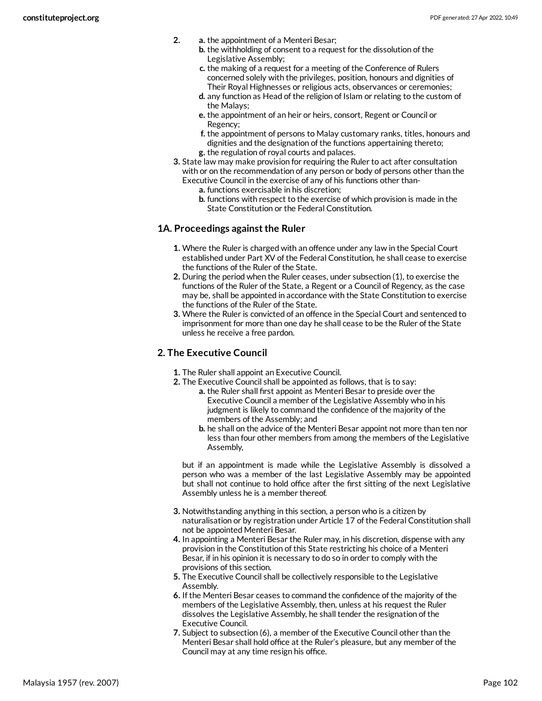- **2. a.** the appointment of a Menteri Besar;
	- **b.** the withholding of consent to a request for the dissolution of the Legislative Assembly;
	- **c.** the making of a request for a meeting of the Conference of Rulers concerned solely with the privileges, position, honours and dignities of Their Royal Highnesses or religious acts, observances or ceremonies;
	- **d.** any function as Head of the religion of Islam or relating to the custom of the Malays;
	- **e.** the appointment of an heir or heirs, consort, Regent or Council or Regency;
	- **f.** the appointment of persons to Malay customary ranks, titles, honours and dignities and the designation of the functions appertaining thereto;
	- **g.** the regulation of royal courts and palaces.
- **3.** State law may make provision for requiring the Ruler to act after consultation with or on the recommendation of any person or body of persons other than the Executive Council in the exercise of any of his functions other than
	- **a.** functions exercisable in his discretion;
	- **b.** functions with respect to the exercise of which provision is made in the State Constitution or the Federal Constitution.

#### **1A. Proceedings againstthe Ruler**

- **1.** Where the Ruler is charged with an offence under any law in the Special Court established under Part XV of the Federal Constitution, he shall cease to exercise the functions of the Ruler of the State.
- **2.** During the period when the Ruler ceases, under subsection (1), to exercise the functions of the Ruler of the State, a Regent or a Council of Regency, as the case may be, shall be appointed in accordance with the State Constitution to exercise the functions of the Ruler of the State.
- **3.** Where the Ruler is convicted of an offence in the Special Court and sentenced to imprisonment for more than one day he shall cease to be the Ruler of the State unless he receive a free pardon.

#### **2. The Executive Council**

- **1.** The Ruler shall appoint an Executive Council.
- **2.** The Executive Council shall be appointed as follows, that is to say:
	- **a.** the Ruler shall first appoint as Menteri Besar to preside over the Executive Council a member of the Legislative Assembly who in his judgment is likely to command the confidence of the majority of the members of the Assembly; and
	- **b.** he shall on the advice of the Menteri Besar appoint not more than ten nor less than four other members from among the members of the Legislative Assembly,

but if an appointment is made while the Legislative Assembly is dissolved a person who was a member of the last Legislative Assembly may be appointed but shall not continue to hold office after the first sitting of the next Legislative Assembly unless he is a member thereof.

- **3.** Notwithstanding anything in this section, a person who is a citizen by naturalisation or by registration under Article 17 of the Federal Constitution shall not be appointed Menteri Besar.
- **4.** In appointing a Menteri Besar the Ruler may, in his discretion, dispense with any provision in the Constitution of this State restricting his choice of a Menteri Besar, if in his opinion it is necessary to do so in order to comply with the provisions of this section.
- **5.** The Executive Council shall be collectively responsible to the Legislative Assembly.
- **6.** If the Menteri Besar ceases to command the confidence of the majority of the members of the Legislative Assembly, then, unless at his request the Ruler dissolves the Legislative Assembly, he shall tender the resignation of the Executive Council.
- **7.** Subject to subsection (6), a member of the Executive Council other than the Menteri Besar shall hold office at the Ruler's pleasure, but any member of the Council may at any time resign his office.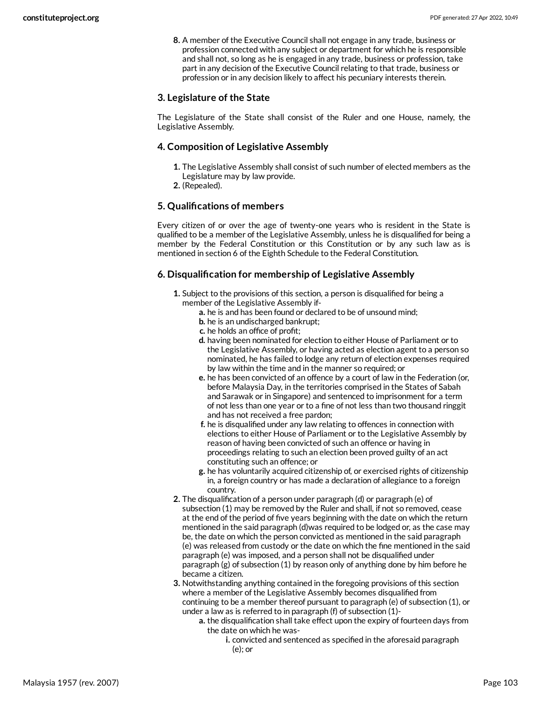**8.** A member of the Executive Council shall not engage in any trade, business or profession connected with any subject or department for which he is responsible and shall not, so long as he is engaged in any trade, business or profession, take part in any decision of the Executive Council relating to that trade, business or profession or in any decision likely to affect his pecuniary interests therein.

#### **3. Legislature of the State**

The Legislature of the State shall consist of the Ruler and one House, namely, the Legislative Assembly.

#### **4. Composition of Legislative Assembly**

- **1.** The Legislative Assembly shall consist of such number of elected members as the Legislature may by law provide.
- **2.** (Repealed).

#### **5. Qualifications of members**

Every citizen of or over the age of twenty-one years who is resident in the State is qualified to be a member of the Legislative Assembly, unless he is disqualified for being a member by the Federal Constitution or this Constitution or by any such law as is mentioned in section 6 of the Eighth Schedule to the Federal Constitution.

#### **6. Disqualification for membership of Legislative Assembly**

- **1.** Subject to the provisions of this section, a person is disqualified for being a member of the Legislative Assembly if
	- **a.** he is and has been found or declared to be of unsound mind;
	- **b.** he is an undischarged bankrupt;
	- **c.** he holds an office of profit;
	- **d.** having been nominated for election to either House of Parliament or to the Legislative Assembly, or having acted as election agent to a person so nominated, he has failed to lodge any return of election expenses required by law within the time and in the manner so required; or
	- **e.** he has been convicted of an offence by a court of law in the Federation (or, before Malaysia Day, in the territories comprised in the States of Sabah and Sarawak or in Singapore) and sentenced to imprisonment for a term of not less than one year or to a fine of not less than two thousand ringgit and has not received a free pardon;
	- **f.** he is disqualified under any law relating to offences in connection with elections to either House of Parliament or to the Legislative Assembly by reason of having been convicted of such an offence or having in proceedings relating to such an election been proved guilty of an act constituting such an offence; or
	- **g.** he has voluntarily acquired citizenship of, or exercised rights of citizenship in, a foreign country or has made a declaration of allegiance to a foreign country.
- **2.** The disqualification of a person under paragraph (d) or paragraph (e) of subsection (1) may be removed by the Ruler and shall, if not so removed, cease at the end of the period of five years beginning with the date on which the return mentioned in the said paragraph (d)was required to be lodged or, as the case may be, the date on which the person convicted as mentioned in the said paragraph (e) was released from custody or the date on which the fine mentioned in the said paragraph (e) was imposed, and a person shall not be disqualified under paragraph (g) of subsection (1) by reason only of anything done by him before he became a citizen.
- **3.** Notwithstanding anything contained in the foregoing provisions of this section where a member of the Legislative Assembly becomes disqualified from continuing to be a member thereof pursuant to paragraph (e) of subsection (1), or under a law as is referred to in paragraph (f) of subsection (1)
	- **a.** the disqualification shall take effect upon the expiry of fourteen days from the date on which he was
		- **i.** convicted and sentenced as specified in the aforesaid paragraph (e); or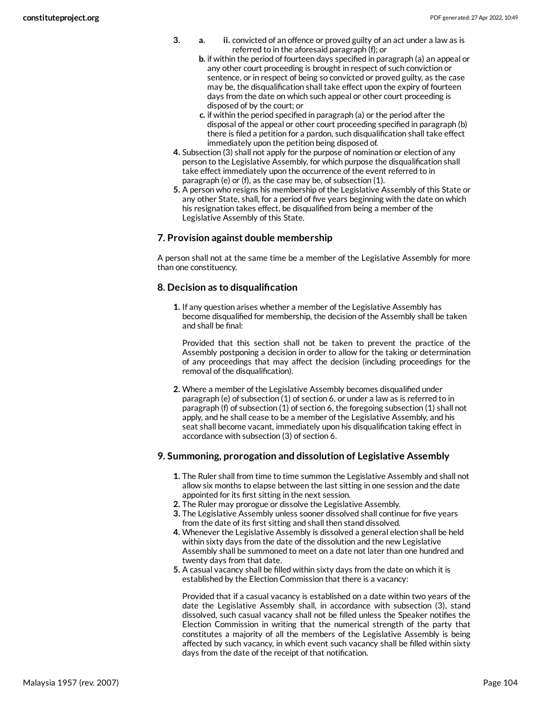- **3. a. ii.** convicted of an offence or proved guilty of an act under a law as is referred to in the aforesaid paragraph (f); or
	- **b.** if within the period of fourteen days specified in paragraph (a) an appeal or any other court proceeding is brought in respect of such conviction or sentence, or in respect of being so convicted or proved guilty, as the case may be, the disqualification shall take effect upon the expiry of fourteen days from the date on which such appeal or other court proceeding is disposed of by the court; or
	- **c.** if within the period specified in paragraph (a) or the period after the disposal of the appeal or other court proceeding specified in paragraph (b) there is filed a petition for a pardon, such disqualification shall take effect immediately upon the petition being disposed of.
- **4.** Subsection (3) shall not apply for the purpose of nomination or election of any person to the Legislative Assembly, for which purpose the disqualification shall take effect immediately upon the occurrence of the event referred to in paragraph (e) or (f), as the case may be, of subsection (1).
- **5.** A person who resigns his membership of the Legislative Assembly of this State or any other State, shall, for a period of five years beginning with the date on which his resignation takes effect, be disqualified from being a member of the Legislative Assembly of this State.

#### **7. Provision against double membership**

A person shall not at the same time be a member of the Legislative Assembly for more than one constituency.

#### **8. Decision as to disqualification**

**1.** If any question arises whether a member of the Legislative Assembly has become disqualified for membership, the decision of the Assembly shall be taken and shall be final:

Provided that this section shall not be taken to prevent the practice of the Assembly postponing a decision in order to allow for the taking or determination of any proceedings that may affect the decision (including proceedings for the removal of the disqualification).

**2.** Where a member of the Legislative Assembly becomes disqualified under paragraph (e) of subsection (1) of section 6, or under a law as is referred to in paragraph (f) of subsection (1) of section 6, the foregoing subsection (1) shall not apply, and he shall cease to be a member of the Legislative Assembly, and his seat shall become vacant, immediately upon his disqualification taking effect in accordance with subsection (3) of section 6.

#### **9. Summoning, prorogation and dissolution of Legislative Assembly**

- **1.** The Ruler shall from time to time summon the Legislative Assembly and shall not allow six months to elapse between the last sitting in one session and the date appointed for its first sitting in the next session.
- **2.** The Ruler may prorogue or dissolve the Legislative Assembly.
- **3.** The Legislative Assembly unless sooner dissolved shall continue for five years from the date of its first sitting and shall then stand dissolved.
- **4.** Whenever the Legislative Assembly is dissolved a general election shall be held within sixty days from the date of the dissolution and the new Legislative Assembly shall be summoned to meet on a date not later than one hundred and twenty days from that date.
- **5.** A casual vacancy shall be filled within sixty days from the date on which it is established by the Election Commission that there is a vacancy:

Provided that if a casual vacancy is established on a date within two years of the date the Legislative Assembly shall, in accordance with subsection (3), stand dissolved, such casual vacancy shall not be filled unless the Speaker notifies the Election Commission in writing that the numerical strength of the party that constitutes a majority of all the members of the Legislative Assembly is being affected by such vacancy, in which event such vacancy shall be filled within sixty days from the date of the receipt of that notification.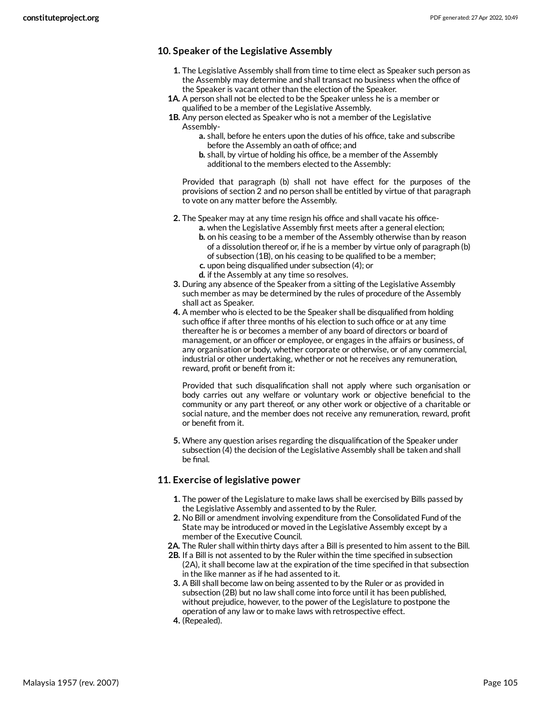#### **10. Speaker of the Legislative Assembly**

- **1.** The Legislative Assembly shall from time to time elect as Speaker such person as the Assembly may determine and shall transact no business when the office of the Speaker is vacant other than the election of the Speaker.
- **1A.** A person shall not be elected to be the Speaker unless he is a member or qualified to be a member of the Legislative Assembly.
- **1B.** Any person elected as Speaker who is not a member of the Legislative Assembly
	- **a.** shall, before he enters upon the duties of his office, take and subscribe before the Assembly an oath of office; and
	- **b.** shall, by virtue of holding his office, be a member of the Assembly additional to the members elected to the Assembly:

Provided that paragraph (b) shall not have effect for the purposes of the provisions of section 2 and no person shall be entitled by virtue of that paragraph to vote on any matter before the Assembly.

- **2.** The Speaker may at any time resign his office and shall vacate his office
	- **a.** when the Legislative Assembly first meets after a general election; **b.** on his ceasing to be a member of the Assembly otherwise than by reason of a dissolution thereof or, if he is a member by virtue only of paragraph (b) of subsection (1B), on his ceasing to be qualified to be a member;
	- **c.** upon being disqualified under subsection (4); or
	- **d.** if the Assembly at any time so resolves.
- **3.** During any absence of the Speaker from a sitting of the Legislative Assembly such member as may be determined by the rules of procedure of the Assembly shall act as Speaker.
- **4.** A member who is elected to be the Speaker shall be disqualified from holding such office if after three months of his election to such office or at any time thereafter he is or becomes a member of any board of directors or board of management, or an officer or employee, or engages in the affairs or business, of any organisation or body, whether corporate or otherwise, or of any commercial, industrial or other undertaking, whether or not he receives any remuneration, reward, profit or benefit from it:

Provided that such disqualification shall not apply where such organisation or body carries out any welfare or voluntary work or objective beneficial to the community or any part thereof, or any other work or objective of a charitable or social nature, and the member does not receive any remuneration, reward, profit or benefit from it.

**5.** Where any question arises regarding the disqualification of the Speaker under subsection (4) the decision of the Legislative Assembly shall be taken and shall be final.

#### **11. Exercise of legislative power**

- **1.** The power of the Legislature to make laws shall be exercised by Bills passed by the Legislative Assembly and assented to by the Ruler.
- **2.** No Bill or amendment involving expenditure from the Consolidated Fund of the State may be introduced or moved in the Legislative Assembly except by a member of the Executive Council.
- **2A.** The Ruler shall within thirty days after a Bill is presented to him assent to the Bill.
- **2B.** If a Bill is not assented to by the Ruler within the time specified in subsection (2A), it shall become law at the expiration of the time specified in that subsection in the like manner as if he had assented to it.
- **3.** A Bill shall become law on being assented to by the Ruler or as provided in subsection (2B) but no law shall come into force until it has been published, without prejudice, however, to the power of the Legislature to postpone the operation of any law or to make laws with retrospective effect.
- **4.** (Repealed).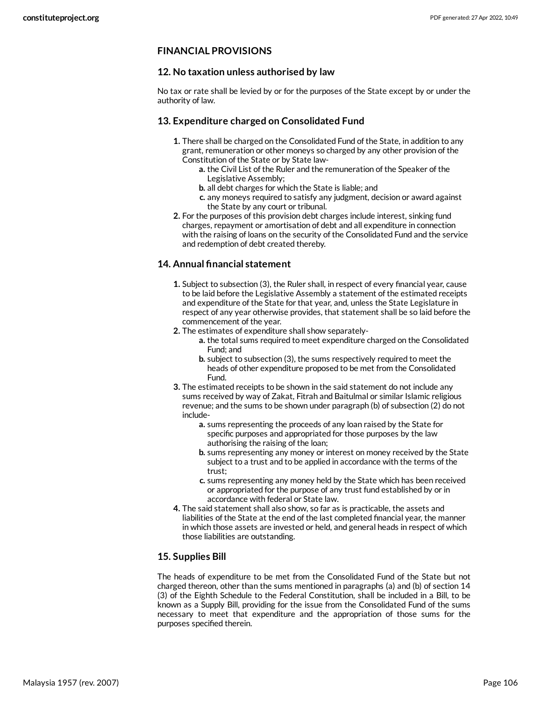#### **FINANCIAL PROVISIONS**

#### **12. No taxation unless authorised by law**

No tax or rate shall be levied by or for the purposes of the State except by or under the authority of law.

#### **13. Expenditure charged on Consolidated Fund**

- **1.** There shall be charged on the Consolidated Fund of the State, in addition to any grant, remuneration or other moneys so charged by any other provision of the Constitution of the State or by State law
	- **a.** the Civil List of the Ruler and the remuneration of the Speaker of the Legislative Assembly;
	- **b.** all debt charges for which the State is liable; and
	- **c.** any moneys required to satisfy any judgment, decision or award against the State by any court or tribunal.
- **2.** For the purposes of this provision debt charges include interest, sinking fund charges, repayment or amortisation of debt and all expenditure in connection with the raising of loans on the security of the Consolidated Fund and the service and redemption of debt created thereby.

#### **14. Annual financial statement**

- **1.** Subject to subsection (3), the Ruler shall, in respect of every financial year, cause to be laid before the Legislative Assembly a statement of the estimated receipts and expenditure of the State for that year, and, unless the State Legislature in respect of any year otherwise provides, that statement shall be so laid before the commencement of the year.
- **2.** The estimates of expenditure shall show separately
	- **a.** the total sums required to meet expenditure charged on the Consolidated Fund; and
	- **b.** subject to subsection (3), the sums respectively required to meet the heads of other expenditure proposed to be met from the Consolidated Fund.
- **3.** The estimated receipts to be shown in the said statement do not include any sums received by way of Zakat, Fitrah and Baitulmal or similar Islamic religious revenue; and the sums to be shown under paragraph (b) of subsection (2) do not include
	- **a.** sums representing the proceeds of any loan raised by the State for specific purposes and appropriated for those purposes by the law authorising the raising of the loan;
	- **b.** sums representing any money or interest on money received by the State subject to a trust and to be applied in accordance with the terms of the trust;
	- **c.** sums representing any money held by the State which has been received or appropriated for the purpose of any trust fund established by or in accordance with federal or State law.
- **4.** The said statement shall also show, so far as is practicable, the assets and liabilities of the State at the end of the last completed financial year, the manner in which those assets are invested or held, and general heads in respect of which those liabilities are outstanding.

#### **15. Supplies Bill**

The heads of expenditure to be met from the Consolidated Fund of the State but not charged thereon, other than the sums mentioned in paragraphs (a) and (b) of section 14 (3) of the Eighth Schedule to the Federal Constitution, shall be included in a Bill, to be known as a Supply Bill, providing for the issue from the Consolidated Fund of the sums necessary to meet that expenditure and the appropriation of those sums for the purposes specified therein.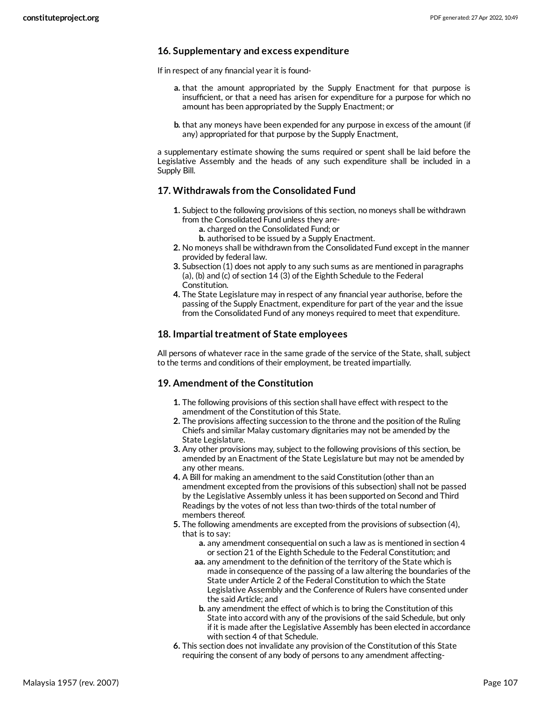#### **16. Supplementary and excess expenditure**

If in respect of any financial year it is found-

- **a.** that the amount appropriated by the Supply Enactment for that purpose is insufficient, or that a need has arisen for expenditure for a purpose for which no amount has been appropriated by the Supply Enactment; or
- **b.** that any moneys have been expended for any purpose in excess of the amount (if any) appropriated for that purpose by the Supply Enactment,

a supplementary estimate showing the sums required or spent shall be laid before the Legislative Assembly and the heads of any such expenditure shall be included in a Supply Bill.

#### **17. Withdrawals from the Consolidated Fund**

- **1.** Subject to the following provisions of this section, no moneys shall be withdrawn from the Consolidated Fund unless they are
	- **a.** charged on the Consolidated Fund; or
	- **b.** authorised to be issued by a Supply Enactment.
- **2.** No moneys shall be withdrawn from the Consolidated Fund except in the manner provided by federal law.
- **3.** Subsection (1) does not apply to any such sums as are mentioned in paragraphs (a), (b) and (c) of section 14 (3) of the Eighth Schedule to the Federal Constitution.
- **4.** The State Legislature may in respect of any financial year authorise, before the passing of the Supply Enactment, expenditure for part of the year and the issue from the Consolidated Fund of any moneys required to meet that expenditure.

#### **18. Impartialtreatment of State employees**

All persons of whatever race in the same grade of the service of the State, shall, subject to the terms and conditions of their employment, be treated impartially.

#### **19. Amendment of the Constitution**

- **1.** The following provisions of this section shall have effect with respect to the amendment of the Constitution of this State.
- **2.** The provisions affecting succession to the throne and the position of the Ruling Chiefs and similar Malay customary dignitaries may not be amended by the State Legislature.
- **3.** Any other provisions may, subject to the following provisions of this section, be amended by an Enactment of the State Legislature but may not be amended by any other means.
- **4.** A Bill for making an amendment to the said Constitution (other than an amendment excepted from the provisions of this subsection) shall not be passed by the Legislative Assembly unless it has been supported on Second and Third Readings by the votes of not less than two-thirds of the total number of members thereof.
- **5.** The following amendments are excepted from the provisions of subsection (4), that is to say:
	- **a.** any amendment consequential on such a law as is mentioned in section 4 or section 21 of the Eighth Schedule to the Federal Constitution; and
	- **aa.** any amendment to the definition of the territory of the State which is made in consequence of the passing of a law altering the boundaries of the State under Article 2 of the Federal Constitution to which the State Legislative Assembly and the Conference of Rulers have consented under the said Article; and
	- **b.** any amendment the effect of which is to bring the Constitution of this State into accord with any of the provisions of the said Schedule, but only if it is made after the Legislative Assembly has been elected in accordance with section 4 of that Schedule.
- **6.** This section does not invalidate any provision of the Constitution of this State requiring the consent of any body of persons to any amendment affecting-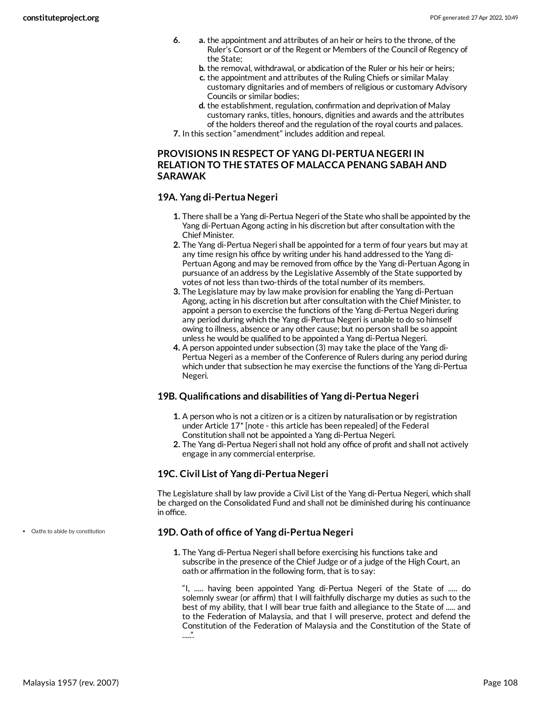- **6. a.** the appointment and attributes of an heir or heirs to the throne, of the Ruler's Consort or of the Regent or Members of the Council of Regency of the State;
	- **b.** the removal, withdrawal, or abdication of the Ruler or his heir or heirs;
	- **c.** the appointment and attributes of the Ruling Chiefs or similar Malay customary dignitaries and of members of religious or customary Advisory Councils or similar bodies;
	- **d.** the establishment, regulation, confirmation and deprivation of Malay customary ranks, titles, honours, dignities and awards and the attributes of the holders thereof and the regulation of the royal courts and palaces.
- **7.** In this section "amendment" includes addition and repeal.

#### **PROVISIONS IN RESPECT OF YANG DI-PERTUA NEGERI IN RELATION TO THE STATES OF MALACCA PENANG SABAH AND SARAWAK**

#### **19A. Yang di-Pertua Negeri**

- **1.** There shall be a Yang di-Pertua Negeri of the State who shall be appointed by the Yang di-Pertuan Agong acting in his discretion but after consultation with the Chief Minister.
- **2.** The Yang di-Pertua Negeri shall be appointed for a term of four years but may at any time resign his office by writing under his hand addressed to the Yang di-Pertuan Agong and may be removed from office by the Yang di-Pertuan Agong in pursuance of an address by the Legislative Assembly of the State supported by votes of not less than two-thirds of the total number of its members.
- **3.** The Legislature may by law make provision for enabling the Yang di-Pertuan Agong, acting in his discretion but after consultation with the Chief Minister, to appoint a person to exercise the functions of the Yang di-Pertua Negeri during any period during which the Yang di-Pertua Negeri is unable to do so himself owing to illness, absence or any other cause; but no person shall be so appoint unless he would be qualified to be appointed a Yang di-Pertua Negeri.
- **4.** A person appointed under subsection (3) may take the place of the Yang di-Pertua Negeri as a member of the Conference of Rulers during any period during which under that subsection he may exercise the functions of the Yang di-Pertua Negeri.

### **19B. Qualifications and disabilities of Yang di-Pertua Negeri**

- **1.** A person who is not a citizen or is a citizen by naturalisation or by registration under Article 17\* [note - this article has been repealed] of the Federal Constitution shall not be appointed a Yang di-Pertua Negeri.
- **2.** The Yang di-Pertua Negeri shall not hold any office of profit and shall not actively engage in any commercial enterprise.

### **19C. Civil List of Yang di-Pertua Negeri**

The Legislature shall by law provide a Civil List of the Yang di-Pertua Negeri, which shall be charged on the Consolidated Fund and shall not be diminished during his continuance in office.

#### **19D. Oath of office of Yang di-Pertua Negeri**

**1.** The Yang di-Pertua Negeri shall before exercising his functions take and subscribe in the presence of the Chief Judge or of a judge of the High Court, an oath or affirmation in the following form, that is to say:

"I, ..... having been appointed Yang di-Pertua Negeri of the State of ..... do solemnly swear (or affirm) that I will faithfully discharge my duties as such to the best of my ability, that I will bear true faith and allegiance to the State of ..... and to the Federation of Malaysia, and that I will preserve, protect and defend the Constitution of the Federation of Malaysia and the Constitution of the State of ......

Oaths to abide by constitution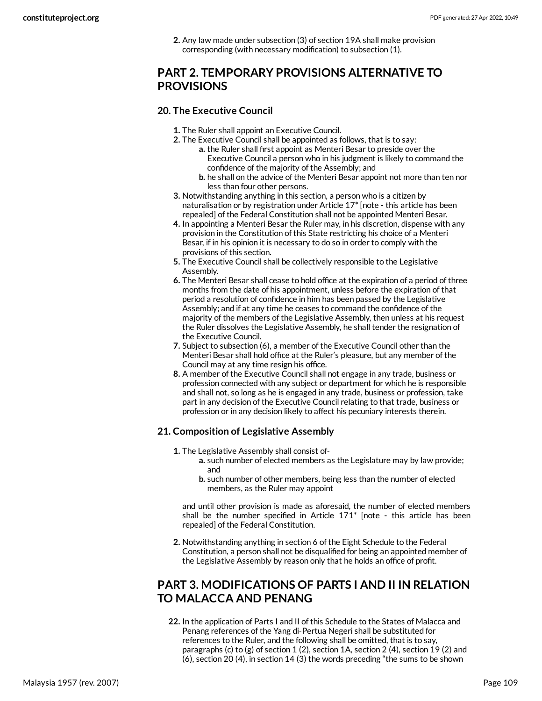**2.** Any law made under subsection (3) of section 19A shall make provision corresponding (with necessary modification) to subsection (1).

# **PART 2. TEMPORARY PROVISIONS ALTERNATIVE TO PROVISIONS**

### **20. The Executive Council**

- **1.** The Ruler shall appoint an Executive Council.
- **2.** The Executive Council shall be appointed as follows, that is to say:
	- **a.** the Ruler shall first appoint as Menteri Besar to preside over the Executive Council a person who in his judgment is likely to command the confidence of the majority of the Assembly; and
	- **b.** he shall on the advice of the Menteri Besar appoint not more than ten nor less than four other persons.
- **3.** Notwithstanding anything in this section, a person who is a citizen by naturalisation or by registration under Article 17\* [note - this article has been repealed] of the Federal Constitution shall not be appointed Menteri Besar.
- **4.** In appointing a Menteri Besar the Ruler may, in his discretion, dispense with any provision in the Constitution of this State restricting his choice of a Menteri Besar, if in his opinion it is necessary to do so in order to comply with the provisions of this section.
- **5.** The Executive Council shall be collectively responsible to the Legislative Assembly.
- **6.** The Menteri Besar shall cease to hold office at the expiration of a period of three months from the date of his appointment, unless before the expiration of that period a resolution of confidence in him has been passed by the Legislative Assembly; and if at any time he ceases to command the confidence of the majority of the members of the Legislative Assembly, then unless at his request the Ruler dissolves the Legislative Assembly, he shall tender the resignation of the Executive Council.
- **7.** Subject to subsection (6), a member of the Executive Council other than the Menteri Besar shall hold office at the Ruler's pleasure, but any member of the Council may at any time resign his office.
- **8.** A member of the Executive Council shall not engage in any trade, business or profession connected with any subject or department for which he is responsible and shall not, so long as he is engaged in any trade, business or profession, take part in any decision of the Executive Council relating to that trade, business or profession or in any decision likely to affect his pecuniary interests therein.

### **21. Composition of Legislative Assembly**

- **1.** The Legislative Assembly shall consist of
	- **a.** such number of elected members as the Legislature may by law provide; and
		- **b.** such number of other members, being less than the number of elected members, as the Ruler may appoint

and until other provision is made as aforesaid, the number of elected members shall be the number specified in Article 171\* [note - this article has been repealed] of the Federal Constitution.

**2.** Notwithstanding anything in section 6 of the Eight Schedule to the Federal Constitution, a person shall not be disqualified for being an appointed member of the Legislative Assembly by reason only that he holds an office of profit.

# **PART 3. MODIFICATIONS OF PARTS I AND II IN RELATION TO MALACCA AND PENANG**

**22.** In the application of Parts I and II of this Schedule to the States of Malacca and Penang references of the Yang di-Pertua Negeri shall be substituted for references to the Ruler, and the following shall be omitted, that is to say, paragraphs (c) to (g) of section  $1(2)$ , section  $1A$ , section  $2(4)$ , section  $19(2)$  and (6), section 20 (4), in section 14 (3) the words preceding "the sums to be shown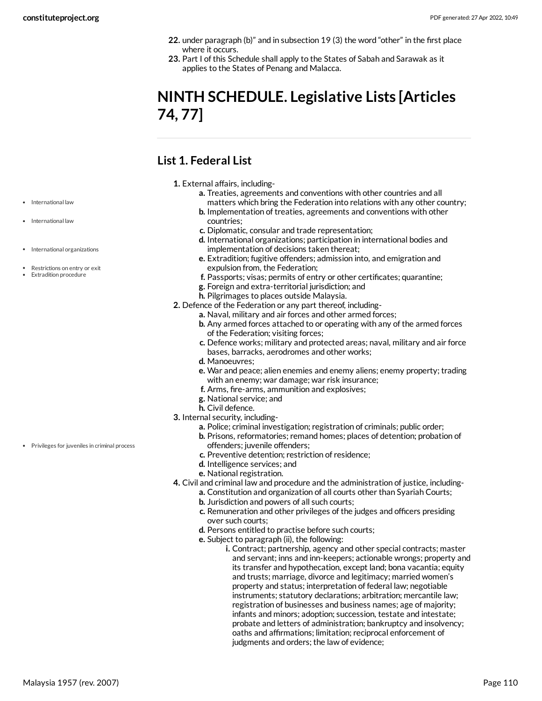- **22.** under paragraph (b)" and in subsection 19 (3) the word "other" in the first place where it occurs.
- **23.** Part I of this Schedule shall apply to the States of Sabah and Sarawak as it applies to the States of Penang and Malacca.

# **NINTH SCHEDULE. Legislative Lists [Articles 74, 77]**

# <span id="page-109-0"></span>**List 1. Federal List**

- **1.** External affairs, including
	- **a.** Treaties, agreements and conventions with other countries and all matters which bring the Federation into relations with any other country;
	- **b.** Implementation of treaties, agreements and conventions with other countries;
	- **c.** Diplomatic, consular and trade representation;
	- **d.** International organizations; participation in international bodies and implementation of decisions taken thereat;
	- **e.** Extradition; fugitive offenders; admission into, and emigration and expulsion from, the Federation;
	- **f.** Passports; visas; permits of entry or other certificates; quarantine;
	- **g.** Foreign and extra-territorial jurisdiction; and
	- **h.** Pilgrimages to places outside Malaysia.
- **2.** Defence of the Federation or any part thereof, including
	- **a.** Naval, military and air forces and other armed forces;
		- **b.** Any armed forces attached to or operating with any of the armed forces of the Federation; visiting forces;
		- **c.** Defence works; military and protected areas; naval, military and air force bases, barracks, aerodromes and other works;
		- **d.** Manoeuvres;
		- **e.** War and peace; alien enemies and enemy aliens; enemy property; trading with an enemy; war damage; war risk insurance;
		- **f.** Arms, fire-arms, ammunition and explosives;
		- **g.** National service; and
	- **h.** Civil defence.
- **3.** Internal security, including
	- **a.** Police; criminal investigation; registration of criminals; public order;
	- **b.** Prisons, reformatories; remand homes; places of detention; probation of offenders; juvenile offenders;
	- **c.** Preventive detention; restriction of residence;
	- **d.** Intelligence services; and
	- **e.** National registration.
- **4.** Civil and criminal law and procedure and the administration of justice, including
	- **a.** Constitution and organization of all courts other than Syariah Courts;
	- **b.** Jurisdiction and powers of all such courts;
	- **c.** Remuneration and other privileges of the judges and officers presiding over such courts;
	- **d.** Persons entitled to practise before such courts;
	- **e.** Subject to paragraph (ii), the following:
		- **i.** Contract; partnership, agency and other special contracts; master and servant; inns and inn-keepers; actionable wrongs; property and its transfer and hypothecation, except land; bona vacantia; equity and trusts; marriage, divorce and legitimacy; married women's property and status; interpretation of federal law; negotiable instruments; statutory declarations; arbitration; mercantile law; registration of businesses and business names; age of majority; infants and minors; adoption; succession, testate and intestate; probate and letters of administration; bankruptcy and insolvency; oaths and affirmations; limitation; reciprocal enforcement of judgments and orders; the law of evidence;

International law

- International law
- International organizations
- Restrictions on entry or exit
- Extradition procedure

Privileges for juveniles in criminal process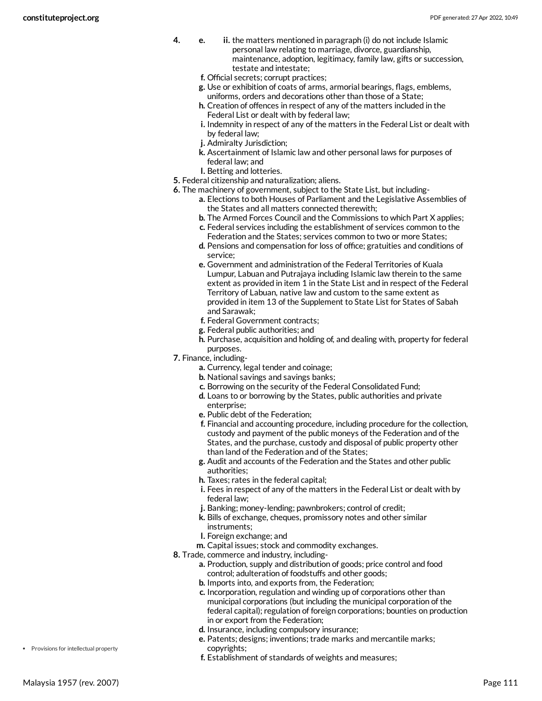- **4. e. ii.** the matters mentioned in paragraph (i) do not include Islamic personal law relating to marriage, divorce, guardianship, maintenance, adoption, legitimacy, family law, gifts or succession, testate and intestate;
	- **f.** Official secrets; corrupt practices;
	- **g.** Use or exhibition of coats of arms, armorial bearings, flags, emblems, uniforms, orders and decorations other than those of a State;
	- **h.** Creation of offences in respect of any of the matters included in the Federal List or dealt with by federal law;
	- **i.** Indemnity in respect of any of the matters in the Federal List or dealt with by federal law;
	- **j.** Admiralty Jurisdiction;
	- **k.** Ascertainment of Islamic law and other personal laws for purposes of federal law; and
	- **l.** Betting and lotteries.
- **5.** Federal citizenship and naturalization; aliens.
- **6.** The machinery of government, subject to the State List, but including
	- **a.** Elections to both Houses of Parliament and the Legislative Assemblies of the States and all matters connected therewith;
	- **b.** The Armed Forces Council and the Commissions to which Part X applies;
	- **c.** Federal services including the establishment of services common to the Federation and the States; services common to two or more States;
	- **d.** Pensions and compensation for loss of office; gratuities and conditions of service;
	- **e.** Government and administration of the Federal Territories of Kuala Lumpur, Labuan and Putrajaya including Islamic law therein to the same extent as provided in item 1 in the State List and in respect of the Federal Territory of Labuan, native law and custom to the same extent as provided in item 13 of the Supplement to State List for States of Sabah and Sarawak;
	- **f.** Federal Government contracts;
	- **g.** Federal public authorities; and
	- **h.** Purchase, acquisition and holding of, and dealing with, property for federal purposes.
- **7.** Finance, including
	- **a.** Currency, legal tender and coinage;
	- **b.** National savings and savings banks;
	- **c.** Borrowing on the security of the Federal Consolidated Fund;
	- **d.** Loans to or borrowing by the States, public authorities and private enterprise;
	- **e.** Public debt of the Federation;
	- **f.** Financial and accounting procedure, including procedure for the collection, custody and payment of the public moneys of the Federation and of the States, and the purchase, custody and disposal of public property other than land of the Federation and of the States;
	- **g.** Audit and accounts of the Federation and the States and other public authorities;
	- **h.** Taxes; rates in the federal capital;
	- **i.** Fees in respect of any of the matters in the Federal List or dealt with by federal law;
	- **j.** Banking; money-lending; pawnbrokers; control of credit;
	- **k.** Bills of exchange, cheques, promissory notes and other similar instruments;
	- **l.** Foreign exchange; and
	- **m.** Capital issues; stock and commodity exchanges.
- **8.** Trade, commerce and industry, including
	- **a.** Production, supply and distribution of goods; price control and food control; adulteration of foodstuffs and other goods;
	- **b.** Imports into, and exports from, the Federation;
	- **c.** Incorporation, regulation and winding up of corporations other than municipal corporations (but including the municipal corporation of the federal capital); regulation of foreign corporations; bounties on production in or export from the Federation;
	- **d.** Insurance, including compulsory insurance;
	- **e.** Patents; designs; inventions; trade marks and mercantile marks; copyrights;
	- **f.** Establishment of standards of weights and measures;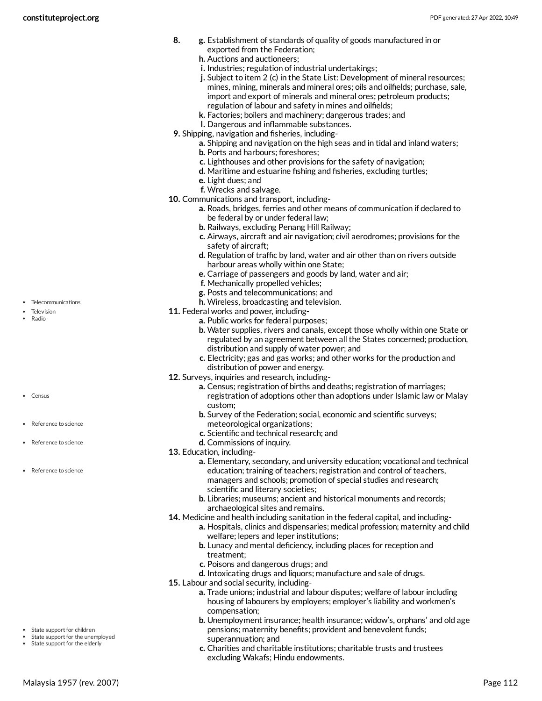- **8. g.** Establishment of standards of quality of goods manufactured in or exported from the Federation;
	- **h.** Auctions and auctioneers;
	- **i.** Industries; regulation of industrial undertakings;
	- **j.** Subject to item 2 (c) in the State List: Development of mineral resources; mines, mining, minerals and mineral ores; oils and oilfields; purchase, sale, import and export of minerals and mineral ores; petroleum products; regulation of labour and safety in mines and oilfields;
	- **k.** Factories; boilers and machinery; dangerous trades; and
	- **l.** Dangerous and inflammable substances.
- **9.** Shipping, navigation and fisheries, including
	- **a.** Shipping and navigation on the high seas and in tidal and inland waters;
	- **b.** Ports and harbours; foreshores;
	- **c.** Lighthouses and other provisions for the safety of navigation;
	- **d.** Maritime and estuarine fishing and fisheries, excluding turtles;
	- **e.** Light dues; and
	- **f.** Wrecks and salvage.
- **10.** Communications and transport, including
	- **a.** Roads, bridges, ferries and other means of communication if declared to be federal by or under federal law;
		- **b.** Railways, excluding Penang Hill Railway;
		- **c.** Airways, aircraft and air navigation; civil aerodromes; provisions for the safety of aircraft;
		- **d.** Regulation of traffic by land, water and air other than on rivers outside harbour areas wholly within one State;
		- **e.** Carriage of passengers and goods by land, water and air;
		- **f.** Mechanically propelled vehicles;
	- **g.** Posts and telecommunications; and
	- **h.** Wireless, broadcasting and television.
- **11.** Federal works and power, including
	- **a.** Public works for federal purposes;
		- **b.** Water supplies, rivers and canals, except those wholly within one State or regulated by an agreement between all the States concerned; production, distribution and supply of water power; and
		- **c.** Electricity; gas and gas works; and other works for the production and distribution of power and energy.
- **12.** Surveys, inquiries and research, including
	- **a.** Census; registration of births and deaths; registration of marriages; registration of adoptions other than adoptions under Islamic law or Malay custom;
	- **b.** Survey of the Federation; social, economic and scientific surveys; meteorological organizations;
	- **c.** Scientific and technical research; and
	- **d.** Commissions of inquiry.
- **13.** Education, including
	- **a.** Elementary, secondary, and university education; vocational and technical education; training of teachers; registration and control of teachers, managers and schools; promotion of special studies and research; scientific and literary societies;
	- **b.** Libraries; museums; ancient and historical monuments and records; archaeological sites and remains.
- **14.** Medicine and health including sanitation in the federal capital, and including
	- **a.** Hospitals, clinics and dispensaries; medical profession; maternity and child welfare; lepers and leper institutions;
	- **b.** Lunacy and mental deficiency, including places for reception and treatment;
	- **c.** Poisons and dangerous drugs; and
	- **d.** Intoxicating drugs and liquors; manufacture and sale of drugs.
- **15.** Labour and social security, including
	- **a.** Trade unions; industrial and labour disputes; welfare of labour including housing of labourers by employers; employer's liability and workmen's compensation;
	- **b.** Unemployment insurance; health insurance; widow's, orphans' and old age pensions; maternity benefits; provident and benevolent funds; superannuation; and
	- **c.** Charities and charitable institutions; charitable trusts and trustees excluding Wakafs; Hindu endowments.
- Telecommunications
- Television Radio

- Census
- Reference to science
- Reference to science
- Reference to science

• State support for children • State support for the unemployed • State support for the elderly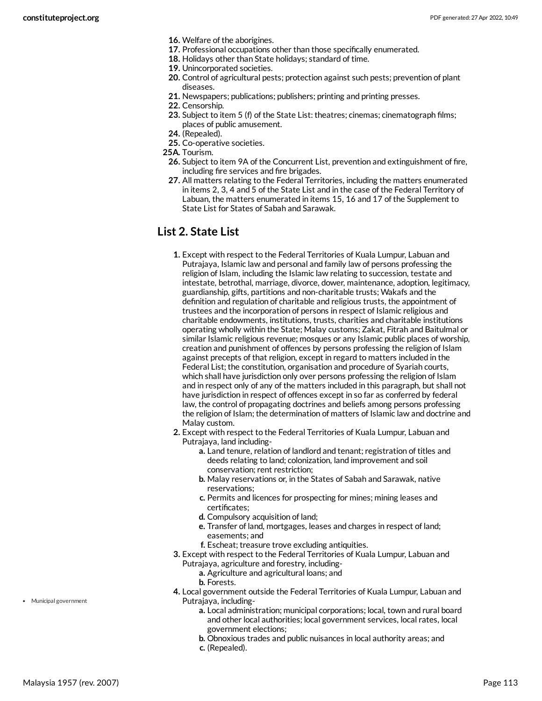- **16.** Welfare of the aborigines.
- **17.** Professional occupations other than those specifically enumerated.
- **18.** Holidays other than State holidays; standard of time.
- **19.** Unincorporated societies.
- **20.** Control of agricultural pests; protection against such pests; prevention of plant diseases.
- **21.** Newspapers; publications; publishers; printing and printing presses.
- **22.** Censorship.
- **23.** Subject to item 5 (f) of the State List: theatres; cinemas; cinematograph films; places of public amusement.
- **24.** (Repealed).
- **25.** Co-operative societies.
- **25A.** Tourism.
	- **26.** Subject to item 9A of the Concurrent List, prevention and extinguishment of fire, including fire services and fire brigades.
	- **27.** All matters relating to the Federal Territories, including the matters enumerated in items 2, 3, 4 and 5 of the State List and in the case of the Federal Territory of Labuan, the matters enumerated in items 15, 16 and 17 of the Supplement to State List for States of Sabah and Sarawak.

# <span id="page-112-0"></span>**List 2. State List**

- **1.** Except with respect to the Federal Territories of Kuala Lumpur, Labuan and Putrajaya, Islamic law and personal and family law of persons professing the religion of Islam, including the Islamic law relating to succession, testate and intestate, betrothal, marriage, divorce, dower, maintenance, adoption, legitimacy, guardianship, gifts, partitions and non-charitable trusts; Wakafs and the definition and regulation of charitable and religious trusts, the appointment of trustees and the incorporation of persons in respect of Islamic religious and charitable endowments, institutions, trusts, charities and charitable institutions operating wholly within the State; Malay customs; Zakat, Fitrah and Baitulmal or similar Islamic religious revenue; mosques or any Islamic public places of worship, creation and punishment of offences by persons professing the religion of Islam against precepts of that religion, except in regard to matters included in the Federal List; the constitution, organisation and procedure of Syariah courts, which shall have jurisdiction only over persons professing the religion of Islam and in respect only of any of the matters included in this paragraph, but shall not have jurisdiction in respect of offences except in so far as conferred by federal law, the control of propagating doctrines and beliefs among persons professing the religion of Islam; the determination of matters of Islamic law and doctrine and Malay custom.
- **2.** Except with respect to the Federal Territories of Kuala Lumpur, Labuan and Putrajaya, land including
	- **a.** Land tenure, relation of landlord and tenant; registration of titles and deeds relating to land; colonization, land improvement and soil conservation; rent restriction;
	- **b.** Malay reservations or, in the States of Sabah and Sarawak, native reservations;
	- **c.** Permits and licences for prospecting for mines; mining leases and certificates;
	- **d.** Compulsory acquisition of land;
	- **e.** Transfer of land, mortgages, leases and charges in respect of land; easements; and
	- **f.** Escheat; treasure trove excluding antiquities.
- **3.** Except with respect to the Federal Territories of Kuala Lumpur, Labuan and Putrajaya, agriculture and forestry, including
	- **a.** Agriculture and agricultural loans; and
	- **b.** Forests.
- **4.** Local government outside the Federal Territories of Kuala Lumpur, Labuan and Putrajaya, including
	- **a.** Local administration; municipal corporations; local, town and rural board and other local authorities; local government services, local rates, local government elections;
	- **b.** Obnoxious trades and public nuisances in local authority areas; and
	- **c.** (Repealed).

Municipal government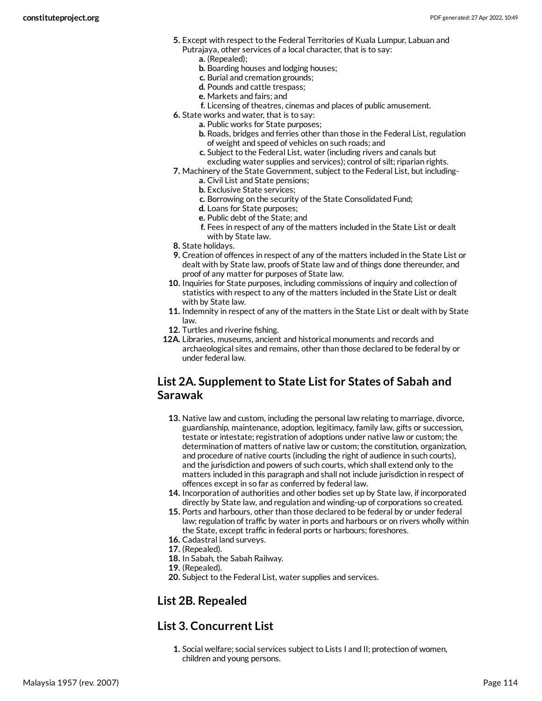- **5.** Except with respect to the Federal Territories of Kuala Lumpur, Labuan and Putrajaya, other services of a local character, that is to say:
	- **a.** (Repealed);
	- **b.** Boarding houses and lodging houses;
	- **c.** Burial and cremation grounds;
	- **d.** Pounds and cattle trespass;
	- **e.** Markets and fairs; and
	- **f.** Licensing of theatres, cinemas and places of public amusement.
- **6.** State works and water, that is to say:
	- **a.** Public works for State purposes;
		- **b.** Roads, bridges and ferries other than those in the Federal List, regulation of weight and speed of vehicles on such roads; and
		- **c.** Subject to the Federal List, water (including rivers and canals but excluding water supplies and services); control of silt; riparian rights.
- **7.** Machinery of the State Government, subject to the Federal List, but including
	- **a.** Civil List and State pensions;
	- **b.** Exclusive State services;
	- **c.** Borrowing on the security of the State Consolidated Fund;
	- **d.** Loans for State purposes;
	- **e.** Public debt of the State; and
	- **f.** Fees in respect of any of the matters included in the State List or dealt with by State law.
- **8.** State holidays.
- **9.** Creation of offences in respect of any of the matters included in the State List or dealt with by State law, proofs of State law and of things done thereunder, and proof of any matter for purposes of State law.
- **10.** Inquiries for State purposes, including commissions of inquiry and collection of statistics with respect to any of the matters included in the State List or dealt with by State law.
- **11.** Indemnity in respect of any of the matters in the State List or dealt with by State law.
- **12.** Turtles and riverine fishing.
- **12A.** Libraries, museums, ancient and historical monuments and records and archaeological sites and remains, other than those declared to be federal by or under federal law.

# **List 2A. Supplement to State List for States of Sabah and Sarawak**

- **13.** Native law and custom, including the personal law relating to marriage, divorce, guardianship, maintenance, adoption, legitimacy, family law, gifts or succession, testate or intestate; registration of adoptions under native law or custom; the determination of matters of native law or custom; the constitution, organization, and procedure of native courts (including the right of audience in such courts), and the jurisdiction and powers of such courts, which shall extend only to the matters included in this paragraph and shall not include jurisdiction in respect of offences except in so far as conferred by federal law.
- **14.** Incorporation of authorities and other bodies set up by State law, if incorporated directly by State law, and regulation and winding-up of corporations so created.
- **15.** Ports and harbours, other than those declared to be federal by or under federal law; regulation of traffic by water in ports and harbours or on rivers wholly within the State, except traffic in federal ports or harbours; foreshores.
- **16.** Cadastral land surveys.
- **17.** (Repealed).
- **18.** In Sabah, the Sabah Railway.
- **19.** (Repealed).
- **20.** Subject to the Federal List, water supplies and services.

# **List 2B. Repealed**

# **List 3. Concurrent List**

**1.** Social welfare; social services subject to Lists I and II; protection of women, children and young persons.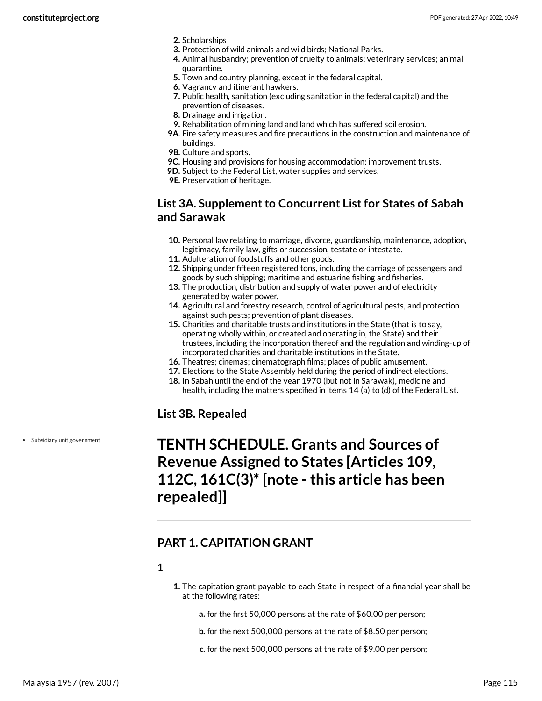- **2.** Scholarships
- **3.** Protection of wild animals and wild birds; National Parks.
- **4.** Animal husbandry; prevention of cruelty to animals; veterinary services; animal quarantine.
- **5.** Town and country planning, except in the federal capital.
- **6.** Vagrancy and itinerant hawkers.
- **7.** Public health, sanitation (excluding sanitation in the federal capital) and the prevention of diseases.
- **8.** Drainage and irrigation.
- **9.** Rehabilitation of mining land and land which has suffered soil erosion.
- **9A.** Fire safety measures and fire precautions in the construction and maintenance of buildings.
- **9B.** Culture and sports.
- **9C.** Housing and provisions for housing accommodation; improvement trusts.
- **9D.** Subject to the Federal List, water supplies and services.
- **9E.** Preservation of heritage.

# **List 3A. Supplement to Concurrent List for States of Sabah and Sarawak**

- **10.** Personal law relating to marriage, divorce, guardianship, maintenance, adoption, legitimacy, family law, gifts or succession, testate or intestate.
- **11.** Adulteration of foodstuffs and other goods.
- **12.** Shipping under fifteen registered tons, including the carriage of passengers and goods by such shipping; maritime and estuarine fishing and fisheries.
- **13.** The production, distribution and supply of water power and of electricity generated by water power.
- **14.** Agricultural and forestry research, control of agricultural pests, and protection against such pests; prevention of plant diseases.
- **15.** Charities and charitable trusts and institutions in the State (that is to say, operating wholly within, or created and operating in, the State) and their trustees, including the incorporation thereof and the regulation and winding-up of incorporated charities and charitable institutions in the State.
- **16.** Theatres; cinemas; cinematograph films; places of public amusement.
- **17.** Elections to the State Assembly held during the period of indirect elections.
- **18.** In Sabah until the end of the year 1970 (but not in Sarawak), medicine and health, including the matters specified in items 14 (a) to (d) of the Federal List.

### **List 3B. Repealed**

#### Subsidiary unit government

# <span id="page-114-0"></span>**TENTH SCHEDULE. Grants and Sources of Revenue Assigned to States [Articles 109, 112C, 161C(3)\* [note - this article has been repealed]]**

### **PART 1. CAPITATION GRANT**

#### **1**

- **1.** The capitation grant payable to each State in respect of a financial year shall be at the following rates:
	- **a.** for the first 50,000 persons at the rate of \$60.00 per person;
	- **b.** for the next 500,000 persons at the rate of \$8.50 per person;
	- **c.** for the next 500,000 persons at the rate of \$9.00 per person;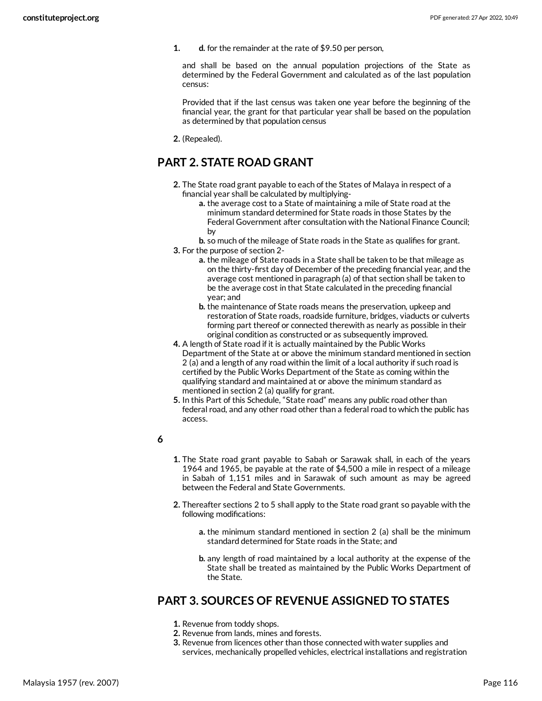**1. d.** for the remainder at the rate of \$9.50 per person,

and shall be based on the annual population projections of the State as determined by the Federal Government and calculated as of the last population census:

Provided that if the last census was taken one year before the beginning of the financial year, the grant for that particular year shall be based on the population as determined by that population census

**2.** (Repealed).

# **PART 2. STATE ROAD GRANT**

- **2.** The State road grant payable to each of the States of Malaya in respect of a financial year shall be calculated by multiplying
	- **a.** the average cost to a State of maintaining a mile of State road at the minimum standard determined for State roads in those States by the Federal Government after consultation with the National Finance Council; by
- **b.** so much of the mileage of State roads in the State as qualifies for grant. **3.** For the purpose of section 2
	- **a.** the mileage of State roads in a State shall be taken to be that mileage as on the thirty-first day of December of the preceding financial year, and the average cost mentioned in paragraph (a) of that section shall be taken to be the average cost in that State calculated in the preceding financial year; and
	- **b.** the maintenance of State roads means the preservation, upkeep and restoration of State roads, roadside furniture, bridges, viaducts or culverts forming part thereof or connected therewith as nearly as possible in their original condition as constructed or as subsequently improved.
- **4.** A length of State road if it is actually maintained by the Public Works Department of the State at or above the minimum standard mentioned in section 2 (a) and a length of any road within the limit of a local authority if such road is certified by the Public Works Department of the State as coming within the qualifying standard and maintained at or above the minimum standard as mentioned in section 2 (a) qualify for grant.
- **5.** In this Part of this Schedule, "State road" means any public road other than federal road, and any other road other than a federal road to which the public has access.

#### **6**

- **1.** The State road grant payable to Sabah or Sarawak shall, in each of the years 1964 and 1965, be payable at the rate of \$4,500 a mile in respect of a mileage in Sabah of 1,151 miles and in Sarawak of such amount as may be agreed between the Federal and State Governments.
- **2.** Thereafter sections 2 to 5 shall apply to the State road grant so payable with the following modifications:
	- **a.** the minimum standard mentioned in section 2 (a) shall be the minimum standard determined for State roads in the State; and
	- **b.** any length of road maintained by a local authority at the expense of the State shall be treated as maintained by the Public Works Department of the State.

### <span id="page-115-0"></span>**PART 3. SOURCES OF REVENUE ASSIGNED TO STATES**

- **1.** Revenue from toddy shops.
- **2.** Revenue from lands, mines and forests.
- **3.** Revenue from licences other than those connected with water supplies and services, mechanically propelled vehicles, electrical installations and registration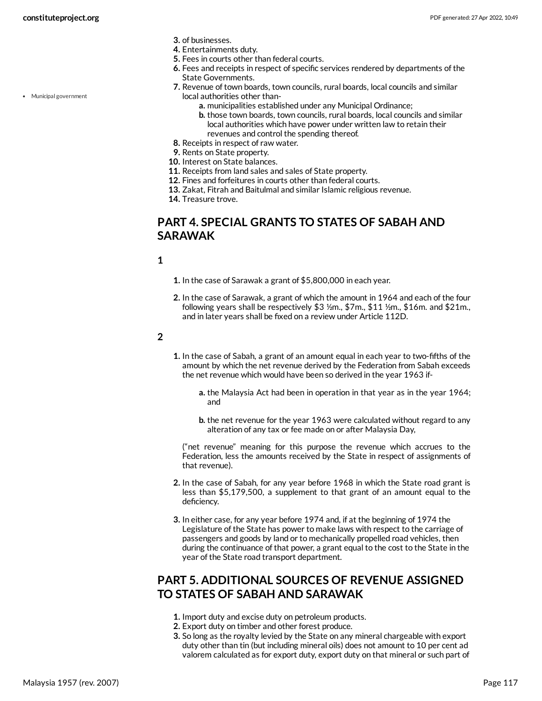- **3.** of businesses.
- **4.** Entertainments duty.
- **5.** Fees in courts other than federal courts.
- **6.** Fees and receipts in respect of specific services rendered by departments of the State Governments.
- **7.** Revenue of town boards, town councils, rural boards, local councils and similar local authorities other than
	- **a.** municipalities established under any Municipal Ordinance;
	- **b.** those town boards, town councils, rural boards, local councils and similar local authorities which have power under written law to retain their revenues and control the spending thereof.
- **8.** Receipts in respect of raw water.
- **9.** Rents on State property.
- **10.** Interest on State balances.
- **11.** Receipts from land sales and sales of State property.
- **12.** Fines and forfeitures in courts other than federal courts.
- **13.** Zakat, Fitrah and Baitulmal and similar Islamic religious revenue.
- **14.** Treasure trove.

## **PART 4. SPECIAL GRANTS TO STATES OF SABAH AND SARAWAK**

#### **1**

- **1.** In the case of Sarawak a grant of \$5,800,000 in each year.
- **2.** In the case of Sarawak, a grant of which the amount in 1964 and each of the four following years shall be respectively \$3 ½m., \$7m., \$11 ½m., \$16m. and \$21m., and in later years shall be fixed on a review under Article 112D.

#### **2**

- **1.** In the case of Sabah, a grant of an amount equal in each year to two-fifths of the amount by which the net revenue derived by the Federation from Sabah exceeds the net revenue which would have been so derived in the year 1963 if
	- **a.** the Malaysia Act had been in operation in that year as in the year 1964; and
	- **b.** the net revenue for the year 1963 were calculated without regard to any alteration of any tax or fee made on or after Malaysia Day,

("net revenue" meaning for this purpose the revenue which accrues to the Federation, less the amounts received by the State in respect of assignments of that revenue).

- **2.** In the case of Sabah, for any year before 1968 in which the State road grant is less than \$5,179,500, a supplement to that grant of an amount equal to the deficiency.
- **3.** In either case, for any year before 1974 and, if at the beginning of 1974 the Legislature of the State has power to make laws with respect to the carriage of passengers and goods by land or to mechanically propelled road vehicles, then during the continuance of that power, a grant equal to the cost to the State in the year of the State road transport department.

## **PART 5. ADDITIONAL SOURCES OF REVENUE ASSIGNED TO STATES OF SABAH AND SARAWAK**

- **1.** Import duty and excise duty on petroleum products.
- **2.** Export duty on timber and other forest produce.
- **3.** So long as the royalty levied by the State on any mineral chargeable with export duty other than tin (but including mineral oils) does not amount to 10 per cent ad valorem calculated as for export duty, export duty on that mineral or such part of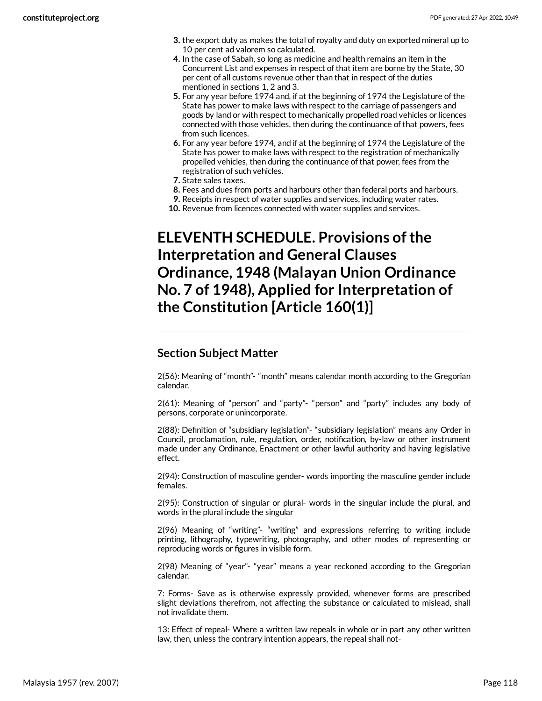- **3.** the export duty as makes the total of royalty and duty on exported mineral up to 10 per cent ad valorem so calculated.
- **4.** In the case of Sabah, so long as medicine and health remains an item in the Concurrent List and expenses in respect of that item are borne by the State, 30 per cent of all customs revenue other than that in respect of the duties mentioned in sections 1, 2 and 3.
- **5.** For any year before 1974 and, if at the beginning of 1974 the Legislature of the State has power to make laws with respect to the carriage of passengers and goods by land or with respect to mechanically propelled road vehicles or licences connected with those vehicles, then during the continuance of that powers, fees from such licences.
- **6.** For any year before 1974, and if at the beginning of 1974 the Legislature of the State has power to make laws with respect to the registration of mechanically propelled vehicles, then during the continuance of that power, fees from the registration of such vehicles.
- **7.** State sales taxes.
- **8.** Fees and dues from ports and harbours other than federal ports and harbours.
- **9.** Receipts in respect of water supplies and services, including water rates.
- **10.** Revenue from licences connected with water supplies and services.

# **ELEVENTH SCHEDULE. Provisions ofthe Interpretation and General Clauses Ordinance, 1948 (Malayan Union Ordinance No. 7 of 1948), Applied for Interpretation of the Constitution [Article 160(1)]**

## **Section Subject Matter**

2(56): Meaning of "month"- "month" means calendar month according to the Gregorian calendar.

2(61): Meaning of "person" and "party"- "person" and "party" includes any body of persons, corporate or unincorporate.

2(88): Definition of "subsidiary legislation"- "subsidiary legislation" means any Order in Council, proclamation, rule, regulation, order, notification, by-law or other instrument made under any Ordinance, Enactment or other lawful authority and having legislative effect.

2(94): Construction of masculine gender- words importing the masculine gender include females.

2(95): Construction of singular or plural- words in the singular include the plural, and words in the plural include the singular

2(96) Meaning of "writing"- "writing" and expressions referring to writing include printing, lithography, typewriting, photography, and other modes of representing or reproducing words or figures in visible form.

2(98) Meaning of "year"- "year" means a year reckoned according to the Gregorian calendar.

7: Forms- Save as is otherwise expressly provided, whenever forms are prescribed slight deviations therefrom, not affecting the substance or calculated to mislead, shall not invalidate them.

13: Effect of repeal- Where a written law repeals in whole or in part any other written law, then, unless the contrary intention appears, the repeal shall not-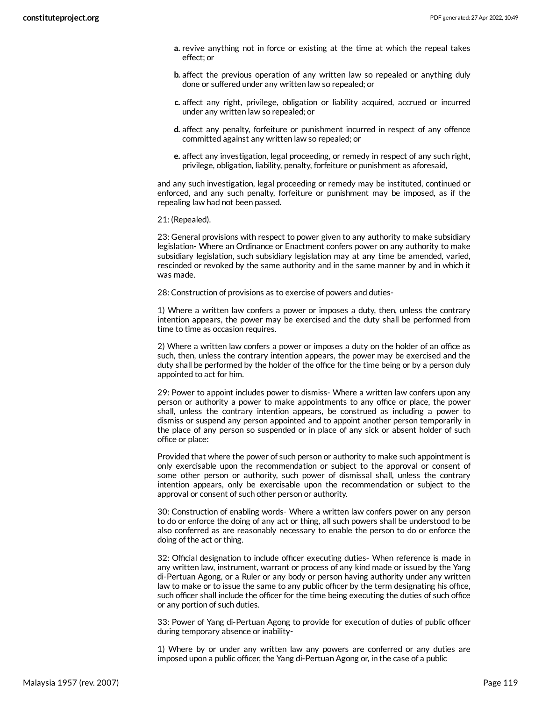- **a.** revive anything not in force or existing at the time at which the repeal takes effect; or
- **b.** affect the previous operation of any written law so repealed or anything duly done or suffered under any written law so repealed; or
- **c.** affect any right, privilege, obligation or liability acquired, accrued or incurred under any written law so repealed; or
- **d.** affect any penalty, forfeiture or punishment incurred in respect of any offence committed against any written law so repealed; or
- **e.** affect any investigation, legal proceeding, or remedy in respect of any such right, privilege, obligation, liability, penalty, forfeiture or punishment as aforesaid,

and any such investigation, legal proceeding or remedy may be instituted, continued or enforced, and any such penalty, forfeiture or punishment may be imposed, as if the repealing law had not been passed.

21: (Repealed).

23: General provisions with respect to power given to any authority to make subsidiary legislation- Where an Ordinance or Enactment confers power on any authority to make subsidiary legislation, such subsidiary legislation may at any time be amended, varied, rescinded or revoked by the same authority and in the same manner by and in which it was made.

28: Construction of provisions as to exercise of powers and duties-

1) Where a written law confers a power or imposes a duty, then, unless the contrary intention appears, the power may be exercised and the duty shall be performed from time to time as occasion requires.

2) Where a written law confers a power or imposes a duty on the holder of an office as such, then, unless the contrary intention appears, the power may be exercised and the duty shall be performed by the holder of the office for the time being or by a person duly appointed to act for him.

29: Power to appoint includes power to dismiss- Where a written law confers upon any person or authority a power to make appointments to any office or place, the power shall, unless the contrary intention appears, be construed as including a power to dismiss or suspend any person appointed and to appoint another person temporarily in the place of any person so suspended or in place of any sick or absent holder of such office or place:

Provided that where the power of such person or authority to make such appointment is only exercisable upon the recommendation or subject to the approval or consent of some other person or authority, such power of dismissal shall, unless the contrary intention appears, only be exercisable upon the recommendation or subject to the approval or consent of such other person or authority.

30: Construction of enabling words- Where a written law confers power on any person to do or enforce the doing of any act or thing, all such powers shall be understood to be also conferred as are reasonably necessary to enable the person to do or enforce the doing of the act or thing.

32: Official designation to include officer executing duties- When reference is made in any written law, instrument, warrant or process of any kind made or issued by the Yang di-Pertuan Agong, or a Ruler or any body or person having authority under any written law to make or to issue the same to any public officer by the term designating his office, such officer shall include the officer for the time being executing the duties of such office or any portion of such duties.

33: Power of Yang di-Pertuan Agong to provide for execution of duties of public officer during temporary absence or inability-

1) Where by or under any written law any powers are conferred or any duties are imposed upon a public officer, the Yang di-Pertuan Agong or, in the case of a public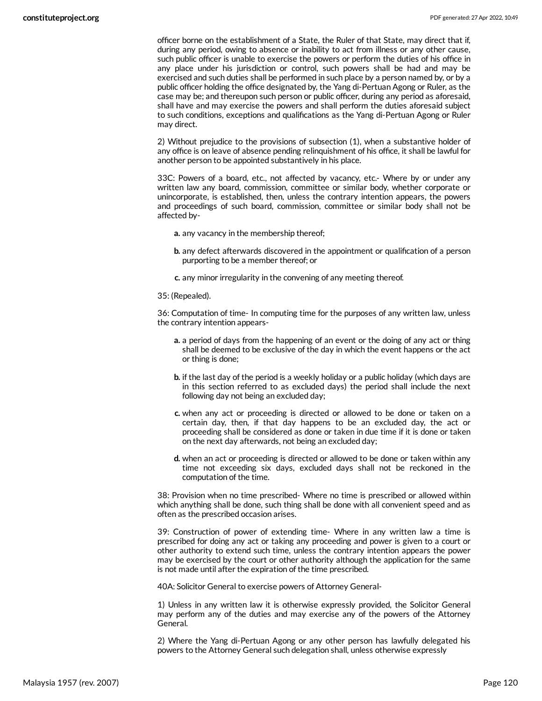officer borne on the establishment of a State, the Ruler of that State, may direct that if, during any period, owing to absence or inability to act from illness or any other cause, such public officer is unable to exercise the powers or perform the duties of his office in any place under his jurisdiction or control, such powers shall be had and may be exercised and such duties shall be performed in such place by a person named by, or by a public officer holding the office designated by, the Yang di-Pertuan Agong or Ruler, as the case may be; and thereupon such person or public officer, during any period as aforesaid, shall have and may exercise the powers and shall perform the duties aforesaid subject to such conditions, exceptions and qualifications as the Yang di-Pertuan Agong or Ruler may direct.

2) Without prejudice to the provisions of subsection (1), when a substantive holder of any office is on leave of absence pending relinquishment of his office, it shall be lawful for another person to be appointed substantively in his place.

33C: Powers of a board, etc., not affected by vacancy, etc.- Where by or under any written law any board, commission, committee or similar body, whether corporate or unincorporate, is established, then, unless the contrary intention appears, the powers and proceedings of such board, commission, committee or similar body shall not be affected by-

- **a.** any vacancy in the membership thereof;
- **b.** any defect afterwards discovered in the appointment or qualification of a person purporting to be a member thereof; or
- **c.** any minor irregularity in the convening of any meeting thereof.
- 35: (Repealed).

36: Computation of time- In computing time for the purposes of any written law, unless the contrary intention appears-

- **a.** a period of days from the happening of an event or the doing of any act or thing shall be deemed to be exclusive of the day in which the event happens or the act or thing is done;
- **b.** if the last day of the period is a weekly holiday or a public holiday (which days are in this section referred to as excluded days) the period shall include the next following day not being an excluded day;
- **c.** when any act or proceeding is directed or allowed to be done or taken on a certain day, then, if that day happens to be an excluded day, the act or proceeding shall be considered as done or taken in due time if it is done or taken on the next day afterwards, not being an excluded day;
- **d.** when an act or proceeding is directed or allowed to be done or taken within any time not exceeding six days, excluded days shall not be reckoned in the computation of the time.

38: Provision when no time prescribed- Where no time is prescribed or allowed within which anything shall be done, such thing shall be done with all convenient speed and as often as the prescribed occasion arises.

39: Construction of power of extending time- Where in any written law a time is prescribed for doing any act or taking any proceeding and power is given to a court or other authority to extend such time, unless the contrary intention appears the power may be exercised by the court or other authority although the application for the same is not made until after the expiration of the time prescribed.

40A: Solicitor General to exercise powers of Attorney General-

1) Unless in any written law it is otherwise expressly provided, the Solicitor General may perform any of the duties and may exercise any of the powers of the Attorney General.

2) Where the Yang di-Pertuan Agong or any other person has lawfully delegated his powers to the Attorney General such delegation shall, unless otherwise expressly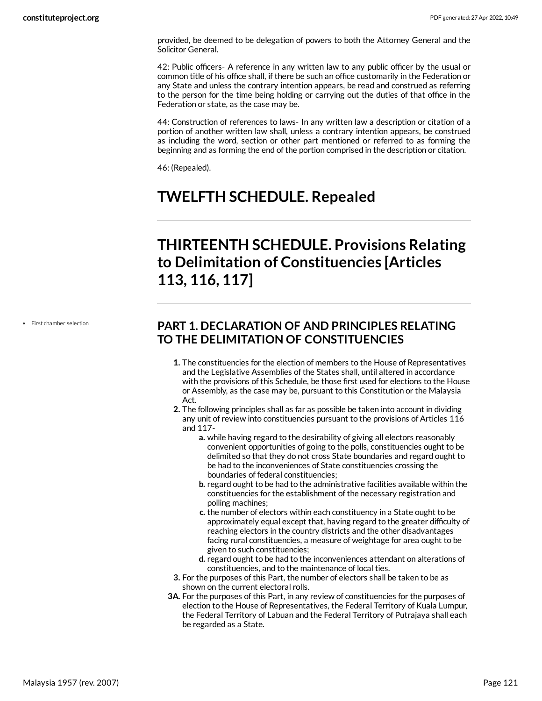provided, be deemed to be delegation of powers to both the Attorney General and the Solicitor General.

42: Public officers- A reference in any written law to any public officer by the usual or common title of his office shall, if there be such an office customarily in the Federation or any State and unless the contrary intention appears, be read and construed as referring to the person for the time being holding or carrying out the duties of that office in the Federation or state, as the case may be.

44: Construction of references to laws- In any written law a description or citation of a portion of another written law shall, unless a contrary intention appears, be construed as including the word, section or other part mentioned or referred to as forming the beginning and as forming the end of the portion comprised in the description or citation.

46: (Repealed).

# **TWELFTH SCHEDULE. Repealed**

# **THIRTEENTH SCHEDULE. Provisions Relating to Delimitation of Constituencies [Articles 113, 116, 117]**

• First chamber selection

# <span id="page-120-0"></span>**PART 1. DECLARATION OF AND PRINCIPLES RELATING TO THE DELIMITATION OF CONSTITUENCIES**

- **1.** The constituencies for the election of members to the House of Representatives and the Legislative Assemblies of the States shall, until altered in accordance with the provisions of this Schedule, be those first used for elections to the House or Assembly, as the case may be, pursuant to this Constitution or the Malaysia Act.
- **2.** The following principles shall as far as possible be taken into account in dividing any unit of review into constituencies pursuant to the provisions of Articles 116 and 117
	- **a.** while having regard to the desirability of giving all electors reasonably convenient opportunities of going to the polls, constituencies ought to be delimited so that they do not cross State boundaries and regard ought to be had to the inconveniences of State constituencies crossing the boundaries of federal constituencies;
	- **b.** regard ought to be had to the administrative facilities available within the constituencies for the establishment of the necessary registration and polling machines;
	- **c.** the number of electors within each constituency in a State ought to be approximately equal except that, having regard to the greater difficulty of reaching electors in the country districts and the other disadvantages facing rural constituencies, a measure of weightage for area ought to be given to such constituencies;
	- **d.** regard ought to be had to the inconveniences attendant on alterations of constituencies, and to the maintenance of local ties.
- **3.** For the purposes of this Part, the number of electors shall be taken to be as shown on the current electoral rolls.
- **3A.** For the purposes of this Part, in any review of constituencies for the purposes of election to the House of Representatives, the Federal Territory of Kuala Lumpur, the Federal Territory of Labuan and the Federal Territory of Putrajaya shall each be regarded as a State.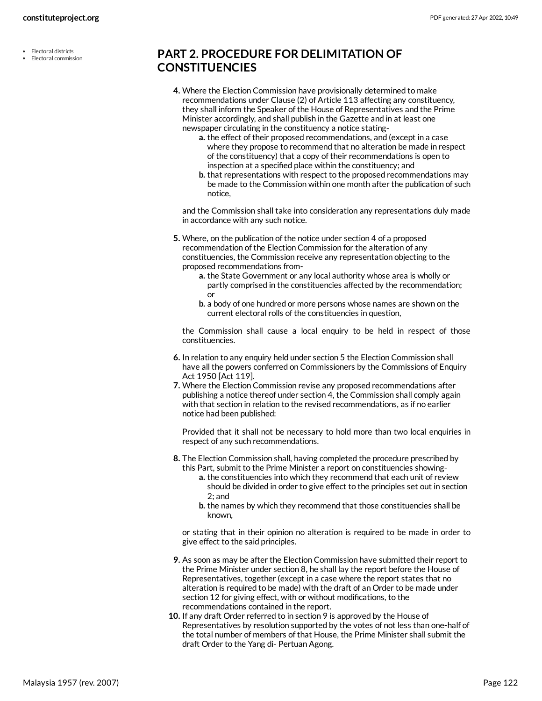- Electoral districts
- Electoral commission

# <span id="page-121-0"></span>**PART 2. PROCEDURE FOR DELIMITATION OF CONSTITUENCIES**

- **4.** Where the Election Commission have provisionally determined to make recommendations under Clause (2) of Article 113 affecting any constituency, they shall inform the Speaker of the House of Representatives and the Prime Minister accordingly, and shall publish in the Gazette and in at least one newspaper circulating in the constituency a notice stating
	- **a.** the effect of their proposed recommendations, and (except in a case where they propose to recommend that no alteration be made in respect of the constituency) that a copy of their recommendations is open to inspection at a specified place within the constituency; and
	- **b.** that representations with respect to the proposed recommendations may be made to the Commission within one month after the publication of such notice,

and the Commission shall take into consideration any representations duly made in accordance with any such notice.

- **5.** Where, on the publication of the notice under section 4 of a proposed recommendation of the Election Commission for the alteration of any constituencies, the Commission receive any representation objecting to the proposed recommendations from
	- **a.** the State Government or any local authority whose area is wholly or partly comprised in the constituencies affected by the recommendation; or
	- **b.** a body of one hundred or more persons whose names are shown on the current electoral rolls of the constituencies in question,

the Commission shall cause a local enquiry to be held in respect of those constituencies.

- **6.** In relation to any enquiry held under section 5 the Election Commission shall have all the powers conferred on Commissioners by the Commissions of Enquiry Act 1950 [Act 119].
- **7.** Where the Election Commission revise any proposed recommendations after publishing a notice thereof under section 4, the Commission shall comply again with that section in relation to the revised recommendations, as if no earlier notice had been published:

Provided that it shall not be necessary to hold more than two local enquiries in respect of any such recommendations.

- **8.** The Election Commission shall, having completed the procedure prescribed by this Part, submit to the Prime Minister a report on constituencies showing
	- **a.** the constituencies into which they recommend that each unit of review should be divided in order to give effect to the principles set out in section 2; and
	- **b.** the names by which they recommend that those constituencies shall be known,

or stating that in their opinion no alteration is required to be made in order to give effect to the said principles.

- **9.** As soon as may be after the Election Commission have submitted their report to the Prime Minister under section 8, he shall lay the report before the House of Representatives, together (except in a case where the report states that no alteration is required to be made) with the draft of an Order to be made under section 12 for giving effect, with or without modifications, to the recommendations contained in the report.
- **10.** If any draft Order referred to in section 9 is approved by the House of Representatives by resolution supported by the votes of not less than one-half of the total number of members of that House, the Prime Minister shall submit the draft Order to the Yang di- Pertuan Agong.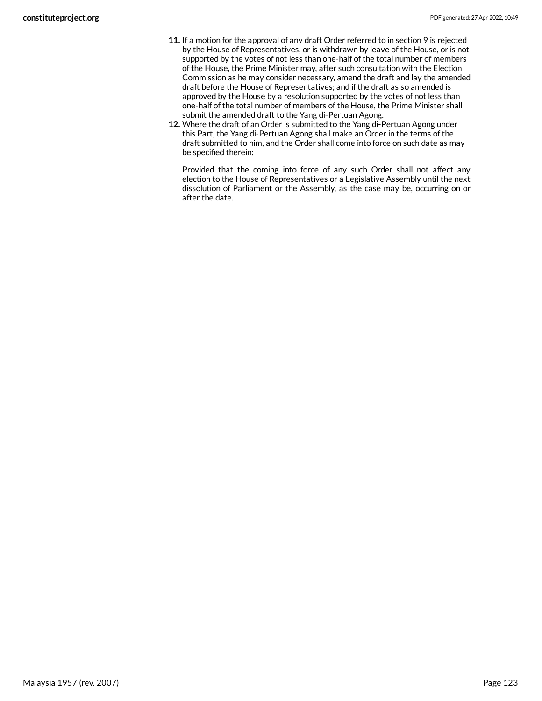- **11.** If a motion for the approval of any draft Order referred to in section 9 is rejected by the House of Representatives, or is withdrawn by leave of the House, or is not supported by the votes of not less than one-half of the total number of members of the House, the Prime Minister may, after such consultation with the Election Commission as he may consider necessary, amend the draft and lay the amended draft before the House of Representatives; and if the draft as so amended is approved by the House by a resolution supported by the votes of not less than one-half of the total number of members of the House, the Prime Minister shall submit the amended draft to the Yang di-Pertuan Agong.
- **12.** Where the draft of an Order is submitted to the Yang di-Pertuan Agong under this Part, the Yang di-Pertuan Agong shall make an Order in the terms of the draft submitted to him, and the Order shall come into force on such date as may be specified therein:

Provided that the coming into force of any such Order shall not affect any election to the House of Representatives or a Legislative Assembly until the next dissolution of Parliament or the Assembly, as the case may be, occurring on or after the date.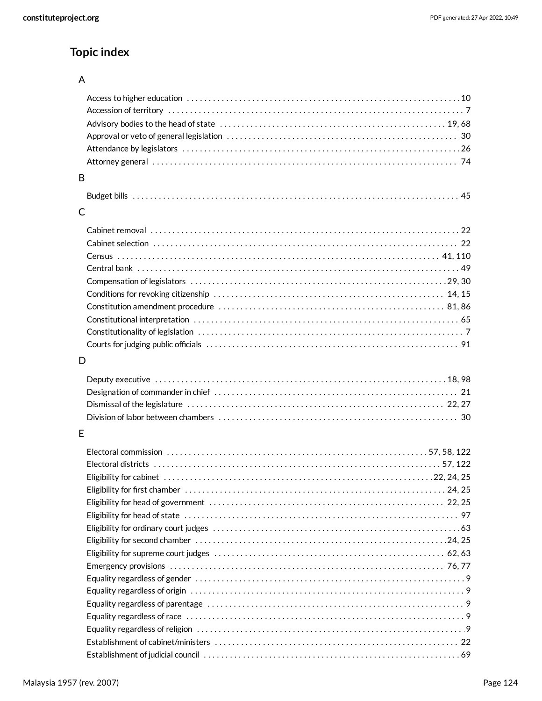# **Topic index**

## A

| B                                                                                                                                                                                                                              |
|--------------------------------------------------------------------------------------------------------------------------------------------------------------------------------------------------------------------------------|
|                                                                                                                                                                                                                                |
|                                                                                                                                                                                                                                |
| C                                                                                                                                                                                                                              |
|                                                                                                                                                                                                                                |
|                                                                                                                                                                                                                                |
|                                                                                                                                                                                                                                |
|                                                                                                                                                                                                                                |
|                                                                                                                                                                                                                                |
|                                                                                                                                                                                                                                |
|                                                                                                                                                                                                                                |
|                                                                                                                                                                                                                                |
|                                                                                                                                                                                                                                |
|                                                                                                                                                                                                                                |
|                                                                                                                                                                                                                                |
| D                                                                                                                                                                                                                              |
|                                                                                                                                                                                                                                |
|                                                                                                                                                                                                                                |
|                                                                                                                                                                                                                                |
|                                                                                                                                                                                                                                |
| E                                                                                                                                                                                                                              |
|                                                                                                                                                                                                                                |
|                                                                                                                                                                                                                                |
|                                                                                                                                                                                                                                |
|                                                                                                                                                                                                                                |
|                                                                                                                                                                                                                                |
|                                                                                                                                                                                                                                |
|                                                                                                                                                                                                                                |
|                                                                                                                                                                                                                                |
|                                                                                                                                                                                                                                |
|                                                                                                                                                                                                                                |
|                                                                                                                                                                                                                                |
|                                                                                                                                                                                                                                |
|                                                                                                                                                                                                                                |
|                                                                                                                                                                                                                                |
|                                                                                                                                                                                                                                |
|                                                                                                                                                                                                                                |
|                                                                                                                                                                                                                                |
| Establishment of judicial council matures are set of the control of the control of the stablishment of judicial council matures are set of the state of the state of the state of the state of the state of the state of the s |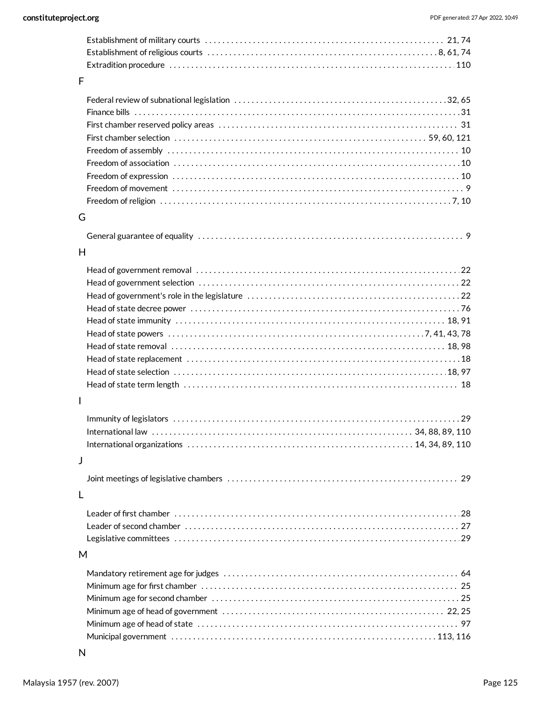## F

| Freedom of movement $\dots\dots\dots\dots\dots\dots\dots\dots\dots\dots\dots\dots\dots\dots\dots\dots\dots$ |  |
|-------------------------------------------------------------------------------------------------------------|--|
|                                                                                                             |  |

# G

|--|--|--|

## H

| J |  |
|---|--|
|   |  |
| L |  |
|   |  |
|   |  |
|   |  |
| M |  |
|   |  |
|   |  |
|   |  |
|   |  |
|   |  |
|   |  |
|   |  |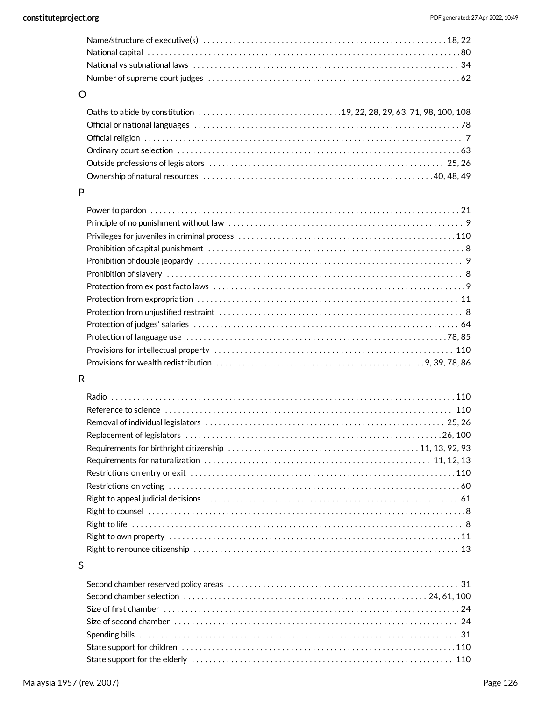## O

## P

# R

## S